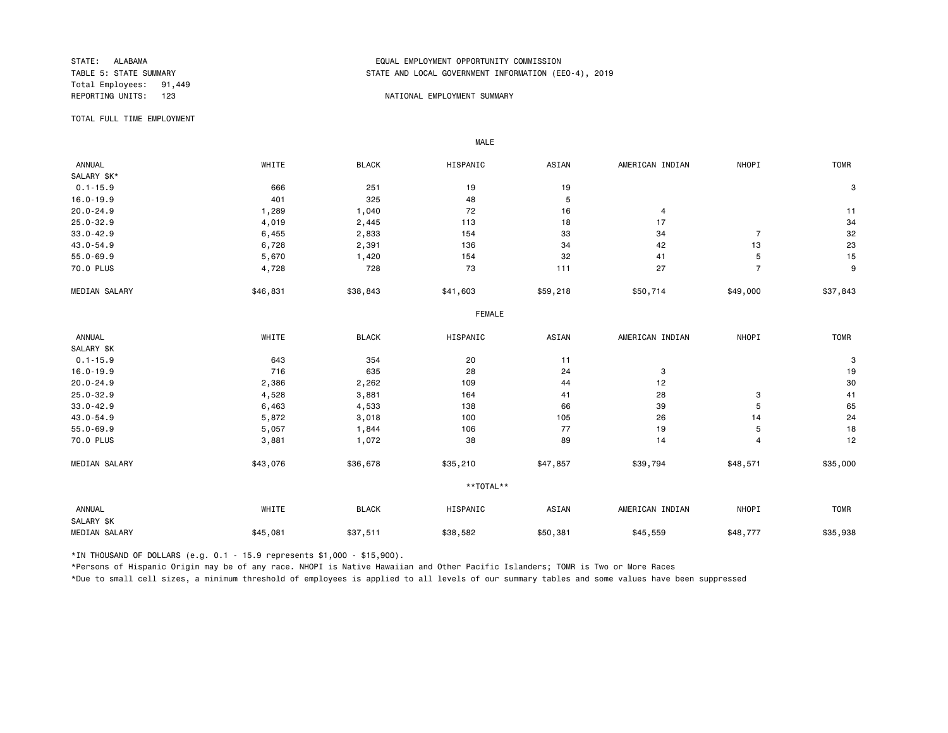Total Employees: 91,449<br>REPORTING UNITS: 123

## STATE: ALABAMA EQUAL EMPLOYMENT OPPORTUNITY COMMISSION STATE AND LOCAL GOVERNMENT INFORMATION (EEO-4), 2019

#### 123 NATIONAL EMPLOYMENT SUMMARY

TOTAL FULL TIME EMPLOYMENT

 ANNUAL WHITE BLACK HISPANIC ASIAN AMERICAN INDIAN NHOPI TOMR SALARY \$K\*<br>0.1-15.9 0.1-15.9 666 251 19 19 3 16.0-19.9 401 325 48 5 20.0-24.9 1,289 1,040 72 16 4 11 25.0-32.9 4,019 2,445 113 18 17 34 33.0-42.9 6,455 2,833 154 33 34 7 32 43.0-54.9 6,728 2,391 136 34 42 13 23 55.0-69.9 5,670 1,420 154 32 41 5 15 70.0 PLUS 4,728 728 73 111 27 7 9 MEDIAN SALARY \$46,831 \$38,843 \$41,603 \$59,218 \$50,714 \$49,000 \$37,843 FEMALE **FRAME**  ANNUAL WHITE BLACK HISPANIC ASIAN AMERICAN INDIAN NHOPI TOMR SALARY \$K<br>0.1-15.9 0.1-15.9 643 354 20 11 3 16.0-19.9 716 635 28 24 3 19 20.0-24.9 2,386 2,262 109 44 12 30 25.0-32.9 4,528 3,881 164 41 28 3 41 33.0-42.9 6,463 4,533 138 66 39 5 65 43.0-54.9 5,872 3,018 100 105 26 14 24 55.0-69.9 5,057 1,844 106 77 19 5 18 70.0 PLUS 3,881 1,072 38 89 14 12 MEDIAN SALARY \$43,076 \$36,678 \$35,210 \$47,857 \$39,794 \$48,571 \$35,000 \*\*TOTAL\*\* ANNUAL WHITE BLACK HISPANIC ASIAN AMERICAN INDIAN NHOPI TOMR SALARY \$K MEDIAN SALARY \$45,081 \$37,511 \$38,582 \$45,559 \$48,777 \$35,938

\*IN THOUSAND OF DOLLARS (e.g. 0.1 - 15.9 represents \$1,000 - \$15,900).

MALE

\*Persons of Hispanic Origin may be of any race. NHOPI is Native Hawaiian and Other Pacific Islanders; TOMR is Two or More Races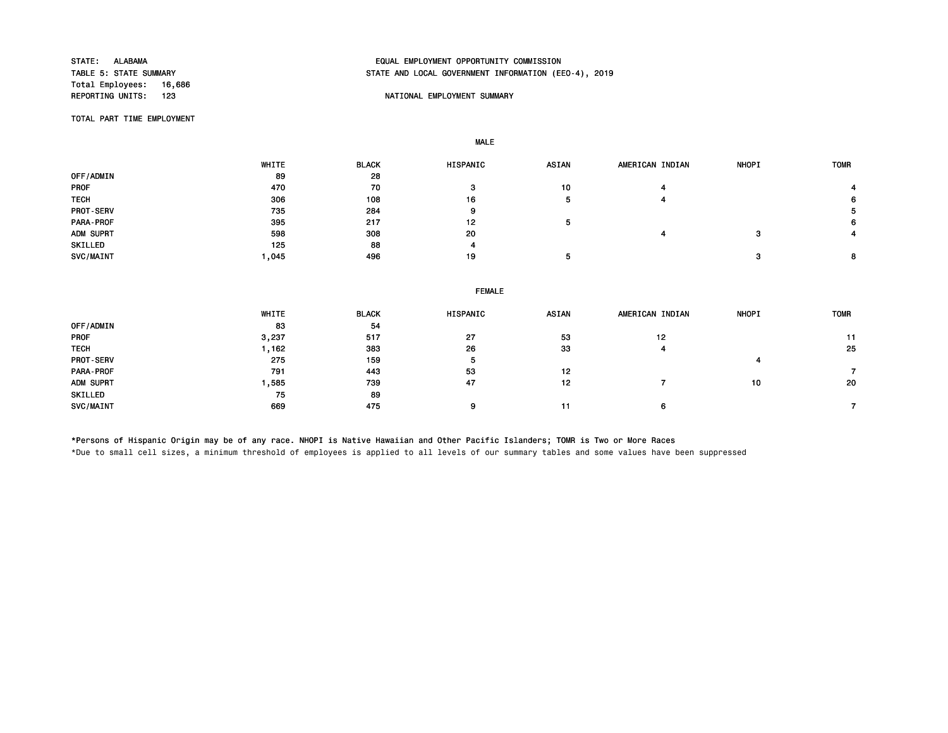Total Employees: 16,686<br>REPORTING UNITS: 123

# STATE: ALABAMA EQUAL EMPLOYMENT OPPORTUNITY COMMISSION STATE AND LOCAL GOVERNMENT INFORMATION (EEO-4), 2019

## NATIONAL EMPLOYMENT SUMMARY

TOTAL PART TIME EMPLOYMENT

MALE

 WHITE BLACK HISPANIC ASIAN AMERICAN INDIAN NHOPI TOMR OFF/ADMIN 89 28 PROF 470 70 3 10 4 4 TECH 306 108 16 5 4 6 PROT-SERV 735 284 9 5 PARA-PROF 395 217 12 5 6 ADM SUPRT 598 308 20 4 3 4 SKILLED 125 88 4 SVC/MAINT 1,045 496 19 5 3 8

|                  | <b>FEMALE</b> |              |          |              |                 |              |             |  |  |
|------------------|---------------|--------------|----------|--------------|-----------------|--------------|-------------|--|--|
|                  | <b>WHITE</b>  | <b>BLACK</b> | HISPANIC | <b>ASIAN</b> | AMERICAN INDIAN | <b>NHOPI</b> | <b>TOMR</b> |  |  |
| OFF/ADMIN        | 83            | 54           |          |              |                 |              |             |  |  |
| <b>PROF</b>      | 3,237         | 517          | 27       | 53           | 12              |              | 11          |  |  |
| <b>TECH</b>      | 1,162         | 383          | 26       | 33           | 4               |              | 25          |  |  |
| <b>PROT-SERV</b> | 275           | 159          | 5        |              |                 |              |             |  |  |
| PARA-PROF        | 791           | 443          | 53       | 12           |                 |              |             |  |  |
| ADM SUPRT        | 1,585         | 739          | 47       | 12           |                 | 10           | 20          |  |  |
| SKILLED          | 75            | 89           |          |              |                 |              |             |  |  |
| SVC/MAINT        | 669           | 475          | 9        | 11           | 6               |              |             |  |  |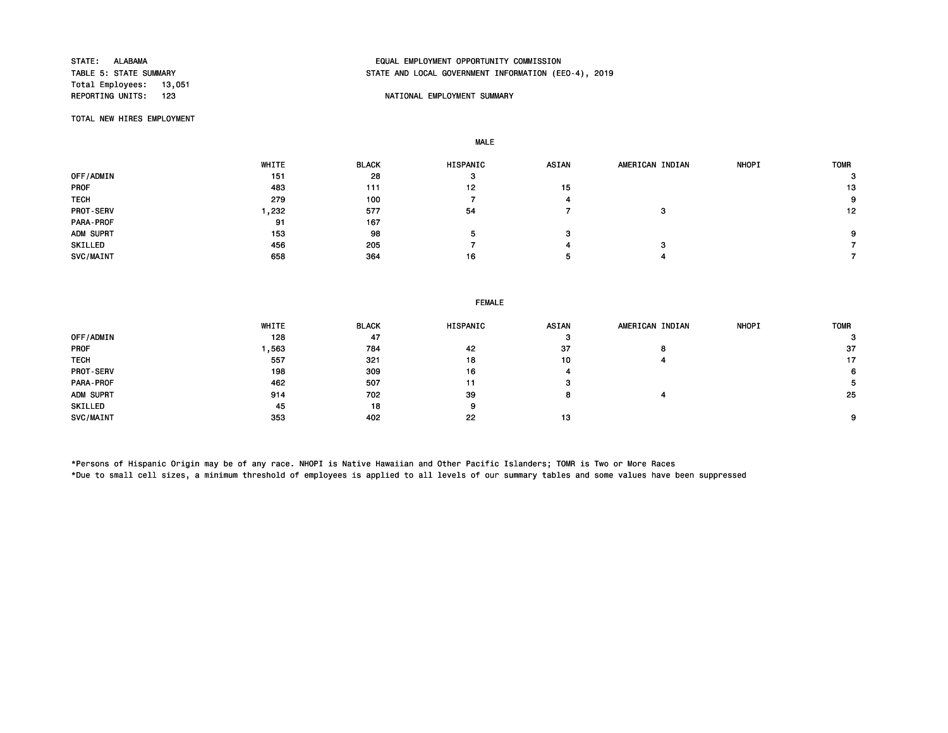Total Employees: 13,051

# STATE: ALABAMA EQUAL EMPLOYMENT OPPORTUNITY COMMISSION STATE AND LOCAL GOVERNMENT INFORMATION (EEO-4), 2019

## NATIONAL EMPLOYMENT SUMMARY

TOTAL NEW HIRES EMPLOYMENT

MALE

|                  | WHITE | <b>BLACK</b> | HISPANIC | <b>ASIAN</b> | AMERICAN INDIAN | <b>NHOPI</b> | <b>TOMR</b> |
|------------------|-------|--------------|----------|--------------|-----------------|--------------|-------------|
| OFF/ADMIN        | 151   | 28           | 3        |              |                 |              | 3           |
| <b>PROF</b>      | 483   | 111          | 12       | 15           |                 |              | 13          |
| <b>TECH</b>      | 279   | 100          |          |              |                 |              | 9           |
| <b>PROT-SERV</b> | , 232 | 577          | 54       |              | з               |              | 12          |
| PARA-PROF        | 91    | 167          |          |              |                 |              |             |
| ADM SUPRT        | 153   | 98           |          | з            |                 |              | 9           |
| SKILLED          | 456   | 205          |          |              | c               |              |             |
| SVC/MAINT        | 658   | 364          | 16       |              |                 |              |             |

#### FEMALE

|                  | WHITE | <b>BLACK</b> | <b>HISPANIC</b> | <b>ASIAN</b> | AMERICAN INDIAN | <b>NHOPI</b> | <b>TOMR</b> |
|------------------|-------|--------------|-----------------|--------------|-----------------|--------------|-------------|
| OFF/ADMIN        | 128   | 47           |                 | -37          |                 |              | 3           |
| <b>PROF</b>      | .563  | 784          | 42              | 37           | o               |              | -37         |
| <b>TECH</b>      | 557   | 321          | 18              | 10           |                 |              | 17          |
| <b>PROT-SERV</b> | 198   | 309          | 16              |              |                 |              | 6           |
| PARA-PROF        | 462   | 507          | 11              |              |                 |              |             |
| ADM SUPRT        | 914   | 702          | 39              |              |                 |              | 25          |
| SKILLED          | 45    | 18           | 9               |              |                 |              |             |
| SVC/MAINT        | 353   | 402          | 22              | 13           |                 |              | 9           |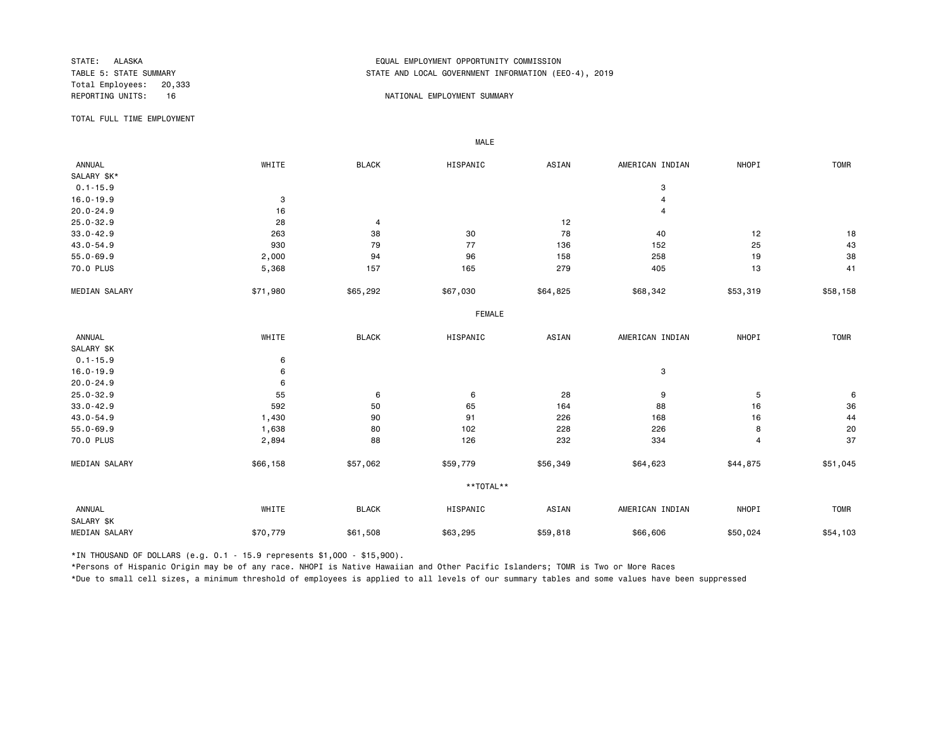Total Employees: 20,333<br>REPORTING UNITS: 16

## STATE: ALASKA EQUAL EMPLOYMENT OPPORTUNITY COMMISSION STATE AND LOCAL GOVERNMENT INFORMATION (EEO-4), 2019

## NATIONAL EMPLOYMENT SUMMARY

TOTAL FULL TIME EMPLOYMENT

MALE

| <b>ANNUAL</b>        | WHITE    | <b>BLACK</b> | HISPANIC      | ASIAN    | AMERICAN INDIAN | NHOPI          | <b>TOMR</b> |
|----------------------|----------|--------------|---------------|----------|-----------------|----------------|-------------|
| SALARY \$K*          |          |              |               |          |                 |                |             |
| $0.1 - 15.9$         |          |              |               |          | 3               |                |             |
| $16.0 - 19.9$        | 3        |              |               |          | $\overline{4}$  |                |             |
| $20.0 - 24.9$        | 16       |              |               |          | $\overline{4}$  |                |             |
| $25.0 - 32.9$        | 28       | 4            |               | 12       |                 |                |             |
| $33.0 - 42.9$        | 263      | 38           | 30            | 78       | 40              | 12             | 18          |
| 43.0-54.9            | 930      | 79           | 77            | 136      | 152             | 25             | 43          |
| $55.0 - 69.9$        | 2,000    | 94           | 96            | 158      | 258             | 19             | 38          |
| 70.0 PLUS            | 5,368    | 157          | 165           | 279      | 405             | 13             | 41          |
| MEDIAN SALARY        | \$71,980 | \$65,292     | \$67,030      | \$64,825 | \$68,342        | \$53,319       | \$58,158    |
|                      |          |              | <b>FEMALE</b> |          |                 |                |             |
| ANNUAL               | WHITE    | <b>BLACK</b> | HISPANIC      | ASIAN    | AMERICAN INDIAN | NHOPI          | <b>TOMR</b> |
| SALARY \$K           |          |              |               |          |                 |                |             |
| $0.1 - 15.9$         | 6        |              |               |          |                 |                |             |
| $16.0 - 19.9$        | 6        |              |               |          | 3               |                |             |
| $20.0 - 24.9$        | 6        |              |               |          |                 |                |             |
| $25.0 - 32.9$        | 55       | 6            | 6             | 28       | 9               | 5              | 6           |
| $33.0 - 42.9$        | 592      | 50           | 65            | 164      | 88              | 16             | 36          |
| 43.0-54.9            | 1,430    | 90           | 91            | 226      | 168             | 16             | 44          |
| $55.0 - 69.9$        | 1,638    | 80           | 102           | 228      | 226             | 8              | 20          |
| 70.0 PLUS            | 2,894    | 88           | 126           | 232      | 334             | $\overline{4}$ | 37          |
| MEDIAN SALARY        | \$66,158 | \$57,062     | \$59,779      | \$56,349 | \$64,623        | \$44,875       | \$51,045    |
|                      |          |              | **TOTAL**     |          |                 |                |             |
| ANNUAL<br>SALARY \$K | WHITE    | <b>BLACK</b> | HISPANIC      | ASIAN    | AMERICAN INDIAN | NHOPI          | <b>TOMR</b> |
| <b>MEDIAN SALARY</b> | \$70,779 | \$61,508     | \$63,295      | \$59,818 | \$66,606        | \$50,024       | \$54,103    |

\*IN THOUSAND OF DOLLARS (e.g. 0.1 - 15.9 represents \$1,000 - \$15,900).

\*Persons of Hispanic Origin may be of any race. NHOPI is Native Hawaiian and Other Pacific Islanders; TOMR is Two or More Races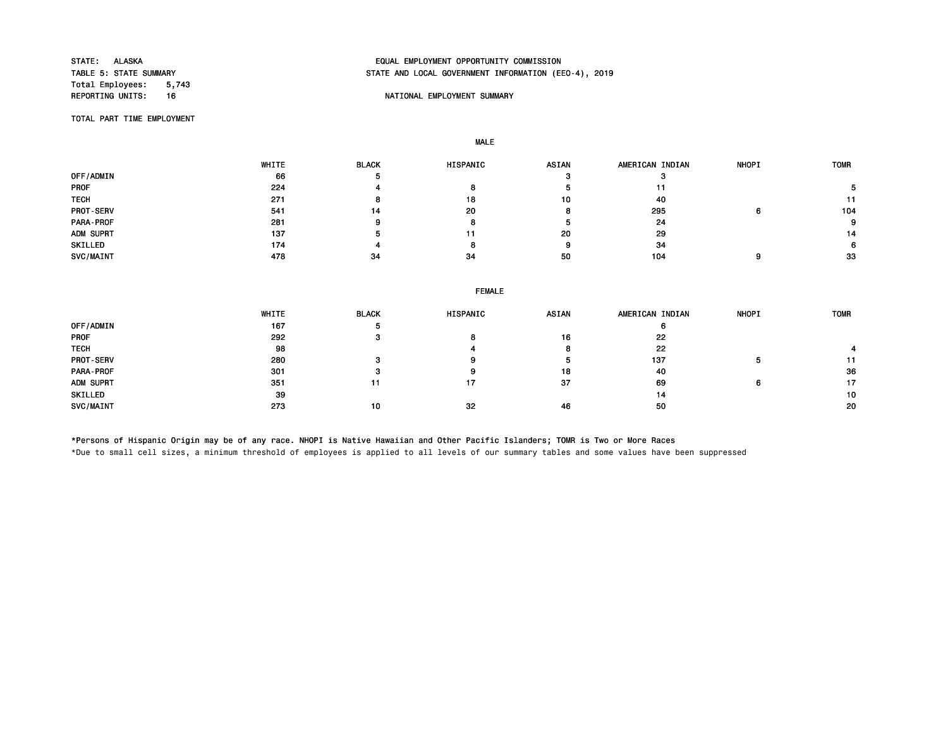Total Employees: 5,743<br>REPORTING UNITS: 16

# STATE: ALASKA EQUAL EMPLOYMENT OPPORTUNITY COMMISSION STATE AND LOCAL GOVERNMENT INFORMATION (EEO-4), 2019

## 16 NATIONAL EMPLOYMENT SUMMARY

TOTAL PART TIME EMPLOYMENT

MALE

|                  | WHITE | <b>BLACK</b> | <b>HISPANIC</b> | <b>ASIAN</b> | AMERICAN INDIAN | <b>NHOPI</b> | <b>TOMR</b> |
|------------------|-------|--------------|-----------------|--------------|-----------------|--------------|-------------|
| OFF/ADMIN        | 66    |              |                 |              |                 |              |             |
| <b>PROF</b>      | 224   |              |                 |              |                 |              |             |
| <b>TECH</b>      | 271   |              | 18              | 10           | 40              |              |             |
| <b>PROT-SERV</b> | 541   | 14           | 20              |              | 295             | n            | 104         |
| PARA-PROF        | 281   |              |                 |              | 24              |              | 9           |
| ADM SUPRT        | 137   |              | 11              | 20           | 29              |              | 14          |
| SKILLED          | 174   |              |                 | o            | 34              |              | 6.          |
| SVC/MAINT        | 478   | 34           | 34              | 50           | 104             |              | 33          |

|  | <b>FEMALE</b> |
|--|---------------|
|  |               |

|                  | WHITE | <b>BLACK</b> | <b>HISPANIC</b> | <b>ASIAN</b> | AMERICAN INDIAN | <b>NHOPI</b> | <b>TOMR</b> |
|------------------|-------|--------------|-----------------|--------------|-----------------|--------------|-------------|
| OFF/ADMIN        | 167   |              |                 |              |                 |              |             |
| <b>PROF</b>      | 292   |              |                 | 16           | 22              |              |             |
| <b>TECH</b>      | 98    |              |                 | 8            | 22              |              |             |
| <b>PROT-SERV</b> | 280   |              |                 | э            | 137             | э            | 11          |
| PARA-PROF        | 301   |              |                 | 18           | 40              |              | 36          |
| ADM SUPRT        | 351   | 11           | 17              | 37           | 69              | 6            | 17          |
| SKILLED          | 39    |              |                 |              | 14              |              | 10          |
| SVC/MAINT        | 273   | 10           | 32              | 46           | 50              |              | 20          |

\*Persons of Hispanic Origin may be of any race. NHOPI is Native Hawaiian and Other Pacific Islanders; TOMR is Two or More Races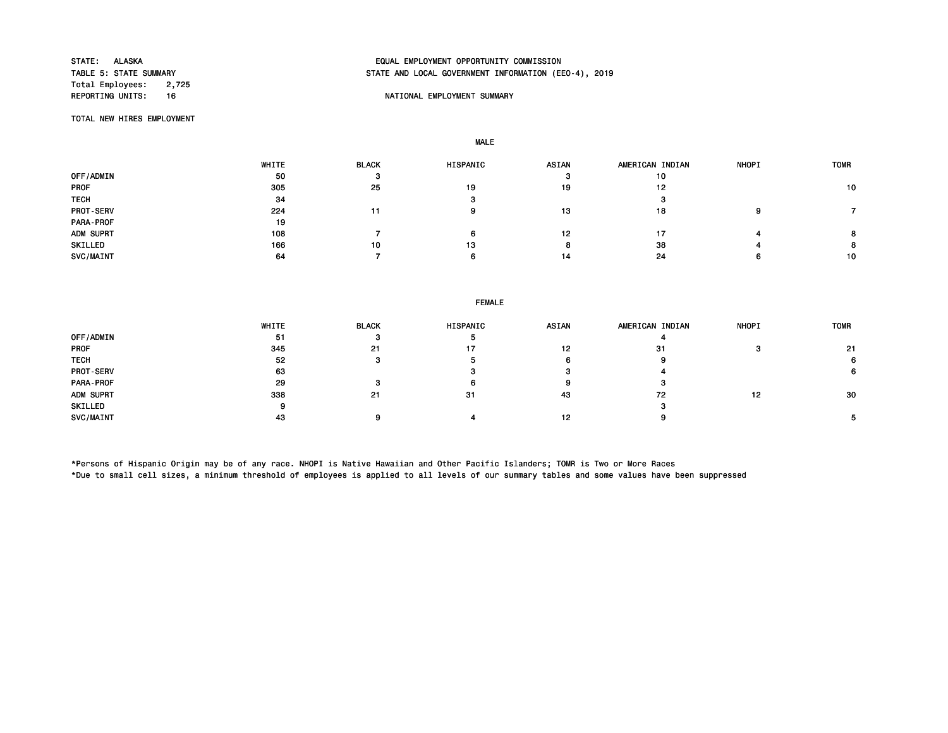Total Employees: 2,725<br>REPORTING UNITS: 16

# STATE: ALASKA EQUAL EMPLOYMENT OPPORTUNITY COMMISSION STATE AND LOCAL GOVERNMENT INFORMATION (EEO-4), 2019

## 16 NATIONAL EMPLOYMENT SUMMARY

TOTAL NEW HIRES EMPLOYMENT

MALE

|                  | WHITE | <b>BLACK</b> | HISPANIC | <b>ASIAN</b> | AMERICAN INDIAN | <b>NHOPI</b> | <b>TOMR</b> |
|------------------|-------|--------------|----------|--------------|-----------------|--------------|-------------|
| OFF/ADMIN        | 50    | з            |          |              | 10              |              |             |
| <b>PROF</b>      | 305   | 25           | 19       | 19           | 12              |              | 10          |
| <b>TECH</b>      | 34    |              | J.       |              | з               |              |             |
| <b>PROT-SERV</b> | 224   | 11           | 9        | 13           | 18              | ۹            |             |
| PARA-PROF        | 19    |              |          |              |                 |              |             |
| ADM SUPRT        | 108   |              | 6        | 12           |                 |              |             |
| SKILLED          | 166   | 10           | 13       |              | 38              |              | 8           |
| SVC/MAINT        | 64    |              | 6        | 14           | 24              | 6            | 10          |

| <b>FEMALE</b> |  |
|---------------|--|
|---------------|--|

|                  | WHITE | <b>BLACK</b> | <b>HISPANIC</b> | <b>ASIAN</b> | AMERICAN INDIAN | <b>NHOPI</b> | <b>TOMR</b> |
|------------------|-------|--------------|-----------------|--------------|-----------------|--------------|-------------|
| OFF/ADMIN        | 51    |              | э               |              |                 |              |             |
| <b>PROF</b>      | 345   | 21           | 17              | 12           | 31              |              | 21          |
| <b>TECH</b>      | 52    |              |                 |              |                 |              |             |
| <b>PROT-SERV</b> | 63    |              |                 |              |                 |              |             |
| PARA-PROF        | 29    |              | O               |              |                 |              |             |
| ADM SUPRT        | 338   | 21           | 31              | 43           | 72              | 19           | 30          |
| SKILLED          |       |              |                 |              |                 |              |             |
| SVC/MAINT        | 43    |              |                 | 12           |                 |              |             |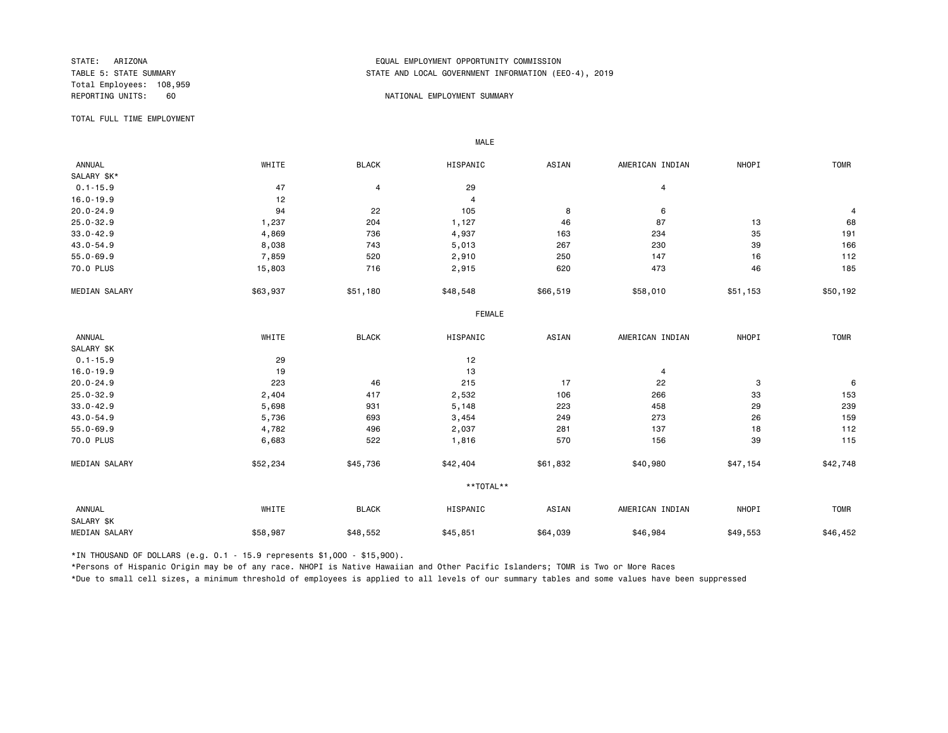Total Employees: 108,959

## STATE: ARIZONA EQUAL EMPLOYMENT OPPORTUNITY COMMISSION STATE AND LOCAL GOVERNMENT INFORMATION (EEO-4), 2019

#### 60 NATIONAL EMPLOYMENT SUMMARY

TOTAL FULL TIME EMPLOYMENT

 ANNUAL WHITE BLACK HISPANIC ASIAN AMERICAN INDIAN NHOPI TOMR SALARY \$K\*<br>0.1-15.9  $0.1-15.9$   $47$   $4$   $29$   $4$ 16.0-19.9 4  $20.0-24.9$  94 94 22 105 8 6 6 24 9 25.0-32.9 1,237 204 1,127 46 87 13 68 33.0-42.9 4,869 736 4,937 163 234 35 191 43.0-54.9 8,038 743 5,013 267 230 39 166 55.0-69.9 7,859 520 2,910 250 147 16 112 70.0 PLUS 15,803 716 2,915 620 473 46 185 MEDIAN SALARY \$63,937 \$51,180 \$48,548 \$66,519 \$58,010 \$51,153 \$50,192 FEMALE **FRAME**  ANNUAL WHITE BLACK HISPANIC ASIAN AMERICAN INDIAN NHOPI TOMR SALARY \$K<br>0.1-15.9  $0.1 - 15.9$  12 16.0-19.9 19 13 4 20.0-24.9 223 46 215 17 22 3 6 25.0-32.9 2,404 417 2,532 106 266 33 153 33.0-42.9 5,698 931 5,148 223 458 229 239 43.0-54.9 5,736 693 3,454 249 273 26 159 55.0-69.9 4,782 496 2,037 281 137 18 112 70.0 PLUS 6,683 522 1,816 570 156 39 115 MEDIAN SALARY \$52,234 \$45,736 \$42,404 \$61,832 \$40,980 \$47,154 \$42,748 \*\*TOTAL\*\* ANNUAL WHITE BLACK HISPANIC ASIAN AMERICAN INDIAN NHOPI TOMR SALARY \$K MEDIAN SALARY \$58,987 \$48,552 \$45,851 \$64,039 \$46,984 \$49,553 \$46,452

\*IN THOUSAND OF DOLLARS (e.g. 0.1 - 15.9 represents \$1,000 - \$15,900).

MALE

\*Persons of Hispanic Origin may be of any race. NHOPI is Native Hawaiian and Other Pacific Islanders; TOMR is Two or More Races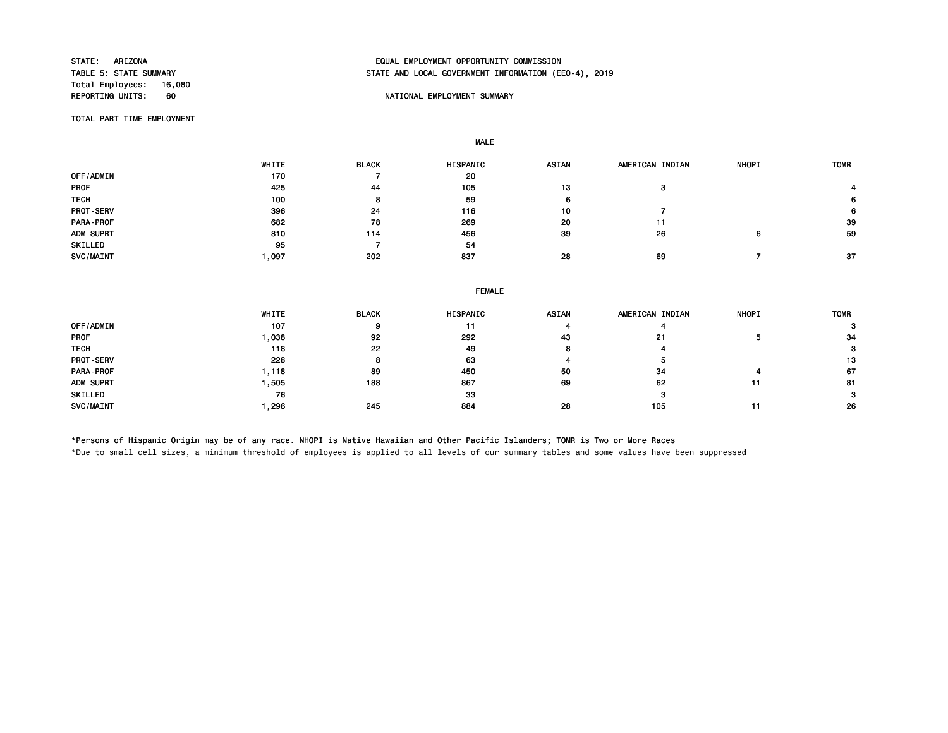Total Employees: 16,080<br>REPORTING UNITS: 60

# STATE: ARIZONA EQUAL EMPLOYMENT OPPORTUNITY COMMISSION STATE AND LOCAL GOVERNMENT INFORMATION (EEO-4), 2019

## NATIONAL EMPLOYMENT SUMMARY

TOTAL PART TIME EMPLOYMENT

MALE

|                  | WHITE | <b>BLACK</b> | <b>HISPANIC</b> | <b>ASIAN</b> | AMERICAN INDIAN | <b>NHOPI</b> | <b>TOMR</b> |
|------------------|-------|--------------|-----------------|--------------|-----------------|--------------|-------------|
| OFF/ADMIN        | 170   |              | 20              |              |                 |              |             |
| <b>PROF</b>      | 425   | 44           | 105             | 13           | з               |              |             |
| <b>TECH</b>      | 100   | 8            | 59              |              |                 |              | 6           |
| <b>PROT-SERV</b> | 396   | 24           | 116             | 10           |                 |              | 6           |
| PARA-PROF        | 682   | 78           | 269             | 20           | 11              |              | 39          |
| ADM SUPRT        | 810   | 114          | 456             | 39           | 26              | 6            | 59          |
| SKILLED          | 95    |              | 54              |              |                 |              |             |
| SVC/MAINT        | ,097  | 202          | 837             | 28           | 69              |              | 37          |

|                  | <b>FEMALE</b> |              |          |       |                 |              |             |  |  |
|------------------|---------------|--------------|----------|-------|-----------------|--------------|-------------|--|--|
|                  | WHITE         | <b>BLACK</b> | HISPANIC | ASIAN | AMERICAN INDIAN | <b>NHOPI</b> | <b>TOMR</b> |  |  |
| OFF/ADMIN        | 107           | 9            |          |       |                 |              |             |  |  |
| PROF             | 0.038         | 92           | 292      | 43    | 21              |              | -34         |  |  |
| <b>TECH</b>      | 118           | 22           | 49       |       |                 |              | з           |  |  |
| <b>PROT-SERV</b> | 228           |              | 63       |       |                 |              | 13          |  |  |
| PARA-PROF        | 1,118         | 89           | 450      | 50    | 34              |              | 67          |  |  |
| ADM SUPRT        | ,505          | 188          | 867      | 69    | 62              | 11           | 81          |  |  |
| SKILLED          | 76            |              | 33       |       |                 |              |             |  |  |
| SVC/MAINT        | .296          | 245          | 884      | 28    | 105             |              | -26         |  |  |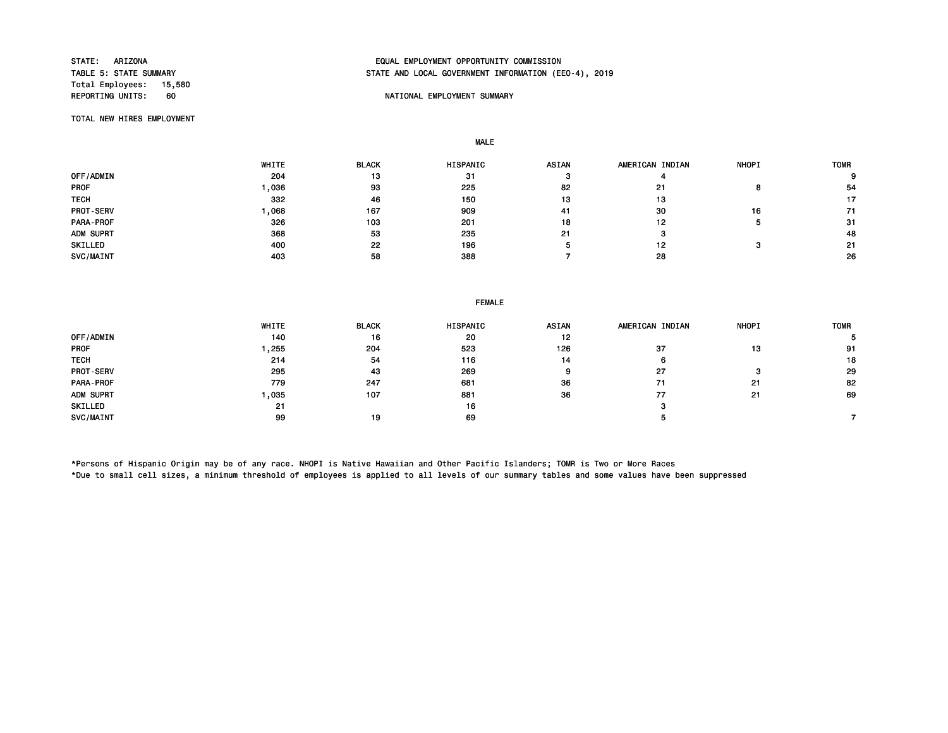Total Employees: 15,580<br>REPORTING UNITS: 60

## STATE: ARIZONA EQUAL EMPLOYMENT OPPORTUNITY COMMISSION STATE AND LOCAL GOVERNMENT INFORMATION (EEO-4), 2019

## REPORTING UNITS: THE PORTIONAL EMPLOYMENT SUMMARY

TOTAL NEW HIRES EMPLOYMENT

MALE

|             | WHITE | <b>BLACK</b> | HISPANIC | <b>ASIAN</b> | AMERICAN INDIAN | <b>NHOPI</b> | <b>TOMR</b> |
|-------------|-------|--------------|----------|--------------|-----------------|--------------|-------------|
| OFF/ADMIN   | 204   | 13           | 31       |              |                 |              | $\Omega$    |
| <b>PROF</b> | .036  | 93           | 225      | 82           | 21              |              | 54          |
| <b>TECH</b> | 332   | 46           | 150      | 13           | 13              |              | 17          |
| PROT-SERV   | .068  | 167          | 909      | 41           | 30              | 16           | 71          |
| PARA-PROF   | 326   | 103          | 201      | 18           | 12              |              | -31         |
| ADM SUPRT   | 368   | 53           | 235      | 21           | з               |              | 48          |
| SKILLED     | 400   | 22           | 196      |              | 12              |              | 21          |
| SVC/MAINT   | 403   | 58           | 388      |              | 28              |              | 26          |

|             |       | <b>FEMALE</b> |          |              |                 |              |             |  |
|-------------|-------|---------------|----------|--------------|-----------------|--------------|-------------|--|
|             | WHITE | <b>BLACK</b>  | HISPANIC | <b>ASIAN</b> | AMERICAN INDIAN | <b>NHOPI</b> | <b>TOMR</b> |  |
| OFF/ADMIN   | 140   | 16            | 20       | 12           |                 |              |             |  |
| <b>PROF</b> | ,255  | 204           | 523      | 126          | 37              | 13           | 91          |  |
| <b>TECH</b> | 214   | 54            | 116      | 14           |                 |              | 18          |  |
| PROT-SERV   | 295   | 43            | 269      | 9            | 27              | з            | 29          |  |
| PARA-PROF   | 779   | 247           | 681      | 36           | 71              | 21           | 82          |  |
| ADM SUPRT   | .035  | 107           | 881      | 36           | 77              | 21           | 69          |  |
| SKILLED     | 21    |               | 16       |              |                 |              |             |  |
|             |       |               |          |              |                 |              |             |  |

SVC/MAINT 99 19 69 5 7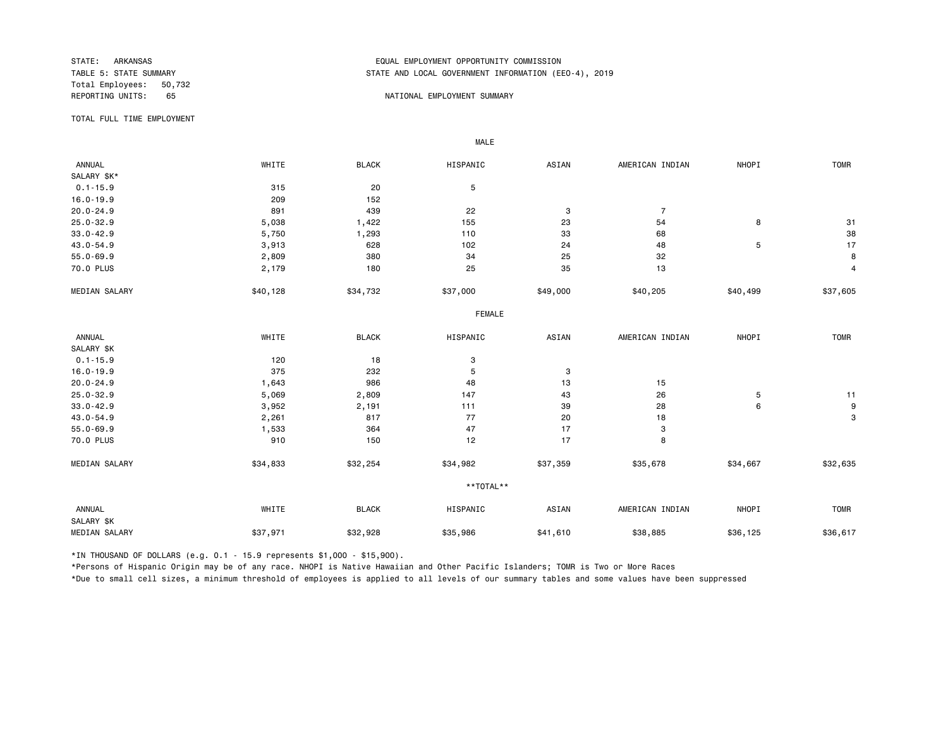Total Employees: 50,732

## STATE: ARKANSAS EQUAL EMPLOYMENT OPPORTUNITY COMMISSION STATE AND LOCAL GOVERNMENT INFORMATION (EEO-4), 2019

#### REPORTING UNITS: 65 65 NATIONAL EMPLOYMENT SUMMARY

TOTAL FULL TIME EMPLOYMENT

 ANNUAL WHITE BLACK HISPANIC ASIAN AMERICAN INDIAN NHOPI TOMR SALARY \$K\*<br>0.1-15.9 0.1-15.9 5 315 20 5 16.0-19.9 209 152 20.0-24.9 891 439 22 3 7 25.0-32.9 5,038 1,422 155 23 54 8 31 33.0-42.9 5,750 1,293 110 33 68 38 43.0-54.9 3,913 628 102 24 48 5 17 55.0-69.9 2,809 380 34 25 32 8 70.0 PLUS 2,179 180 25 35 13 4 MEDIAN SALARY \$40,128 \$34,732 \$37,000 \$40,200 \$40,205 \$40,499 \$37,605 FEMALE **FRAME**  ANNUAL WHITE BLACK HISPANIC ASIAN AMERICAN INDIAN NHOPI TOMR SALARY \$K<br>0.1-15.9  $0.1-15.9$  120 18 3 16.0-19.9 375 232 5 3 20.0-24.9 1,643 986 48 13 15 25.0-32.9 5,069 2,809 147 43 26 5 11 33.0-42.9 3,952 2,191 111 39 28 6 9 43.0-54.9 2,261 817 77 20 18 3 55.0-69.9 1,533 364 47 17 3 70.0 PLUS 910 150 12 17 8 MEDIAN SALARY \$34,833 \$32,254 \$34,982 \$37,359 \$35,678 \$34,667 \$32,635 \*\*TOTAL\*\* ANNUAL WHITE BLACK HISPANIC ASIAN AMERICAN INDIAN NHOPI TOMR SALARY \$K MEDIAN SALARY \$37,971 \$32,928 \$35,986 \$38,885 \$36,125 \$36,617

\*IN THOUSAND OF DOLLARS (e.g. 0.1 - 15.9 represents \$1,000 - \$15,900).

MALE

\*Persons of Hispanic Origin may be of any race. NHOPI is Native Hawaiian and Other Pacific Islanders; TOMR is Two or More Races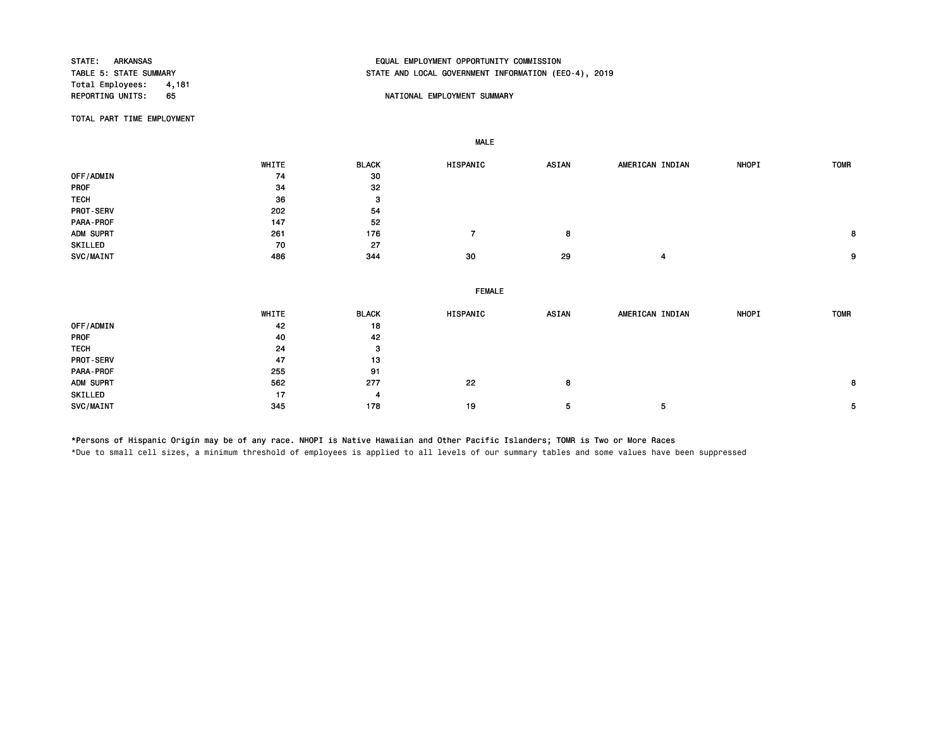Total Employees: 4,181<br>REPORTING UNITS: 65

# STATE: ARKANSAS EQUAL EMPLOYMENT OPPORTUNITY COMMISSION STATE AND LOCAL GOVERNMENT INFORMATION (EEO-4), 2019

## 65 NATIONAL EMPLOYMENT SUMMARY

TOTAL PART TIME EMPLOYMENT

|             | WHITE | <b>BLACK</b> | HISPANIC       | <b>ASIAN</b> | AMERICAN INDIAN | NHOPI | <b>TOMR</b> |
|-------------|-------|--------------|----------------|--------------|-----------------|-------|-------------|
| OFF/ADMIN   | 74    | 30           |                |              |                 |       |             |
| PROF        | 34    | 32           |                |              |                 |       |             |
| <b>TECH</b> | 36    | 3            |                |              |                 |       |             |
| PROT-SERV   | 202   | 54           |                |              |                 |       |             |
| PARA-PROF   | 147   | 52           |                |              |                 |       |             |
| ADM SUPRT   | 261   | 176          | $\overline{7}$ | 8            |                 |       | 8           |
| SKILLED     | 70    | 27           |                |              |                 |       |             |
| SVC/MAINT   | 486   | 344          | 30             | 29           | 4               |       | 9           |
|             |       |              |                |              |                 |       |             |
|             |       |              |                |              |                 |       |             |
|             |       |              | <b>FEMALE</b>  |              |                 |       |             |
|             | WHITE | <b>BLACK</b> | HISPANIC       | <b>ASIAN</b> | AMERICAN INDIAN | NHOPI | <b>TOMR</b> |
| OFF/ADMIN   | 42    | 18           |                |              |                 |       |             |
| PROF        | 40    | 42           |                |              |                 |       |             |
| <b>TECH</b> | 24    | 3            |                |              |                 |       |             |
| PROT-SERV   | 47    | 13           |                |              |                 |       |             |
| PARA-PROF   | 255   | 91           |                |              |                 |       |             |
| ADM SUPRT   | 562   | 277          | 22             | 8            |                 |       | 8           |
| SKILLED     | 17    | 4            |                |              |                 |       |             |

\*Persons of Hispanic Origin may be of any race. NHOPI is Native Hawaiian and Other Pacific Islanders; TOMR is Two or More Races

MALE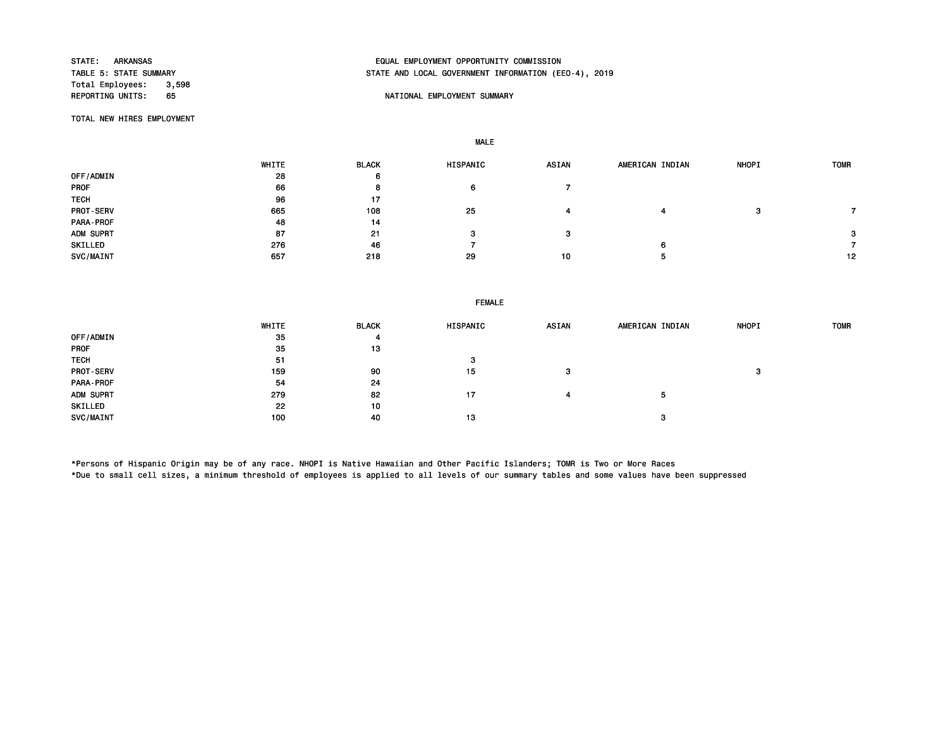Total Employees: 3,598<br>REPORTING UNITS: 65

# STATE: ARKANSAS EQUAL EMPLOYMENT OPPORTUNITY COMMISSION STATE AND LOCAL GOVERNMENT INFORMATION (EEO-4), 2019

## 65 NATIONAL EMPLOYMENT SUMMARY

TOTAL NEW HIRES EMPLOYMENT

MALE

|                  | WHITE | <b>BLACK</b> | HISPANIC | <b>ASIAN</b> | AMERICAN INDIAN | <b>NHOPI</b> | <b>TOMR</b> |
|------------------|-------|--------------|----------|--------------|-----------------|--------------|-------------|
| OFF/ADMIN        | 28    | 6            |          |              |                 |              |             |
| <b>PROF</b>      | 66    | 8            | 6        |              |                 |              |             |
| <b>TECH</b>      | 96    | 17           |          |              |                 |              |             |
| <b>PROT-SERV</b> | 665   | 108          | 25       |              |                 | з            |             |
| PARA-PROF        | 48    | 14           |          |              |                 |              |             |
| ADM SUPRT        | 87    | -21          | з        | з            |                 |              | 3           |
| SKILLED          | 276   | 46           |          |              | 6               |              |             |
| SVC/MAINT        | 657   | 218          | 29       | 10           |                 |              | 12          |

|                  | WHITE | <b>BLACK</b> | HISPANIC | <b>ASIAN</b> | AMERICAN INDIAN | <b>NHOPI</b> | <b>TOMR</b> |
|------------------|-------|--------------|----------|--------------|-----------------|--------------|-------------|
| OFF/ADMIN        | 35    | 4            |          |              |                 |              |             |
| <b>PROF</b>      | 35    | 13           |          |              |                 |              |             |
| <b>TECH</b>      | 51    |              | з        |              |                 |              |             |
| <b>PROT-SERV</b> | 159   | 90           | 15       | з            |                 | з            |             |
| PARA-PROF        | 54    | 24           |          |              |                 |              |             |
| ADM SUPRT        | 279   | 82           | 17       | 4            | Ð               |              |             |
| SKILLED          | 22    | 10           |          |              |                 |              |             |
| SVC/MAINT        | 100   | 40           | 13       |              | з               |              |             |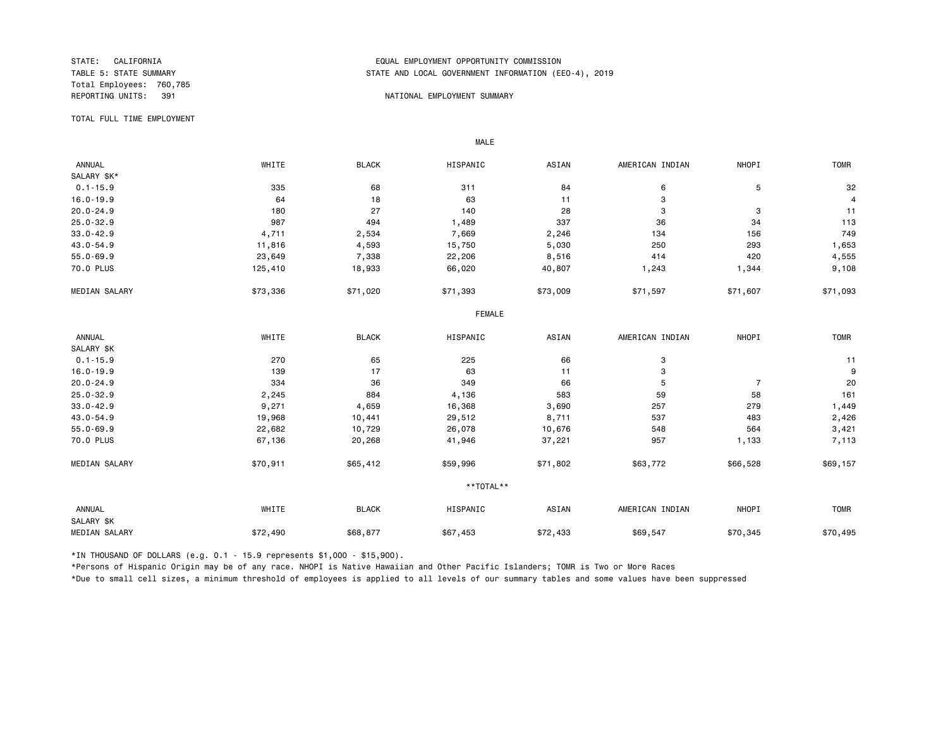Total Employees: 760,785

## STATE: CALIFORNIA EQUAL EMPLOYMENT OPPORTUNITY COMMISSION STATE AND LOCAL GOVERNMENT INFORMATION (EEO-4), 2019

#### REPORTING UNITS: 391 NATIONAL EMPLOYMENT SUMMARY

TOTAL FULL TIME EMPLOYMENT

 ANNUAL WHITE BLACK HISPANIC ASIAN AMERICAN INDIAN NHOPI TOMR SALARY \$K\*<br>0.1-15.9  $0.1$ -15.9 68 335 68 311 84 6 5 5 32 16.0-19.9 64 18 63 11 3 4 20.0-24.9 180 27 140 28 3 3 11 25.0-32.9 987 494 1,489 337 36 34 113 33.0-42.9 4,711 2,534 7,669 2,246 134 156 749 43.0-54.9 11,816 4,593 15,750 5,030 250 293 1,653 55.0-69.9 23,649 7,338 22,206 8,516 414 420 4,555 70.0 PLUS 125,410 18,933 66,020 40,807 1,243 1,344 9,108 MEDIAN SALARY \$73,336 \$71,020 \$71,393 \$73,009 \$71,597 \$71,607 \$71,093 FEMALE **FRAME**  ANNUAL WHITE BLACK HISPANIC ASIAN AMERICAN INDIAN NHOPI TOMR SALARY \$K<br>0.1-15.9  $0.1$ -15.9 20 270 65 225 66 3 16.0-19.9 139 17 63 11 3 9 20.0-24.9 334 36 349 66 5 7 20 25.0-32.9 2,245 884 4,136 583 59 58 161 33.0-42.9 9,271 4,659 16,368 3,690 257 279 1,449 43.0-54.9 19,968 10,441 29,512 8,711 537 483 2,426 55.0-69.9 22,682 10,729 26,078 10,676 548 564 3,421 70.0 PLUS 67,136 20,268 41,946 37,221 957 1,133 7,113 MEDIAN SALARY \$50,911 \$65,412 \$59,996 \$71,802 \$63,772 \$66,528 \$69,157 \*\*TOTAL\*\* ANNUAL WHITE BLACK HISPANIC ASIAN AMERICAN INDIAN NHOPI TOMR SALARY \$K MEDIAN SALARY \$72,490 \$68,877 \$67,453 \$69,547 \$70,345 \$70,945 \$70,495

\*IN THOUSAND OF DOLLARS (e.g. 0.1 - 15.9 represents \$1,000 - \$15,900).

MALE

\*Persons of Hispanic Origin may be of any race. NHOPI is Native Hawaiian and Other Pacific Islanders; TOMR is Two or More Races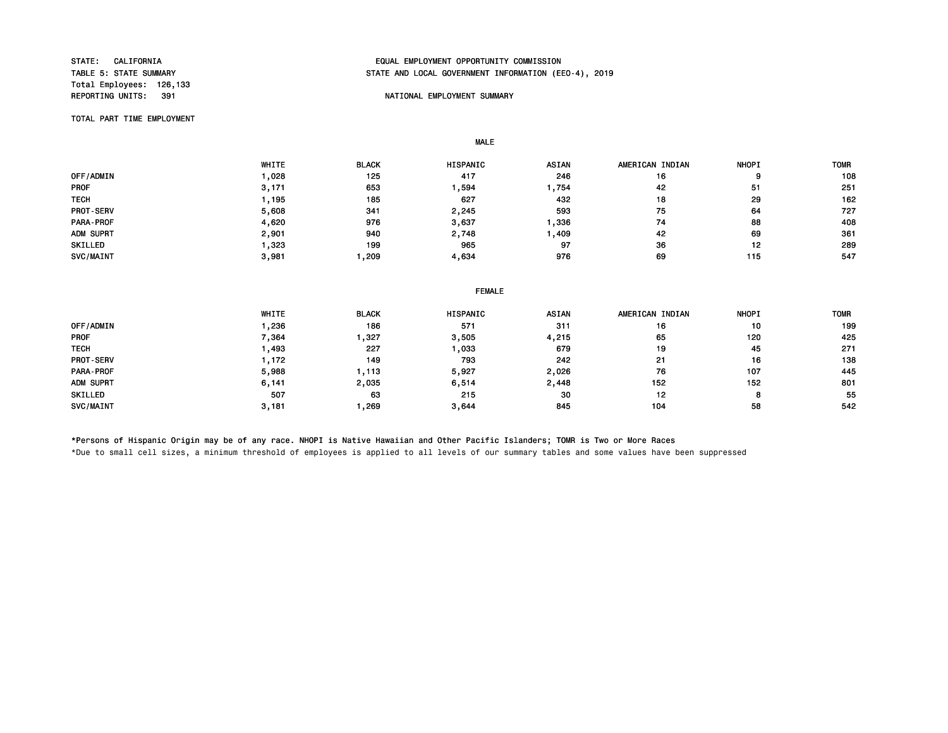Total Employees: 126,133<br>REPORTING UNITS: 391

## STATE: CALIFORNIA EQUAL EMPLOYMENT OPPORTUNITY COMMISSION STATE AND LOCAL GOVERNMENT INFORMATION (EEO-4), 2019

## NATIONAL EMPLOYMENT SUMMARY

TOTAL PART TIME EMPLOYMENT

MALE

|                  | WHITE | <b>BLACK</b> | HISPANIC | <b>ASIAN</b> | AMERICAN INDIAN | <b>NHOPI</b> | <b>TOMR</b> |
|------------------|-------|--------------|----------|--------------|-----------------|--------------|-------------|
| OFF/ADMIN        | ,028  | 125          | 417      | 246          | 16              | 9            | 108         |
| <b>PROF</b>      | 3,171 | 653          | ,594     | .,754        | 42              | 51           | 251         |
| <b>TECH</b>      | , 195 | 185          | 627      | 432          | 18              | 29           | 162         |
| <b>PROT-SERV</b> | 5,608 | 341          | 2,245    | 593          | 75              | 64           | 727         |
| <b>PARA-PROF</b> | 4,620 | 976          | 3,637    | ,336         | 74              | 88           | 408         |
| ADM SUPRT        | 2,901 | 940          | 2,748    | ,409         | 42              | 69           | 361         |
| SKILLED          | .323  | 199          | 965      | 97           | 36              | 12           | 289         |
| SVC/MAINT        | 3.981 | ,209         | 4.634    | 976          | 69              | 115          | 547         |

#### FEMALE

|                  | WHITE | <b>BLACK</b> | <b>HISPANIC</b> | <b>ASIAN</b> | AMERICAN INDIAN | <b>NHOPI</b> | <b>TOMR</b> |
|------------------|-------|--------------|-----------------|--------------|-----------------|--------------|-------------|
| OFF/ADMIN        | ,236  | 186          | 571             | 311          | 16              | 10           | 199         |
| <b>PROF</b>      | 7,364 | ,327         | 3,505           | 4,215        | 65              | 120          | 425         |
| <b>TECH</b>      | ,493  | 227          | ,033            | 679          | 19              | 45           | 271         |
| <b>PROT-SERV</b> | .172  | 149          | 793             | 242          | 21              | 16           | 138         |
| PARA-PROF        | 5,988 | , 113        | 5,927           | 2,026        | 76              | 107          | 445         |
| ADM SUPRT        | 6,141 | 2,035        | 6,514           | 2,448        | 152             | 152          | 801         |
| SKILLED          | 507   | 63           | 215             | 30           | 12              | ິ<br>o       | 55          |
| SVC/MAINT        | 3,181 | ,269         | 3.644           | 845          | 104             | 58           | 542         |

\*Persons of Hispanic Origin may be of any race. NHOPI is Native Hawaiian and Other Pacific Islanders; TOMR is Two or More Races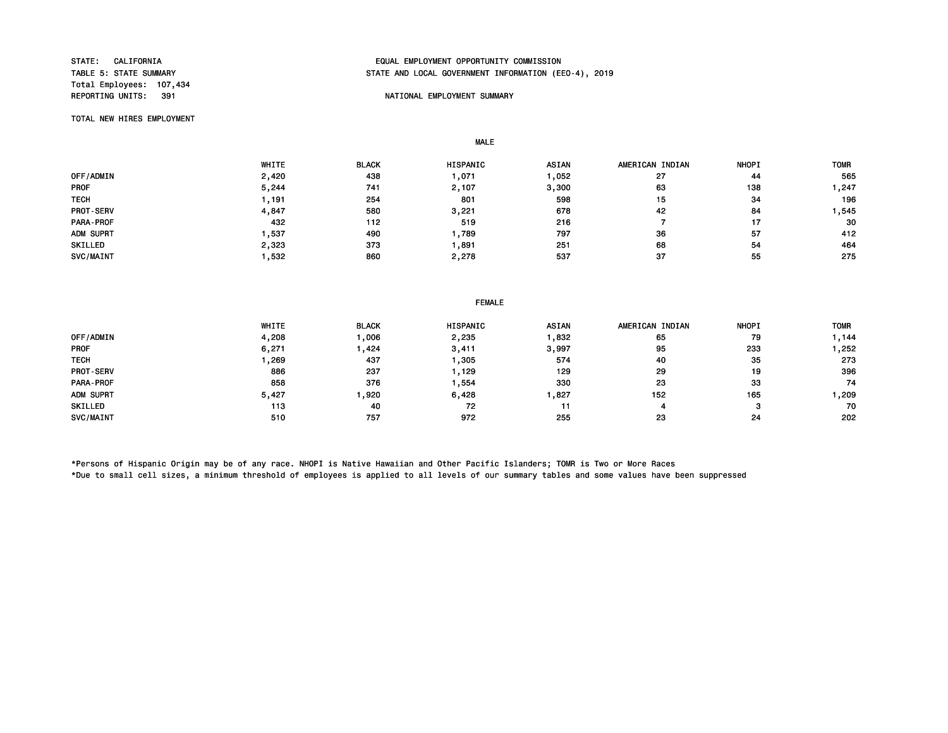Total Employees: 107,434

## STATE: CALIFORNIA EQUAL EMPLOYMENT OPPORTUNITY COMMISSION STATE AND LOCAL GOVERNMENT INFORMATION (EEO-4), 2019

## NATIONAL EMPLOYMENT SUMMARY

TOTAL NEW HIRES EMPLOYMENT

MALE

|                  | WHITE | <b>BLACK</b> | HISPANIC | <b>ASIAN</b> | AMERICAN INDIAN | <b>NHOPI</b> | <b>TOMR</b> |
|------------------|-------|--------------|----------|--------------|-----------------|--------------|-------------|
| OFF/ADMIN        | 2,420 | 438          | ,071     | ,052         | 27              | 44           | 565         |
| <b>PROF</b>      | 5,244 | 741          | 2,107    | 3,300        | 63              | 138          | 247, ا      |
| <b>TECH</b>      | .191  | 254          | 801      | 598          | 15              | -34          | 196         |
| PROT-SERV        | 4,847 | 580          | 3,221    | 678          | 42              | 84           | 545, ا      |
| <b>PARA-PROF</b> | 432   | 112          | 519      | 216          |                 |              | 30          |
| ADM SUPRT        | ,537  | 490          | .789     | 797          | 36              | 57           | 412         |
| SKILLED          | 2,323 | 373          | ,891     | 251          | 68              | 54           | 464         |
| SVC/MAINT        | ,532  | 860          | 2,278    | 537          | 37              | 55           | 275         |

|                  | <b>FEMALE</b> |              |                 |              |                 |              |             |  |
|------------------|---------------|--------------|-----------------|--------------|-----------------|--------------|-------------|--|
|                  | WHITE         | <b>BLACK</b> | <b>HISPANIC</b> | <b>ASIAN</b> | AMERICAN INDIAN | <b>NHOPI</b> | <b>TOMR</b> |  |
| <b>OFF/ADMIN</b> | 4,208         | 1,006        | 2,235           | 1,832        | 65              | 79           | 1,144       |  |
| PROF             | 6,271         | 424.         | 3,411           | 3,997        | 95              | 233          | 252 ، ا     |  |
| TECH             | 1,269         | 437          | ,305            | 574          | 40              | 35           | 273         |  |
| <b>PROT-SERV</b> | 886           | 237          | 1,129           | 129          | 29              | 19           | 396         |  |
| PARA - PROF      | 858           | 376          | ,554            | 330          | 23              | 33           | 74          |  |
| ADM SUPRT        | 5,427         | 920,         | 6,428           | 1,827        | 152             | 165          | 1,209       |  |
| SKILLED          | 113           | 40           | 72              | 11           | 4               | ິ            | 70          |  |
| <b>SVC/MAINT</b> | 510           | 757          | 972             | 255          | 23              | -24          | 202         |  |
|                  |               |              |                 |              |                 |              |             |  |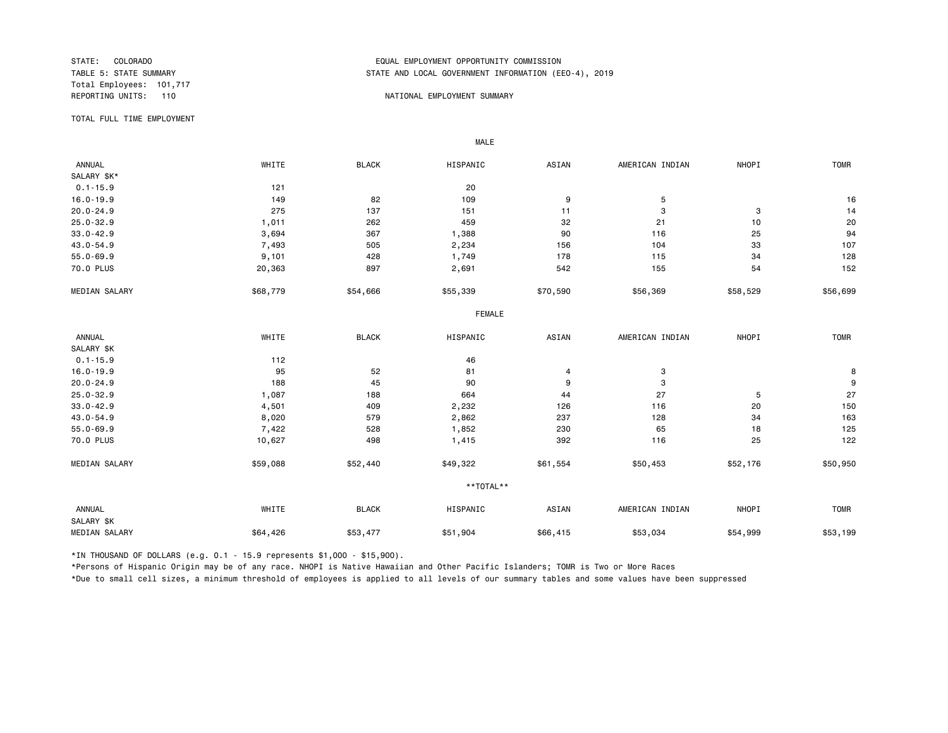Total Employees: 101,717

## STATE: COLORADO EQUAL EMPLOYMENT OPPORTUNITY COMMISSION STATE AND LOCAL GOVERNMENT INFORMATION (EEO-4), 2019

#### REPORTING UNITS: 110 NATIONAL EMPLOYMENT SUMMARY

TOTAL FULL TIME EMPLOYMENT

 ANNUAL WHITE BLACK HISPANIC ASIAN AMERICAN INDIAN NHOPI TOMR SALARY \$K\*<br>0.1-15.9  $0.1 - 15.9$  20 16.0-19.9 149 82 109 9 5 16 20.0-24.9 275 137 151 11 3 3 14 25.0-32.9 1,011 262 459 32 21 10 20 33.0-42.9 3,694 367 1,388 90 116 25 94 43.0-54.9 7,493 505 2,234 156 104 33 107 55.0-69.9 9,101 428 1,749 178 115 34 128 70.0 PLUS 20,363 897 2,691 542 155 54 152 MEDIAN SALARY \$58,579 \$54,666 \$55,339 \$56,369 \$56,369 \$58,529 \$56,699 FEMALE **FRAME**  ANNUAL WHITE BLACK HISPANIC ASIAN AMERICAN INDIAN NHOPI TOMR SALARY \$K<br>0.1-15.9 0.1-15.9 112 46 16.0-19.9 95 52 81 4 3 8 20.0-24.9 188 45 90 9 3 9 25.0-32.9 1,087 188 664 44 27 5 27 33.0-42.9 4,501 409 2,232 126 116 20 150 43.0-54.9 8,020 579 2,862 237 128 34 163 55.0-69.9 7,422 528 1,852 230 65 18 125 70.0 PLUS 10,627 498 1,415 392 116 25 122 MEDIAN SALARY \$59,088 \$52,440 \$49,322 \$61,554 \$50,453 \$52,176 \$50,950 \*\*TOTAL\*\* ANNUAL WHITE BLACK HISPANIC ASIAN AMERICAN INDIAN NHOPI TOMR SALARY \$K MEDIAN SALARY \$64,426 \$53,477 \$56,415 \$53,034 \$54,999 \$53,199 \$53,199

\*IN THOUSAND OF DOLLARS (e.g. 0.1 - 15.9 represents \$1,000 - \$15,900).

MALE

\*Persons of Hispanic Origin may be of any race. NHOPI is Native Hawaiian and Other Pacific Islanders; TOMR is Two or More Races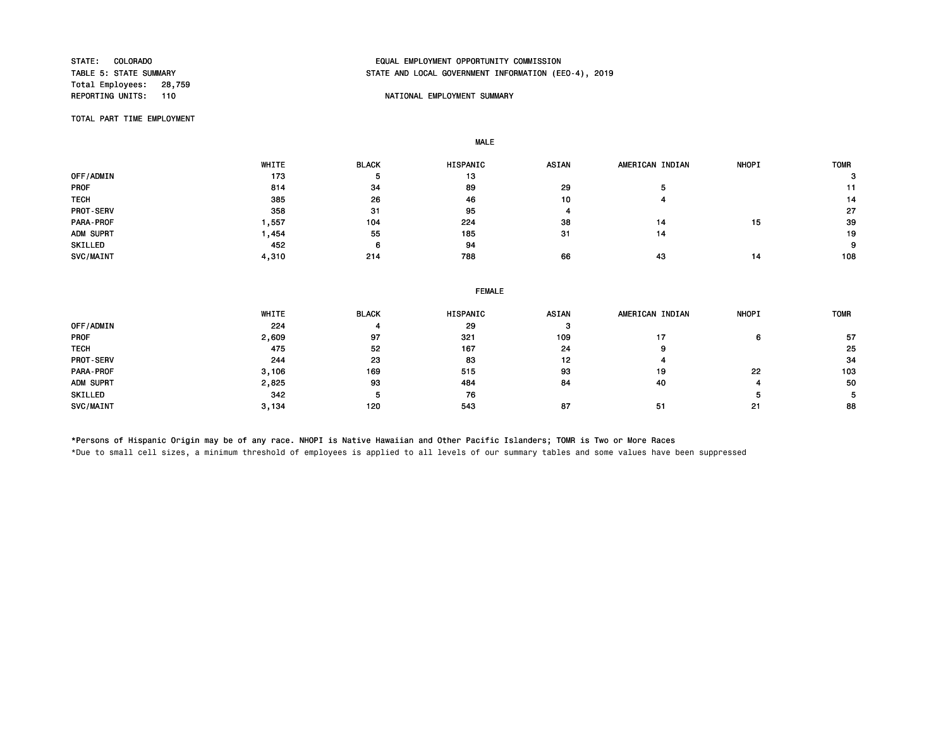Total Employees: 28,759<br>REPORTING UNITS: 110

# STATE: COLORADO EQUAL EMPLOYMENT OPPORTUNITY COMMISSION STATE AND LOCAL GOVERNMENT INFORMATION (EEO-4), 2019

## NATIONAL EMPLOYMENT SUMMARY

TOTAL PART TIME EMPLOYMENT

MALE

|                  | WHITE | <b>BLACK</b> | <b>HISPANIC</b> | <b>ASIAN</b> | AMERICAN INDIAN | <b>NHOPI</b> | <b>TOMR</b> |
|------------------|-------|--------------|-----------------|--------------|-----------------|--------------|-------------|
| OFF/ADMIN        | 173   | Ð            | 13              |              |                 |              | з           |
| <b>PROF</b>      | 814   | 34           | 89              | 29           |                 |              |             |
| <b>TECH</b>      | 385   | 26           | 46              | 10           |                 |              | 14          |
| <b>PROT-SERV</b> | 358   | 31           | 95              |              |                 |              | 27          |
| PARA-PROF        | .557  | 104          | 224             | 38           | 14              | 15           | 39          |
| ADM SUPRT        | ,454  | 55           | 185             | 31           | 14              |              | 19          |
| SKILLED          | 452   | 6            | 94              |              |                 |              | 9           |
| SVC/MAINT        | 4,310 | 214          | 788             | 66           | 43              | 14           | 108         |

|                  | WHITE | <b>BLACK</b> | HISPANIC | <b>ASIAN</b> | AMERICAN INDIAN | <b>NHOPI</b> | <b>TOMR</b> |
|------------------|-------|--------------|----------|--------------|-----------------|--------------|-------------|
| OFF/ADMIN        | 224   |              | 29       | з            |                 |              |             |
| <b>PROF</b>      | 2,609 | 97           | 321      | 109          | 17              | 6            | 57          |
| <b>TECH</b>      | 475   | 52           | 167      | 24           | .,              |              | 25          |
| <b>PROT-SERV</b> | 244   | 23           | 83       | 12           |                 |              | 34          |
| PARA-PROF        | 3,106 | 169          | 515      | 93           | 19              | 22           | 103         |
| ADM SUPRT        | 2,825 | 93           | 484      | 84           | 40              |              | 50          |
| SKILLED          | 342   |              | 76       |              |                 |              | 5.          |
| SVC/MAINT        | 3.134 | 120          | 543      | 87           | -51             | 21           | 88          |

\*Persons of Hispanic Origin may be of any race. NHOPI is Native Hawaiian and Other Pacific Islanders; TOMR is Two or More Races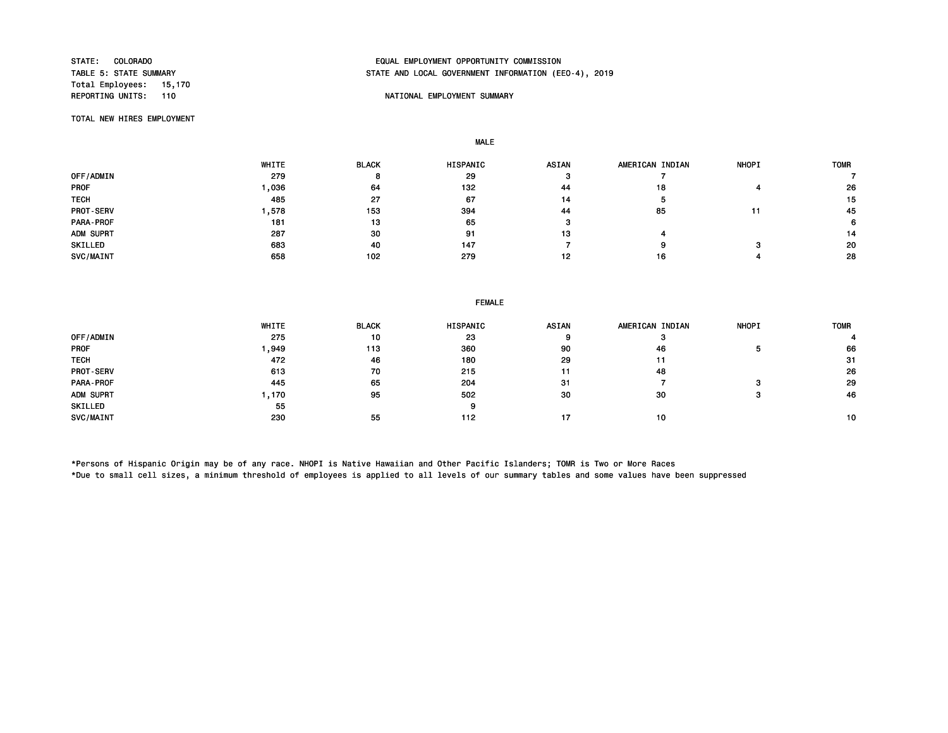Total Employees: 15,170

## STATE: COLORADO EQUAL EMPLOYMENT OPPORTUNITY COMMISSION STATE AND LOCAL GOVERNMENT INFORMATION (EEO-4), 2019

## NATIONAL EMPLOYMENT SUMMARY

TOTAL NEW HIRES EMPLOYMENT

MALE

|                  | <b>WHITE</b> | <b>BLACK</b> | HISPANIC | <b>ASIAN</b> | AMERICAN INDIAN | <b>NHOPI</b> | <b>TOMR</b> |
|------------------|--------------|--------------|----------|--------------|-----------------|--------------|-------------|
| OFF/ADMIN        | 279          |              | 29       |              |                 |              |             |
| <b>PROF</b>      | .036         | 64           | 132      | 44           | 18              |              | 26          |
| <b>TECH</b>      | 485          | 27           | 67       | 14           |                 |              | 15          |
| <b>PROT-SERV</b> | .578         | 153          | 394      | 44           | 85              |              | 45          |
| PARA-PROF        | 181          | 13           | 65       |              |                 |              | 6           |
| ADM SUPRT        | 287          | 30           | 91       | 13           |                 |              | 14          |
| SKILLED          | 683          | 40           | 147      |              |                 |              | 20          |
| SVC/MAINT        | 658          | 102          | 279      | 12           | 16              |              | 28          |

|             | WHITE | <b>BLACK</b> | <b>HISPANIC</b> | <b>ASIAN</b> | AMERICAN INDIAN | <b>NHOPI</b> | <b>TOMR</b> |
|-------------|-------|--------------|-----------------|--------------|-----------------|--------------|-------------|
| OFF/ADMIN   | 275   | 10           | 23              | 9            |                 |              |             |
| <b>PROF</b> | ,949  | 113          | 360             | 90           | 46              |              | 66          |
| <b>TECH</b> | 472   | 46           | 180             | 29           | 11              |              | -31         |
| PROT-SERV   | 613   | 70           | 215             | -11          | 48              |              | 26          |
| PARA-PROF   | 445   | 65           | 204             | 31           |                 |              | 29          |
| ADM SUPRT   | 1,170 | 95           | 502             | 30           | 30              |              | 46          |
| SKILLED     | 55    |              | 9               |              |                 |              |             |
| SVC/MAINT   | 230   | 55           | 112             | 17           | 10              |              | 10          |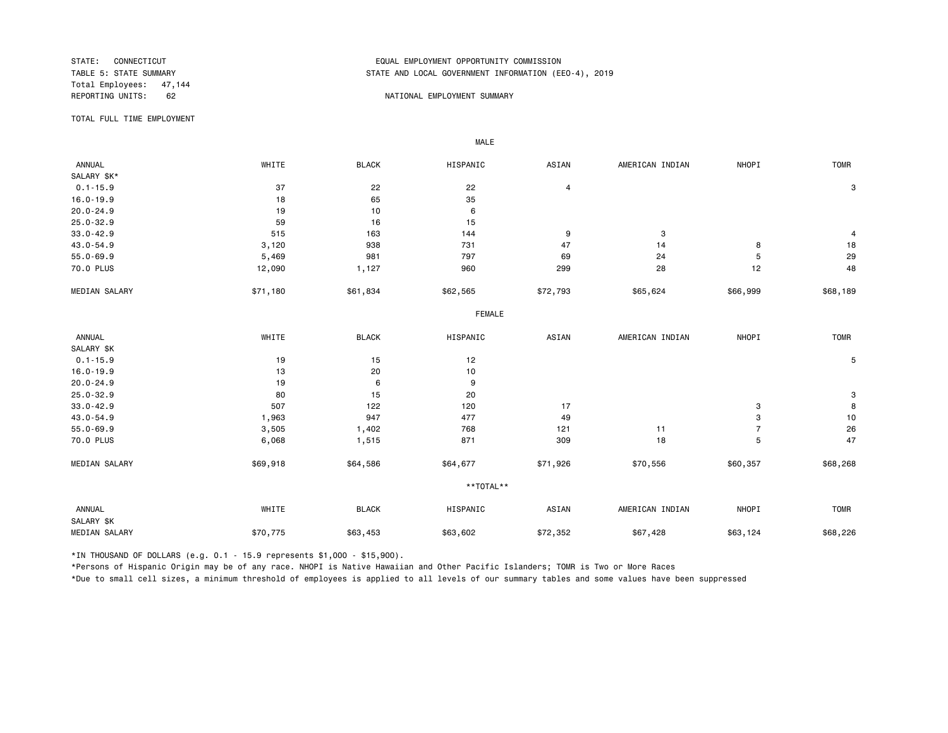Total Employees: 47,144 REPORTING UNITS: 62 62 NATIONAL EMPLOYMENT SUMMARY

## STATE: CONNECTICUT EQUAL EMPLOYMENT OPPORTUNITY COMMISSION STATE AND LOCAL GOVERNMENT INFORMATION (EEO-4), 2019

TOTAL FULL TIME EMPLOYMENT

 ANNUAL WHITE BLACK HISPANIC ASIAN AMERICAN INDIAN NHOPI TOMR SALARY \$K\*<br>0.1-15.9  $0.1-15.9$  37 3  $22$  22 4 3 16.0-19.9 18 65 35 20.0-24.9 19 10 6 25.0-32.9 59 16 15 33.0-42.9 515 163 144 9 3 4 43.0-54.9 3,120 938 731 47 14 8 18 55.0-69.9 5,469 981 797 69 24 5 29 70.0 PLUS 12,090 1,127 960 299 28 12 48 MEDIAN SALARY \$71,180 \$61,834 \$62,565 \$72,793 \$65,624 \$66,999 \$68,189 FEMALE **FRAME**  ANNUAL WHITE BLACK HISPANIC ASIAN AMERICAN INDIAN NHOPI TOMR SALARY \$K<br>0.1-15.9  $0.1$ -15.9 5 16.0-19.9 13 13 20 10 20.0-24.9 19 6 9  $25.0-32.9$  3 33.0-42.9 507 122 120 17 3 8 43.0-54.9 1,963 947 477 49 3 10 55.0-69.9 3,505 1,402 768 121 11 7 26 70.0 PLUS 6,068 1,515 871 309 18 5 47 MEDIAN SALARY \$69,918 \$64,586 \$64,677 \$71,926 \$70,556 \$60,357 \$68,268 \*\*TOTAL\*\* ANNUAL WHITE BLACK HISPANIC ASIAN AMERICAN INDIAN NHOPI TOMR SALARY \$K MEDIAN SALARY \$70,775 \$63,453 \$63,602 \$72,352 \$67,428 \$63,124 \$68,226

\*IN THOUSAND OF DOLLARS (e.g. 0.1 - 15.9 represents \$1,000 - \$15,900).

MALE

\*Persons of Hispanic Origin may be of any race. NHOPI is Native Hawaiian and Other Pacific Islanders; TOMR is Two or More Races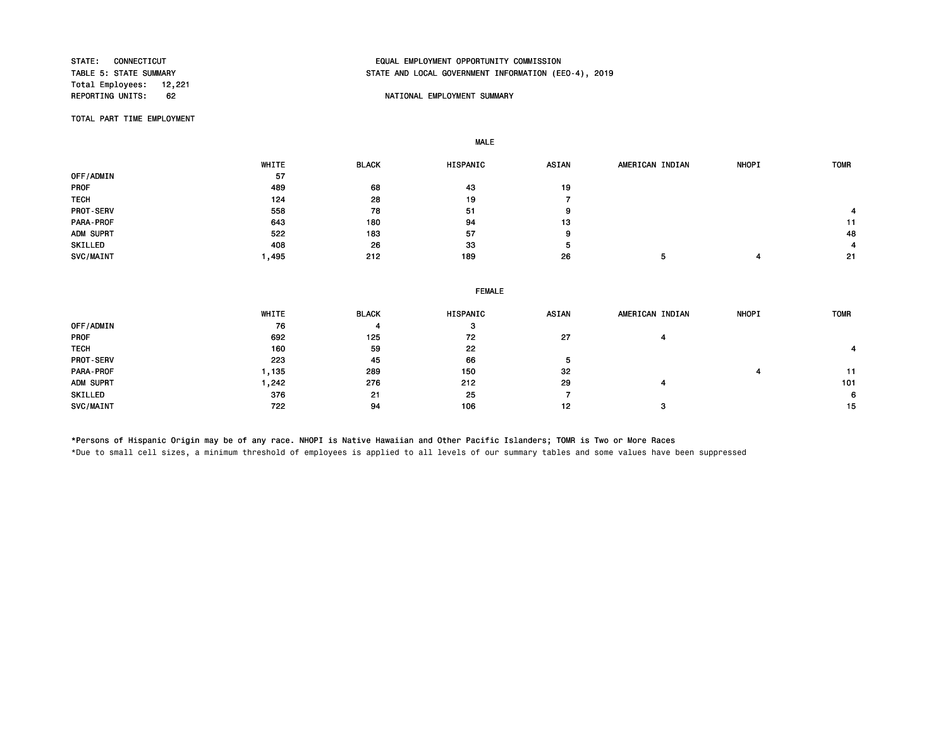Total Employees: 12,221<br>REPORTING UNITS: 62

# STATE: CONNECTICUT EQUAL EMPLOYMENT OPPORTUNITY COMMISSION STATE AND LOCAL GOVERNMENT INFORMATION (EEO-4), 2019

## NATIONAL EMPLOYMENT SUMMARY

TOTAL PART TIME EMPLOYMENT

MALE

|                  | WHITE | <b>BLACK</b> | HISPANIC | ASIAN | AMERICAN INDIAN | <b>NHOPI</b> | <b>TOMR</b> |
|------------------|-------|--------------|----------|-------|-----------------|--------------|-------------|
| OFF/ADMIN        | 57    |              |          |       |                 |              |             |
| <b>PROF</b>      | 489   | 68           | 43       | 19    |                 |              |             |
| <b>TECH</b>      | 124   | 28           | 19       |       |                 |              |             |
| <b>PROT-SERV</b> | 558   | 78           | 51       | 9     |                 |              |             |
| PARA-PROF        | 643   | 180          | 94       | 13    |                 |              | 11          |
| ADM SUPRT        | 522   | 183          | 57       | 9     |                 |              | 48          |
| SKILLED          | 408   | 26           | 33       | 5     |                 |              | 4           |
| SVC/MAINT        | ,495  | 212          | 189      | 26    |                 |              | 21          |

| <b>ASIAN</b><br><b>NHOPI</b><br>AMERICAN INDIAN<br><b>TOMR</b> |
|----------------------------------------------------------------|
|                                                                |
| 27                                                             |
|                                                                |
|                                                                |
| 32<br>11                                                       |
| 101<br>29<br>4                                                 |
| 6                                                              |
| 12<br>15<br>з                                                  |
|                                                                |

\*Persons of Hispanic Origin may be of any race. NHOPI is Native Hawaiian and Other Pacific Islanders; TOMR is Two or More Races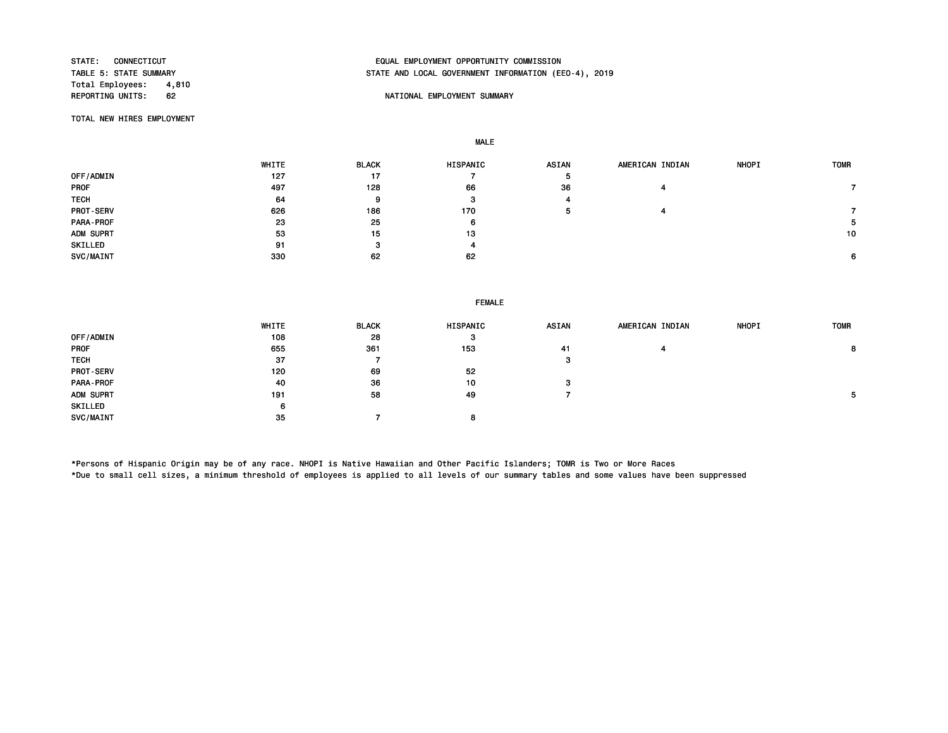Total Employees: 4,810<br>REPORTING UNITS: 62

# STATE: CONNECTICUT EQUAL EMPLOYMENT OPPORTUNITY COMMISSION STATE AND LOCAL GOVERNMENT INFORMATION (EEO-4), 2019

## 62 **REPORT OF A STATE OF A STATE OF A STATE OF A STATE OF A STATE OF A STATE OF A STATE OF A STATE OF A STATE OF A STATE OF A STATE OF A STATE OF A STATE OF A STATE OF A STATE OF A STATE OF A STATE OF A STATE OF A STATE OF**

TOTAL NEW HIRES EMPLOYMENT

MALE

|                  | WHITE | <b>BLACK</b> | <b>HISPANIC</b> | <b>ASIAN</b> | AMERICAN INDIAN | <b>NHOPI</b> | <b>TOMR</b> |
|------------------|-------|--------------|-----------------|--------------|-----------------|--------------|-------------|
| OFF/ADMIN        | 127   | 17           |                 | Ð            |                 |              |             |
| <b>PROF</b>      | 497   | 128          | 66              | 36           |                 |              |             |
| <b>TECH</b>      | 64    | 9            | з               |              |                 |              |             |
| <b>PROT-SERV</b> | 626   | 186          | 170             | Ð            |                 |              |             |
| PARA-PROF        | 23    | 25           | 6               |              |                 |              | 5           |
| ADM SUPRT        | 53    | 15           | 13              |              |                 |              | 10          |
| SKILLED          | 91    | з            | 4               |              |                 |              |             |
| SVC/MAINT        | 330   | 62           | 62              |              |                 |              | 6           |

|                  | WHITE | <b>BLACK</b> | HISPANIC | ASIAN | AMERICAN INDIAN | <b>NHOPI</b> | <b>TOMR</b> |
|------------------|-------|--------------|----------|-------|-----------------|--------------|-------------|
| OFF/ADMIN        | 108   | 28           | з        |       |                 |              |             |
| <b>PROF</b>      | 655   | 361          | 153      | 41    |                 |              |             |
| <b>TECH</b>      | 37    |              |          | з     |                 |              |             |
| <b>PROT-SERV</b> | 120   | 69           | 52       |       |                 |              |             |
| PARA-PROF        | 40    | 36           | 10       | з     |                 |              |             |
| ADM SUPRT        | 191   | 58           | 49       |       |                 |              |             |
| SKILLED          | 6     |              |          |       |                 |              |             |
| SVC/MAINT        | -35   |              | 8        |       |                 |              |             |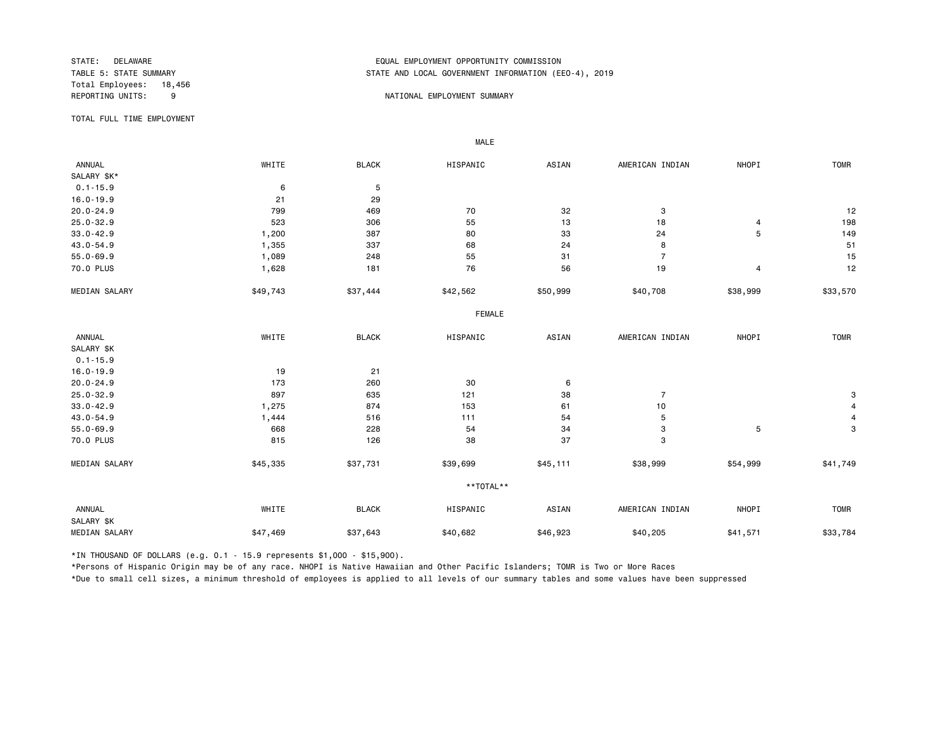Total Employees: 18,456

## STATE: DELAWARE EQUAL EMPLOYMENT OPPORTUNITY COMMISSION STATE AND LOCAL GOVERNMENT INFORMATION (EEO-4), 2019

#### REPORTING UNITS: 9 9 NATIONAL EMPLOYMENT SUMMARY

TOTAL FULL TIME EMPLOYMENT

 ANNUAL WHITE BLACK HISPANIC ASIAN AMERICAN INDIAN NHOPI TOMR SALARY \$K\*<br>0.1-15.9  $0.1-15.9$  6 5 16.0-19.9 21 29 20.0-24.9 799 469 70 32 3 12 25.0-32.9 523 306 55 13 18 4 198 33.0-42.9 1,200 387 80 33 24 5 149 43.0-54.9 1,355 337 68 24 8 51 55.0-69.9 1,089 248 55 31 7 15 70.0 PLUS 1,628 181 76 56 19 4 12 MEDIAN SALARY \$49,743 \$37,444 \$42,562 \$50,999 \$40,708 \$38,999 \$33,570 FEMALE **FRAME**  ANNUAL WHITE BLACK HISPANIC ASIAN AMERICAN INDIAN NHOPI TOMR SALARY \$K 0.1-15.9 16.0-19.9 21 20.0-24.9 173 260 30 6 25.0-32.9 897 635 121 38 7 3 33.0-42.9 1,275 874 153 61 10 4 43.0-54.9 1,444 516 111 54 5 4 55.0-69.9 668 228 54 34 3 5 3 70.0 PLUS 815 126 38 37 3 MEDIAN SALARY \$45,335 \$37,731 \$39,699 \$45,111 \$38,999 \$54,999 \$41,749 \*\*TOTAL\*\* ANNUAL WHITE BLACK HISPANIC ASIAN AMERICAN INDIAN NHOPI TOMR SALARY \$K MEDIAN SALARY \$47,469 \$37,643 \$40,682 \$40,923 \$40,205 \$11,571 \$33,784

\*IN THOUSAND OF DOLLARS (e.g. 0.1 - 15.9 represents \$1,000 - \$15,900).

MALE

\*Persons of Hispanic Origin may be of any race. NHOPI is Native Hawaiian and Other Pacific Islanders; TOMR is Two or More Races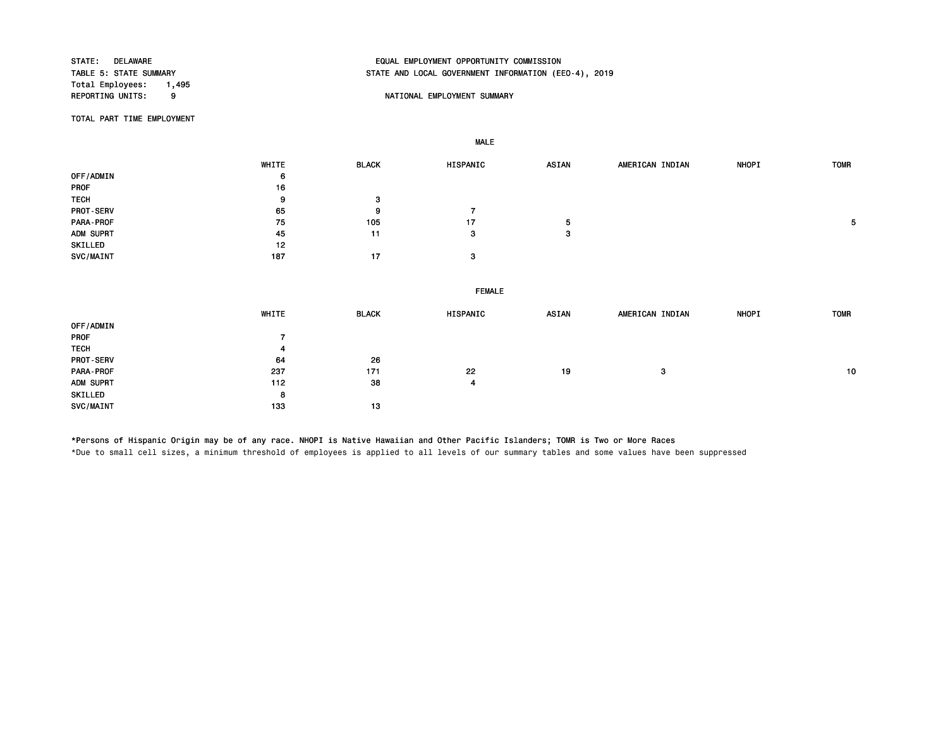Total Employees: 1,495<br>REPORTING UNITS: 9

# STATE: DELAWARE EQUAL EMPLOYMENT OPPORTUNITY COMMISSION STATE AND LOCAL GOVERNMENT INFORMATION (EEO-4), 2019

## 9 NATIONAL EMPLOYMENT SUMMARY

TOTAL PART TIME EMPLOYMENT

MALE

|                  | WHITE          | <b>BLACK</b> | HISPANIC      | <b>ASIAN</b> | AMERICAN INDIAN | NHOPI | <b>TOMR</b> |
|------------------|----------------|--------------|---------------|--------------|-----------------|-------|-------------|
| OFF/ADMIN        | 6              |              |               |              |                 |       |             |
| PROF             | 16             |              |               |              |                 |       |             |
| <b>TECH</b>      | 9              | 3            |               |              |                 |       |             |
| PROT-SERV        | 65             | 9            | 7             |              |                 |       |             |
| PARA-PROF        | 75             | 105          | 17            | 5            |                 |       | 5           |
| ADM SUPRT        | 45             | 11           | 3             | 3            |                 |       |             |
| SKILLED          | 12             |              |               |              |                 |       |             |
| SVC/MAINT        | 187            | 17           | 3             |              |                 |       |             |
|                  |                |              |               |              |                 |       |             |
|                  |                |              | <b>FEMALE</b> |              |                 |       |             |
|                  |                |              |               |              |                 |       |             |
|                  | WHITE          | <b>BLACK</b> | HISPANIC      | <b>ASIAN</b> | AMERICAN INDIAN | NHOPI | <b>TOMR</b> |
| OFF/ADMIN        |                |              |               |              |                 |       |             |
| PROF             | $\overline{7}$ |              |               |              |                 |       |             |
| <b>TECH</b>      | 4              |              |               |              |                 |       |             |
| <b>PROT-SERV</b> | 64             | 26           |               |              |                 |       |             |
| PARA-PROF        | 237            | 171          | 22            | 19           | 3               |       | 10          |
| ADM SUPRT        | 112            | 38           | 4             |              |                 |       |             |
| SKILLED          | 8              |              |               |              |                 |       |             |
|                  |                |              |               |              |                 |       |             |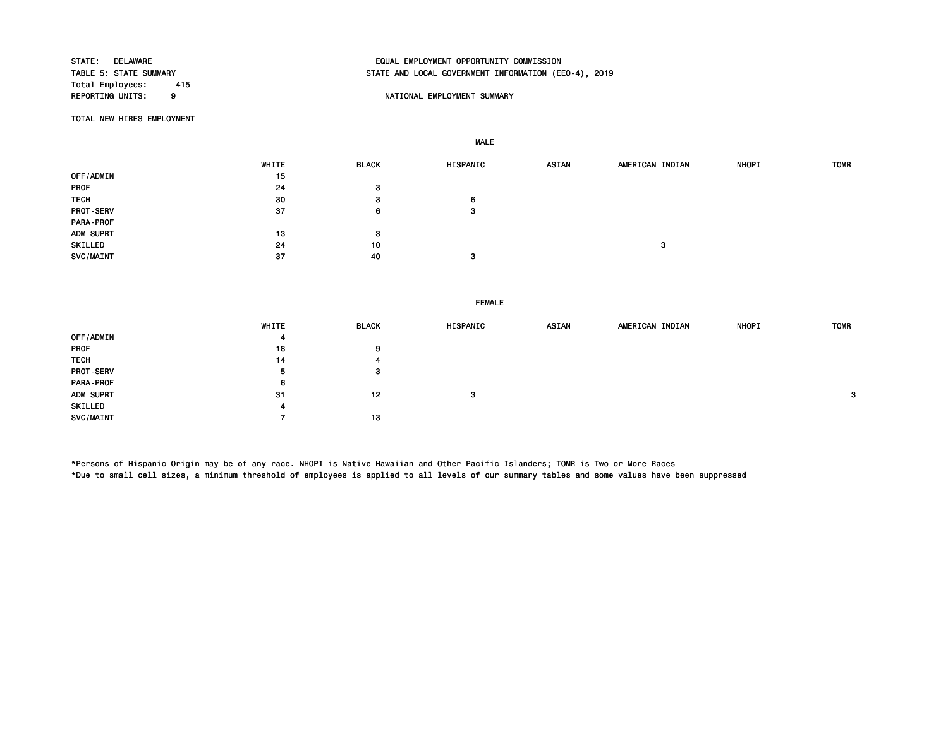Total Employees: 415

# STATE: DELAWARE EQUAL EMPLOYMENT OPPORTUNITY COMMISSION STATE AND LOCAL GOVERNMENT INFORMATION (EEO-4), 2019

## 9 NATIONAL EMPLOYMENT SUMMARY

TOTAL NEW HIRES EMPLOYMENT

MALE

|                  | WHITE | <b>BLACK</b> | HISPANIC | ASIAN | AMERICAN INDIAN | <b>NHOPI</b> | <b>TOMR</b> |
|------------------|-------|--------------|----------|-------|-----------------|--------------|-------------|
| OFF/ADMIN        | 15    |              |          |       |                 |              |             |
| PROF             | 24    | 3            |          |       |                 |              |             |
| <b>TECH</b>      | 30    | 3            | 6        |       |                 |              |             |
| <b>PROT-SERV</b> | 37    | 6            | 3        |       |                 |              |             |
| PARA-PROF        |       |              |          |       |                 |              |             |
| ADM SUPRT        | 13    | 3            |          |       |                 |              |             |
| SKILLED          | 24    | 10           |          |       | 3               |              |             |
| SVC/MAINT        | 37    | 40           |          |       |                 |              |             |

FEMALE

|                  | WHITE | <b>BLACK</b> | HISPANIC | <b>ASIAN</b> | AMERICAN INDIAN | <b>NHOPI</b> | <b>TOMR</b>  |
|------------------|-------|--------------|----------|--------------|-----------------|--------------|--------------|
| OFF/ADMIN        |       |              |          |              |                 |              |              |
| PROF             | 18    | 9            |          |              |                 |              |              |
| <b>TECH</b>      | 14    |              |          |              |                 |              |              |
| <b>PROT-SERV</b> | 5     | -3           |          |              |                 |              |              |
| PARA-PROF        | 6     |              |          |              |                 |              |              |
| ADM SUPRT        | -31   | 12           | -3       |              |                 |              | $\mathbf{3}$ |
| SKILLED          |       |              |          |              |                 |              |              |
| <b>SVC/MAINT</b> |       | 13           |          |              |                 |              |              |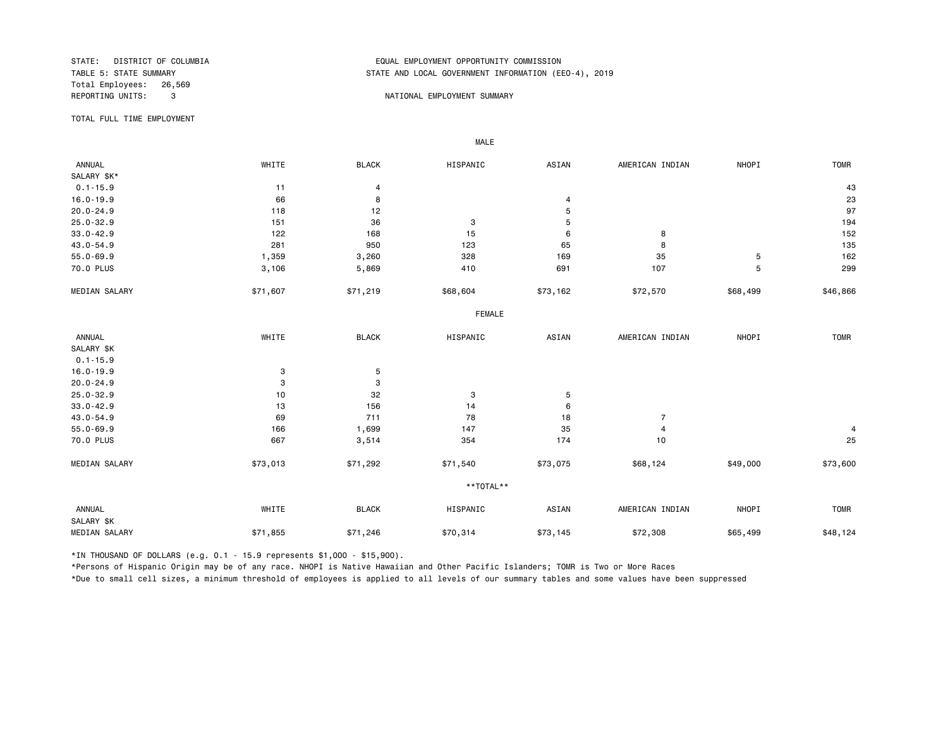Total Employees: 26,569<br>REPORTING UNITS: 3

## STATE: DISTRICT OF COLUMBIA EQUAL EMPLOYMENT OPPORTUNITY COMMISSION STATE AND LOCAL GOVERNMENT INFORMATION (EEO-4), 2019

#### 3 NATIONAL EMPLOYMENT SUMMARY

TOTAL FULL TIME EMPLOYMENT

MALE

| <b>ANNUAL</b> | WHITE    | <b>BLACK</b> | HISPANIC      | ASIAN    | AMERICAN INDIAN | NHOPI    | <b>TOMR</b>             |
|---------------|----------|--------------|---------------|----------|-----------------|----------|-------------------------|
| SALARY \$K*   |          |              |               |          |                 |          |                         |
| $0.1 - 15.9$  | 11       | 4            |               |          |                 |          | 43                      |
| $16.0 - 19.9$ | 66       | 8            |               | 4        |                 |          | 23                      |
| $20.0 - 24.9$ | 118      | 12           |               | 5        |                 |          | 97                      |
| $25.0 - 32.9$ | 151      | 36           | 3             | 5        |                 |          | 194                     |
| $33.0 - 42.9$ | 122      | 168          | 15            | 6        | 8               |          | 152                     |
| 43.0-54.9     | 281      | 950          | 123           | 65       | 8               |          | 135                     |
| $55.0 - 69.9$ | 1,359    | 3,260        | 328           | 169      | 35              | 5        | 162                     |
| 70.0 PLUS     | 3,106    | 5,869        | 410           | 691      | 107             | 5        | 299                     |
| MEDIAN SALARY | \$71,607 | \$71,219     | \$68,604      | \$73,162 | \$72,570        | \$68,499 | \$46,866                |
|               |          |              | <b>FEMALE</b> |          |                 |          |                         |
| ANNUAL        | WHITE    | <b>BLACK</b> | HISPANIC      | ASIAN    | AMERICAN INDIAN | NHOPI    | <b>TOMR</b>             |
| SALARY \$K    |          |              |               |          |                 |          |                         |
| $0.1 - 15.9$  |          |              |               |          |                 |          |                         |
| $16.0 - 19.9$ | 3        | 5            |               |          |                 |          |                         |
| $20.0 - 24.9$ | 3        | 3            |               |          |                 |          |                         |
| $25.0 - 32.9$ | 10       | 32           | 3             | 5        |                 |          |                         |
| $33.0 - 42.9$ | 13       | 156          | 14            | 6        |                 |          |                         |
| 43.0-54.9     | 69       | 711          | 78            | 18       | $\overline{7}$  |          |                         |
| $55.0 - 69.9$ | 166      | 1,699        | 147           | 35       | $\overline{4}$  |          | $\overline{\mathbf{4}}$ |
| 70.0 PLUS     | 667      | 3,514        | 354           | 174      | 10              |          | 25                      |
| MEDIAN SALARY | \$73,013 | \$71,292     | \$71,540      | \$73,075 | \$68,124        | \$49,000 | \$73,600                |
|               |          |              | **TOTAL**     |          |                 |          |                         |
| ANNUAL        | WHITE    | <b>BLACK</b> | HISPANIC      | ASIAN    | AMERICAN INDIAN | NHOPI    | TOMR                    |
| SALARY \$K    |          |              |               |          |                 |          |                         |
| MEDIAN SALARY | \$71,855 | \$71,246     | \$70,314      | \$73,145 | \$72,308        | \$65,499 | \$48,124                |

\*IN THOUSAND OF DOLLARS (e.g. 0.1 - 15.9 represents \$1,000 - \$15,900).

\*Persons of Hispanic Origin may be of any race. NHOPI is Native Hawaiian and Other Pacific Islanders; TOMR is Two or More Races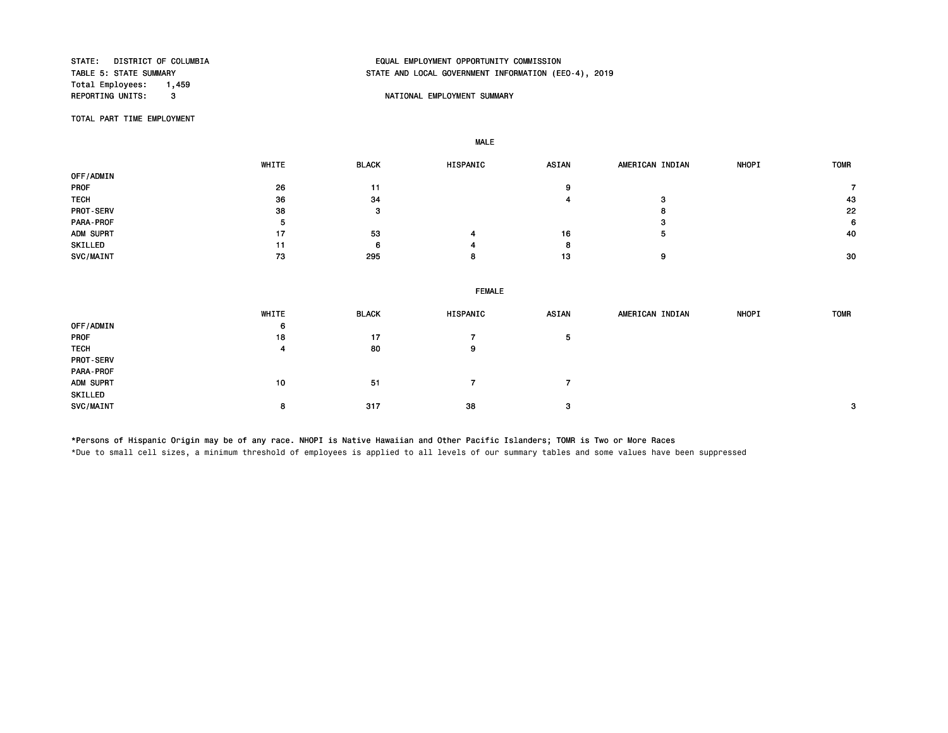Total Employees: 1,459<br>REPORTING UNITS: 3

## STATE: DISTRICT OF COLUMBIA EQUAL EMPLOYMENT OPPORTUNITY COMMISSION STATE AND LOCAL GOVERNMENT INFORMATION (EEO-4), 2019

#### **REPORT IN THE POST OF A SET OF A SET OF A SET OF A SUMMARY SUMMARY**

TOTAL PART TIME EMPLOYMENT

MALE

 WHITE BLACK HISPANIC ASIAN AMERICAN INDIAN NHOPI TOMR OFF/ADMIN PROF 26 11 9 7 TECH 36 34 4 3 43 PROT-SERV 38 3 8 22 PARA-PROF 5 3 6 ADM SUPRT 17 53 4 16 5 40 SKILLED 11 6 4 8 SVC/MAINT 73 295 8 13 9 30 FEMALE WHITE BLACK HISPANIC ASIAN AMERICAN INDIAN NHOPI TOMR OFF/ADMIN 6 PROF 18 17 7 5 TECH 4 80 9 PROT-SERV PARA-PROF ADM SUPRT 10 51 7 7 SKILLED  $SVC/MAINT$   $8$   $317$   $38$   $3$   $3$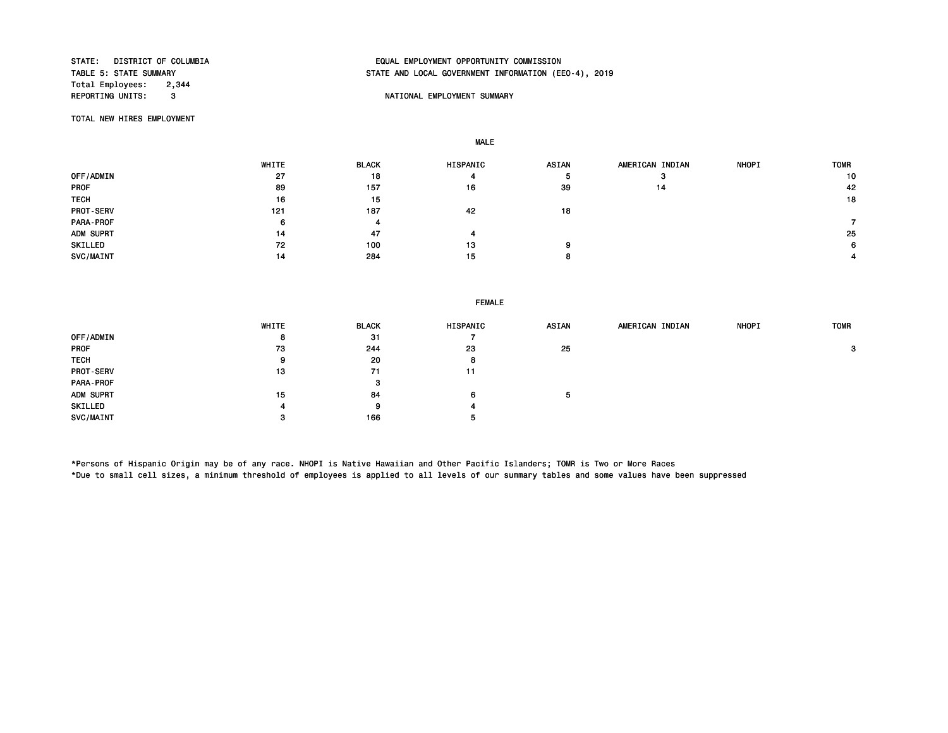Total Employees: 2,344<br>REPORTING UNITS: 3

# STATE: DISTRICT OF COLUMBIA EQUAL EMPLOYMENT OPPORTUNITY COMMISSION STATE AND LOCAL GOVERNMENT INFORMATION (EEO-4), 2019

## **REPORT IN THE POST OF A SET OF A SET OF A SET OF A SET OF A SET OF A SET OF A SET OF A SET OF A SET OF A SET O**

TOTAL NEW HIRES EMPLOYMENT

MALE

|                  | WHITE | <b>BLACK</b> | HISPANIC | <b>ASIAN</b> | AMERICAN INDIAN | <b>NHOPI</b> | <b>TOMR</b> |
|------------------|-------|--------------|----------|--------------|-----------------|--------------|-------------|
| OFF/ADMIN        | 27    | 18           | 4        |              | з               |              | 10          |
| <b>PROF</b>      | 89    | 157          | 16       | 39           | 14              |              | 42          |
| <b>TECH</b>      | 16    | 15           |          |              |                 |              | 18          |
| <b>PROT-SERV</b> | 121   | 187          | 42       | 18           |                 |              |             |
| PARA-PROF        | 6     | 4            |          |              |                 |              |             |
| ADM SUPRT        | 14    | 47           | 4        |              |                 |              | 25          |
| SKILLED          | 72    | 100          | 13       |              |                 |              | 6           |
| SVC/MAINT        | 14    | 284          | 15       |              |                 |              |             |

|             | WHITE | <b>BLACK</b> | HISPANIC | <b>ASIAN</b> | AMERICAN INDIAN | <b>NHOPI</b> | <b>TOMR</b> |
|-------------|-------|--------------|----------|--------------|-----------------|--------------|-------------|
| OFF/ADMIN   | 8     | 31           |          |              |                 |              |             |
| <b>PROF</b> | 73    | 244          | 23       | 25           |                 |              | 3           |
| <b>TECH</b> |       | 20           | 8        |              |                 |              |             |
| PROT-SERV   | 13    | 71           | 11       |              |                 |              |             |
| PARA-PROF   |       | 3            |          |              |                 |              |             |
| ADM SUPRT   | 15    | 84           | 6        | ь            |                 |              |             |
| SKILLED     |       | 9            | 4        |              |                 |              |             |
| SVC/MAINT   |       | 166          | э        |              |                 |              |             |

\*Persons of Hispanic Origin may be of any race. NHOPI is Native Hawaiian and Other Pacific Islanders; TOMR is Two or More Races \*Due to small cell sizes, a minimum threshold of employees is applied to all levels of our summary tables and some values have been suppressed

FEMALE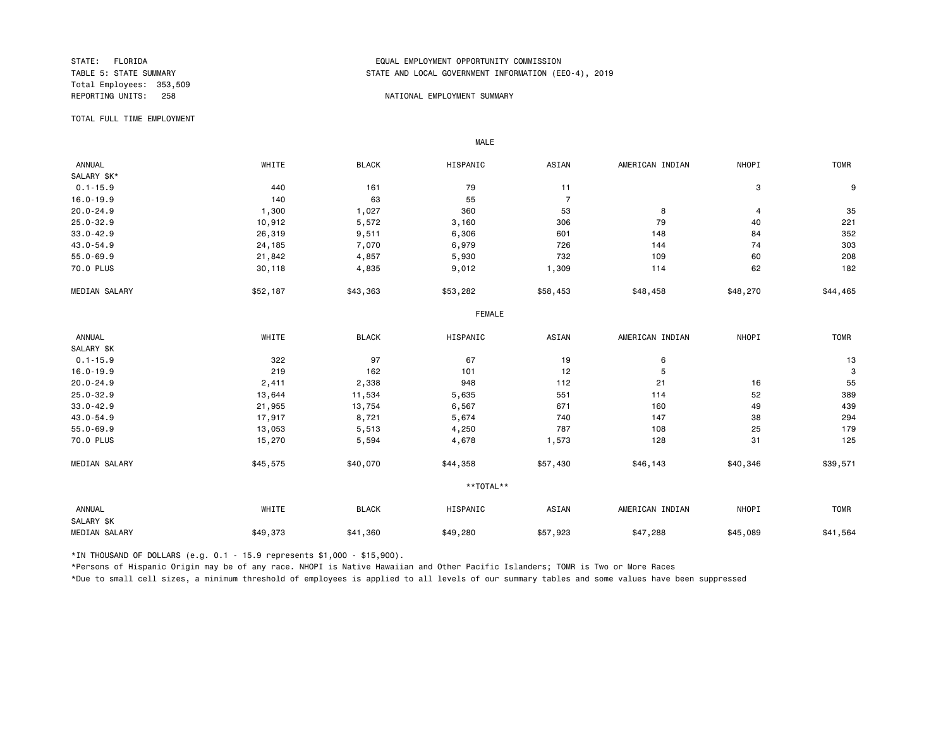Total Employees: 353,509

## STATE: FLORIDA EQUAL EMPLOYMENT OPPORTUNITY COMMISSION STATE AND LOCAL GOVERNMENT INFORMATION (EEO-4), 2019

#### REPORTING UNITS: 258 NATIONAL EMPLOYMENT SUMMARY

TOTAL FULL TIME EMPLOYMENT

 ANNUAL WHITE BLACK HISPANIC ASIAN AMERICAN INDIAN NHOPI TOMR SALARY \$K\*<br>0.1-15.9  $0.1$ -15.9 **9** 3 9 16.0-19.9 140 63 55 7 20.0-24.9 1,300 1,027 360 53 8 4 35 25.0-32.9 10,912 5,572 3,160 306 79 40 221 33.0-42.9 26,319 9,511 6,306 601 148 84 352 43.0-54.9 24,185 7,070 6,979 726 144 74 303 55.0-69.9 21,842 4,857 5,930 732 109 60 208 70.0 PLUS 30,118 4,835 9,012 1,309 114 62 182 MEDIAN SALARY \$52,187 \$43,363 \$53,282 \$58,453 \$48,458 \$48,270 \$44,465 FEMALE **FRAME**  ANNUAL WHITE BLACK HISPANIC ASIAN AMERICAN INDIAN NHOPI TOMR SALARY \$K<br>0.1-15.9 0.1-15.9 322 97 67 19 6 13 16.0-19.9 219 162 101 12 5 3 20.0-24.9 2,411 2,338 948 112 21 16 55 25.0-32.9 13,644 11,534 5,635 551 114 52 389 33.0-42.9 21,955 13,754 6,567 671 160 49 439 43.0-54.9 17,917 8,721 5,674 740 147 38 294 55.0-69.9 13,053 5,513 4,250 787 108 25 179 70.0 PLUS 15,270 5,594 4,678 1,573 128 31 125 MEDIAN SALARY \$45,575 \$40,070 \$44,358 \$46,143 \$40,346 \$39,571 \$39,571 \*\*TOTAL\*\* ANNUAL WHITE BLACK HISPANIC ASIAN AMERICAN INDIAN NHOPI TOMR SALARY \$K MEDIAN SALARY \$49,373 \$41,360 \$49,280 \$47,288 \$45,089 \$41,564

\*IN THOUSAND OF DOLLARS (e.g. 0.1 - 15.9 represents \$1,000 - \$15,900).

MALE

\*Persons of Hispanic Origin may be of any race. NHOPI is Native Hawaiian and Other Pacific Islanders; TOMR is Two or More Races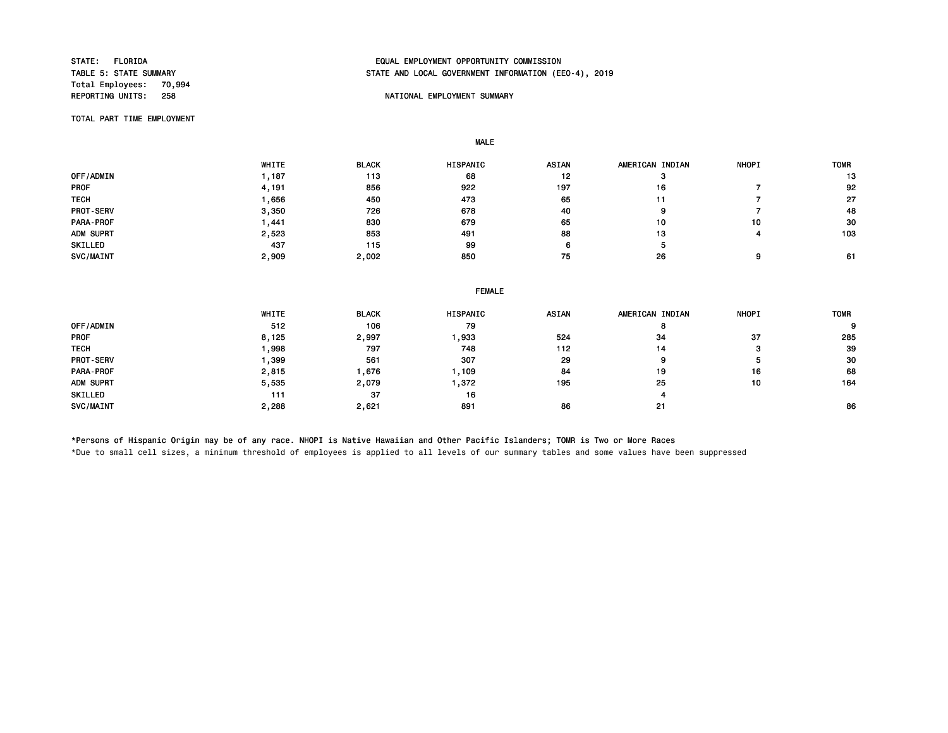Total Employees: 70,994<br>REPORTING UNITS: 258

## STATE: FLORIDA EQUAL EMPLOYMENT OPPORTUNITY COMMISSION STATE AND LOCAL GOVERNMENT INFORMATION (EEO-4), 2019

## NATIONAL EMPLOYMENT SUMMARY

TOTAL PART TIME EMPLOYMENT

MALE

|                  | WHITE | <b>BLACK</b> | <b>HISPANIC</b> | <b>ASIAN</b> | AMERICAN INDIAN | <b>NHOPI</b> | <b>TOMR</b> |
|------------------|-------|--------------|-----------------|--------------|-----------------|--------------|-------------|
| OFF/ADMIN        | , 187 | 113          | 68              | 12           |                 |              | 13          |
| <b>PROF</b>      | 4,191 | 856          | 922             | 197          | 16              |              | 92          |
| <b>TECH</b>      | .656  | 450          | 473             | 65           | 11              |              | -27         |
| <b>PROT-SERV</b> | 3,350 | 726          | 678             | 40           | g               |              | 48          |
| PARA-PROF        | .441  | 830          | 679             | 65           | 10              | 10           | 30          |
| ADM SUPRT        | 2,523 | 853          | 491             | 88           | 13              |              | 103         |
| SKILLED          | 437   | 115          | 99              |              | Ð               |              |             |
| SVC/MAINT        | 2,909 | 2,002        | 850             | 75           | 26              | 9            | 61          |

| <b>FEMALE</b> |
|---------------|
|               |

|             | WHITE | <b>BLACK</b> | HISPANIC | <b>ASIAN</b> | AMERICAN INDIAN | <b>NHOPI</b> | <b>TOMR</b> |
|-------------|-------|--------------|----------|--------------|-----------------|--------------|-------------|
| OFF/ADMIN   | 512   | 106          | 79       |              |                 |              | 9           |
| <b>PROF</b> | 8,125 | 2,997        | ,933     | 524          | 34              | 37           | 285         |
| <b>TECH</b> | ,998  | 797          | 748      | 112          | 14              |              | 39          |
| PROT-SERV   | .399  | 561          | 307      | 29           | 9               |              | 30          |
| PARA-PROF   | 2,815 | ,676         | ,109     | 84           | 19              | 16           | 68          |
| ADM SUPRT   | 5,535 | 2,079        | ,372     | 195          | 25              | 10           | 164         |
| SKILLED     | 111   | 37           | 16       |              | 4               |              |             |
| SVC/MAINT   | 2,288 | 2,621        | 891      | 86           | 21              |              | 86          |

\*Persons of Hispanic Origin may be of any race. NHOPI is Native Hawaiian and Other Pacific Islanders; TOMR is Two or More Races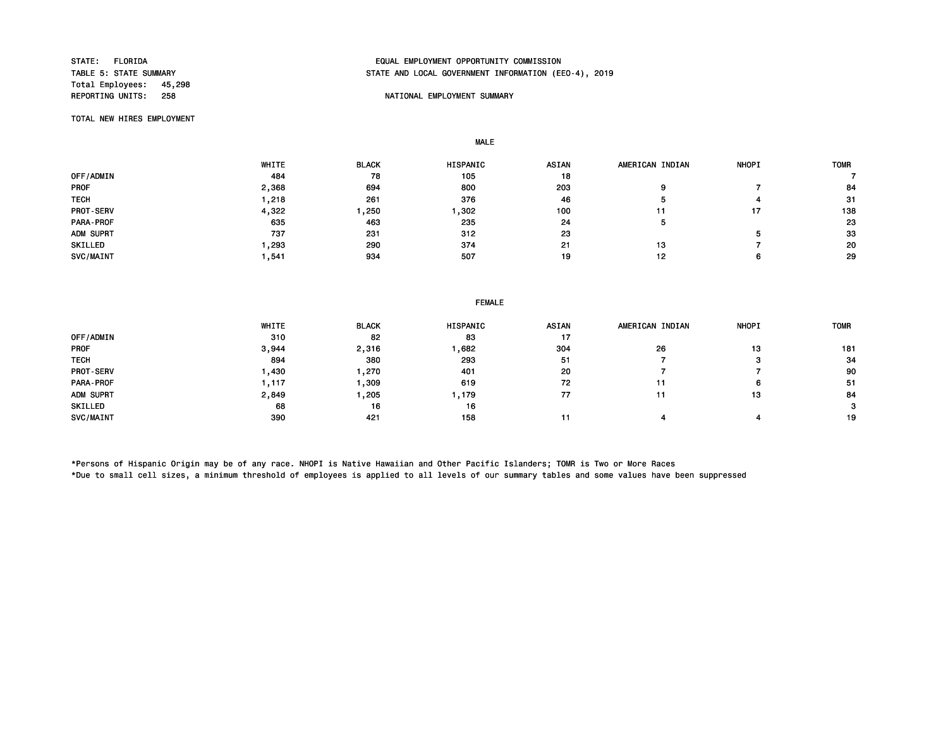Total Employees: 45,298

## STATE: FLORIDA EQUAL EMPLOYMENT OPPORTUNITY COMMISSION STATE AND LOCAL GOVERNMENT INFORMATION (EEO-4), 2019

## NATIONAL EMPLOYMENT SUMMARY

TOTAL NEW HIRES EMPLOYMENT

MALE

|                  | WHITE | <b>BLACK</b> | HISPANIC | <b>ASIAN</b> | AMERICAN INDIAN | <b>NHOPI</b> | <b>TOMR</b> |
|------------------|-------|--------------|----------|--------------|-----------------|--------------|-------------|
| OFF/ADMIN        | 484   | 78           | 105      | 18           |                 |              |             |
| <b>PROF</b>      | 2,368 | 694          | 800      | 203          |                 |              | 84          |
| <b>TECH</b>      | ,218  | 261          | 376      | 46           |                 |              | -31         |
| <b>PROT-SERV</b> | 4,322 | ,250         | ,302     | 100          |                 |              | 138         |
| PARA-PROF        | 635   | 463          | 235      | 24           | Ð               |              | 23          |
| ADM SUPRT        | 737   | 231          | 312      | 23           |                 |              | 33          |
| SKILLED          | , 293 | 290          | 374      | 21           | 13              |              | 20          |
| SVC/MAINT        | .541  | 934          | 507      | 19           | 12              |              | 29          |

|             | WHITE  | <b>BLACK</b> | HISPANIC | <b>ASIAN</b> | AMERICAN INDIAN | <b>NHOPI</b> | <b>TOMR</b> |
|-------------|--------|--------------|----------|--------------|-----------------|--------------|-------------|
| OFF/ADMIN   | 310    | 82           | 83       | -17          |                 |              |             |
| <b>PROF</b> | 3,944  | 2,316        | ,682     | 304          | 26              | 13           | 181         |
| <b>TECH</b> | 894    | 380          | 293      | 51           |                 |              | 34          |
| PROT-SERV   | ,430   | ,270         | 401      | 20           |                 |              | 90          |
| PARA-PROF   | 117. ا | ,309         | 619      | 72           | 11              | 6            | -51         |
| ADM SUPRT   | 2,849  | ,205         | , 179    | 77           | 11              | 13           | 84          |
| SKILLED     | 68     | 16           | 16       |              |                 |              | 3           |
| SVC/MAINT   | 390    | 421          | 158      | - 11         |                 |              | 19          |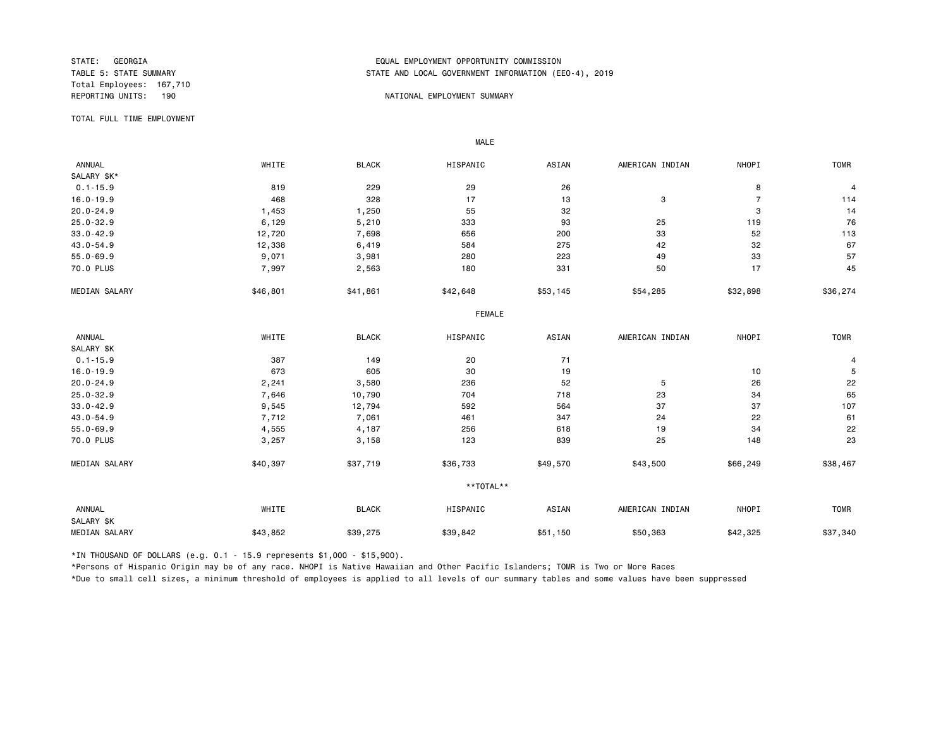Total Employees: 167,710

## STATE: GEORGIA EQUAL EMPLOYMENT OPPORTUNITY COMMISSION STATE AND LOCAL GOVERNMENT INFORMATION (EEO-4), 2019

#### REPORTING UNITS: 190 NATIONAL EMPLOYMENT SUMMARY

TOTAL FULL TIME EMPLOYMENT

 ANNUAL WHITE BLACK HISPANIC ASIAN AMERICAN INDIAN NHOPI TOMR SALARY \$K\*<br>0.1-15.9  $0.1$ -15.9 8 819 819 229 29 26 26 8 8 4 16.0-19.9 468 328 17 13 3 7 114 20.0-24.9 1,453 1,250 55 32 3 14 25.0-32.9 6,129 5,210 333 93 25 119 76 33.0-42.9 12,720 7,698 656 200 33 52 113 43.0-54.9 12,338 6,419 584 275 42 32 67 55.0-69.9 9,071 3,981 280 223 49 33 57 70.0 PLUS 7,997 2,563 180 331 50 17 45 MEDIAN SALARY \$46,801 \$41,861 \$42,648 \$53,145 \$54,285 \$32,898 \$36,274 FEMALE **FRAME**  ANNUAL WHITE BLACK HISPANIC ASIAN AMERICAN INDIAN NHOPI TOMR SALARY \$K<br>0.1-15.9  $0.1$ -15.9 387 387 149 20 71 311 320 71 16.0-19.9 673 605 30 19 10 5 20.0-24.9 2,241 3,580 236 52 5 26 22 25.0-32.9 7,646 10,790 704 718 23 34 65 33.0-42.9 9,545 12,794 592 564 37 37 107 43.0-54.9 7 ,712 7 ,061 461 347 24 22 61 55.0-69.9 4,555 4,187 256 618 19 34 22 70.0 PLUS 3,257 3,158 123 839 25 148 23 MEDIAN SALARY \$40,397 \$37,719 \$36,733 \$49,570 \$43,500 \$66,249 \$38,467 \*\*TOTAL\*\* ANNUAL WHITE BLACK HISPANIC ASIAN AMERICAN INDIAN NHOPI TOMR SALARY \$K MEDIAN SALARY \$43,852 \$39,275 \$39,842 \$50,363 \$42,325 \$37,340

\*IN THOUSAND OF DOLLARS (e.g. 0.1 - 15.9 represents \$1,000 - \$15,900).

MALE

\*Persons of Hispanic Origin may be of any race. NHOPI is Native Hawaiian and Other Pacific Islanders; TOMR is Two or More Races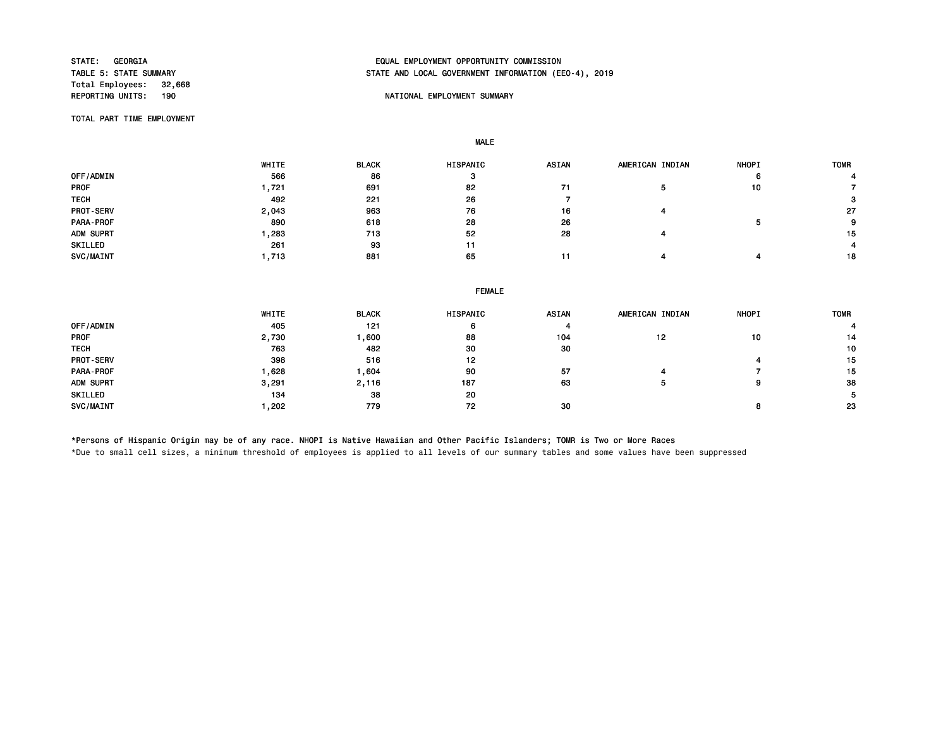Total Employees: 32,668<br>REPORTING UNITS: 190

## STATE: GEORGIA EQUAL EMPLOYMENT OPPORTUNITY COMMISSION STATE AND LOCAL GOVERNMENT INFORMATION (EEO-4), 2019

## NATIONAL EMPLOYMENT SUMMARY

TOTAL PART TIME EMPLOYMENT

MALE

|                  | WHITE | <b>BLACK</b> | <b>HISPANIC</b> | <b>ASIAN</b> | AMERICAN INDIAN | <b>NHOPI</b> | TOMR |
|------------------|-------|--------------|-----------------|--------------|-----------------|--------------|------|
| OFF/ADMIN        | 566   | 86           |                 |              |                 | n            |      |
| <b>PROF</b>      | .721  | 691          | 82              |              |                 | 10           |      |
| <b>TECH</b>      | 492   | 221          | 26              |              |                 |              | 3    |
| <b>PROT-SERV</b> | 2,043 | 963          | 76              | 16           |                 |              | 27   |
| PARA-PROF        | 890   | 618          | 28              | 26           |                 |              | 9    |
| ADM SUPRT        | ,283  | 713          | 52              | 28           |                 |              | 15   |
| SKILLED          | 261   | 93           | 11              |              |                 |              |      |
| SVC/MAINT        | , 713 | 881          | 65              |              |                 |              | 18   |

|  | <b>FEMALE</b> |
|--|---------------|
|  |               |

|                  | WHITE | <b>BLACK</b> | <b>HISPANIC</b> | <b>ASIAN</b> | AMERICAN INDIAN | <b>NHOPI</b> | <b>TOMR</b> |
|------------------|-------|--------------|-----------------|--------------|-----------------|--------------|-------------|
| OFF/ADMIN        | 405   | 121          | 6               | 4            |                 |              |             |
| <b>PROF</b>      | 2,730 | ,600         | 88              | 104          | 12              | 10           | 14          |
| <b>TECH</b>      | 763   | 482          | 30              | 30           |                 |              | 10          |
| <b>PROT-SERV</b> | 398   | 516          | 12              |              |                 |              | 15          |
| PARA-PROF        | .628  | .604         | 90              | 57           |                 |              | 15          |
| ADM SUPRT        | 3,291 | 2,116        | 187             | 63           |                 | g            | 38          |
| SKILLED          | 134   | 38           | 20              |              |                 |              | 5.          |
| SVC/MAINT        | ,202  | 779          | 72              | 30           |                 |              | 23          |

\*Persons of Hispanic Origin may be of any race. NHOPI is Native Hawaiian and Other Pacific Islanders; TOMR is Two or More Races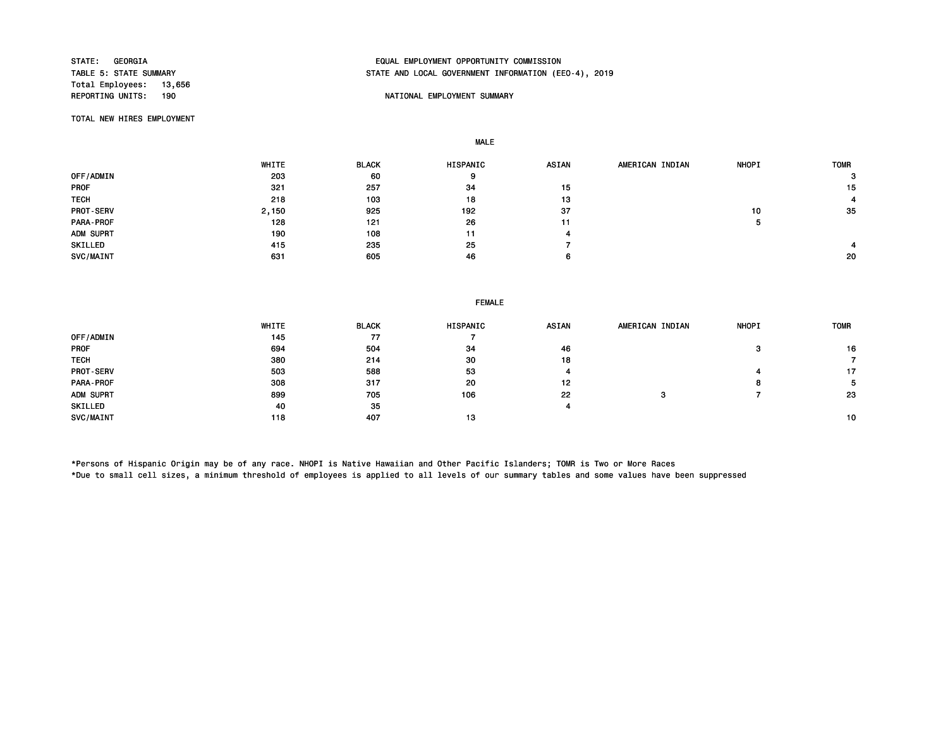Total Employees: 13,656

# STATE: GEORGIA EQUAL EMPLOYMENT OPPORTUNITY COMMISSION STATE AND LOCAL GOVERNMENT INFORMATION (EEO-4), 2019

## NATIONAL EMPLOYMENT SUMMARY

TOTAL NEW HIRES EMPLOYMENT

MALE

|                  | WHITE | <b>BLACK</b> | HISPANIC | ASIAN | AMERICAN INDIAN | <b>NHOPI</b> | <b>TOMR</b> |
|------------------|-------|--------------|----------|-------|-----------------|--------------|-------------|
| OFF/ADMIN        | 203   | 60           | У        |       |                 |              | 3           |
| <b>PROF</b>      | 321   | 257          | 34       | 15    |                 |              | 15          |
| <b>TECH</b>      | 218   | 103          | 18       | 13    |                 |              |             |
| <b>PROT-SERV</b> | 2,150 | 925          | 192      | 37    |                 | 10           | -35         |
| PARA-PROF        | 128   | 121          | 26       | 11    |                 | ×.           |             |
| ADM SUPRT        | 190   | 108          | 11       |       |                 |              |             |
| SKILLED          | 415   | 235          | 25       |       |                 |              |             |
| SVC/MAINT        | 631   | 605          | 46       | 6     |                 |              | 20          |

#### FEMALE

|                  | WHITE | <b>BLACK</b> | <b>HISPANIC</b> | <b>ASIAN</b> | AMERICAN INDIAN | <b>NHOPI</b> | <b>TOMR</b> |
|------------------|-------|--------------|-----------------|--------------|-----------------|--------------|-------------|
| OFF/ADMIN        | 145   | 77           |                 |              |                 |              |             |
| <b>PROF</b>      | 694   | 504          | 34              | 46           |                 |              | 16          |
| <b>TECH</b>      | 380   | 214          | 30              | 18           |                 |              |             |
| <b>PROT-SERV</b> | 503   | 588          | 53              |              |                 |              | 17          |
| PARA-PROF        | 308   | 317          | 20              | 12           |                 | 8            | 5.          |
| ADM SUPRT        | 899   | 705          | 106             | 22           | э               |              | 23          |
| SKILLED          | 40    | 35           |                 |              |                 |              |             |
| SVC/MAINT        | 118   | 407          | 13              |              |                 |              | 10          |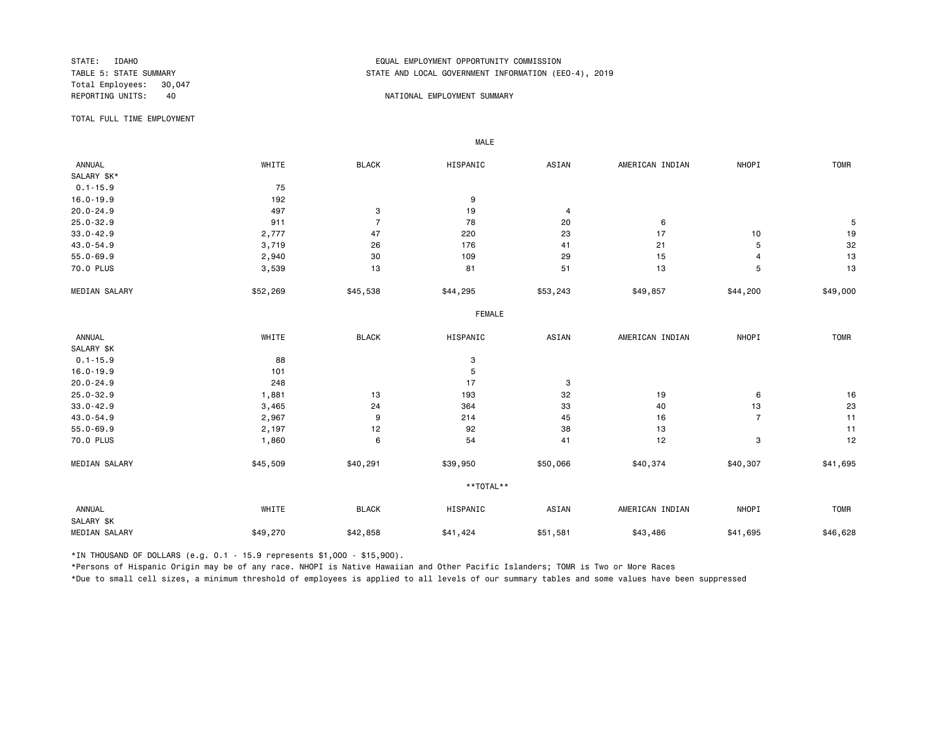Total Employees: 30,047

## STATE: IDAHO EQUAL EMPLOYMENT OPPORTUNITY COMMISSION STATE AND LOCAL GOVERNMENT INFORMATION (EEO-4), 2019

#### REPORTING UNITS: 40 40 NATIONAL EMPLOYMENT SUMMARY

TOTAL FULL TIME EMPLOYMENT

 ANNUAL WHITE BLACK HISPANIC ASIAN AMERICAN INDIAN NHOPI TOMR SALARY \$K\* 0.1-15.9 75<br>16.0-19.9 192 16.0-19.9 192 9 20.0-24.9 497 3 19 4 25.0-32.9 911 7 78 20 6 5 33.0-42.9 2,777 47 220 23 17 10 19 43.0-54.9 3,719 26 176 41 21 5 32 55.0-69.9 2,940 30 109 29 15 4 13 70.0 PLUS 3,539 13 81 51 13 5 13 MEDIAN SALARY \$52,269 \$45,538 \$44,295 \$53,243 \$49,857 \$44,200 \$49,000 FEMALE **FRAME**  ANNUAL WHITE BLACK HISPANIC ASIAN AMERICAN INDIAN NHOPI TOMR SALARY \$K<br>0.1-15.9  $0.1 - 15.9$  88 3 16.0-19.9 5 20.0-24.9 248 17 3 25.0-32.9 1,881 13 193 32 19 6 16 33.0-42.9 3,465 24 364 33 40 13 23 43.0-54.9 2,967 9 214 45 16 7 11 55.0-69.9 2,197 12 92 38 13 11 70.0 PLUS 1,860 6 54 41 12 3 12 MEDIAN SALARY \$45,509 \$40,291 \$39,950 \$50,066 \$40,374 \$40,307 \$41,695 \*\*TOTAL\*\* ANNUAL WHITE BLACK HISPANIC ASIAN AMERICAN INDIAN NHOPI TOMR SALARY \$K MEDIAN SALARY \$49,270 \$42,858 \$41,424 \$51,581 \$43,486 \$41,695 \$46,628

\*IN THOUSAND OF DOLLARS (e.g. 0.1 - 15.9 represents \$1,000 - \$15,900).

MALE

\*Persons of Hispanic Origin may be of any race. NHOPI is Native Hawaiian and Other Pacific Islanders; TOMR is Two or More Races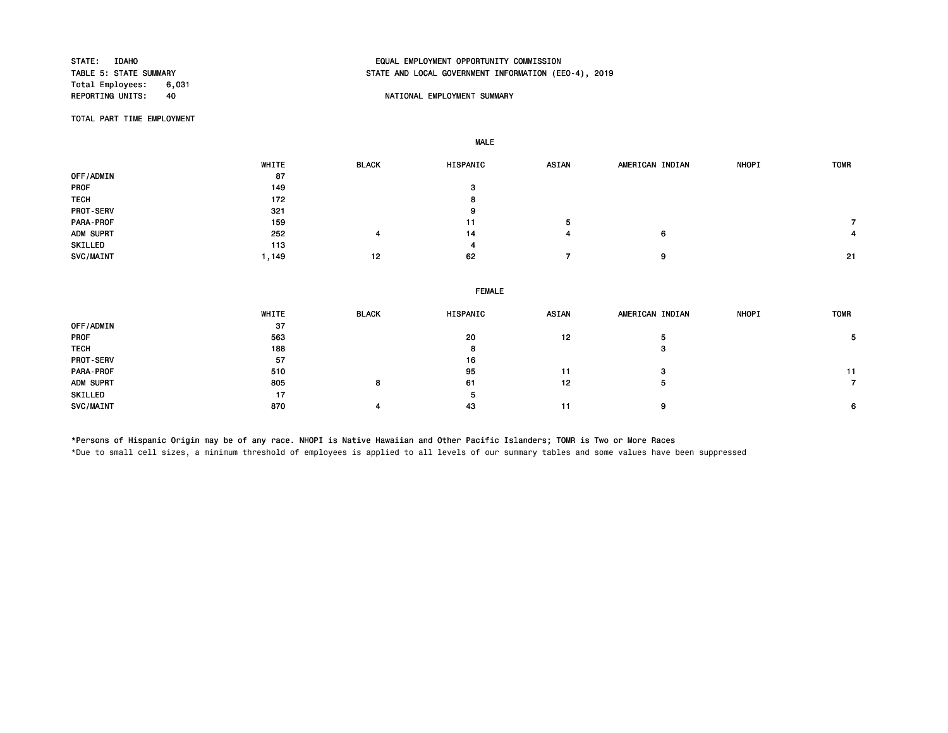Total Employees: 6,031

# STATE: IDAHO EQUAL EMPLOYMENT OPPORTUNITY COMMISSION STATE AND LOCAL GOVERNMENT INFORMATION (EEO-4), 2019

## A REPORT OF A REPORT OF A REPORT OF A REPORT OF A REPORT OF A REPORT OF A REPORT OF A REPORT OF A REPORT OF A REPORT OF A REPORT OF A REPORT OF A REPORT OF A REPORT OF A REPORT OF A REPORT OF A REPORT OF A REPORT OF A REPO

TOTAL PART TIME EMPLOYMENT

MALE

|                  | WHITE  | <b>BLACK</b> | <b>HISPANIC</b> | <b>ASIAN</b> | AMERICAN INDIAN | <b>NHOPI</b> | <b>TOMR</b> |
|------------------|--------|--------------|-----------------|--------------|-----------------|--------------|-------------|
| OFF/ADMIN        | 87     |              |                 |              |                 |              |             |
| <b>PROF</b>      | 149    |              | з               |              |                 |              |             |
| <b>TECH</b>      | 172    |              | 8               |              |                 |              |             |
| <b>PROT-SERV</b> | 321    |              | 9               |              |                 |              |             |
| PARA-PROF        | 159    |              | 11              | Þ            |                 |              |             |
| ADM SUPRT        | 252    | 4            | 14              |              | 6               |              |             |
| SKILLED          | 113    |              | 4               |              |                 |              |             |
| SVC/MAINT        | 149، ، | 12           | 62              |              | 9               |              | - 21        |

|                  | WHITE | <b>BLACK</b> | <b>HISPANIC</b> | <b>ASIAN</b> | AMERICAN INDIAN | <b>NHOPI</b> | <b>TOMR</b> |
|------------------|-------|--------------|-----------------|--------------|-----------------|--------------|-------------|
| OFF/ADMIN        | 37    |              |                 |              |                 |              |             |
| <b>PROF</b>      | 563   |              | 20              | 12           |                 |              |             |
| <b>TECH</b>      | 188   |              | Ð               |              |                 |              |             |
| <b>PROT-SERV</b> | 57    |              | 16              |              |                 |              |             |
| PARA-PROF        | 510   |              | 95              | 11           |                 |              | 11          |
| ADM SUPRT        | 805   | 8            | 61              | 12           |                 |              |             |
| SKILLED          | 17    |              | Ð               |              |                 |              |             |
| <b>SVC/MAINT</b> | 870   | 4            | 43              | 11           |                 |              | 6           |

\*Persons of Hispanic Origin may be of any race. NHOPI is Native Hawaiian and Other Pacific Islanders; TOMR is Two or More Races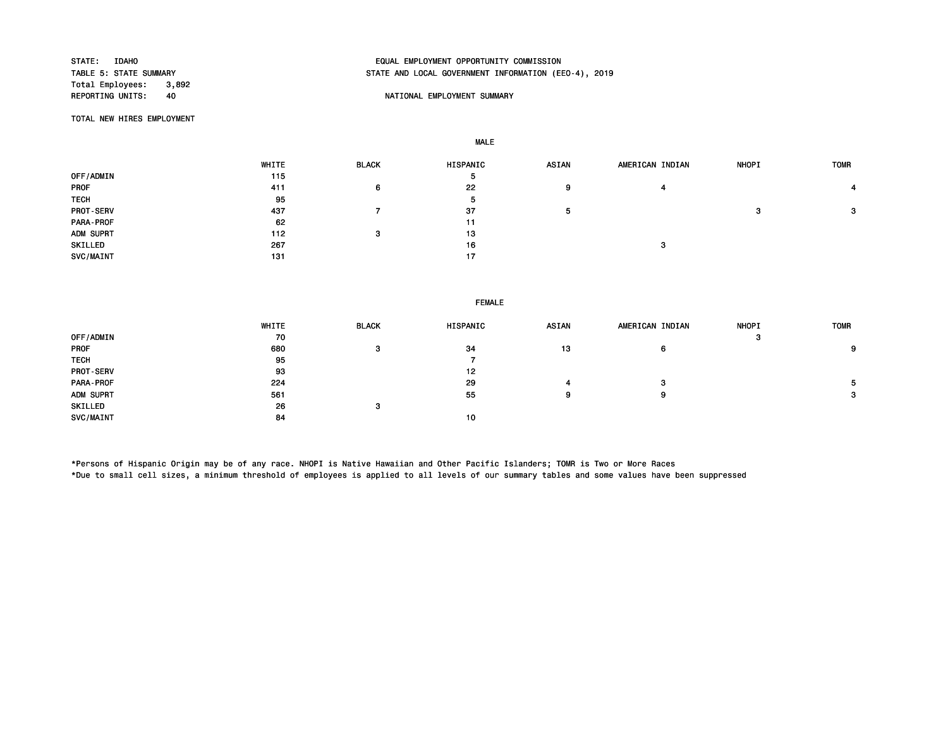Total Employees: 3,892<br>REPORTING UNITS: 40

# STATE: IDAHO EQUAL EMPLOYMENT OPPORTUNITY COMMISSION STATE AND LOCAL GOVERNMENT INFORMATION (EEO-4), 2019

## A REPORT OF A REPORT OF A REPORT OF A REPORT OF A REPORT OF A REPORT OF A REPORT OF A REPORT OF A REPORT OF A REPORT OF A REPORT OF A REPORT OF A REPORT OF A REPORT OF A REPORT OF A REPORT OF A REPORT OF A REPORT OF A REPO

TOTAL NEW HIRES EMPLOYMENT

MALE

|                  | WHITE | <b>BLACK</b> | <b>HISPANIC</b> | <b>ASIAN</b> | AMERICAN INDIAN | <b>NHOPI</b> | <b>TOMR</b> |
|------------------|-------|--------------|-----------------|--------------|-----------------|--------------|-------------|
| OFF/ADMIN        | 115   |              | ь               |              |                 |              |             |
| <b>PROF</b>      | 411   | 6            | 22              | 9            |                 |              |             |
| <b>TECH</b>      | 95    |              | ь               |              |                 |              |             |
| <b>PROT-SERV</b> | 437   |              | 37              | 5            |                 |              | 3           |
| PARA-PROF        | 62    |              | 11              |              |                 |              |             |
| ADM SUPRT        | 112   | з            | 13              |              |                 |              |             |
| SKILLED          | 267   |              | 16              |              | 3               |              |             |
| SVC/MAINT        | 131   |              | 17              |              |                 |              |             |

#### FEMALE

|                  | WHITE | <b>BLACK</b> | <b>HISPANIC</b> | <b>ASIAN</b> | AMERICAN INDIAN | <b>NHOPI</b> | <b>TOMR</b> |
|------------------|-------|--------------|-----------------|--------------|-----------------|--------------|-------------|
| OFF/ADMIN        | 70    |              |                 |              |                 | 3            |             |
| <b>PROF</b>      | 680   | з            | 34              | 13           | 6               |              | 9           |
| <b>TECH</b>      | 95    |              |                 |              |                 |              |             |
| <b>PROT-SERV</b> | 93    |              | 12              |              |                 |              |             |
| PARA-PROF        | 224   |              | 29              |              | з               |              | 5.          |
| ADM SUPRT        | 561   |              | 55              | 9.           | 9               |              | 3           |
| SKILLED          | 26    | 3            |                 |              |                 |              |             |
| <b>SVC/MAINT</b> | 84    |              | 10              |              |                 |              |             |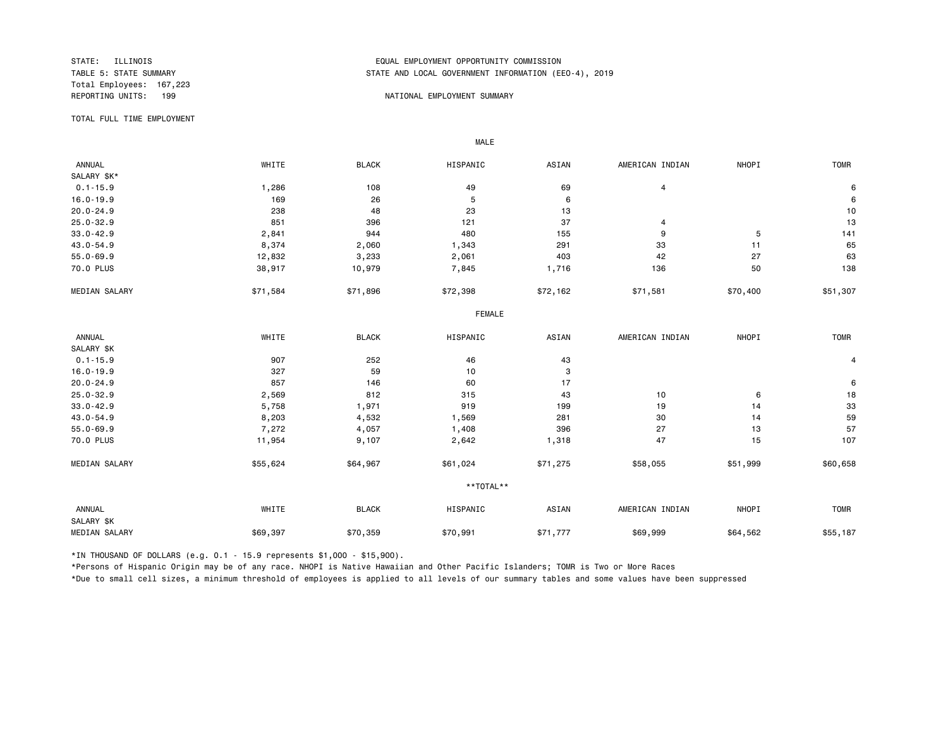Total Employees: 167,223

# STATE: ILLINOIS EQUAL EMPLOYMENT OPPORTUNITY COMMISSION STATE AND LOCAL GOVERNMENT INFORMATION (EEO-4), 2019

### REPORTING UNITS: 199 NATIONAL EMPLOYMENT SUMMARY

TOTAL FULL TIME EMPLOYMENT

 ANNUAL WHITE BLACK HISPANIC ASIAN AMERICAN INDIAN NHOPI TOMR SALARY \$K\*<br>0.1-15.9 0.1-15.9 1,286 108 49 69 4 6 16.0-19.9 169 26 5 6 6 20.0-24.9 238 48 23 13 10 25.0-32.9 851 396 121 37 4 13 33.0-42.9 2,841 944 480 155 9 5 141 43.0-54.9 8,374 2,060 1,343 291 33 11 65 55.0-69.9 12,832 3,233 2,061 403 42 27 63 70.0 PLUS 38,917 10,979 7,845 1,716 136 50 138 MEDIAN SALARY \$71,584 \$71,896 \$72,398 \$72,162 \$71,581 \$50,400 \$51,307 FEMALE **FRAME**  ANNUAL WHITE BLACK HISPANIC ASIAN AMERICAN INDIAN NHOPI TOMR SALARY \$K<br>0.1-15.9  $0.1-15.9$  907 907 252 46 43 16.0-19.9 327 59 10 3 20.0-24.9 857 146 60 17 6 25.0-32.9 2,569 812 315 43 10 6 18 33.0-42.9 5,758 1,971 919 199 19 14 33 43.0-54.9 8,203 4,532 1,569 281 30 14 59 55.0-69.9 7,272 4,057 1,408 396 27 13 57 70.0 PLUS 11,954 9,107 2,642 1,318 47 15 107 MEDIAN SALARY \$55,624 \$64,967 \$61,024 \$71,275 \$58,055 \$51,999 \$60,658 \*\*TOTAL\*\* ANNUAL WHITE BLACK HISPANIC ASIAN AMERICAN INDIAN NHOPI TOMR SALARY \$K MEDIAN SALARY \$69,397 \$70,359 \$70,991 \$69,999 \$64,562 \$55,187

\*IN THOUSAND OF DOLLARS (e.g. 0.1 - 15.9 represents \$1,000 - \$15,900).

MALE

\*Persons of Hispanic Origin may be of any race. NHOPI is Native Hawaiian and Other Pacific Islanders; TOMR is Two or More Races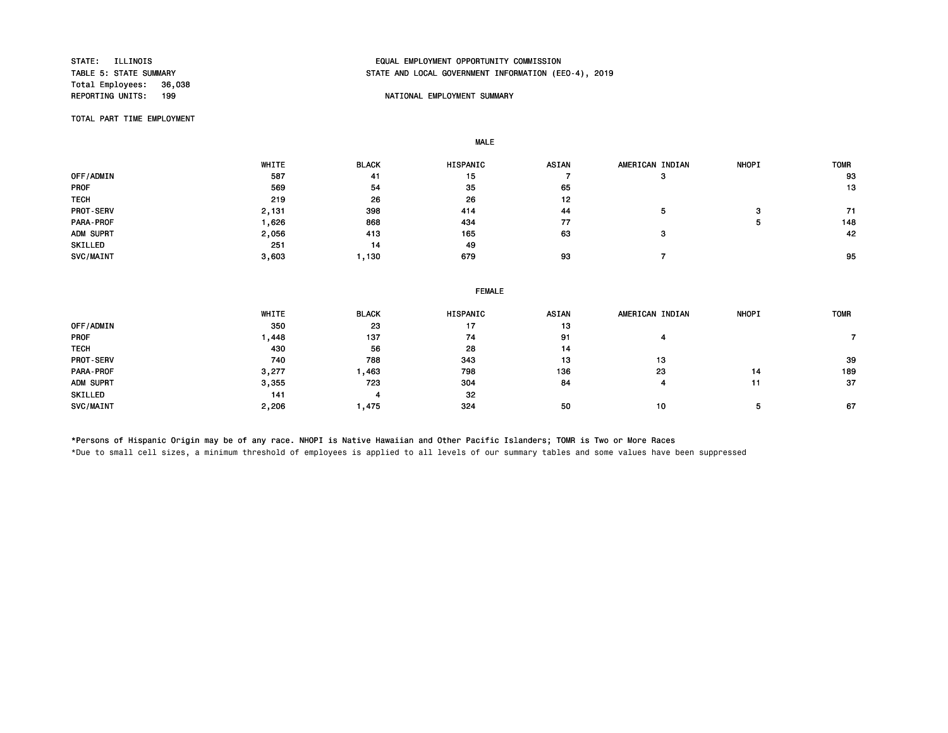Total Employees: 36,038<br>REPORTING UNITS: 199

# STATE: ILLINOIS EQUAL EMPLOYMENT OPPORTUNITY COMMISSION STATE AND LOCAL GOVERNMENT INFORMATION (EEO-4), 2019

## NATIONAL EMPLOYMENT SUMMARY

TOTAL PART TIME EMPLOYMENT

MALE

|                  | WHITE | <b>BLACK</b> | <b>HISPANIC</b> | <b>ASIAN</b> | AMERICAN INDIAN | <b>NHOPI</b> | <b>TOMR</b> |
|------------------|-------|--------------|-----------------|--------------|-----------------|--------------|-------------|
| OFF/ADMIN        | 587   | 41           | 15              |              | з               |              | 93          |
| <b>PROF</b>      | 569   | 54           | 35              | 65           |                 |              | 13          |
| <b>TECH</b>      | 219   | 26           | 26              | 12           |                 |              |             |
| <b>PROT-SERV</b> | 2,131 | 398          | 414             | 44           |                 | з            | 71          |
| PARA-PROF        | .626  | 868          | 434             | 77           |                 | л            | 148         |
| ADM SUPRT        | 2,056 | 413          | 165             | 63           | з               |              | 42          |
| SKILLED          | 251   | 14           | 49              |              |                 |              |             |
| SVC/MAINT        | 3,603 | 1.130        | 679             | 93           |                 |              | 95          |

|             |       |              | <b>FEMALE</b> |       |                 |              |             |
|-------------|-------|--------------|---------------|-------|-----------------|--------------|-------------|
|             | WHITE | <b>BLACK</b> | HISPANIC      | ASIAN | AMERICAN INDIAN | <b>NHOPI</b> | <b>TOMR</b> |
| OFF/ADMIN   | 350   | 23           | 17            | 13    |                 |              |             |
| PROF        | 1,448 | 137          | 74            | 91    |                 |              |             |
| <b>TECH</b> | 430   | 56           | 28            | 14    |                 |              |             |
| PROT-SERV   | 740   | 788          | 343           | 13    | 13              |              | 39          |
| PARA-PROF   | 3,277 | 1,463        | 798           | 136   | 23              | 14           | 189         |
| ADM SUPRT   | 3,355 | 723          | 304           | 84    |                 | 11           | 37          |
| SKILLED     | 141   |              | 32            |       |                 |              |             |
| SVC/MAINT   | 2,206 | 475. ا       | 324           | 50    | 10              | Ð            | 67          |

\*Persons of Hispanic Origin may be of any race. NHOPI is Native Hawaiian and Other Pacific Islanders; TOMR is Two or More Races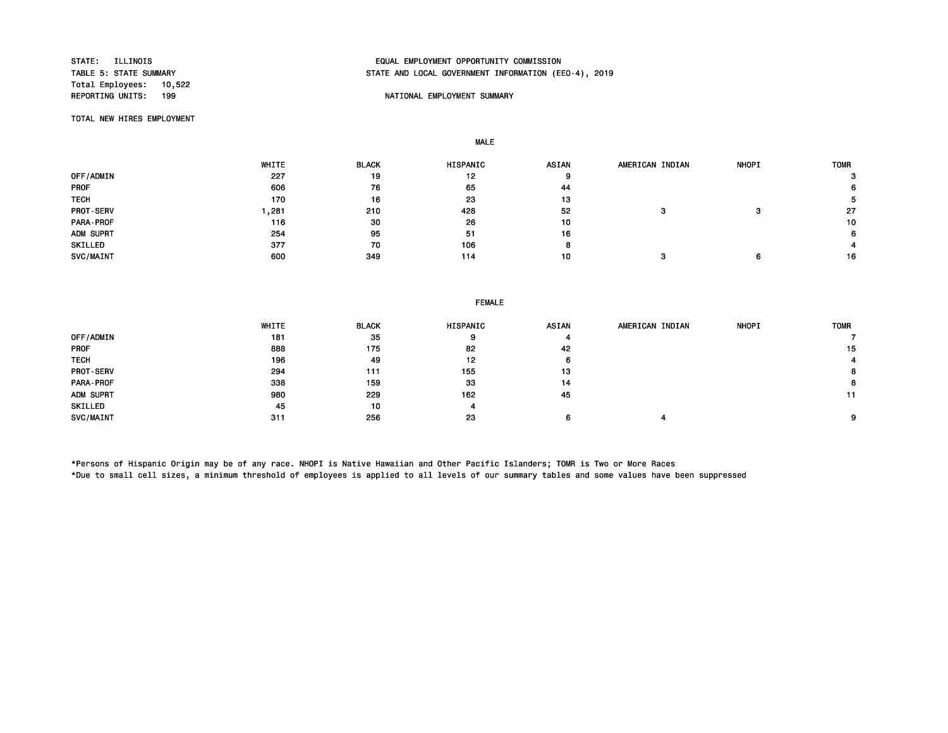Total Employees: 10,522

# STATE: ILLINOIS EQUAL EMPLOYMENT OPPORTUNITY COMMISSION STATE AND LOCAL GOVERNMENT INFORMATION (EEO-4), 2019

## NATIONAL EMPLOYMENT SUMMARY

TOTAL NEW HIRES EMPLOYMENT

MALE

|                  | WHITE | <b>BLACK</b> | <b>HISPANIC</b> | ASIAN | AMERICAN INDIAN | <b>NHOPI</b> | <b>TOMR</b> |
|------------------|-------|--------------|-----------------|-------|-----------------|--------------|-------------|
| OFF/ADMIN        | 227   | 19           | 12              |       |                 |              | з           |
| <b>PROF</b>      | 606   | 76           | 65              | 44    |                 |              | 6           |
| <b>TECH</b>      | 170   | 16           | 23              | 13    |                 |              |             |
| <b>PROT-SERV</b> | ,281  | 210          | 428             | 52    |                 |              | 27          |
| PARA-PROF        | 116   | 30           | 26              | 10    |                 |              | 10          |
| ADM SUPRT        | 254   | 95           | 51              | 16    |                 |              | 6           |
| SKILLED          | 377   | 70           | 106             |       |                 |              |             |
| SVC/MAINT        | 600   | 349          | 114             | 10    |                 |              | 16          |

FEMALE

|                  | WHITE | <b>BLACK</b> | <b>HISPANIC</b> | <b>ASIAN</b> | AMERICAN INDIAN | <b>NHOPI</b> | <b>TOMR</b> |
|------------------|-------|--------------|-----------------|--------------|-----------------|--------------|-------------|
| OFF/ADMIN        | 181   | 35           |                 |              |                 |              |             |
| <b>PROF</b>      | 888   | 175          | 82              | 42           |                 |              | 15          |
| <b>TECH</b>      | 196   | 49           | 12              | 6            |                 |              |             |
| <b>PROT-SERV</b> | 294   | 111          | 155             | 13           |                 |              | 8           |
| PARA-PROF        | 338   | 159          | 33              | 14           |                 |              | 8           |
| ADM SUPRT        | 980   | 229          | 162             | 45           |                 |              | 11          |
| SKILLED          | 45    | 10           | 4               |              |                 |              |             |
| SVC/MAINT        | 311   | 256          | 23              |              |                 |              | 9           |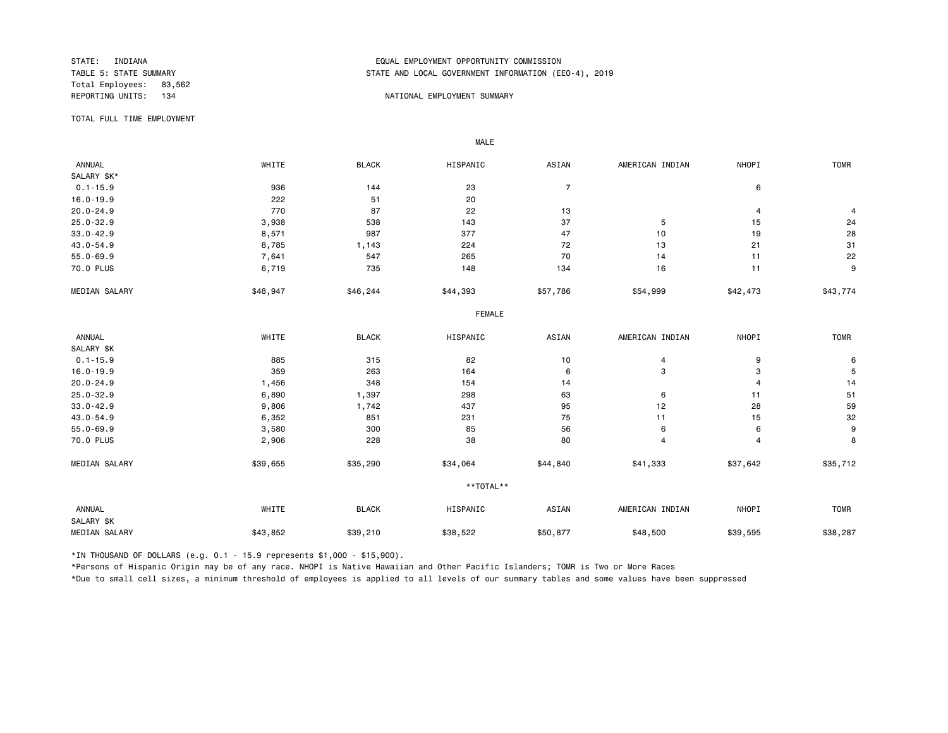Total Employees: 83,562

# STATE: INDIANA EQUAL EMPLOYMENT OPPORTUNITY COMMISSION STATE AND LOCAL GOVERNMENT INFORMATION (EEO-4), 2019

### REPORTING UNITS: 134 NATIONAL EMPLOYMENT SUMMARY

TOTAL FULL TIME EMPLOYMENT

 ANNUAL WHITE BLACK HISPANIC ASIAN AMERICAN INDIAN NHOPI TOMR SALARY \$K\*<br>0.1-15.9 0.1-15.9 936 144 23 7 6 16.0-19.9 222 51 20 20.0-24.9 770 87 22 13 4 4 25.0-32.9 3,938 538 143 37 5 15 24 33.0-42.9 8,571 987 377 47 10 19 28 43.0-54.9 8,785 1,143 224 72 13 21 31 55.0-69.9 7,641 547 265 70 14 11 22 70.0 PLUS 6,719 735 148 134 16 11 9 MEDIAN SALARY \$48,947 \$46,244 \$44,393 \$57,786 \$54,999 \$42,473 \$43,774 FEMALE **FRAME**  ANNUAL WHITE BLACK HISPANIC ASIAN AMERICAN INDIAN NHOPI TOMR SALARY \$K<br>0.1-15.9  $0.1$ -15.9 8 85 885 315 82 10 4 9 9 6 16.0-19.9 359 263 164 6 3 3 5 20.0-24.9 1,456 348 154 14 4 14 25.0-32.9 6,890 1,397 298 63 6 11 51 33.0-42.9 9,806 1,742 437 95 12 28 59 43.0-54.9 6,352 851 231 75 11 15 32 55.0-69.9 3,580 300 85 56 6 6 9 70.0 PLUS 2,906 228 38 80 4 4 8 MEDIAN SALARY \$39,655 \$35,290 \$34,064 \$41,840 \$41,333 \$37,642 \$35,712 \*\*TOTAL\*\* ANNUAL WHITE BLACK HISPANIC ASIAN AMERICAN INDIAN NHOPI TOMR SALARY \$K MEDIAN SALARY \$43,852 \$39,210 \$38,522 \$48,500 \$39,595 \$38,287 \$38,287

\*IN THOUSAND OF DOLLARS (e.g. 0.1 - 15.9 represents \$1,000 - \$15,900).

MALE

\*Persons of Hispanic Origin may be of any race. NHOPI is Native Hawaiian and Other Pacific Islanders; TOMR is Two or More Races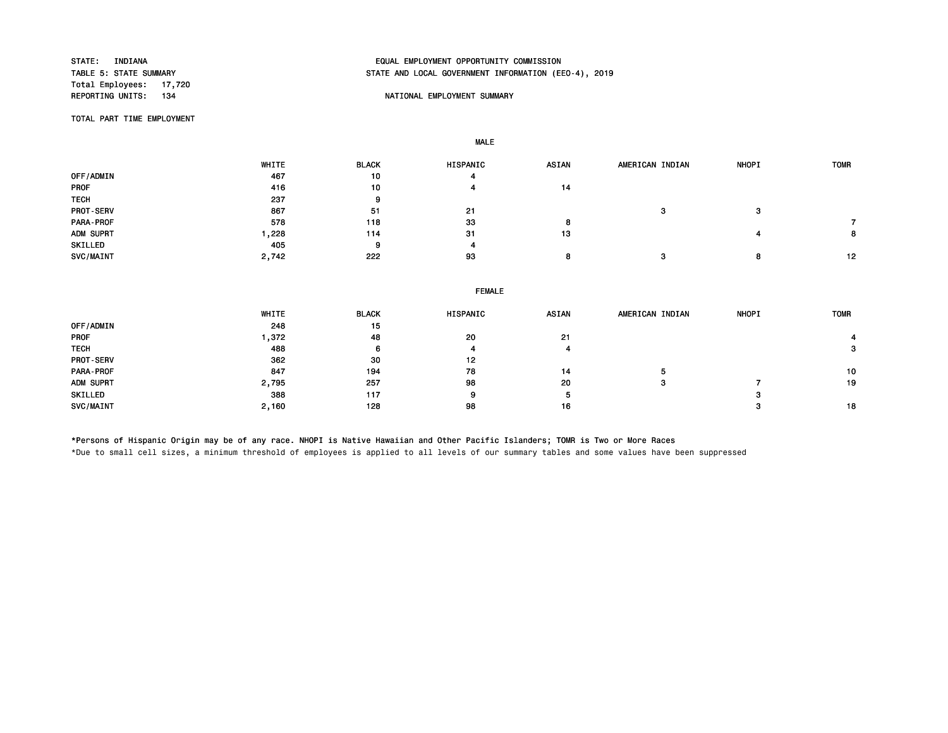Total Employees: 17,720<br>REPORTING UNITS: 134

# STATE: INDIANA EQUAL EMPLOYMENT OPPORTUNITY COMMISSION STATE AND LOCAL GOVERNMENT INFORMATION (EEO-4), 2019

## NATIONAL EMPLOYMENT SUMMARY

TOTAL PART TIME EMPLOYMENT

MALE

|             | WHITE | <b>BLACK</b> | <b>HISPANIC</b> | <b>ASIAN</b> | AMERICAN INDIAN | NHOPI           | <b>TOMR</b> |
|-------------|-------|--------------|-----------------|--------------|-----------------|-----------------|-------------|
| OFF/ADMIN   | 467   | 10           |                 |              |                 |                 |             |
| PROF        | 416   | 10           |                 | 14           |                 |                 |             |
| <b>TECH</b> | 237   |              |                 |              |                 |                 |             |
| PROT-SERV   | 867   | 51           | 21              |              |                 | $\bullet$<br>-3 |             |
| PARA-PROF   | 578   | 118          | 33              |              |                 |                 |             |
| ADM SUPRT   | .228  | 114          | -31             | 13           |                 |                 | 8.          |
| SKILLED     | 405   | $\Omega$     |                 |              |                 |                 |             |
| SVC/MAINT   | 2,742 | 222          | 93              |              |                 | 8               | 12          |

|       |              | <b>FEMALE</b> |       |                 |              |             |
|-------|--------------|---------------|-------|-----------------|--------------|-------------|
| WHITE | <b>BLACK</b> | HISPANIC      | ASIAN | AMERICAN INDIAN | <b>NHOPI</b> | <b>TOMR</b> |
| 248   | 15           |               |       |                 |              |             |
| ,372  | 48           | 20            | 21    |                 |              |             |
| 488   | 6            |               |       |                 |              | 3           |
| 362   | 30           | 12            |       |                 |              |             |
| 847   | 194          | 78            | 14    |                 |              | 10          |
| 2,795 | 257          | 98            | 20    | з               |              | 19          |
| 388   | 117          | 9             | 5     |                 | ິ            |             |
| 2,160 | 128          | 98            | 16    |                 |              | 18          |
|       |              |               |       |                 |              |             |

\*Persons of Hispanic Origin may be of any race. NHOPI is Native Hawaiian and Other Pacific Islanders; TOMR is Two or More Races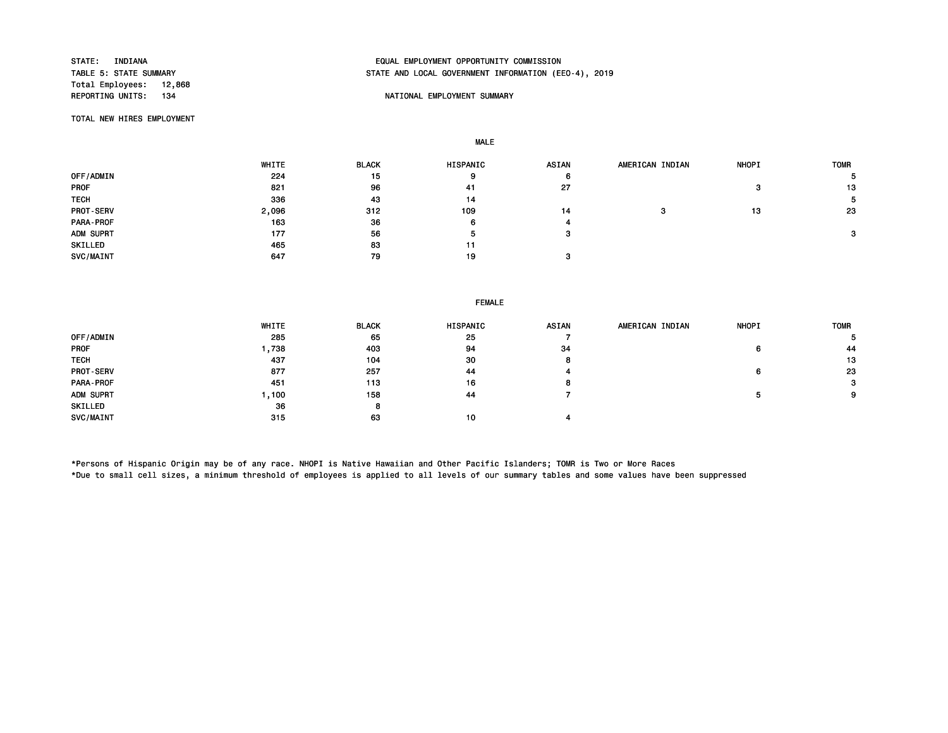Total Employees: 12,868<br>REPORTING UNITS: 134

# STATE: INDIANA EQUAL EMPLOYMENT OPPORTUNITY COMMISSION STATE AND LOCAL GOVERNMENT INFORMATION (EEO-4), 2019

## NATIONAL EMPLOYMENT SUMMARY

TOTAL NEW HIRES EMPLOYMENT

MALE

|                  | WHITE | <b>BLACK</b> | HISPANIC | <b>ASIAN</b> | AMERICAN INDIAN | <b>NHOPI</b> | <b>TOMR</b> |
|------------------|-------|--------------|----------|--------------|-----------------|--------------|-------------|
| OFF/ADMIN        | 224   | 15           | 9        | 6            |                 |              |             |
| <b>PROF</b>      | 821   | 96           | 41       | 27           |                 | з            | 13          |
| <b>TECH</b>      | 336   | 43           | 14       |              |                 |              | 5           |
| <b>PROT-SERV</b> | 2,096 | 312          | 109      | 14           |                 | 13           | 23          |
| PARA-PROF        | 163   | 36           | 6        |              |                 |              |             |
| ADM SUPRT        | 177   | 56           | ь        |              |                 |              | з           |
| SKILLED          | 465   | 83           | 11       |              |                 |              |             |
| SVC/MAINT        | 647   | 79           | 19       |              |                 |              |             |

## FEMALE

|                  | WHITE | <b>BLACK</b> | HISPANIC | <b>ASIAN</b> | AMERICAN INDIAN | <b>NHOPI</b> | <b>TOMR</b> |
|------------------|-------|--------------|----------|--------------|-----------------|--------------|-------------|
| OFF/ADMIN        | 285   | 65           | 25       |              |                 |              | ь           |
| <b>PROF</b>      | ,738  | 403          | 94       | 34           |                 | 6            | 44          |
| <b>TECH</b>      | 437   | 104          | 30       |              |                 |              | 13          |
| <b>PROT-SERV</b> | 877   | 257          | 44       |              |                 | 6            | 23          |
| PARA-PROF        | 451   | 113          | 16       |              |                 |              | 3           |
| ADM SUPRT        | ,100  | 158          | 44       |              |                 |              | 9           |
| SKILLED          | 36    | 8            |          |              |                 |              |             |
| SVC/MAINT        | 315   | 63           | 10       |              |                 |              |             |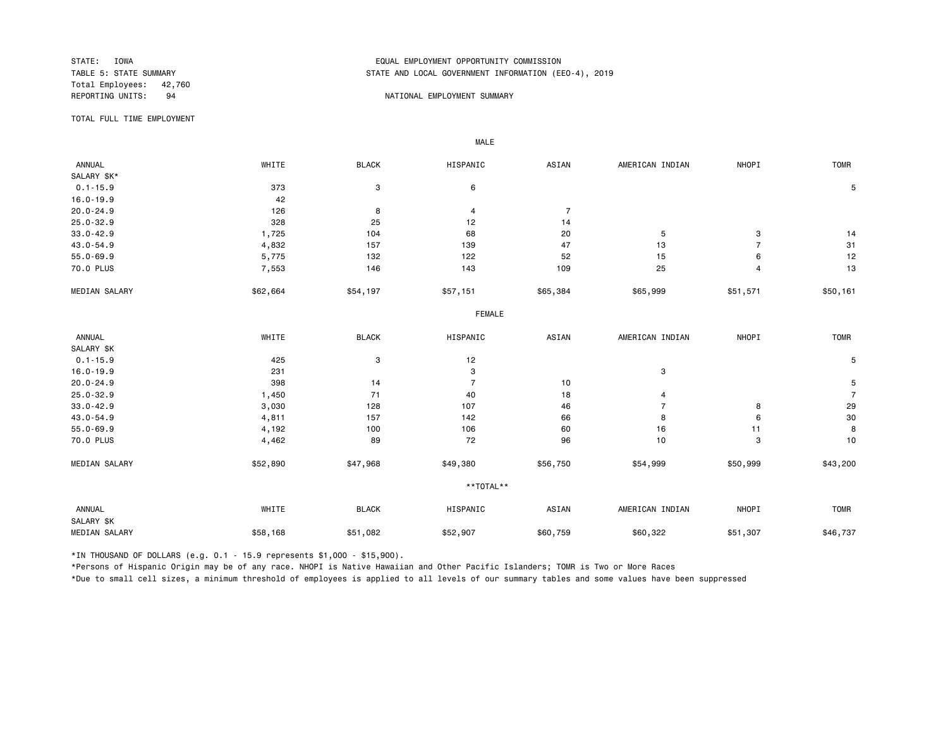Total Employees: 42,760

# STATE: IOWA EQUAL EMPLOYMENT OPPORTUNITY COMMISSION STATE AND LOCAL GOVERNMENT INFORMATION (EEO-4), 2019

### REPORTING UNITS: 94 Service of the energy of the energy of the energy of the energy of the energy of the energy of the energy of the energy of the energy of the energy of the energy of the energy of the energy of the energ

TOTAL FULL TIME EMPLOYMENT

 ANNUAL WHITE BLACK HISPANIC ASIAN AMERICAN INDIAN NHOPI TOMR SALARY \$K\*<br>0.1-15.9  $0.1-15.9$  5 5 5 6 5 7 3 7 3 6 5 5 7 3 7 3 4  $\pm 0.1-15.9$  5 5 5 6 5 7 3 3 7 3 3 5 5 5 7 3 3 4  $\pm 0.1-15.9$ 16.0-19.9 42<br>
20.0-24.9 126 20.0-24.9 126 8 4 7 25.0-32.9 328 25 12 14 33.0-42.9 1,725 104 68 20 5 3 14 43.0-54.9 4,832 157 139 47 13 7 31 55.0-69.9 5,775 132 122 52 15 6 12 70.0 PLUS 7<sub>,</sub>553 146 143 109 25 13 MEDIAN SALARY \$62,664 \$54,197 \$57,151 \$65,384 \$65,999 \$51,571 \$50,161 FEMALE **FRAME**  ANNUAL WHITE BLACK HISPANIC ASIAN AMERICAN INDIAN NHOPI TOMR SALARY \$K<br>0.1-15.9  $0.1-15.9$  5 16.0-19.9 231 3 3 20.0-24.9 398 14 7 10 5 25.0-32.9 1,450 71 40 18 4 7 33.0-42.9 3,030 128 107 46 7 8 29 43.0-54.9 4,811 157 142 66 8 6 30 55.0-69.9 4,192 100 106 60 16 11 8 70.0 PLUS 4,462 89 72 96 10 3 10 MEDIAN SALARY \$52,890 \$47,968 \$56,750 \$54,999 \$50,999 \$43,200 \$43, \*\*TOTAL\*\* ANNUAL WHITE BLACK HISPANIC ASIAN AMERICAN INDIAN NHOPI TOMR SALARY \$K MEDIAN SALARY \$58,168 \$51,082 \$60,759 \$60,322 \$51,307 \$46,737

\*IN THOUSAND OF DOLLARS (e.g. 0.1 - 15.9 represents \$1,000 - \$15,900).

MALE

\*Persons of Hispanic Origin may be of any race. NHOPI is Native Hawaiian and Other Pacific Islanders; TOMR is Two or More Races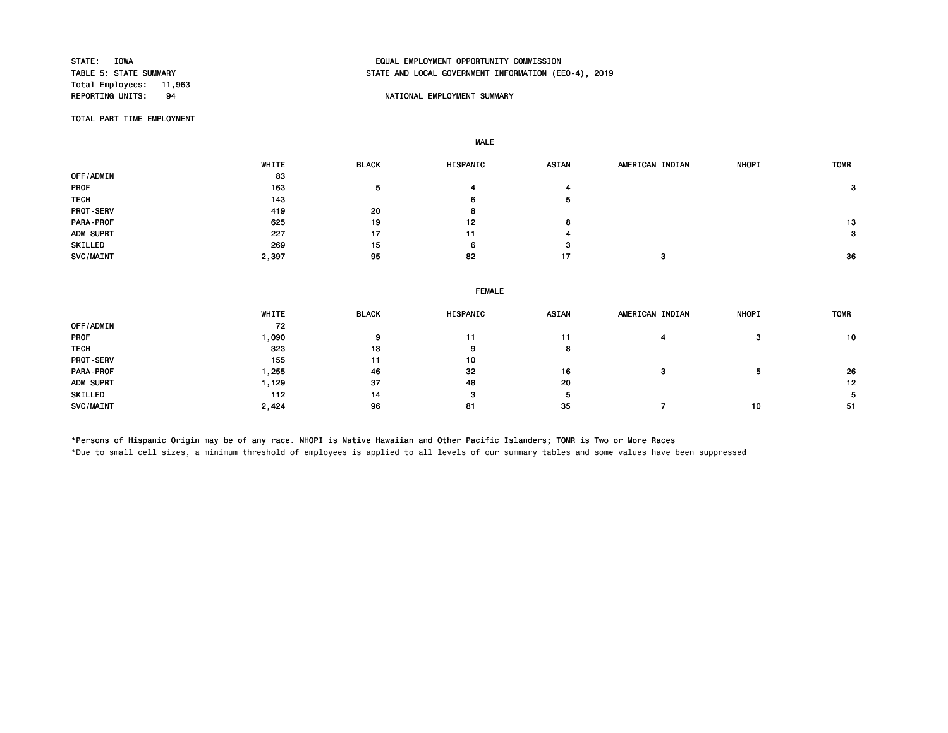Total Employees: 11,963<br>REPORTING UNITS: 94

# STATE: IOWA EQUAL EMPLOYMENT OPPORTUNITY COMMISSION STATE AND LOCAL GOVERNMENT INFORMATION (EEO-4), 2019

## NATIONAL EMPLOYMENT SUMMARY

TOTAL PART TIME EMPLOYMENT

MALE

|                  | WHITE | <b>BLACK</b> | HISPANIC | <b>ASIAN</b> | AMERICAN INDIAN | <b>NHOPI</b> | <b>TOMR</b> |
|------------------|-------|--------------|----------|--------------|-----------------|--------------|-------------|
| <b>OFF/ADMIN</b> | 83    |              |          |              |                 |              |             |
| PROF             | 163   | b.           |          |              |                 |              | 3           |
| <b>TECH</b>      | 143   |              | 6        | ь            |                 |              |             |
| <b>PROT-SERV</b> | 419   | 20           | 8        |              |                 |              |             |
| PARA-PROF        | 625   | 19           | 12       | 8            |                 |              | 13          |
| ADM SUPRT        | 227   | 17           | 11       |              |                 |              | 3           |
| SKILLED          | 269   | 15           | 6        | -3           |                 |              |             |
| SVC/MAINT        | 2,397 | 95           | 82       | 17           | з               |              | 36          |

|             |         |              | <b>FEMALE</b> |              |                 |              |             |
|-------------|---------|--------------|---------------|--------------|-----------------|--------------|-------------|
|             | WHITE   | <b>BLACK</b> | HISPANIC      | <b>ASIAN</b> | AMERICAN INDIAN | <b>NHOPI</b> | <b>TOMR</b> |
| OFF/ADMIN   | 72      |              |               |              |                 |              |             |
| PROF        | 090 ، ا | 9            |               |              |                 | 3            | 10          |
| <b>TECH</b> | 323     | 13           | 9             | 8            |                 |              |             |
| PROT-SERV   | 155     | 11           | 10            |              |                 |              |             |
| PARA-PROF   | .255    | 46           | 32            | 16           |                 |              | 26          |
| ADM SUPRT   | 1,129   | 37           | 48            | 20           |                 |              | 12          |
| SKILLED     | 112     | 14           | 3             |              |                 |              | b.          |
| SVC/MAINT   | 2,424   | 96           | 81            | 35           |                 | 10           | -51         |

\*Persons of Hispanic Origin may be of any race. NHOPI is Native Hawaiian and Other Pacific Islanders; TOMR is Two or More Races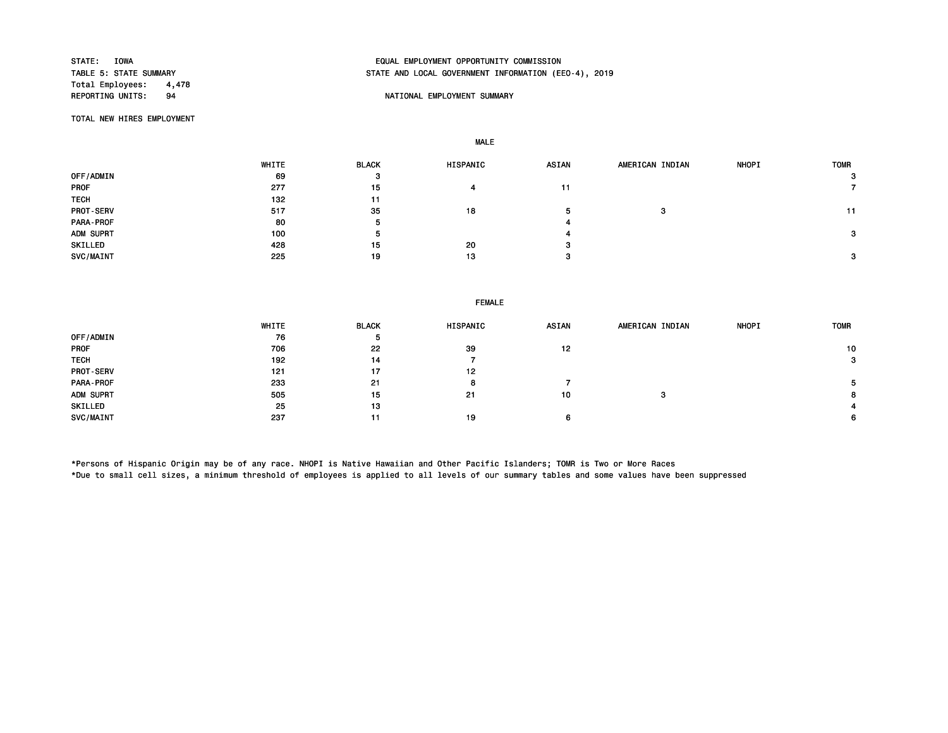Total Employees: 4,478<br>REPORTING UNITS: 94

# STATE: IOWA EQUAL EMPLOYMENT OPPORTUNITY COMMISSION STATE AND LOCAL GOVERNMENT INFORMATION (EEO-4), 2019

## **94 REPORTING UNITS: PROPERTIONAL EMPLOYMENT SUMMARY**

TOTAL NEW HIRES EMPLOYMENT

MALE

|                  | WHITE | <b>BLACK</b> | HISPANIC | ASIAN | AMERICAN INDIAN | <b>NHOPI</b> | <b>TOMR</b> |
|------------------|-------|--------------|----------|-------|-----------------|--------------|-------------|
| OFF/ADMIN        | 69    | 3            |          |       |                 |              | 3           |
| <b>PROF</b>      | 277   | 15           | 4        | 11    |                 |              |             |
| <b>TECH</b>      | 132   | 11           |          |       |                 |              |             |
| <b>PROT-SERV</b> | 517   | 35           | 18       |       | c               |              | 11          |
| PARA-PROF        | 80    | ь            |          |       |                 |              |             |
| ADM SUPRT        | 100   | Ð            |          |       |                 |              | 3           |
| SKILLED          | 428   | 15           | 20       | -3    |                 |              |             |
| SVC/MAINT        | 225   | 19           | 13       |       |                 |              | 3           |

## FEMALE

|                  | WHITE | <b>BLACK</b> | <b>HISPANIC</b> | <b>ASIAN</b> | AMERICAN INDIAN | <b>NHOPI</b> | <b>TOMR</b>  |
|------------------|-------|--------------|-----------------|--------------|-----------------|--------------|--------------|
| OFF/ADMIN        | 76    | ь            |                 |              |                 |              |              |
| <b>PROF</b>      | 706   | 22           | 39              | 12           |                 |              | 10           |
| <b>TECH</b>      | 192   | 14           |                 |              |                 |              | $\mathbf{3}$ |
| <b>PROT-SERV</b> | 121   | 17           | 12              |              |                 |              |              |
| PARA-PROF        | 233   | 21           | 8               |              |                 |              |              |
| ADM SUPRT        | 505   | 15           | 21              | 10           | з               |              | 8            |
| SKILLED          | 25    | 13           |                 |              |                 |              |              |
| SVC/MAINT        | 237   | 11           | 19              |              |                 |              | 6            |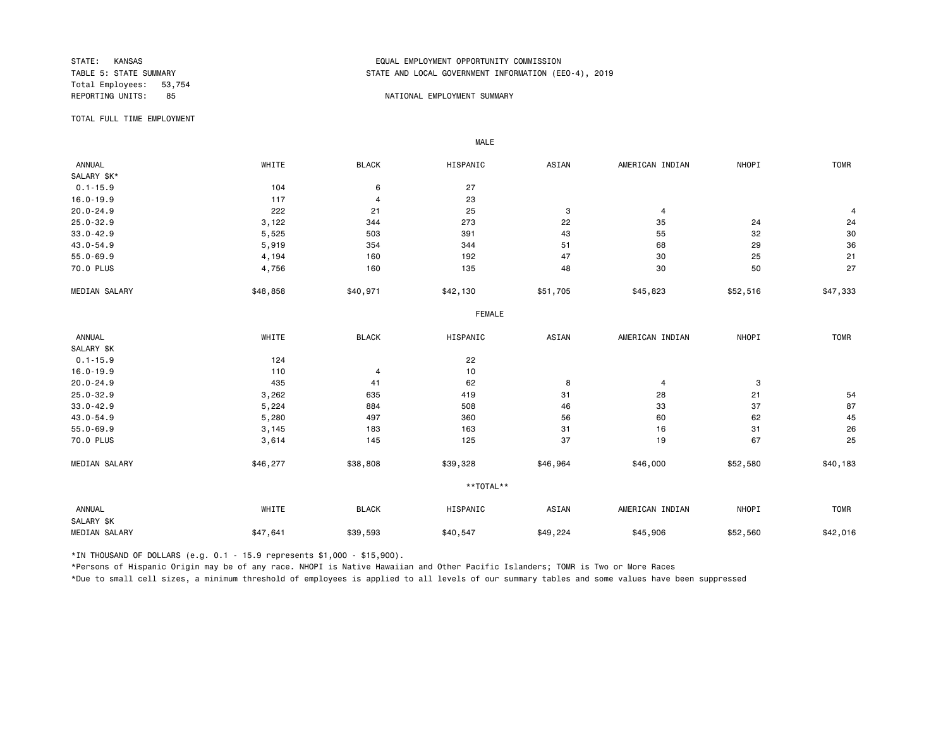Total Employees: 53,754

# STATE: KANSAS EQUAL EMPLOYMENT OPPORTUNITY COMMISSION STATE AND LOCAL GOVERNMENT INFORMATION (EEO-4), 2019

#### REPORTING UNITS: 85 85 NATIONAL EMPLOYMENT SUMMARY

TOTAL FULL TIME EMPLOYMENT

 ANNUAL WHITE BLACK HISPANIC ASIAN AMERICAN INDIAN NHOPI TOMR SALARY \$K\*<br>0.1-15.9 0.1-15.9 27 16.0-19.9 117 4 23  $20.0-24.9$  21  $222$   $21$   $25$   $3$   $4$   $4$   $4$ 25.0-32.9 3,122 344 273 22 35 24 24 33.0-42.9 5,525 503 391 43 55 32 30 43.0-54.9 5,919 354 344 51 68 29 36 55.0-69.9 4,194 160 192 47 30 25 21 70.0 PLUS 4,756 160 135 48 30 50 27 MEDIAN SALARY \$48,858 \$40,971 \$42,130 \$51,705 \$45,823 \$52,516 \$47,333 FEMALE **FRAME**  ANNUAL WHITE BLACK HISPANIC ASIAN AMERICAN INDIAN NHOPI TOMR SALARY \$K<br>0.1-15.9  $0.1-15.9$  22 16.0-19.9 110 4 10  $20.0-24.9$  and  $435$  and  $41$  and  $62$  and  $4$  and  $4$  and  $3$ 25.0-32.9 3,262 635 419 31 28 21 54 33.0-42.9 5,224 884 508 46 33 37 87 43.0-54.9 5,280 497 360 56 60 62 45 55.0-69.9 3,145 183 163 31 16 31 26 70.0 PLUS 3,614 145 125 37 19 67 25 MEDIAN SALARY \$46,277 \$38,808 \$39,328 \$46,964 \$46,000 \$52,580 \$40,183 \*\*TOTAL\*\* ANNUAL WHITE BLACK HISPANIC ASIAN AMERICAN INDIAN NHOPI TOMR SALARY \$K MEDIAN SALARY \$47,641 \$39,593 \$40,547 \$49,224 \$45,906 \$52,560 \$42,016

\*IN THOUSAND OF DOLLARS (e.g. 0.1 - 15.9 represents \$1,000 - \$15,900).

MALE

\*Persons of Hispanic Origin may be of any race. NHOPI is Native Hawaiian and Other Pacific Islanders; TOMR is Two or More Races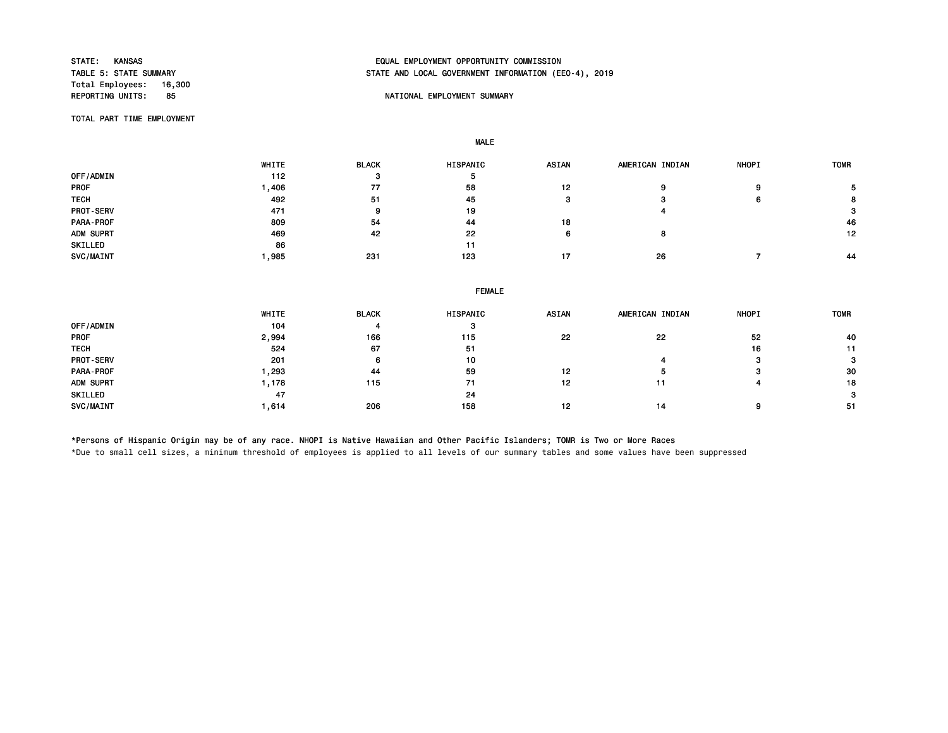Total Employees: 16,300<br>REPORTING UNITS: 85

# STATE: KANSAS EQUAL EMPLOYMENT OPPORTUNITY COMMISSION STATE AND LOCAL GOVERNMENT INFORMATION (EEO-4), 2019

## 85 NATIONAL EMPLOYMENT SUMMARY

TOTAL PART TIME EMPLOYMENT

MALE

 WHITE BLACK HISPANIC ASIAN AMERICAN INDIAN NHOPI TOMR 0FF/ADMIN 5 5 PROF 1,406 77 58 12 9 9 5 TECH 492 51 45 3 3 6 8 PROT-SERV 471 9 19 4 3 PARA-PROF 809 54 44 18 46 ADM SUPRT 469 42 22 6 8 12 SKILLED 11 and 12 and 20 and 20 and 20 and 20 and 20 and 20 and 20 and 20 and 20 and 20 and 20 and 20 and 20 a SVC/MAINT 1,985 231 123 17 26 7 44

|                  | <b>FEMALE</b> |              |          |              |                 |              |             |  |  |  |
|------------------|---------------|--------------|----------|--------------|-----------------|--------------|-------------|--|--|--|
|                  | WHITE         | <b>BLACK</b> | HISPANIC | <b>ASIAN</b> | AMERICAN INDIAN | <b>NHOPI</b> | <b>TOMR</b> |  |  |  |
| OFF/ADMIN        | 104           |              | з        |              |                 |              |             |  |  |  |
| <b>PROF</b>      | 2,994         | 166          | 115      | 22           | 22              | 52           | 40          |  |  |  |
| <b>TECH</b>      | 524           | 67           | 51       |              |                 | 16           | 11          |  |  |  |
| <b>PROT-SERV</b> | 201           | 6            | 10       |              |                 |              |             |  |  |  |
| PARA-PROF        | ,293          | 44           | 59       | 12           |                 | c            | 30          |  |  |  |
| ADM SUPRT        | 1,178         | 115          | 71       | 12           | 11              |              | 18          |  |  |  |
| SKILLED          | 47            |              | 24       |              |                 |              | з           |  |  |  |
| SVC/MAINT        | .614          | 206          | 158      | 12           | 14              |              | -51         |  |  |  |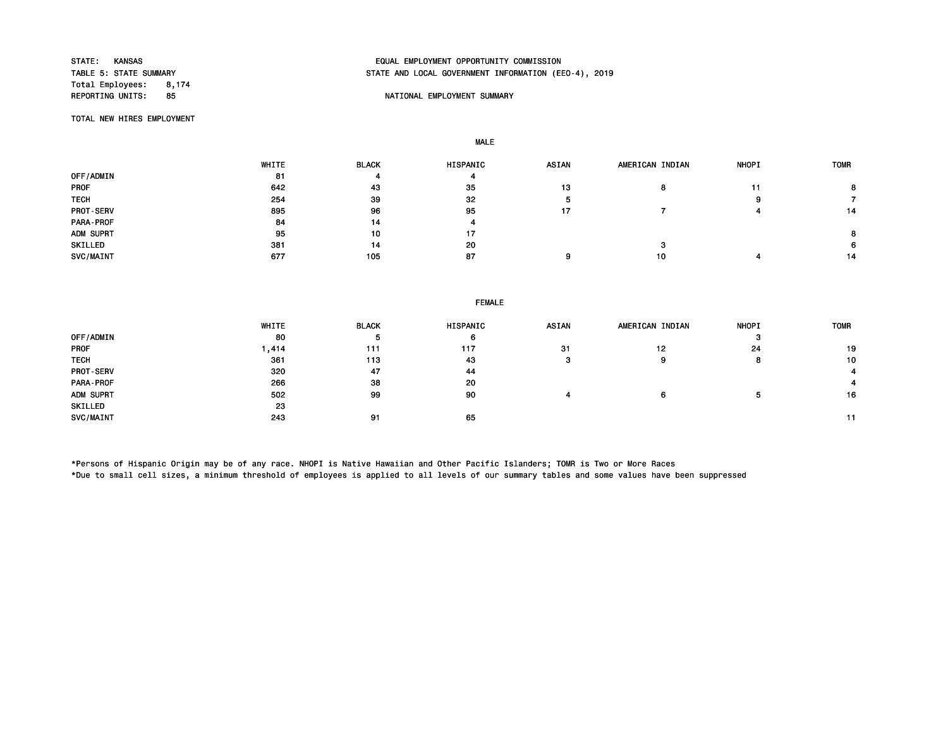Total Employees: 8,174

# STATE: KANSAS EQUAL EMPLOYMENT OPPORTUNITY COMMISSION STATE AND LOCAL GOVERNMENT INFORMATION (EEO-4), 2019

## REPORTING UNITS: REPORTING UNITS: NATIONAL EMPLOYMENT SUMMARY

TOTAL NEW HIRES EMPLOYMENT

MALE

|                  | WHITE | <b>BLACK</b> | HISPANIC | <b>ASIAN</b> | AMERICAN INDIAN | <b>NHOPI</b> | <b>TOMR</b> |
|------------------|-------|--------------|----------|--------------|-----------------|--------------|-------------|
| OFF/ADMIN        | 81    |              | 4        |              |                 |              |             |
| <b>PROF</b>      | 642   | 43           | 35       | 13           |                 |              |             |
| <b>TECH</b>      | 254   | 39           | 32       |              |                 | ο            |             |
| <b>PROT-SERV</b> | 895   | 96           | 95       | 17           |                 |              | 14          |
| PARA-PROF        | 84    | 14           | 4        |              |                 |              |             |
| ADM SUPRT        | 95    | 10           | 17       |              |                 |              |             |
| SKILLED          | 381   | 14           | 20       |              |                 |              | 6.          |
| SVC/MAINT        | 677   | 105          | 87       |              | 10              |              | 14          |

| <b>FEMALE</b> |  |
|---------------|--|
|---------------|--|

|                  | WHITE  | <b>BLACK</b> | HISPANIC | <b>ASIAN</b> | AMERICAN INDIAN | <b>NHOPI</b> | <b>TOMR</b> |
|------------------|--------|--------------|----------|--------------|-----------------|--------------|-------------|
| OFF/ADMIN        | 80     | Þ            | ю        |              |                 |              |             |
| <b>PROF</b>      | 414, ا | 111          | 117      | 31           | 12              | 24           | 19          |
| <b>TECH</b>      | 361    | 113          | 43       | o            | 9               |              | 10          |
| <b>PROT-SERV</b> | 320    | 47           | 44       |              |                 |              |             |
| PARA-PROF        | 266    | 38           | 20       |              |                 |              |             |
| ADM SUPRT        | 502    | 99           | 90       |              | 6               |              | 16          |
| SKILLED          | 23     |              |          |              |                 |              |             |
| SVC/MAINT        | 243    | 91           | 65       |              |                 |              |             |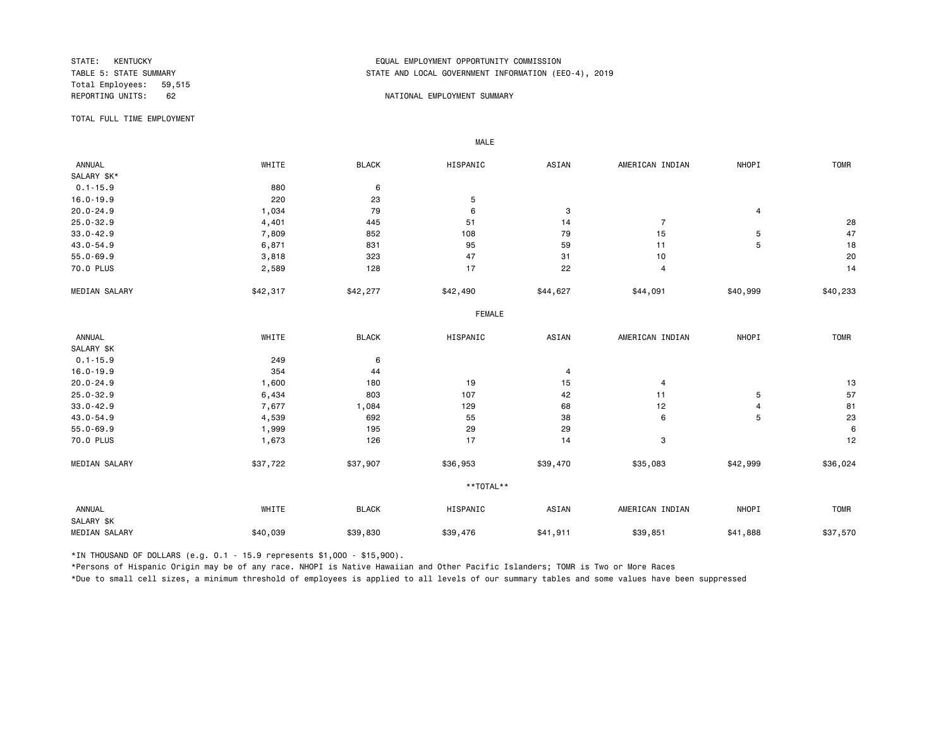Total Employees: 59,515

# STATE: KENTUCKY EQUAL EMPLOYMENT OPPORTUNITY COMMISSION STATE AND LOCAL GOVERNMENT INFORMATION (EEO-4), 2019

### REPORTING UNITS: 62 62 NATIONAL EMPLOYMENT SUMMARY

TOTAL FULL TIME EMPLOYMENT

 ANNUAL WHITE BLACK HISPANIC ASIAN AMERICAN INDIAN NHOPI TOMR SALARY \$K\*<br>0.1-15.9 0.1-15.9 880 6 16.0-19.9 220 23 5 20.0-24.9 1,034 79 6 3 4 25.0-32.9 4,401 445 51 14 7 28 33.0-42.9 7,809 852 108 79 15 5 47 43.0-54.9 6,871 831 95 59 11 5 18 55.0-69.9 3,818 323 47 31 10 20 70.0 PLUS 2,589 128 17 22 4 14 MEDIAN SALARY \$42,317 \$42,277 \$42,490 \$44,627 \$40,999 \$40,999 \$40,233 \$40,233 FEMALE **FRAME**  ANNUAL WHITE BLACK HISPANIC ASIAN AMERICAN INDIAN NHOPI TOMR SALARY \$K<br>0.1-15.9 0.1-15.9 249 6  $16.0-19.9$   $354$   $44$   $4$ 20.0-24.9 1,600 180 19 15 4 13 25.0-32.9 6,434 803 107 42 11 5 5 57 33.0-42.9 7,677 1,084 129 68 12 4 81 43.0-54.9 4,539 692 55 38 6 5 23 55.0-69.9 1,999 195 29 29 6 70.0 PLUS 1,673 126 17 14 3 12 MEDIAN SALARY \$37,722 \$37,907 \$36,953 \$39,470 \$35,083 \$42,999 \$36,024 \*\*TOTAL\*\* ANNUAL WHITE BLACK HISPANIC ASIAN AMERICAN INDIAN NHOPI TOMR SALARY \$K MEDIAN SALARY \$40,039 \$39,830 \$39,476 \$39,951 \$41,888 \$37,570

\*IN THOUSAND OF DOLLARS (e.g. 0.1 - 15.9 represents \$1,000 - \$15,900).

MALE

\*Persons of Hispanic Origin may be of any race. NHOPI is Native Hawaiian and Other Pacific Islanders; TOMR is Two or More Races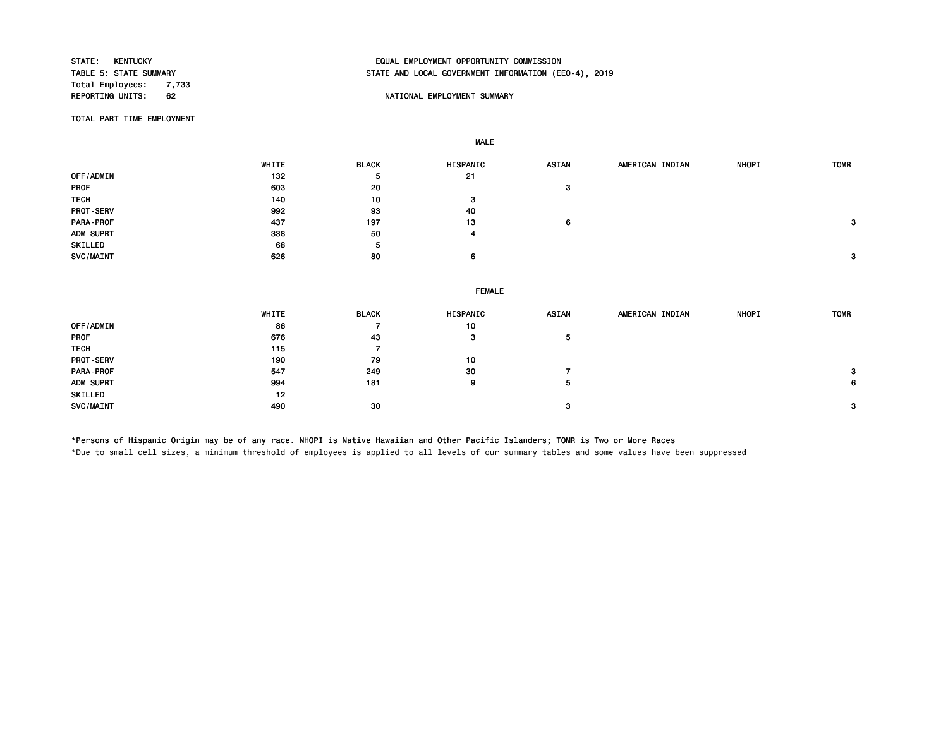Total Employees: 7,733<br>REPORTING UNITS: 62

# STATE: KENTUCKY EQUAL EMPLOYMENT OPPORTUNITY COMMISSION STATE AND LOCAL GOVERNMENT INFORMATION (EEO-4), 2019

## 62 **REPORTING UNITS: REPORTING UNITS: REPORTING UNITS: REPORTING UNITS: REPORT**

TOTAL PART TIME EMPLOYMENT

MALE

|                  | WHITE | <b>BLACK</b> | HISPANIC      | <b>ASIAN</b> | AMERICAN INDIAN | <b>NHOPI</b> | <b>TOMR</b> |
|------------------|-------|--------------|---------------|--------------|-----------------|--------------|-------------|
| OFF/ADMIN        | 132   | 5            | 21            |              |                 |              |             |
| PROF             | 603   | 20           |               | 3            |                 |              |             |
| <b>TECH</b>      | 140   | 10           | 3             |              |                 |              |             |
| <b>PROT-SERV</b> | 992   | 93           | 40            |              |                 |              |             |
| <b>PARA-PROF</b> | 437   | 197          | 13            | 6            |                 |              | 3           |
| ADM SUPRT        | 338   | 50           | 4             |              |                 |              |             |
| SKILLED          | 68    | 5            |               |              |                 |              |             |
| <b>SVC/MAINT</b> | 626   | 80           | 6             |              |                 |              | 3           |
|                  |       |              |               |              |                 |              |             |
|                  |       |              |               |              |                 |              |             |
|                  |       |              | <b>FEMALE</b> |              |                 |              |             |
|                  |       |              |               |              |                 |              |             |

|                  | WHITE | <b>BLACK</b> | <b>HISPANIC</b> | <b>ASIAN</b> | AMERICAN INDIAN | <b>NHOPI</b> | <b>TOMR</b> |
|------------------|-------|--------------|-----------------|--------------|-----------------|--------------|-------------|
| OFF/ADMIN        | 86    |              | 10              |              |                 |              |             |
| <b>PROF</b>      | 676   | 43           | з               | 5            |                 |              |             |
| <b>TECH</b>      | 115   |              |                 |              |                 |              |             |
| <b>PROT-SERV</b> | 190   | 79           | 10              |              |                 |              |             |
| PARA-PROF        | 547   | 249          | 30              |              |                 |              | 3           |
| ADM SUPRT        | 994   | 181          | 9               |              |                 |              | 6           |
| SKILLED          | 12    |              |                 |              |                 |              |             |
| SVC/MAINT        | 490   | 30           |                 | з            |                 |              | 3           |

\*Persons of Hispanic Origin may be of any race. NHOPI is Native Hawaiian and Other Pacific Islanders; TOMR is Two or More Races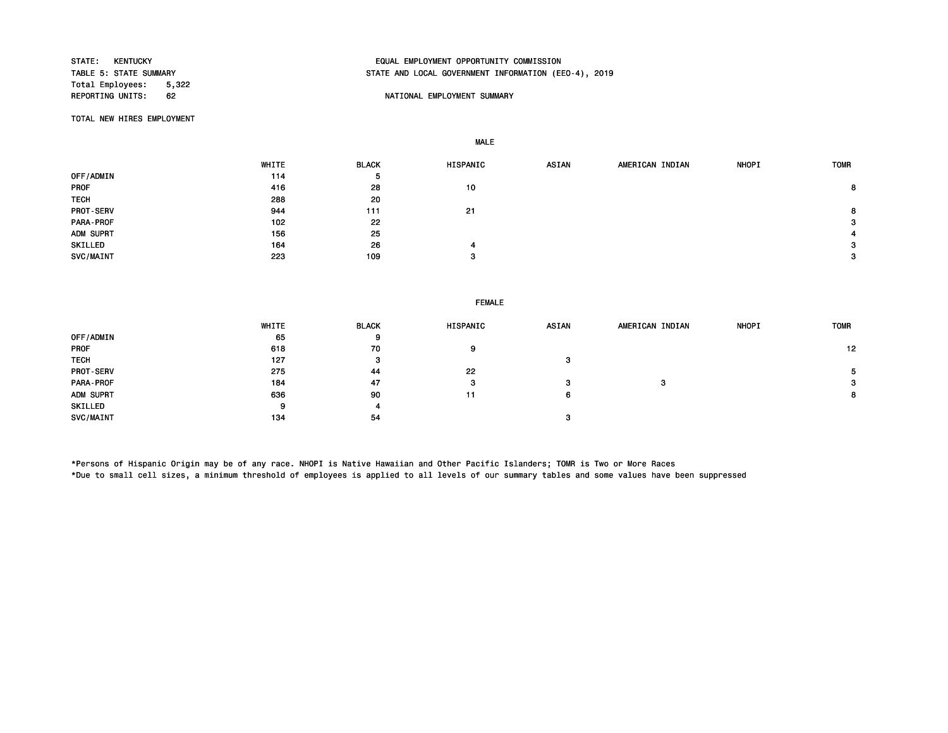Total Employees: 5,322<br>REPORTING UNITS: 62

# STATE: KENTUCKY EQUAL EMPLOYMENT OPPORTUNITY COMMISSION STATE AND LOCAL GOVERNMENT INFORMATION (EEO-4), 2019

### 62 **REPORTION STATES UNITS: REPORTIONAL EMPLOYMENT SUMMARY**

TOTAL NEW HIRES EMPLOYMENT

MALE

 WHITE BLACK HISPANIC ASIAN AMERICAN INDIAN NHOPI TOMR OFF/ADMIN 5<br>PROF 114 5<br>PROF 28 PROF 416 28 10 8 TECH 288 20 PROT-SERV 944 111 21 8 PARA-PROF 102 22 3 ADM SUPRT 156 25 4  $\text{SKILLED} \quad \text{SATE} \quad \text{SATE} \quad \text{SATE} \quad \text{SATE} \quad \text{SATE} \quad \text{SATE} \quad \text{SATE} \quad \text{SATE} \quad \text{SATE} \quad \text{SATE} \quad \text{SATE} \quad \text{SATE} \quad \text{SATE} \quad \text{SATE} \quad \text{SATE} \quad \text{SATE} \quad \text{SATE} \quad \text{SATE} \quad \text{SATE} \quad \text{SATE} \quad \text{SATE} \quad \text{SATE} \quad \text{SATE} \quad \text{SATE} \quad \text{SATE} \quad \text{SATE} \quad \text{$  $SVC/MAINT$   $223$   $109$   $3$ 

## FEMALE

|                  | WHITE | <b>BLACK</b> | HISPANIC | ASIAN | AMERICAN INDIAN | <b>NHOPI</b> | <b>TOMR</b> |
|------------------|-------|--------------|----------|-------|-----------------|--------------|-------------|
| OFF/ADMIN        | 65    | 9            |          |       |                 |              |             |
| <b>PROF</b>      | 618   | 70           | 9        |       |                 |              | 12          |
| <b>TECH</b>      | 127   | з            |          | з     |                 |              |             |
| <b>PROT-SERV</b> | 275   | 44           | 22       |       |                 |              | 5.          |
| PARA-PROF        | 184   | 47           | з        | з     | з               |              | 3           |
| ADM SUPRT        | 636   | 90           | 11       | 6     |                 |              | 8           |
| SKILLED          | 9     | 4            |          |       |                 |              |             |
| SVC/MAINT        | 134   | 54           |          |       |                 |              |             |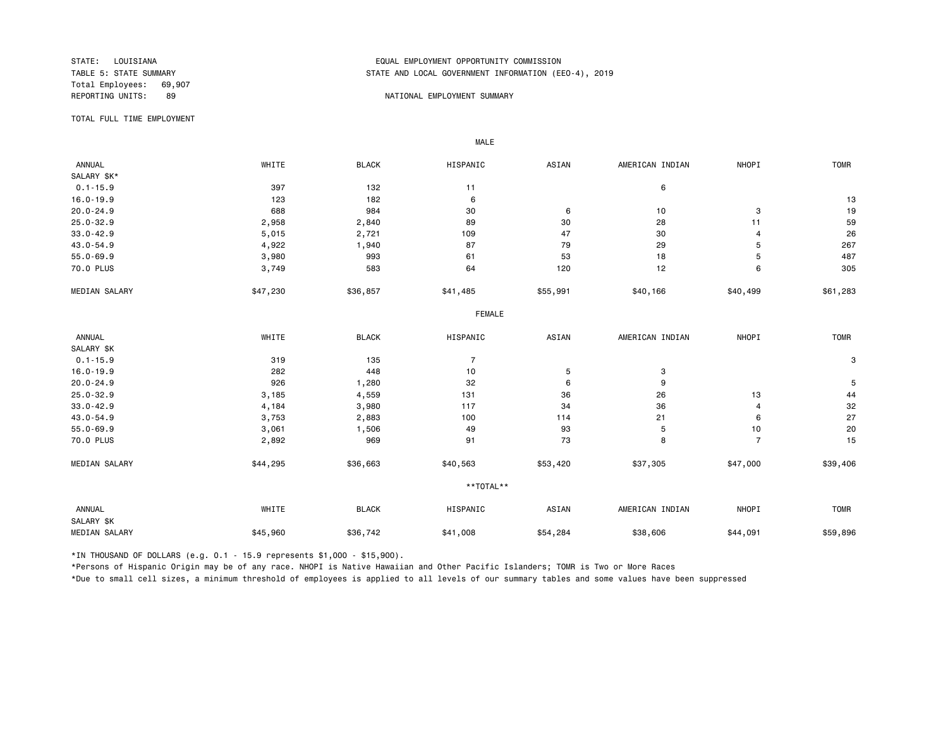Total Employees: 69,907

# STATE: LOUISIANA EQUAL EMPLOYMENT OPPORTUNITY COMMISSION STATE AND LOCAL GOVERNMENT INFORMATION (EEO-4), 2019

### REPORTING UNITS: 89 NATIONAL EMPLOYMENT SUMMARY

TOTAL FULL TIME EMPLOYMENT

 ANNUAL WHITE BLACK HISPANIC ASIAN AMERICAN INDIAN NHOPI TOMR SALARY \$K\*<br>0.1-15.9  $0.1-15.9$  6 16.0-19.9 123 182 6 13 20.0-24.9 688 984 30 6 10 3 19 25.0-32.9 2,958 2,840 89 30 28 11 59 33.0-42.9 5,015 2,721 109 47 30 4 26 43.0-54.9 4,922 1,940 87 79 29 5 267 55.0-69.9 3,980 993 61 53 18 5 487 70.0 PLUS 3,749 583 64 120 12 6 305 MEDIAN SALARY \$47,230 \$36,857 \$41,485 \$40,166 \$40,499 \$61,283 \$61,283 FEMALE **FRAME**  ANNUAL WHITE BLACK HISPANIC ASIAN AMERICAN INDIAN NHOPI TOMR SALARY \$K<br>0.1-15.9  $0.1$ -15.9 319 319 135 7 16.0-19.9 282 448 10 5 3 20.0-24.9 926 1,280 32 6 9 5 25.0-32.9 3,185 4,559 131 36 26 13 44 33.0-42.9 4,184 3,980 117 34 36 4 32 43.0-54.9 3,753 2,883 100 114 21 6 27 55.0-69.9 3,061 1,506 49 93 5 10 20 70.0 PLUS 2,892 969 91 73 8 7 15 MEDIAN SALARY \$44,295 \$36,663 \$40,563 \$53,420 \$37,305 \$47,000 \$39,406 \*\*TOTAL\*\* ANNUAL WHITE BLACK HISPANIC ASIAN AMERICAN INDIAN NHOPI TOMR SALARY \$K MEDIAN SALARY \$45,960 \$36,742 \$41,008 \$58,806 \$44,091 \$59,896 \$59,896

\*IN THOUSAND OF DOLLARS (e.g. 0.1 - 15.9 represents \$1,000 - \$15,900).

MALE

\*Persons of Hispanic Origin may be of any race. NHOPI is Native Hawaiian and Other Pacific Islanders; TOMR is Two or More Races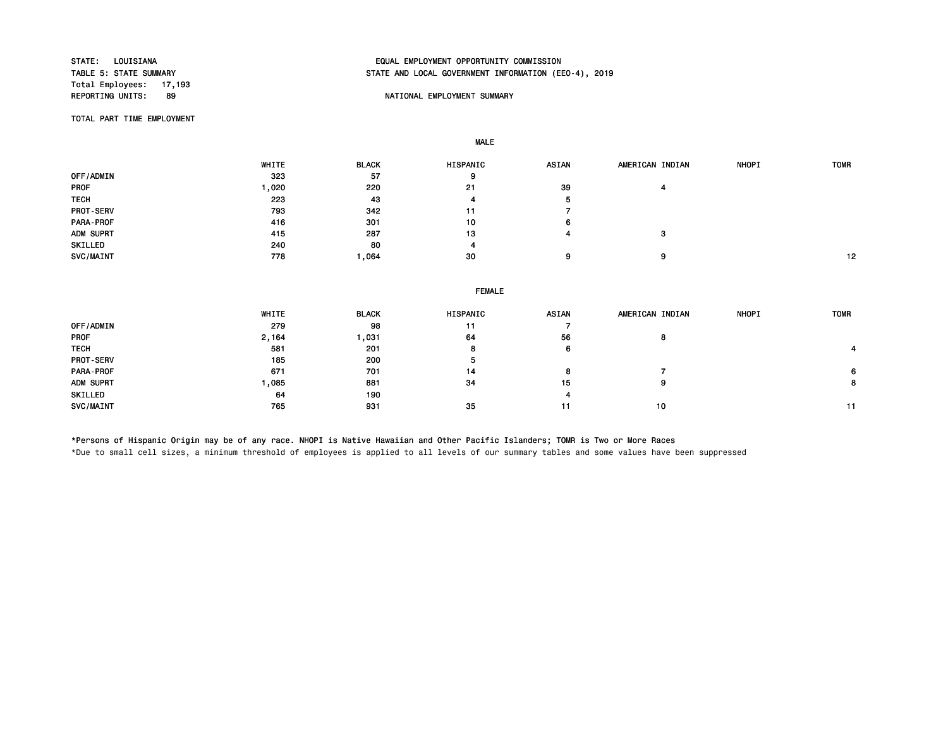Total Employees: 17,193<br>REPORTING UNITS: 89

# STATE: LOUISIANA EQUAL EMPLOYMENT OPPORTUNITY COMMISSION STATE AND LOCAL GOVERNMENT INFORMATION (EEO-4), 2019

### 89 NATIONAL EMPLOYMENT SUMMARY

TOTAL PART TIME EMPLOYMENT

MALE

 WHITE BLACK HISPANIC ASIAN AMERICAN INDIAN NHOPI TOMR OFF/ADMIN 323 57 9 PROF 1,020 220 21 39 4 TECH 223 43 4 5 PROT-SERV 793 342 11 7 PARA-PROF 416 301 10 6 ADM SUPRT 415 287 13 4 3 SKILLED 4 240 80 4 SVC/MAINT 778 1,064 30 9 9 12

# FEMALE WHITE BLACK HISPANIC ASIAN AMERICAN INDIAN NHOPI TOMR OFF/ADMIN 279 98 11 7 PROF 2,164 1,031 64 56 8 TECH 581 201 8 6 4 PROT-SERV 5 200 200 5 PARA-PROF 671 701 14 8 7 6 ADM SUPRT 1 ,085 881 34 15 9 8 SKILLED 64 190 4 SVC/MAINT 765 931 35 11 10 11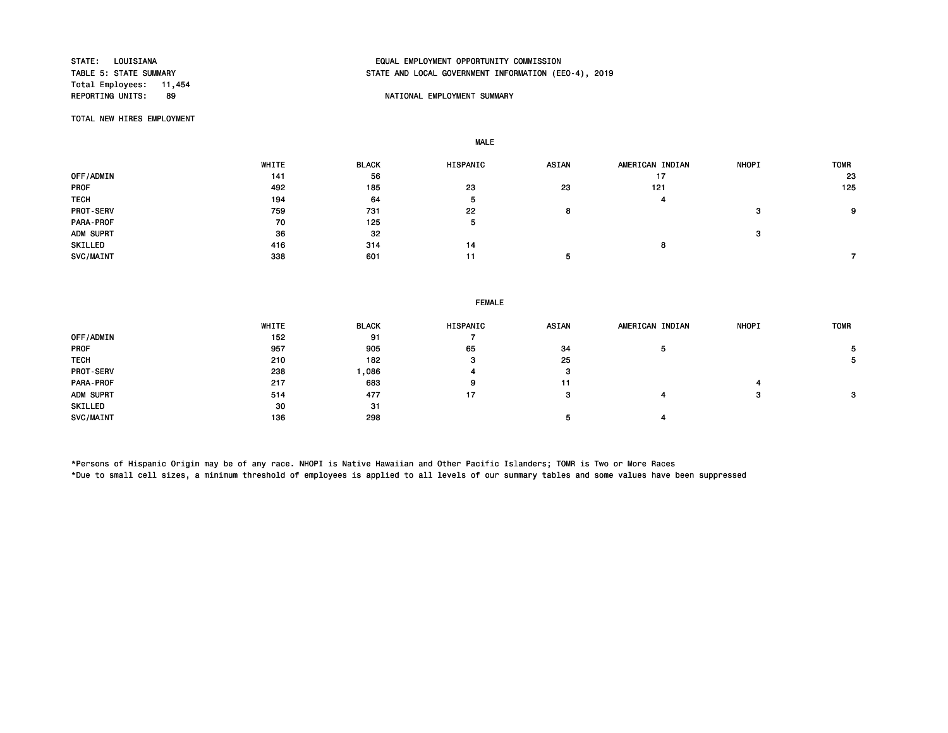Total Employees: 11,454

# STATE: LOUISIANA EQUAL EMPLOYMENT OPPORTUNITY COMMISSION STATE AND LOCAL GOVERNMENT INFORMATION (EEO-4), 2019

### 89 NATIONAL EMPLOYMENT SUMMARY

TOTAL NEW HIRES EMPLOYMENT

MALE

 WHITE BLACK HISPANIC ASIAN AMERICAN INDIAN NHOPI TOMR 0FF/ADMIN 23 19 23 19 23 24 25 25 26 27 28 29 29 29 29 20 21 22 23 24 25 27 27 27 27 27 27 27 27 27 27 27 27 2 PROF 492 185 23 23 121 125 TECH 194 64 5 4 PROT-SERV 759 731 22 8 3 9 PARA-PROF 5 5 ADM SUPRT  $36$   $32$ SKILLED 416 314 14 8  $SVC/MAINT$  338 601 11 5 7 7 7 7 7 7 8 7 7 7 8 7 7 7 7 8 7 7 7 7 8 7 7 7 8 7 7 7 8 7 7 8 7 7 8 7 7 8 7 7 8 7 7 8 7 7 8 7 8 7 8 7 8 7 8 7 8 7 8 7 8 7 8 7 8 7 8 7 8 7 8 7 8 7 8 7 8 7 8 7 8 7 8 7 8 7 8 7 8 7 8 7 8 7 8 7 8 7 8 7

### FEMALE

|                  | WHITE | <b>BLACK</b> | <b>HISPANIC</b> | <b>ASIAN</b> | AMERICAN INDIAN | <b>NHOPI</b> | <b>TOMR</b> |
|------------------|-------|--------------|-----------------|--------------|-----------------|--------------|-------------|
| OFF/ADMIN        | 152   | 91           |                 |              |                 |              |             |
| <b>PROF</b>      | 957   | 905          | 65              | 34           | ь               |              |             |
| <b>TECH</b>      | 210   | 182          | -3              | 25           |                 |              | э.          |
| <b>PROT-SERV</b> | 238   | ,086         |                 | o<br>ø       |                 |              |             |
| PARA-PROF        | 217   | 683          | 9               | 11           |                 |              |             |
| ADM SUPRT        | 514   | 477          | 17              | з            |                 | ≏            | 3           |
| SKILLED          | 30    | -31          |                 |              |                 |              |             |
| SVC/MAINT        | 136   | 298          |                 |              |                 |              |             |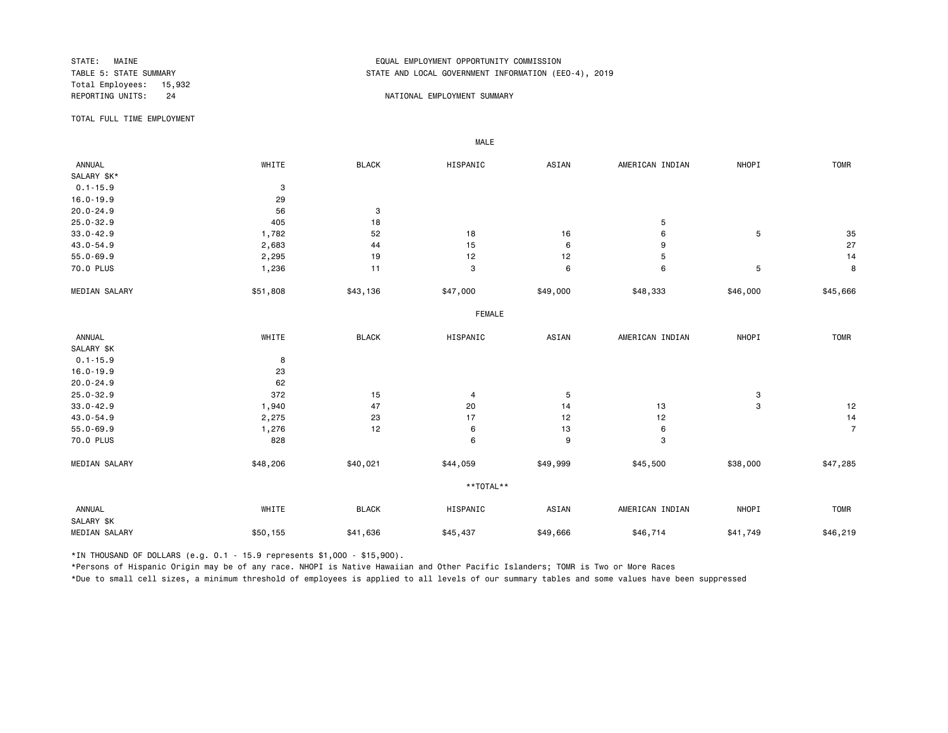Total Employees: 15,932

# STATE: MAINE EQUAL EMPLOYMENT OPPORTUNITY COMMISSION STATE AND LOCAL GOVERNMENT INFORMATION (EEO-4), 2019

### REPORTING UNITS: 24 24 NATIONAL EMPLOYMENT SUMMARY

TOTAL FULL TIME EMPLOYMENT

 ANNUAL WHITE BLACK HISPANIC ASIAN AMERICAN INDIAN NHOPI TOMR SALARY \$K\*  $0.1 - 15.9$ <br> $16.0 - 19.9$ <br> $29$ 16.0-19.9 29<br>20.0-24.9 56 20.0-24.9 56 3  $25.0-32.9$  5 33.0-42.9 1,782 52 18 16 6 5 35 43.0-54.9 2,683 44 15 6 9 27 55.0-69.9 2,295 19 12 12 5 14 70.0 PLUS 1,236 11 3 6 6 5 8 MEDIAN SALARY \$51,808 \$43,136 \$47,000 \$49,000 \$48,333 \$46,000 \$45,666 FEMALE **FRAME**  ANNUAL WHITE BLACK HISPANIC ASIAN AMERICAN INDIAN NHOPI TOMR SALARY \$K 0.1-15.9 8 16.0-19.9 23 20.0-24.9 62 25.0-32.9 372 15 4 5 3 33.0-42.9 1,940 47 20 14 13 3 12 43.0-54.9 2,275 23 17 12 12 14 55.0-69.9 1,276 12 6 13 6 7 70.0 PLUS 828 828 6 9 3 MEDIAN SALARY \$48,206 \$40,021 \$44,059 \$49,999 \$45,500 \$38,000 \$47,285 \*\*TOTAL\*\* ANNUAL WHITE BLACK HISPANIC ASIAN AMERICAN INDIAN NHOPI TOMR SALARY \$K MEDIAN SALARY \$50,155 \$41,636 \$45,437 \$46,714 \$41,749 \$46,219

\*IN THOUSAND OF DOLLARS (e.g. 0.1 - 15.9 represents \$1,000 - \$15,900).

MALE

\*Persons of Hispanic Origin may be of any race. NHOPI is Native Hawaiian and Other Pacific Islanders; TOMR is Two or More Races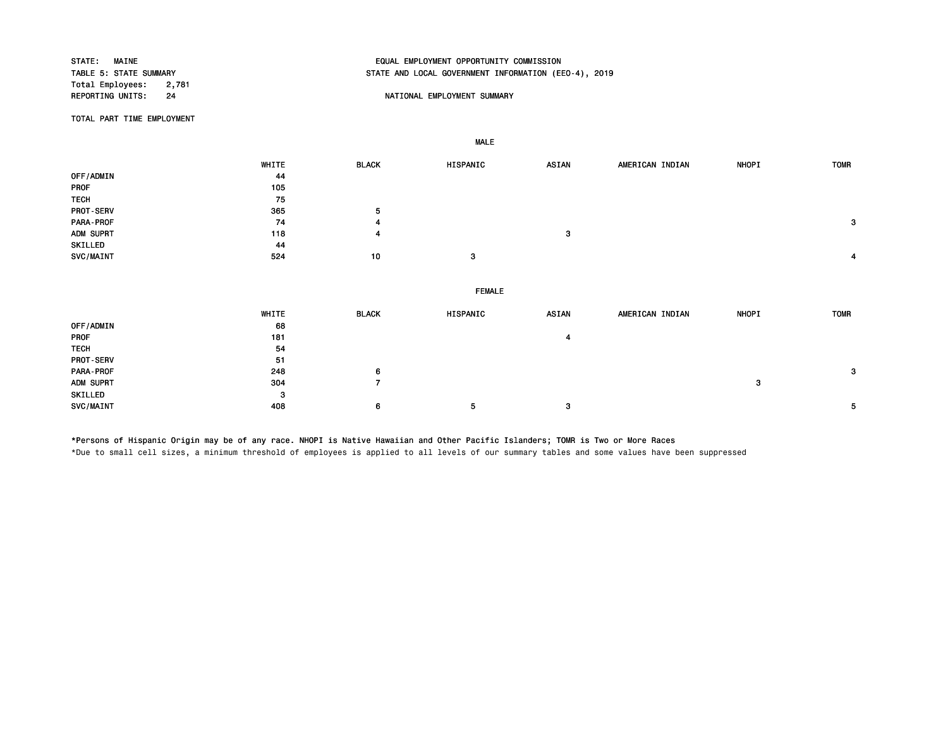Total Employees: 2,781<br>REPORTING UNITS: 24

# STATE: MAINE EQUAL EMPLOYMENT OPPORTUNITY COMMISSION STATE AND LOCAL GOVERNMENT INFORMATION (EEO-4), 2019

## NATIONAL EMPLOYMENT SUMMARY

TOTAL PART TIME EMPLOYMENT

MALE

|             | WHITE | <b>BLACK</b>   | HISPANIC      | <b>ASIAN</b> | AMERICAN INDIAN | NHOPI | <b>TOMR</b>  |
|-------------|-------|----------------|---------------|--------------|-----------------|-------|--------------|
| OFF/ADMIN   | 44    |                |               |              |                 |       |              |
| PROF        | 105   |                |               |              |                 |       |              |
| <b>TECH</b> | 75    |                |               |              |                 |       |              |
| PROT-SERV   | 365   | 5              |               |              |                 |       |              |
| PARA-PROF   | 74    |                |               |              |                 |       | 3            |
| ADM SUPRT   | 118   | 4              |               | 3            |                 |       |              |
| SKILLED     | 44    |                |               |              |                 |       |              |
| SVC/MAINT   | 524   | 10             | 3             |              |                 |       | 4            |
|             |       |                |               |              |                 |       |              |
|             |       |                | <b>FEMALE</b> |              |                 |       |              |
|             | WHITE | <b>BLACK</b>   | HISPANIC      | <b>ASIAN</b> | AMERICAN INDIAN | NHOPI | <b>TOMR</b>  |
| OFF/ADMIN   | 68    |                |               |              |                 |       |              |
| PROF        | 181   |                |               | 4            |                 |       |              |
| <b>TECH</b> | 54    |                |               |              |                 |       |              |
| PROT-SERV   | 51    |                |               |              |                 |       |              |
| PARA-PROF   | 248   | 6              |               |              |                 |       | $\mathbf{3}$ |
| ADM SUPRT   | 304   | $\overline{7}$ |               |              |                 | 3     |              |
| SKILLED     | 3     |                |               |              |                 |       |              |
| SVC/MAINT   | 408   | 6              | 5             | 3            |                 |       | 5            |

\*Persons of Hispanic Origin may be of any race. NHOPI is Native Hawaiian and Other Pacific Islanders; TOMR is Two or More Races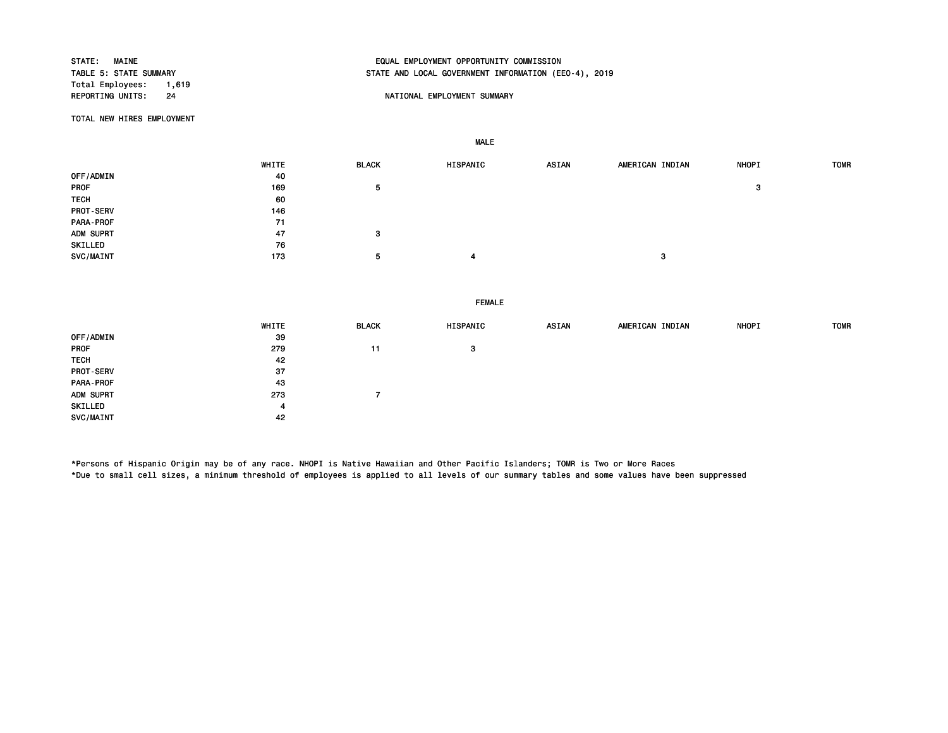STATE: MAINE EQUAL EMPLOYMENT OPPORTUNITY COMMISSION STATE AND LOCAL GOVERNMENT INFORMATION (EEO-4), 2019 Total Employees: 1,619<br>REPORTING UNITS: 24 NATIONAL EMPLOYMENT SUMMARY

MALE

TOTAL NEW HIRES EMPLOYMENT

|                  | WHITE | <b>BLACK</b> | HISPANIC | <b>ASIAN</b> | AMERICAN INDIAN | <b>NHOPI</b> | <b>TOMR</b> |
|------------------|-------|--------------|----------|--------------|-----------------|--------------|-------------|
| OFF/ADMIN        | 40    |              |          |              |                 |              |             |
| PROF             | 169   | 5            |          |              |                 | -3           |             |
| <b>TECH</b>      | 60    |              |          |              |                 |              |             |
| <b>PROT-SERV</b> | 146   |              |          |              |                 |              |             |
| PARA-PROF        | 71    |              |          |              |                 |              |             |
| ADM SUPRT        | 47    | з            |          |              |                 |              |             |
| SKILLED          | 76    |              |          |              |                 |              |             |
| <b>SVC/MAINT</b> | 173   | 5            | 4        |              | $\bullet$<br>-3 |              |             |

FEMALE

|             | WHITE | <b>BLACK</b> | HISPANIC | ASIAN | AMERICAN INDIAN | <b>NHOPI</b> | <b>TOMR</b> |
|-------------|-------|--------------|----------|-------|-----------------|--------------|-------------|
| OFF/ADMIN   | 39    |              |          |       |                 |              |             |
| <b>PROF</b> | 279   | 11           | з        |       |                 |              |             |
| <b>TECH</b> | 42    |              |          |       |                 |              |             |
| PROT-SERV   | 37    |              |          |       |                 |              |             |
| PARA-PROF   | 43    |              |          |       |                 |              |             |
| ADM SUPRT   | 273   |              |          |       |                 |              |             |
| SKILLED     | 4     |              |          |       |                 |              |             |
| SVC/MAINT   | 42    |              |          |       |                 |              |             |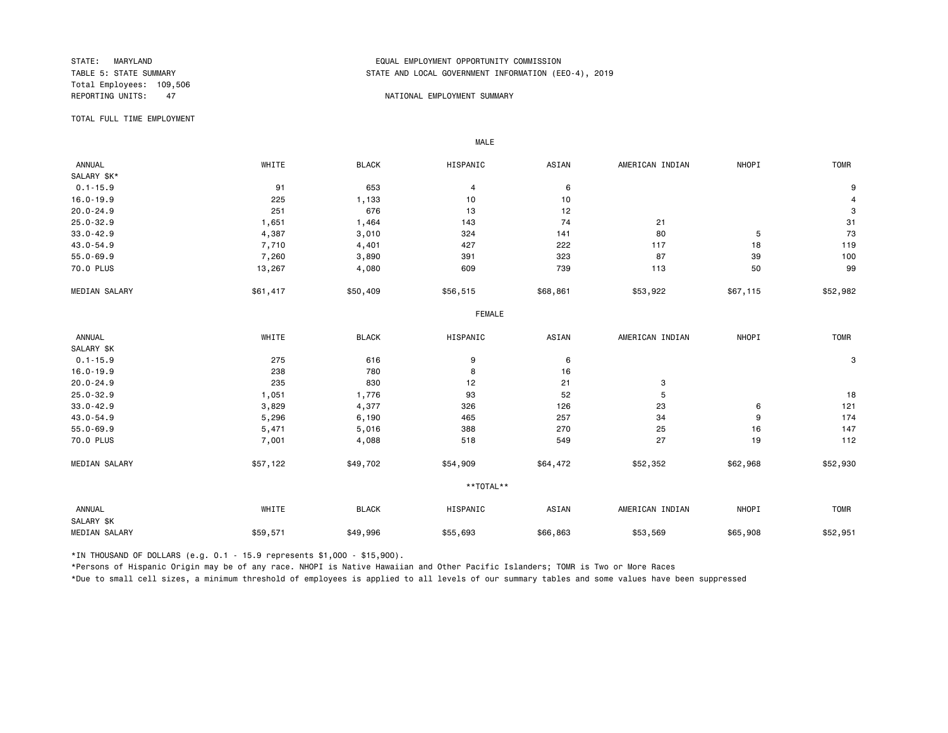Total Employees: 109,506<br>REPORTING UNITS: 47

# STATE: MARYLAND EQUAL EMPLOYMENT OPPORTUNITY COMMISSION STATE AND LOCAL GOVERNMENT INFORMATION (EEO-4), 2019

### AT A REPORT OF THE PORTIONAL EMPLOYMENT SUMMARY

TOTAL FULL TIME EMPLOYMENT

 ANNUAL WHITE BLACK HISPANIC ASIAN AMERICAN INDIAN NHOPI TOMR SALARY \$K\*<br>0.1-15.9 0.1-15.9 91 653 4 6 9 16.0-19.9 225 1,133 10 10 4 20.0-24.9 251 676 13 12 3 25.0-32.9 1,651 1,464 143 74 21 31 33.0-42.9 4,387 3,010 324 141 80 5 73 43.0-54.9 7,710 4,401 427 222 117 18 119 55.0-69.9 7,260 3,890 391 323 87 39 100 70.0 PLUS 13,267 4,080 609 739 113 50 99 MEDIAN SALARY \$51,417 \$50,409 \$56,515 \$68,861 \$53,922 \$67,115 \$52,982 FEMALE **FRAME**  ANNUAL WHITE BLACK HISPANIC ASIAN AMERICAN INDIAN NHOPI TOMR SALARY \$K<br>0.1-15.9  $0.1$ -15.9 275 275 616 9 6 6 71-15.9 3 16.0-19.9 238 780 8 16 20.0-24.9 235 830 12 21 3 25.0-32.9 1,051 1,776 93 52 5 18 33.0-42.9 3,829 4,377 326 126 23 6 121 43.0-54.9 5,296 6,190 465 257 34 9 174 55.0-69.9 5,471 5,016 388 270 25 16 147 70.0 PLUS 7<sub>,</sub>001 4,088 518 549 27 19 112 MEDIAN SALARY \$57,122 \$49,702 \$54,909 \$64,472 \$52,352 \$62,968 \$52,930 \*\*TOTAL\*\* ANNUAL WHITE BLACK HISPANIC ASIAN AMERICAN INDIAN NHOPI TOMR SALARY \$K 00010 1652,954 \$59,571 \$49,996 \$55,693 \$66,863 \$53,569 \$65,908 \$52,951 \$52,951 \$549,908 \$52,951 \$65,908 \$52,951

\*IN THOUSAND OF DOLLARS (e.g. 0.1 - 15.9 represents \$1,000 - \$15,900).

MALE

\*Persons of Hispanic Origin may be of any race. NHOPI is Native Hawaiian and Other Pacific Islanders; TOMR is Two or More Races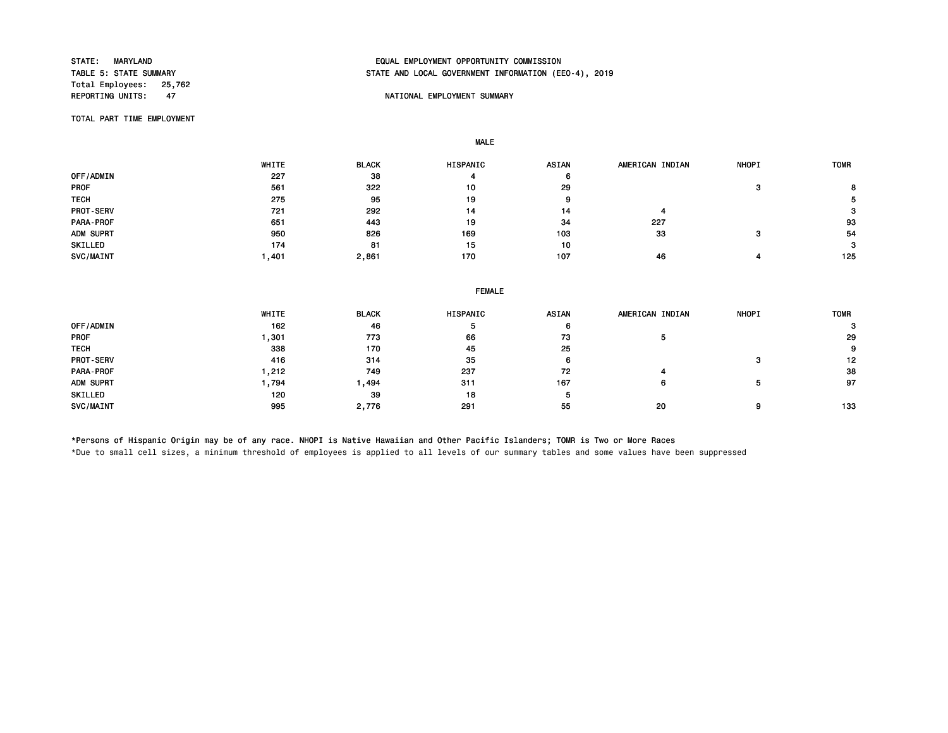Total Employees: 25,762<br>REPORTING UNITS: 47

# STATE: MARYLAND EQUAL EMPLOYMENT OPPORTUNITY COMMISSION STATE AND LOCAL GOVERNMENT INFORMATION (EEO-4), 2019

## NATIONAL EMPLOYMENT SUMMARY

TOTAL PART TIME EMPLOYMENT

MALE

|             | WHITE | <b>BLACK</b> | <b>HISPANIC</b> | <b>ASIAN</b> | AMERICAN INDIAN | <b>NHOPI</b> | <b>TOMR</b> |
|-------------|-------|--------------|-----------------|--------------|-----------------|--------------|-------------|
| OFF/ADMIN   | 227   | 38           |                 | 6            |                 |              |             |
| <b>PROF</b> | 561   | 322          | 10              | 29           |                 |              | 8           |
| <b>TECH</b> | 275   | 95           | 19              | 9            |                 |              |             |
| PROT-SERV   | 721   | 292          | 14              | 14           |                 |              | 3           |
| PARA-PROF   | 651   | 443          | 19              | 34           | 227             |              | 93          |
| ADM SUPRT   | 950   | 826          | 169             | 103          | 33              |              | 54          |
| SKILLED     | 174   | 81           | 15              | 10           |                 |              | 3           |
| SVC/MAINT   | .401  | 2,861        | 170             | 107          | 46              |              | 125         |

### FEMALE

|                  | WHITE | <b>BLACK</b> | <b>HISPANIC</b> | <b>ASIAN</b> | AMERICAN INDIAN | <b>NHOPI</b> | <b>TOMR</b> |
|------------------|-------|--------------|-----------------|--------------|-----------------|--------------|-------------|
| OFF/ADMIN        | 162   | 46           | Ð               | 6            |                 |              | з           |
| <b>PROF</b>      | .301  | 773          | 66              | 73           |                 |              | 29          |
| <b>TECH</b>      | 338   | 170          | 45              | 25           |                 |              | 9           |
| <b>PROT-SERV</b> | 416   | 314          | 35              | 6            |                 | 3            | 12          |
| PARA-PROF        | ,212  | 749          | 237             | 72           |                 |              | 38          |
| ADM SUPRT        | ,794  | ,494         | 311             | 167          | 6               |              | 97          |
| SKILLED          | 120   | 39           | 18              |              |                 |              |             |
| SVC/MAINT        | 995   | 2,776        | 291             | 55           | 20              | 9            | 133         |

\*Persons of Hispanic Origin may be of any race. NHOPI is Native Hawaiian and Other Pacific Islanders; TOMR is Two or More Races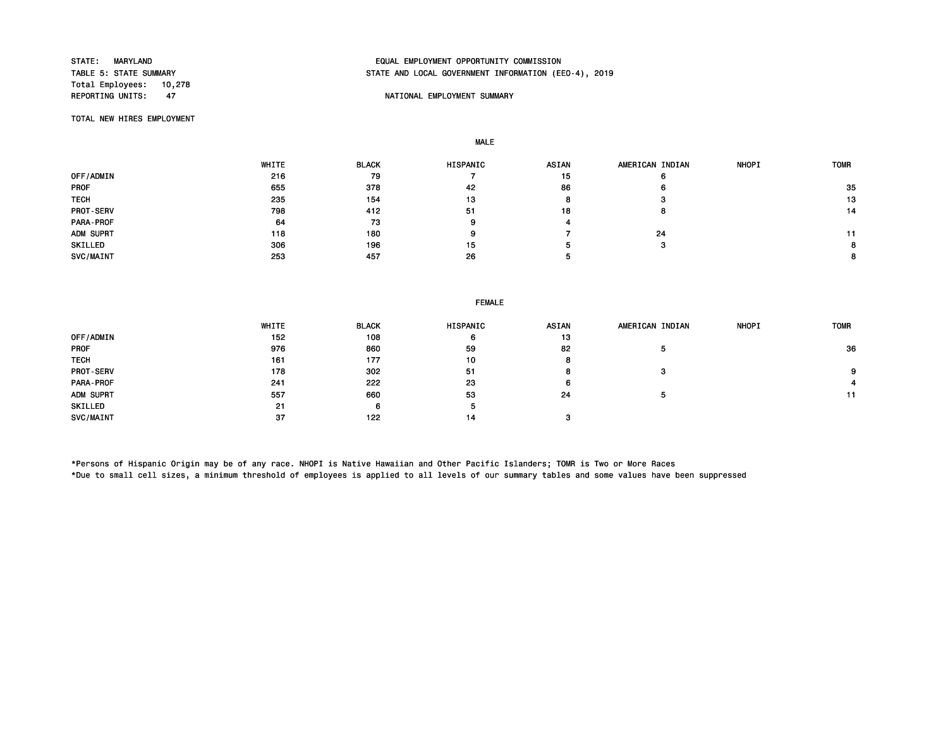Total Employees: 10,278<br>REPORTING UNITS: 47

# STATE: MARYLAND EQUAL EMPLOYMENT OPPORTUNITY COMMISSION STATE AND LOCAL GOVERNMENT INFORMATION (EEO-4), 2019

## NATIONAL EMPLOYMENT SUMMARY

TOTAL NEW HIRES EMPLOYMENT

MALE

|             | WHITE | <b>BLACK</b> | HISPANIC | <b>ASIAN</b> | AMERICAN INDIAN | <b>NHOPI</b> | <b>TOMR</b> |
|-------------|-------|--------------|----------|--------------|-----------------|--------------|-------------|
| OFF/ADMIN   | 216   | 79           |          | 15           | O               |              |             |
| <b>PROF</b> | 655   | 378          | 42       | 86           | 6               |              | 35          |
| <b>TECH</b> | 235   | 154          | 13       | o            | -3              |              | 13          |
| PROT-SERV   | 798   | 412          | 51       | 18           | ö               |              | 14          |
| PARA-PROF   | 64    | 73           |          |              |                 |              |             |
| ADM SUPRT   | 118   | 180          |          |              | 24              |              |             |
| SKILLED     | 306   | 196          | 15       |              | з               |              |             |
| SVC/MAINT   | 253   | 457          | 26       |              |                 |              | 8           |

## FEMALE

|                  | WHITE | <b>BLACK</b> | HISPANIC | <b>ASIAN</b> | AMERICAN INDIAN | <b>NHOPI</b> | <b>TOMR</b> |
|------------------|-------|--------------|----------|--------------|-----------------|--------------|-------------|
| OFF/ADMIN        | 152   | 108          | 6        | 13           |                 |              |             |
| <b>PROF</b>      | 976   | 860          | 59       | 82           | э               |              | 36          |
| <b>TECH</b>      | 161   | 177          | 10       |              |                 |              |             |
| <b>PROT-SERV</b> | 178   | 302          | 51       |              | з               |              | 9           |
| PARA-PROF        | 241   | 222          | 23       | 6.           |                 |              |             |
| ADM SUPRT        | 557   | 660          | 53       | 24           | ٥               |              | 11          |
| SKILLED          | 21    | 6            | 5        |              |                 |              |             |
| SVC/MAINT        | 37    | 122          | 14       |              |                 |              |             |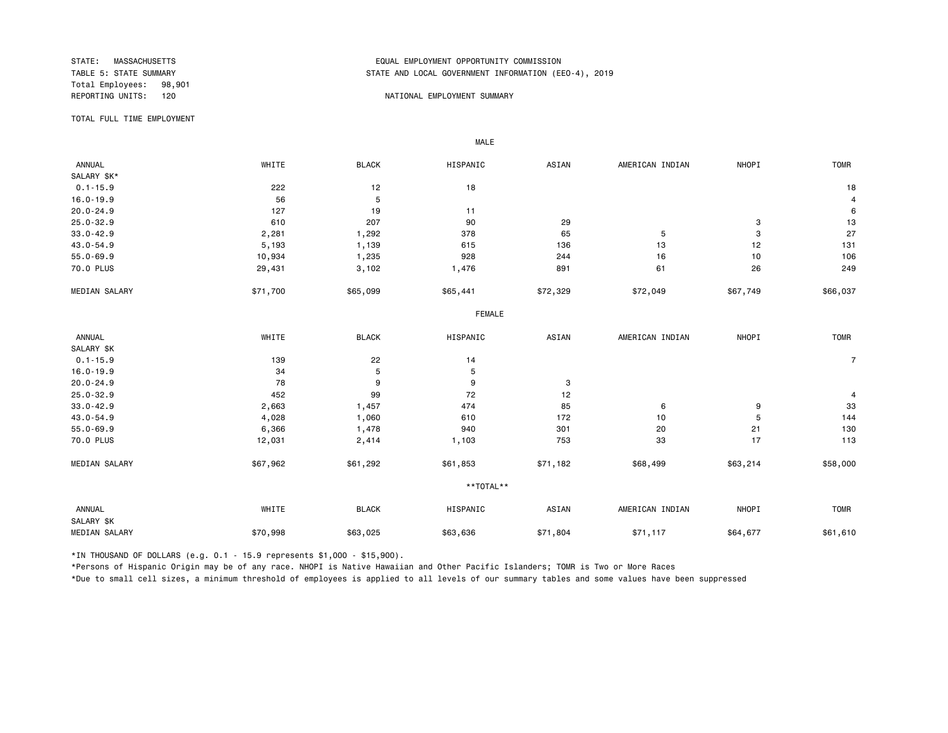Total Employees: 98,901

# STATE: MASSACHUSETTS EQUAL EMPLOYMENT OPPORTUNITY COMMISSION STATE AND LOCAL GOVERNMENT INFORMATION (EEO-4), 2019

### REPORTING UNITS: 120 NATIONAL EMPLOYMENT SUMMARY

TOTAL FULL TIME EMPLOYMENT

 ANNUAL WHITE BLACK HISPANIC ASIAN AMERICAN INDIAN NHOPI TOMR SALARY \$K\*<br>0.1-15.9  $0.1-15.9$  18 18 16.0-19.9 56 5 4 20.0-24.9 127 19 11 6 25.0-32.9 610 207 90 29 3 13 33.0-42.9 2,281 1,292 378 65 5 3 27 43.0-54.9 5,193 1,139 615 136 13 12 131 55.0-69.9 10,934 1,235 928 244 16 10 106 70.0 PLUS 29,431 3,102 1,476 891 61 26 249 MEDIAN SALARY \$71,700 \$65,099 \$65,441 \$72,329 \$72,049 \$66,749 \$66,037 FEMALE **FRAME**  ANNUAL WHITE BLACK HISPANIC ASIAN AMERICAN INDIAN NHOPI TOMR SALARY \$K<br>0.1-15.9 0.1-15.9 139 22 14 7 16.0-19.9 34 5 5 20.0-24.9 78 9 9 3 25.0-32.9 452 99 72 12 4 33.0-42.9 2,663 1,457 474 85 6 9 33 43.0-54.9 4,028 1,060 610 172 10 5 144 55.0-69.9 6,366 1,478 940 301 20 21 130 70.0 PLUS 12,031 2,414 1,103 753 33 17 113 MEDIAN SALARY \$67,962 \$61,292 \$61,853 \$71,182 \$68,499 \$58,214 \$58,000 \*\*TOTAL\*\* ANNUAL WHITE BLACK HISPANIC ASIAN AMERICAN INDIAN NHOPI TOMR SALARY \$K MEDIAN SALARY \$70,998 \$63,025 \$63,636 \$71,804 \$71,117 \$64,677 \$61,610 \$61,610

\*IN THOUSAND OF DOLLARS (e.g. 0.1 - 15.9 represents \$1,000 - \$15,900).

MALE

\*Persons of Hispanic Origin may be of any race. NHOPI is Native Hawaiian and Other Pacific Islanders; TOMR is Two or More Races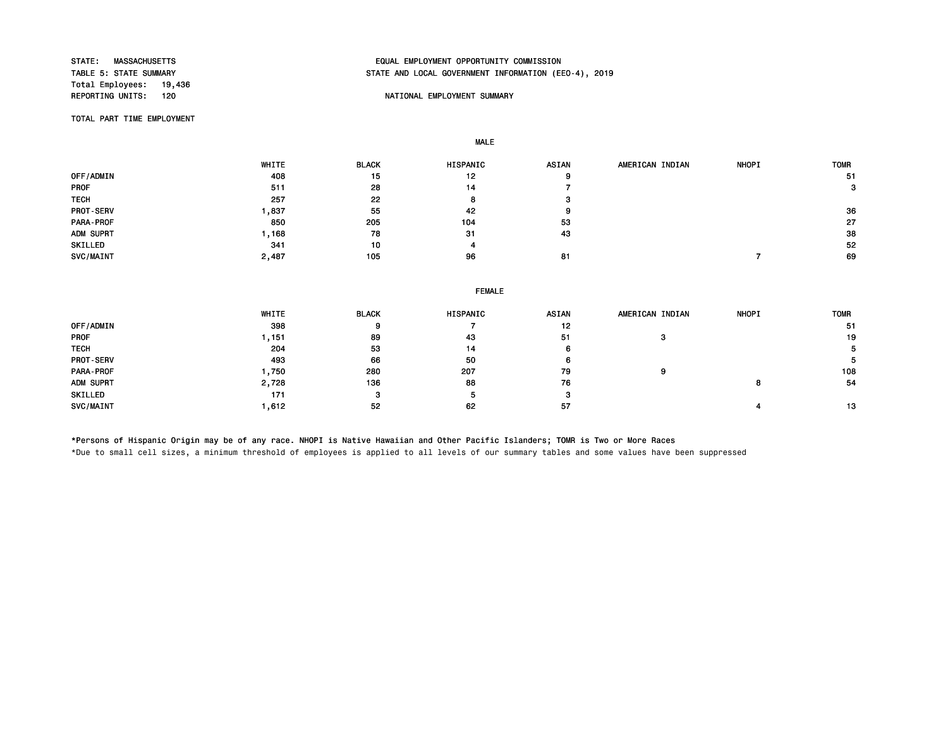Total Employees: 19,436<br>REPORTING UNITS: 120

# STATE: MASSACHUSETTS EQUAL EMPLOYMENT OPPORTUNITY COMMISSION STATE AND LOCAL GOVERNMENT INFORMATION (EEO-4), 2019

## NATIONAL EMPLOYMENT SUMMARY

TOTAL PART TIME EMPLOYMENT

MALE

|                  | WHITE | <b>BLACK</b> | HISPANIC | <b>ASIAN</b> | AMERICAN INDIAN | <b>NHOPI</b> | <b>TOMR</b> |
|------------------|-------|--------------|----------|--------------|-----------------|--------------|-------------|
| OFF/ADMIN        | 408   | 15           | 12       | 9            |                 |              | 51          |
| <b>PROF</b>      | 511   | 28           | 14       |              |                 |              | з           |
| <b>TECH</b>      | 257   | 22           | o        | з            |                 |              |             |
| <b>PROT-SERV</b> | ,837  | 55           | 42       | 9            |                 |              | 36          |
| PARA-PROF        | 850   | 205          | 104      | 53           |                 |              | 27          |
| ADM SUPRT        | ,168  | 78           | 31       | 43           |                 |              | 38          |
| SKILLED          | 341   | 10           |          |              |                 |              | 52          |
| SVC/MAINT        | 2,487 | 105          | 96       | 81           |                 |              | 69          |

|  | <b>FEMALE</b> |
|--|---------------|
|  |               |

|             | WHITE | <b>BLACK</b> | <b>HISPANIC</b> | <b>ASIAN</b> | AMERICAN INDIAN | <b>NHOPI</b> | <b>TOMR</b> |
|-------------|-------|--------------|-----------------|--------------|-----------------|--------------|-------------|
| OFF/ADMIN   | 398   |              |                 | 12           |                 |              | -51         |
| <b>PROF</b> | .151  | 89           | 43              | 51           |                 |              | 19          |
| <b>TECH</b> | 204   | 53           | 14              | 6            |                 |              | 5           |
| PROT-SERV   | 493   | 66           | 50              | 6            |                 |              |             |
| PARA-PROF   | .750  | 280          | 207             | 79           |                 |              | 108         |
| ADM SUPRT   | 2,728 | 136          | 88              | 76           |                 |              | 54          |
| SKILLED     | 171   |              | э               | з            |                 |              |             |
| SVC/MAINT   | .612  | 52           | 62              | 57           |                 |              | 13          |

\*Persons of Hispanic Origin may be of any race. NHOPI is Native Hawaiian and Other Pacific Islanders; TOMR is Two or More Races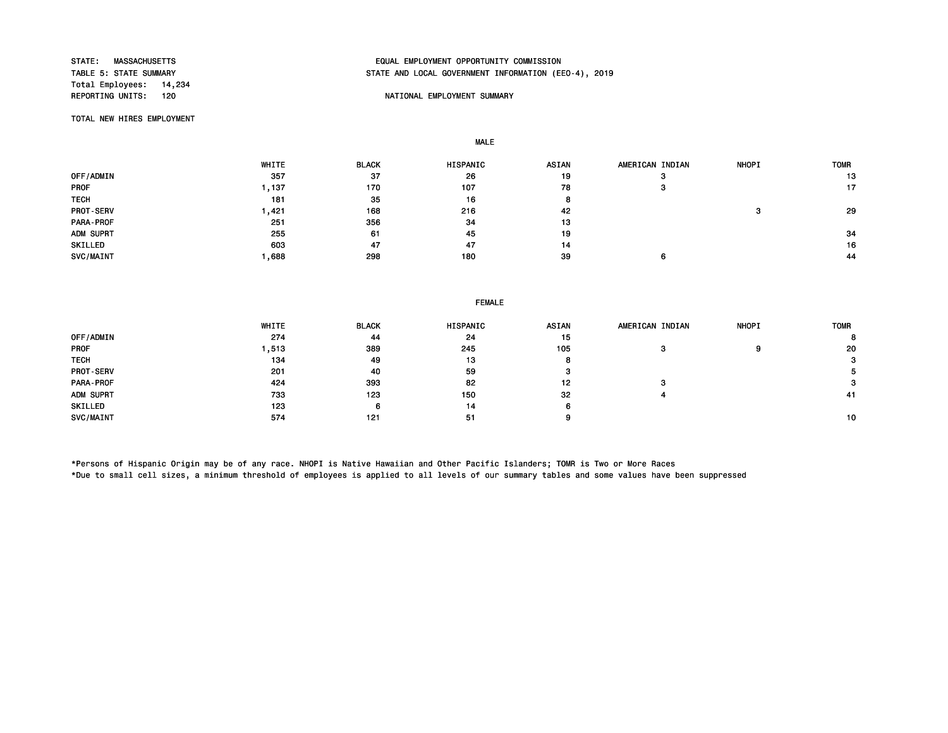Total Employees: 14,234<br>REPORTING UNITS: 120

# STATE: MASSACHUSETTS EQUAL EMPLOYMENT OPPORTUNITY COMMISSION STATE AND LOCAL GOVERNMENT INFORMATION (EEO-4), 2019

## NATIONAL EMPLOYMENT SUMMARY

TOTAL NEW HIRES EMPLOYMENT

MALE

|                  | WHITE | <b>BLACK</b> | <b>HISPANIC</b> | <b>ASIAN</b> | AMERICAN INDIAN | <b>NHOPI</b> | <b>TOMR</b> |
|------------------|-------|--------------|-----------------|--------------|-----------------|--------------|-------------|
| OFF/ADMIN        | 357   | 37           | 26              | 19           | o               |              | 13          |
| <b>PROF</b>      | 137   | 170          | 107             | 78           | ø               |              | 17          |
| <b>TECH</b>      | 181   | 35           | 16              |              |                 |              |             |
| <b>PROT-SERV</b> | .421  | 168          | 216             | 42           |                 |              | 29          |
| <b>PARA-PROF</b> | 251   | 356          | 34              | 13           |                 |              |             |
| ADM SUPRT        | 255   | 61           | 45              | 19           |                 |              | 34          |
| SKILLED          | 603   | 47           | 47              | 14           |                 |              | 16          |
| SVC/MAINT        | .688  | 298          | 180             | 39           |                 |              | 44          |

## FEMALE

|                  | WHITE | <b>BLACK</b> | HISPANIC | <b>ASIAN</b> | AMERICAN INDIAN | <b>NHOPI</b> | <b>TOMR</b> |
|------------------|-------|--------------|----------|--------------|-----------------|--------------|-------------|
| OFF/ADMIN        | 274   | 44           | 24       | 15           |                 |              | 8           |
| <b>PROF</b>      | ,513  | 389          | 245      | 105          |                 | 9            | 20          |
| <b>TECH</b>      | 134   | 49           | 13       |              |                 |              | 3           |
| <b>PROT-SERV</b> | 201   | 40           | 59       | з            |                 |              |             |
| PARA-PROF        | 424   | 393          | 82       | 12           | э               |              | 3           |
| ADM SUPRT        | 733   | 123          | 150      | 32           |                 |              | 41          |
| SKILLED          | 123   | 6            | 14       |              |                 |              |             |
| SVC/MAINT        | 574   | 121          | 51       |              |                 |              | 10          |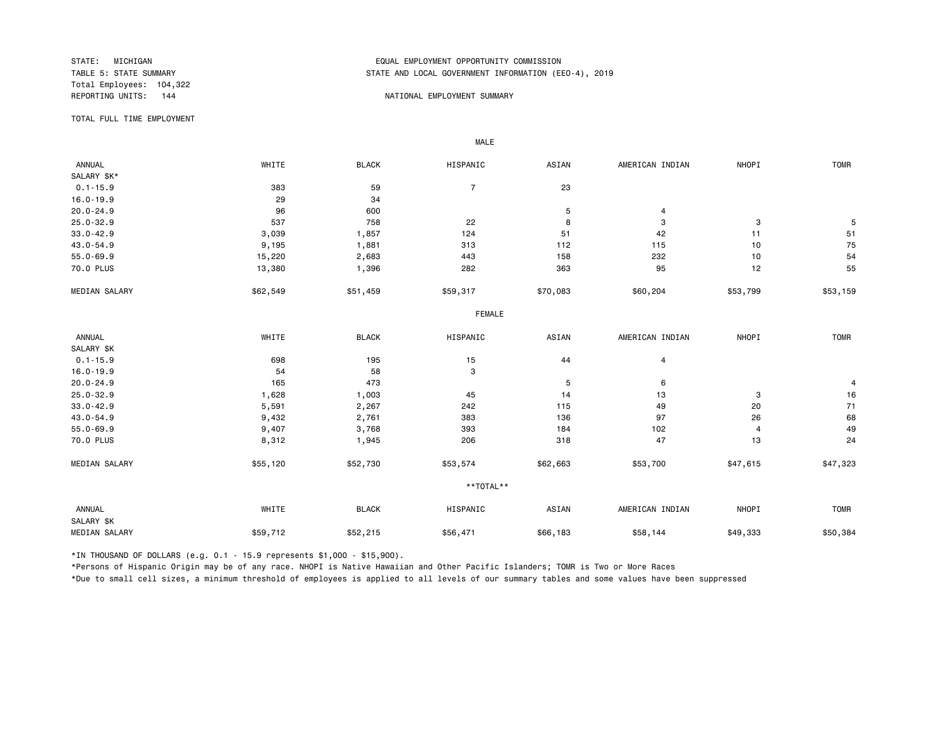Total Employees: 104,322

# STATE: MICHIGAN EQUAL EMPLOYMENT OPPORTUNITY COMMISSION STATE AND LOCAL GOVERNMENT INFORMATION (EEO-4), 2019

### REPORTING UNITS: 144  $\blacksquare$

TOTAL FULL TIME EMPLOYMENT

 ANNUAL WHITE BLACK HISPANIC ASIAN AMERICAN INDIAN NHOPI TOMR SALARY \$K\*<br>0.1-15.9  $0.1-15.9$  383 59 7 23 16.0-19.9 34  $20.0-24.9$  and  $20.0-24.9$  and  $20.0-24.9$  and  $20.0-24.9$  and  $20.0-24.9$  and  $20.0-24.9$  and  $20.0-24.9$  and  $20.0-24.9$  and  $20.0-24.9$  and  $20.0-24.9$  and  $20.0-24.9$  and  $20.0-24.9$  and  $20.0-24.9$  and  $20.0-24.9$  a 25.0-32.9 537 758 22 8 3 3 5 33.0-42.9 3,039 1,857 124 51 42 11 51 43.0-54.9 9,195 1,881 313 112 115 10 75 55.0-69.9 15,220 2,683 443 158 232 10 54 70.0 PLUS 13,380 1,396 282 363 95 12 55 MEDIAN SALARY \$62,549 \$51,459 \$59,317 \$70,083 \$60,204 \$53,799 \$53,159 FEMALE **FRAME**  ANNUAL WHITE BLACK HISPANIC ASIAN AMERICAN INDIAN NHOPI TOMR SALARY \$K<br>0.1-15.9  $0.1-15.9$  698 195 15 15 44 4 4 16.0-19.9 54 58 3 20.0-24.9 165 473 5 6 4 25.0-32.9 1,628 1,003 45 14 13 3 16 33.0-42.9 5,591 2,267 242 115 49 20 71 43.0-54.9 9,432 2,761 383 136 97 26 68 55.0-69.9 9,407 3,768 393 184 102 4 49 70.0 PLUS 8,312 1,945 206 318 47 13 24 MEDIAN SALARY \$55,120 \$52,730 \$53,574 \$62,663 \$53,700 \$47,615 \$47,323 \*\*TOTAL\*\* ANNUAL WHITE BLACK HISPANIC ASIAN AMERICAN INDIAN NHOPI TOMR SALARY \$K MEDIAN SALARY \$59,712 \$52,215 \$56,471 \$66,183 \$58,144 \$49,333 \$50,384

\*IN THOUSAND OF DOLLARS (e.g. 0.1 - 15.9 represents \$1,000 - \$15,900).

MALE

\*Persons of Hispanic Origin may be of any race. NHOPI is Native Hawaiian and Other Pacific Islanders; TOMR is Two or More Races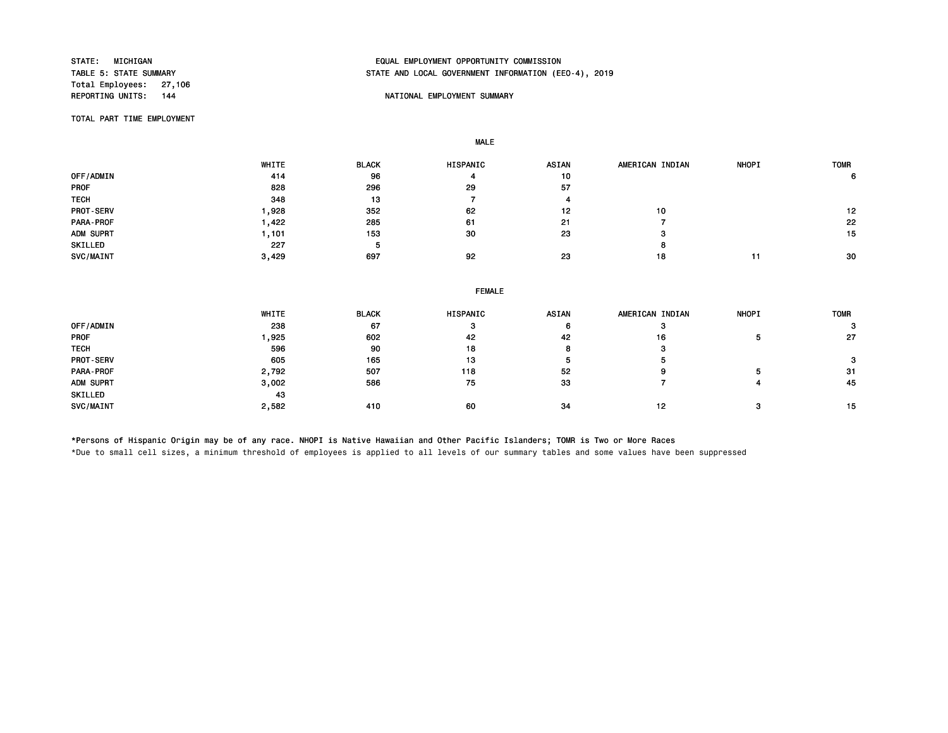Total Employees: 27,106<br>REPORTING UNITS: 144

# STATE: MICHIGAN EQUAL EMPLOYMENT OPPORTUNITY COMMISSION STATE AND LOCAL GOVERNMENT INFORMATION (EEO-4), 2019

## NATIONAL EMPLOYMENT SUMMARY

TOTAL PART TIME EMPLOYMENT

MALE

|                  | WHITE | <b>BLACK</b> | <b>HISPANIC</b> | <b>ASIAN</b> | AMERICAN INDIAN | <b>NHOPI</b> | <b>TOMR</b> |
|------------------|-------|--------------|-----------------|--------------|-----------------|--------------|-------------|
| OFF/ADMIN        | 414   | 96           | 4               | 10           |                 |              | 6           |
| <b>PROF</b>      | 828   | 296          | 29              | 57           |                 |              |             |
| <b>TECH</b>      | 348   | 13           |                 |              |                 |              |             |
| <b>PROT-SERV</b> | ,928  | 352          | 62              | 12           | 10              |              | 12          |
| <b>PARA-PROF</b> | ,422  | 285          | 61              | 21           |                 |              | 22          |
| ADM SUPRT        | .101  | 153          | 30              | 23           | з               |              | 15          |
| SKILLED          | 227   | 5            |                 |              | o               |              |             |
| SVC/MAINT        | 3,429 | 697          | 92              | 23           | 18              | 11           | 30          |

|  | <b>FEMALE</b> |
|--|---------------|
|  |               |

|                  | WHITE | <b>BLACK</b> | HISPANIC | <b>ASIAN</b>   | AMERICAN INDIAN | <b>NHOPI</b> | <b>TOMR</b> |
|------------------|-------|--------------|----------|----------------|-----------------|--------------|-------------|
| OFF/ADMIN        | 238   | 67           |          | 6              |                 |              |             |
| <b>PROF</b>      | ,925  | 602          | 42       | 42             | 16              | Ð            | 27          |
| <b>TECH</b>      | 596   | 90           | 18       | $\bullet$<br>8 |                 |              |             |
| <b>PROT-SERV</b> | 605   | 165          | 13       | э              |                 |              |             |
| PARA-PROF        | 2,792 | 507          | 118      | 52             |                 |              | 31          |
| ADM SUPRT        | 3,002 | 586          | 75       | 33             |                 |              | 45          |
| SKILLED          | 43    |              |          |                |                 |              |             |
| SVC/MAINT        | 2,582 | 410          | 60       | 34             | 12              |              | 15          |

\*Persons of Hispanic Origin may be of any race. NHOPI is Native Hawaiian and Other Pacific Islanders; TOMR is Two or More Races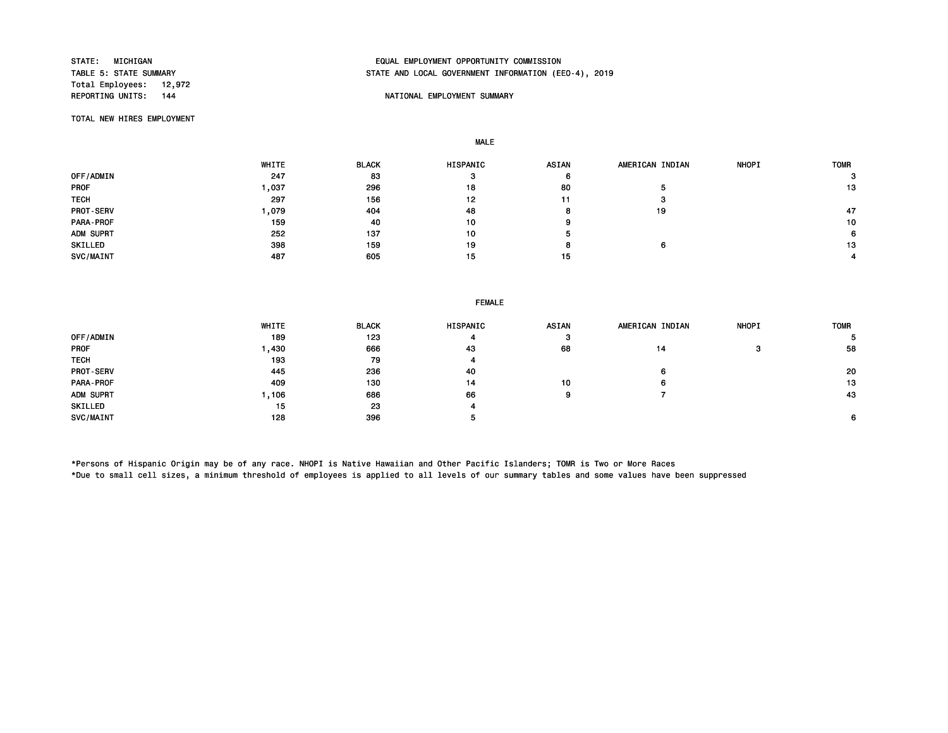Total Employees: 12,972<br>REPORTING UNITS: 144

# STATE: MICHIGAN EQUAL EMPLOYMENT OPPORTUNITY COMMISSION STATE AND LOCAL GOVERNMENT INFORMATION (EEO-4), 2019

## NATIONAL EMPLOYMENT SUMMARY

TOTAL NEW HIRES EMPLOYMENT

MALE

|                  | WHITE | <b>BLACK</b> | <b>HISPANIC</b> | <b>ASIAN</b> | AMERICAN INDIAN | <b>NHOPI</b> | <b>TOMR</b> |
|------------------|-------|--------------|-----------------|--------------|-----------------|--------------|-------------|
| OFF/ADMIN        | 247   | 83           |                 | 6            |                 |              |             |
| <b>PROF</b>      | .037  | 296          | 18              | 80           |                 |              | 13          |
| <b>TECH</b>      | 297   | 156          | 12              | 11           | з               |              |             |
| <b>PROT-SERV</b> | ,079  | 404          | 48              |              | 19              |              | 47          |
| PARA-PROF        | 159   | 40           | 10              | 9            |                 |              | 10          |
| ADM SUPRT        | 252   | 137          | 10              |              |                 |              | 6           |
| SKILLED          | 398   | 159          | 19              |              | 6               |              | 13          |
| SVC/MAINT        | 487   | 605          | 15              | 15           |                 |              |             |

## FEMALE

|                  | WHITE | <b>BLACK</b> | <b>HISPANIC</b> | <b>ASIAN</b> | AMERICAN INDIAN | <b>NHOPI</b> | <b>TOMR</b> |
|------------------|-------|--------------|-----------------|--------------|-----------------|--------------|-------------|
| OFF/ADMIN        | 189   | 123          | 4               | з            |                 |              |             |
| <b>PROF</b>      | ,430  | 666          | 43              | 68           | 14              | з            | 58          |
| <b>TECH</b>      | 193   | 79           | 4               |              |                 |              |             |
| <b>PROT-SERV</b> | 445   | 236          | 40              |              | 6               |              | 20          |
| PARA-PROF        | 409   | 130          | 14              | 10           | 6               |              | 13          |
| ADM SUPRT        | ,106  | 686          | 66              | 9            |                 |              | 43          |
| SKILLED          | 15    | 23           | 4               |              |                 |              |             |
| SVC/MAINT        | 128   | 396          |                 |              |                 |              | 6.          |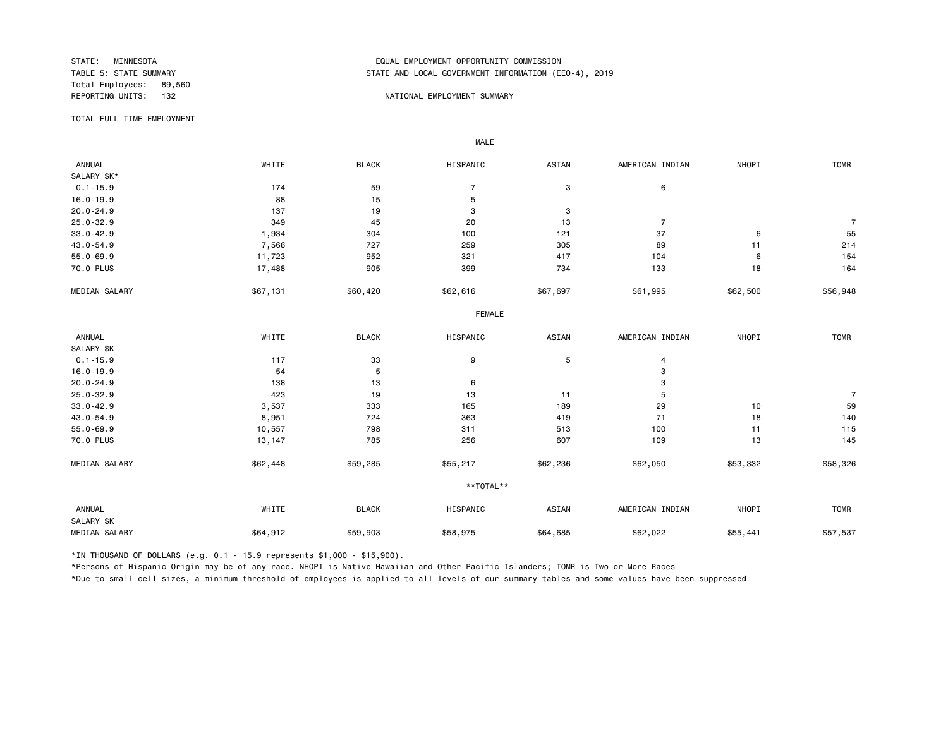Total Employees: 89,560<br>REPORTING UNITS: 132

# STATE: MINNESOTA EQUAL EMPLOYMENT OPPORTUNITY COMMISSION STATE AND LOCAL GOVERNMENT INFORMATION (EEO-4), 2019

## 132 NATIONAL EMPLOYMENT SUMMARY

TOTAL FULL TIME EMPLOYMENT

 ANNUAL WHITE BLACK HISPANIC ASIAN AMERICAN INDIAN NHOPI TOMR SALARY \$K\*<br>0.1-15.9  $0.1-15.9$  6 16.0-19.9 88 15 5 20.0-24.9 137 19 3 3 25.0-32.9 349 45 20 13 7 7 33.0-42.9 1,934 304 100 121 37 6 55 43.0-54.9 7,566 727 259 89 11 214 55.0-69.9 11,723 952 321 417 104 6 154 70.0 PLUS 17,488 905 399 734 133 18 164 MEDIAN SALARY \$67,131 \$60,420 \$62,616 \$67,697 \$61,995 \$62,500 \$56,948 FEMALE **FRAME**  ANNUAL WHITE BLACK HISPANIC ASIAN AMERICAN INDIAN NHOPI TOMR SALARY \$K<br>0.1-15.9  $0.1-15.9$  117 33 9 5 4  $16.0-19.9$  3  $20.0-24.9$  3 25.0-32.9 423 19 13 11 5 7 33.0-42.9 3,537 333 165 189 29 10 59 43.0-54.9 8,951 724 363 419 71 18 140 55.0-69.9 10,557 798 311 513 100 11 115 70.0 PLUS 13,147 785 256 607 109 13 145 MEDIAN SALARY \$62,448 \$59,285 \$55,217 \$62,236 \$62,050 \$58,332 \$58,326 \*\*TOTAL\*\* ANNUAL WHITE BLACK HISPANIC ASIAN AMERICAN INDIAN NHOPI TOMR SALARY \$K MEDIAN SALARY \$64,912 \$59,903 \$58,975 \$62,022 \$55,441 \$57,537 \$57,537

\*IN THOUSAND OF DOLLARS (e.g. 0.1 - 15.9 represents \$1,000 - \$15,900).

MALE

\*Persons of Hispanic Origin may be of any race. NHOPI is Native Hawaiian and Other Pacific Islanders; TOMR is Two or More Races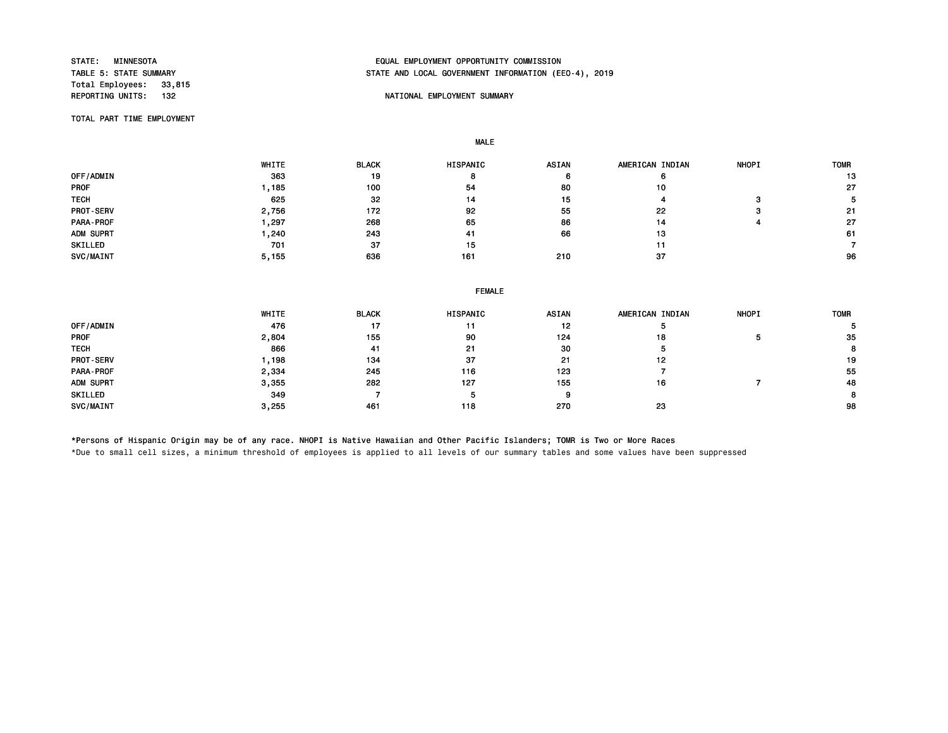Total Employees: 33,815<br>REPORTING UNITS: 132

# STATE: MINNESOTA EQUAL EMPLOYMENT OPPORTUNITY COMMISSION STATE AND LOCAL GOVERNMENT INFORMATION (EEO-4), 2019

## NATIONAL EMPLOYMENT SUMMARY

TOTAL PART TIME EMPLOYMENT

MALE

|                  | WHITE | <b>BLACK</b> | HISPANIC | <b>ASIAN</b> | AMERICAN INDIAN | <b>NHOPI</b> | <b>TOMR</b> |
|------------------|-------|--------------|----------|--------------|-----------------|--------------|-------------|
| OFF/ADMIN        | 363   | 19           | 8        |              |                 |              | 13          |
| <b>PROF</b>      | , 185 | 100          | 54       | 80           | 10              |              | 27          |
| <b>TECH</b>      | 625   | 32           | 14       | 15           |                 |              |             |
| <b>PROT-SERV</b> | 2,756 | 172          | 92       | 55           | 22              |              | 21          |
| PARA-PROF        | , 297 | 268          | 65       | 86           | 14              |              | 27          |
| ADM SUPRT        | .240  | 243          | 41       | 66           | 13              |              | 61          |
| SKILLED          | 701   | 37           | 15       |              | 11              |              |             |
| SVC/MAINT        | 5,155 | 636          | 161      | 210          | 37              |              | 96          |

|             | <b>FEMALE</b> |              |          |       |                 |              |             |  |  |
|-------------|---------------|--------------|----------|-------|-----------------|--------------|-------------|--|--|
|             | WHITE         | <b>BLACK</b> | HISPANIC | ASIAN | AMERICAN INDIAN | <b>NHOPI</b> | <b>TOMR</b> |  |  |
| OFF/ADMIN   | 476           | 17           | 11       | 12    |                 |              |             |  |  |
| <b>PROF</b> | 2,804         | 155          | 90       | 124   | 18              |              | 35          |  |  |
| <b>TECH</b> | 866           | 41           | 21       | 30    | ь               |              | 8           |  |  |
| PROT-SERV   | 1,198         | 134          | 37       | 21    | 12              |              | 19          |  |  |
| PARA-PROF   | 2,334         | 245          | 116      | 123   |                 |              | 55          |  |  |
| ADM SUPRT   | 3,355         | 282          | 127      | 155   | 16              |              | 48          |  |  |
| SKILLED     | 349           |              |          | 9     |                 |              | 8           |  |  |
| SVC/MAINT   | 3,255         | 461          | 118      | 270   | 23              |              | 98          |  |  |

\*Persons of Hispanic Origin may be of any race. NHOPI is Native Hawaiian and Other Pacific Islanders; TOMR is Two or More Races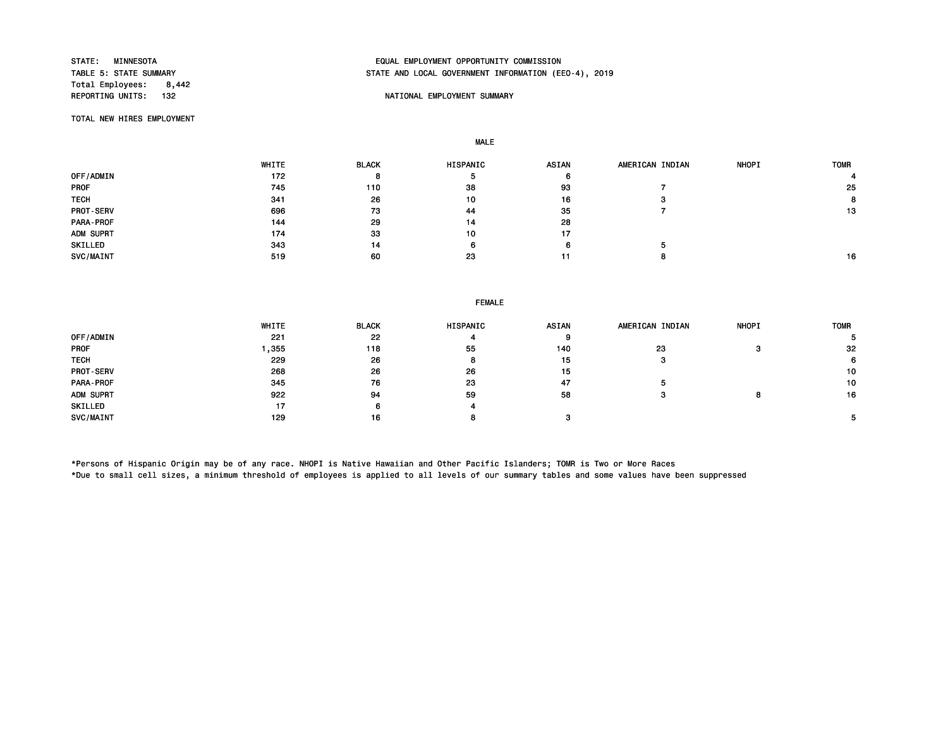Total Employees: 8,442<br>REPORTING UNITS: 132

# STATE: MINNESOTA EQUAL EMPLOYMENT OPPORTUNITY COMMISSION STATE AND LOCAL GOVERNMENT INFORMATION (EEO-4), 2019

## NATIONAL EMPLOYMENT SUMMARY

TOTAL NEW HIRES EMPLOYMENT

MALE

|                  | WHITE | <b>BLACK</b> | <b>HISPANIC</b> | ASIAN | AMERICAN INDIAN | <b>NHOPI</b> | <b>TOMR</b> |
|------------------|-------|--------------|-----------------|-------|-----------------|--------------|-------------|
| OFF/ADMIN        | 172   | 8            |                 | o     |                 |              |             |
| <b>PROF</b>      | 745   | 110          | 38              | 93    |                 |              | 25          |
| <b>TECH</b>      | 341   | 26           | 10              | 16    |                 |              | 8           |
| <b>PROT-SERV</b> | 696   | 73           | 44              | 35    |                 |              | 13          |
| PARA-PROF        | 144   | 29           | 14              | 28    |                 |              |             |
| ADM SUPRT        | 174   | 33           | 10              | 17    |                 |              |             |
| SKILLED          | 343   | 14           | 6               | 6     |                 |              |             |
| SVC/MAINT        | 519   | 60           | 23              | 11    |                 |              | 16          |

### FEMALE

|             | <b>WHITE</b> | <b>BLACK</b> | HISPANIC | <b>ASIAN</b> | AMERICAN INDIAN | <b>NHOPI</b> | <b>TOMR</b> |
|-------------|--------------|--------------|----------|--------------|-----------------|--------------|-------------|
| OFF/ADMIN   | 221          | 22           |          |              |                 |              |             |
| <b>PROF</b> | .355         | 118          | 55       | 140          | 23              |              | 32          |
| <b>TECH</b> | 229          | 26           | 8        | 15           | з               |              | 6.          |
| PROT-SERV   | 268          | 26           | 26       | 15           |                 |              | 10          |
| PARA-PROF   | 345          | 76           | 23       | 47           |                 |              | 10          |
| ADM SUPRT   | 922          | 94           | 59       | 58           |                 |              | 16          |
| SKILLED     | 17           |              | 4        |              |                 |              |             |
| SVC/MAINT   | 129          | 16           | o        |              |                 |              |             |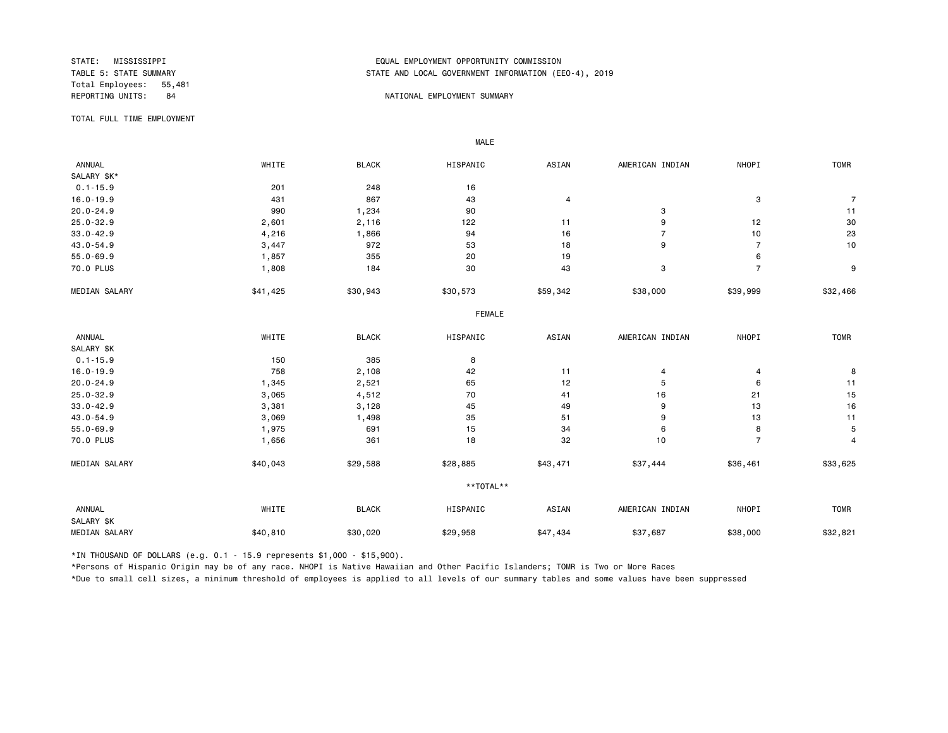Total Employees: 55,481

# STATE: MISSISSIPPI EQUAL EMPLOYMENT OPPORTUNITY COMMISSION STATE AND LOCAL GOVERNMENT INFORMATION (EEO-4), 2019

### REPORTING UNITS: 84 NATIONAL EMPLOYMENT SUMMARY

TOTAL FULL TIME EMPLOYMENT

 ANNUAL WHITE BLACK HISPANIC ASIAN AMERICAN INDIAN NHOPI TOMR SALARY \$K\*<br>0.1-15.9 0.1-15.9 201 201 248 16 16.0-19.9 431 867 43 4 3 7 20.0-24.9 990 1,234 90 3 11 25.0-32.9 2,601 2,116 122 11 9 12 30 33.0-42.9 4,216 1,866 94 16 7 10 23 43.0-54.9 3,447 972 53 18 9 7 10 55.0-69.9 1,857 355 20 19 6 70.0 PLUS 1,808 184 30 43 3 7 9 MEDIAN SALARY \$41,425 \$30,943 \$30,573 \$59,342 \$38,000 \$39,999 \$32,466 FEMALE **FRAME**  ANNUAL WHITE BLACK HISPANIC ASIAN AMERICAN INDIAN NHOPI TOMR SALARY \$K<br>0.1-15.9  $0.1-15.9$  8 16.0-19.9 758 2,108 42 11 4 4 8 20.0-24.9 1,345 2,521 65 12 5 6 11 25.0-32.9 3,065 4,512 70 41 16 21 15 33.0-42.9 3,381 3,128 45 49 9 13 16 43.0-54.9 3,069 1,498 35 51 9 13 11 55.0-69.9 1,975 691 15 34 6 8 5 70.0 PLUS 1,656 361 18 32 10 7 4 MEDIAN SALARY \$40,043 \$29,588 \$28,885 \$43,471 \$37,444 \$36,461 \$33,625 \*\*TOTAL\*\* ANNUAL WHITE BLACK HISPANIC ASIAN AMERICAN INDIAN NHOPI TOMR SALARY \$K MEDIAN SALARY \$40,810 \$30,020 \$29,958 \$47,434 \$37,687 \$38,000 \$32,821

\*IN THOUSAND OF DOLLARS (e.g. 0.1 - 15.9 represents \$1,000 - \$15,900).

MALE

\*Persons of Hispanic Origin may be of any race. NHOPI is Native Hawaiian and Other Pacific Islanders; TOMR is Two or More Races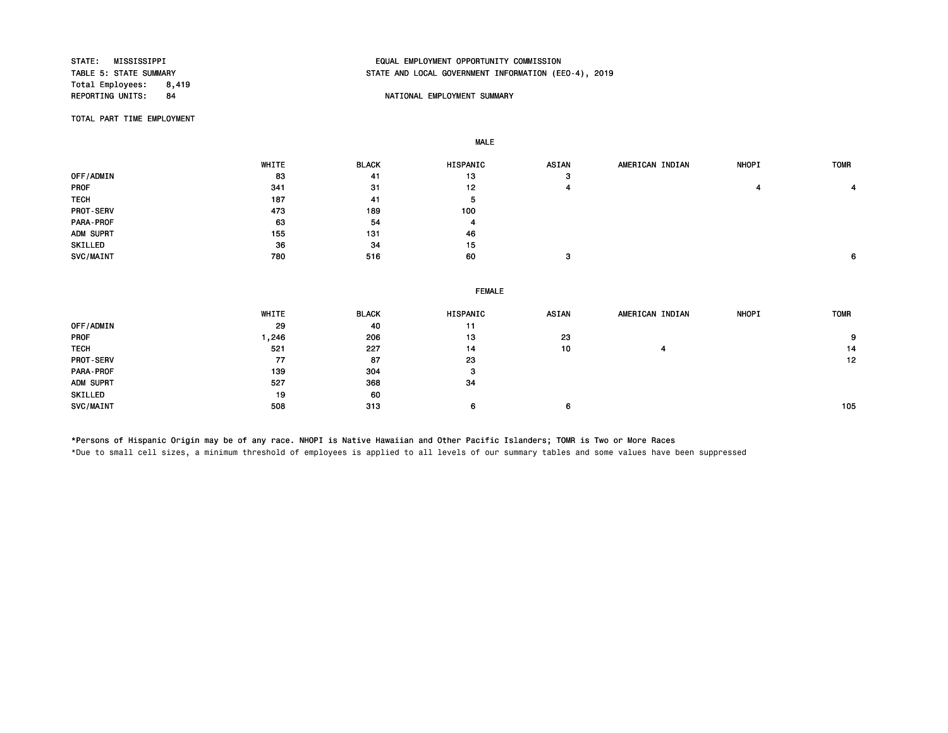Total Employees: 8,419<br>REPORTING UNITS: 84

# STATE: MISSISSIPPI EQUAL EMPLOYMENT OPPORTUNITY COMMISSION STATE AND LOCAL GOVERNMENT INFORMATION (EEO-4), 2019

## 84 NATIONAL EMPLOYMENT SUMMARY

TOTAL PART TIME EMPLOYMENT

|             | WHITE | <b>BLACK</b> | HISPANIC | <b>ASIAN</b>  | AMERICAN INDIAN | <b>NHOPI</b> | <b>TOMR</b> |
|-------------|-------|--------------|----------|---------------|-----------------|--------------|-------------|
| OFF/ADMIN   | 83    | -41          | 13       | з             |                 |              |             |
| <b>PROF</b> | 341   | 31           | 12       |               |                 |              |             |
| <b>TECH</b> | 187   | 41           | ь        |               |                 |              |             |
| PROT-SERV   | 473   | 189          | 100      |               |                 |              |             |
| PARA-PROF   | 63    | 54           | 4        |               |                 |              |             |
| ADM SUPRT   | 155   | 131          | 46       |               |                 |              |             |
| SKILLED     | 36    | 34           | 15       |               |                 |              |             |
| SVC/MAINT   | 780   | 516          | 60       | $\sim$<br>- 7 |                 |              | 6           |
|             |       |              |          |               |                 |              |             |

| WHITE | <b>BLACK</b> | HISPANIC | ASIAN         | AMERICAN INDIAN | <b>NHOPI</b> | <b>TOMR</b> |  |  |
|-------|--------------|----------|---------------|-----------------|--------------|-------------|--|--|
| 29    | 40           | 11       |               |                 |              |             |  |  |
| , 246 | 206          | 13       | 23            |                 |              | 9           |  |  |
| 521   | 227          | 14       | 10            | 4               |              | 14          |  |  |
| 77    | 87           | 23       |               |                 |              | 12          |  |  |
| 139   | 304          | з        |               |                 |              |             |  |  |
| 527   | 368          | 34       |               |                 |              |             |  |  |
| 19    | 60           |          |               |                 |              |             |  |  |
| 508   | 313          | 6        | 6             |                 |              | 105         |  |  |
|       |              |          | <b>FEMALE</b> |                 |              |             |  |  |

\*Persons of Hispanic Origin may be of any race. NHOPI is Native Hawaiian and Other Pacific Islanders; TOMR is Two or More Races

MALE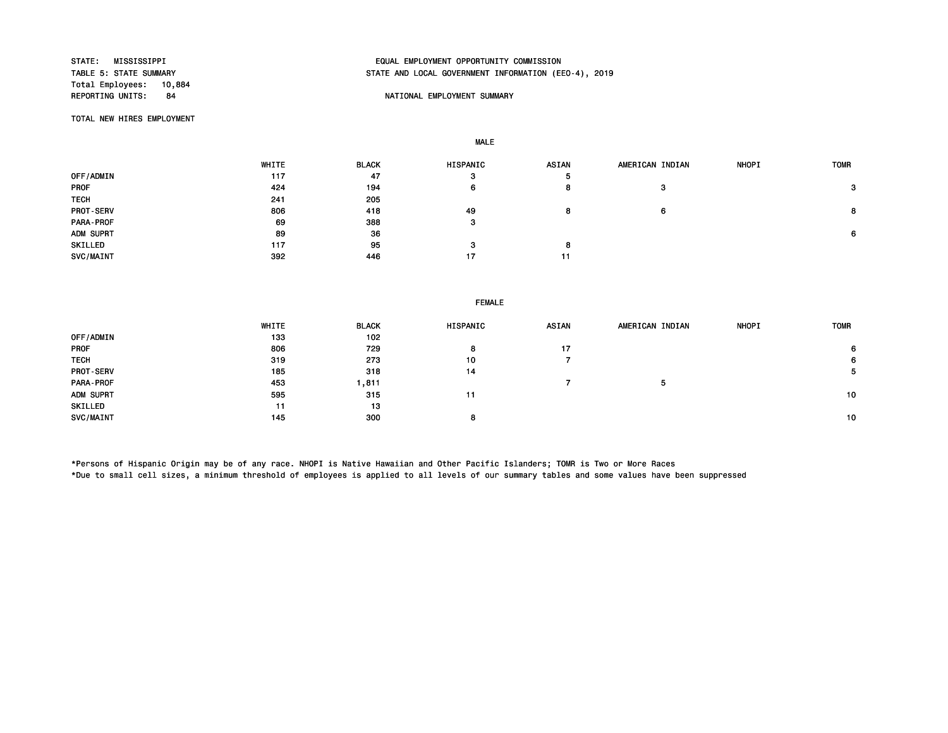Total Employees: 10,884<br>REPORTING UNITS: 84

# STATE: MISSISSIPPI EQUAL EMPLOYMENT OPPORTUNITY COMMISSION STATE AND LOCAL GOVERNMENT INFORMATION (EEO-4), 2019

## NATIONAL EMPLOYMENT SUMMARY

TOTAL NEW HIRES EMPLOYMENT

MALE

|                  | WHITE | <b>BLACK</b> | <b>HISPANIC</b> | <b>ASIAN</b> | AMERICAN INDIAN | <b>NHOPI</b> | <b>TOMR</b> |
|------------------|-------|--------------|-----------------|--------------|-----------------|--------------|-------------|
| OFF/ADMIN        | 117   | 47           | з               | Ð            |                 |              |             |
| <b>PROF</b>      | 424   | 194          | 6               | o            | з               |              | 3           |
| <b>TECH</b>      | 241   | 205          |                 |              |                 |              |             |
| <b>PROT-SERV</b> | 806   | 418          | 49              |              | 6               |              | 8           |
| PARA-PROF        | 69    | 388          | з               |              |                 |              |             |
| ADM SUPRT        | 89    | 36           |                 |              |                 |              | 6           |
| SKILLED          | 117   | 95           |                 |              |                 |              |             |
| SVC/MAINT        | 392   | 446          | 17              | 11           |                 |              |             |

FEMALE

|                  | WHITE | <b>BLACK</b> | HISPANIC | ASIAN | AMERICAN INDIAN | <b>NHOPI</b> | <b>TOMR</b> |
|------------------|-------|--------------|----------|-------|-----------------|--------------|-------------|
| OFF/ADMIN        | 133   | 102          |          |       |                 |              |             |
| <b>PROF</b>      | 806   | 729          |          | 17    |                 |              | 6           |
| <b>TECH</b>      | 319   | 273          | 10       |       |                 |              | 6           |
| <b>PROT-SERV</b> | 185   | 318          | 14       |       |                 |              | $5^{\circ}$ |
| PARA-PROF        | 453   | 811. ا       |          |       | 5               |              |             |
| ADM SUPRT        | 595   | 315          | 11       |       |                 |              | 10          |
| SKILLED          | 11    | 13           |          |       |                 |              |             |
| SVC/MAINT        | 145   | 300          |          |       |                 |              | 10          |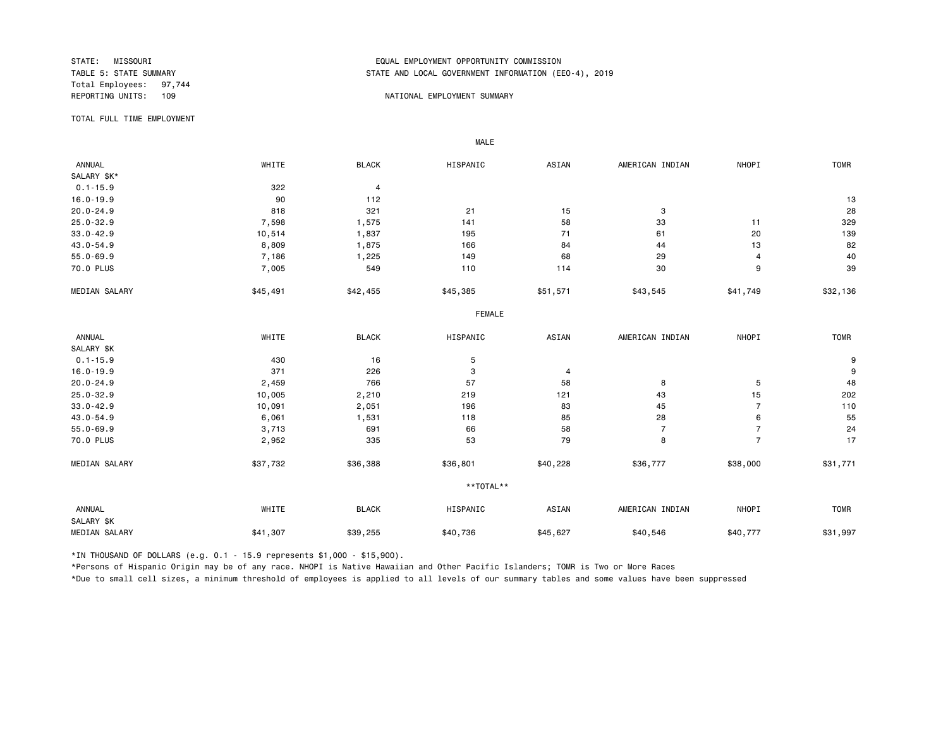Total Employees: 97,744

## STATE: MISSOURI EQUAL EMPLOYMENT OPPORTUNITY COMMISSION STATE AND LOCAL GOVERNMENT INFORMATION (EEO-4), 2019

#### REPORTING UNITS: 109 NATIONAL EMPLOYMENT SUMMARY

TOTAL FULL TIME EMPLOYMENT

 ANNUAL WHITE BLACK HISPANIC ASIAN AMERICAN INDIAN NHOPI TOMR SALARY \$K\*<br>0.1-15.9 0.1-15.9 322 4 16.0-19.9 90 112 13 20.0-24.9 818 321 21 15 3 28 25.0-32.9 7,598 1,575 141 58 33 11 329 33.0-42.9 10,514 1,837 195 71 61 20 139 43.0-54.9 8,809 1,875 166 84 44 13 82 55.0-69.9 7,186 1,225 149 68 29 4 40 70.0 PLUS 7<sub>,</sub>005 549 110 114 30 9 39 MEDIAN SALARY \$45,491 \$42,455 \$45,385 \$51,571 \$43,545 \$41,749 \$32,136 FEMALE **FRAME**  ANNUAL WHITE BLACK HISPANIC ASIAN AMERICAN INDIAN NHOPI TOMR SALARY \$K<br>0.1-15.9  $0.1$ -15.9 **9** 9 16.0-19.9 371 226 3 4 9 20.0-24.9 2,459 766 57 58 8 5 48 25.0-32.9 10,005 2,210 219 121 43 15 202 33.0-42.9 10,091 2,051 196 83 45 7 110 43.0-54.9 6,061 1,531 118 85 28 6 55 55.0-69.9 3,713 691 66 58 7 7 24 70.0 PLUS 2,952 335 53 79 8 7 17 MEDIAN SALARY \$37,732 \$36,388 \$36,801 \$40,228 \$36,777 \$38,000 \$31,771 \*\*TOTAL\*\* ANNUAL WHITE BLACK HISPANIC ASIAN AMERICAN INDIAN NHOPI TOMR SALARY \$K MEDIAN SALARY \$41,307 \$39,255 \$40,736 \$40,546 \$40,777 \$31,997

\*IN THOUSAND OF DOLLARS (e.g. 0.1 - 15.9 represents \$1,000 - \$15,900).

MALE

\*Persons of Hispanic Origin may be of any race. NHOPI is Native Hawaiian and Other Pacific Islanders; TOMR is Two or More Races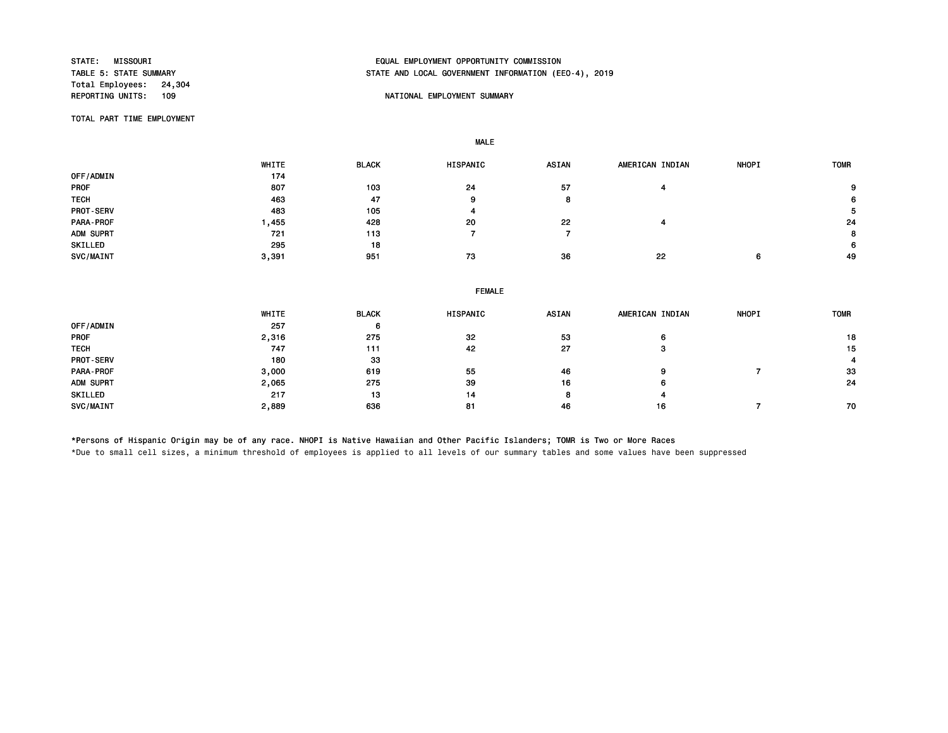Total Employees: 24,304<br>REPORTING UNITS: 109

# STATE: MISSOURI EQUAL EMPLOYMENT OPPORTUNITY COMMISSION STATE AND LOCAL GOVERNMENT INFORMATION (EEO-4), 2019

### NATIONAL EMPLOYMENT SUMMARY

TOTAL PART TIME EMPLOYMENT

MALE

 WHITE BLACK HISPANIC ASIAN AMERICAN INDIAN NHOPI TOMR OFF/ADMIN 174 PROF 807 103 24 57 4 9 тесни процессиот на най-английскиот най-английскиот най-английскиот в 19 април на 19 април на 19 април на 19 а PROT-SERV 483 105 4 5 PARA-PROF 1,455 428 20 22 4 24 ADM SUPRT 721 113 7 7 8 SKILLED 295 18 6 SVC/MAINT 3,391 951 73 36 22 6 49

| WHITE | <b>BLACK</b> | HISPANIC | <b>ASIAN</b>  | AMERICAN INDIAN | <b>NHOPI</b> | <b>TOMR</b> |  |  |
|-------|--------------|----------|---------------|-----------------|--------------|-------------|--|--|
| 257   | 6            |          |               |                 |              |             |  |  |
| 2,316 | 275          | 32       | 53            | 6               |              | 18          |  |  |
| 747   | 111          | 42       | 27            | з               |              | 15          |  |  |
| 180   | 33           |          |               |                 |              |             |  |  |
| 3,000 | 619          | 55       | 46            | 9               |              | 33          |  |  |
| 2,065 | 275          | 39       | 16            | 6               |              | 24          |  |  |
| 217   | 13           | 14       | 8             |                 |              |             |  |  |
| 2,889 | 636          | 81       | 46            | 16              |              | 70          |  |  |
|       |              |          | <b>FEMALE</b> |                 |              |             |  |  |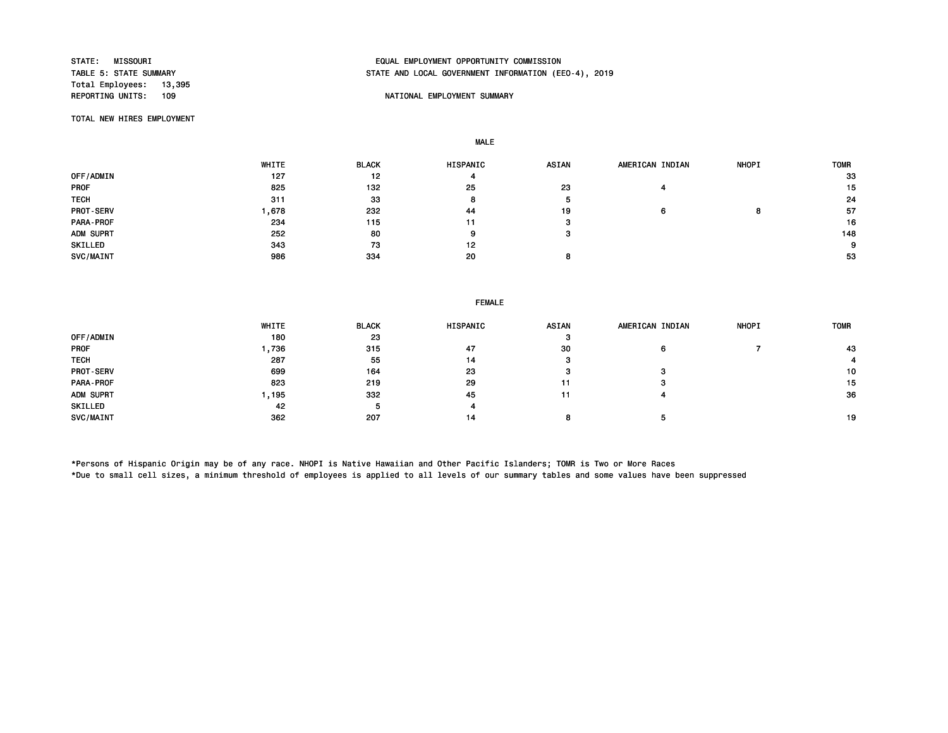Total Employees: 13,395<br>REPORTING UNITS: 109

# STATE: MISSOURI EQUAL EMPLOYMENT OPPORTUNITY COMMISSION STATE AND LOCAL GOVERNMENT INFORMATION (EEO-4), 2019

### NATIONAL EMPLOYMENT SUMMARY

TOTAL NEW HIRES EMPLOYMENT

MALE

|                  | WHITE | <b>BLACK</b> | <b>HISPANIC</b> | <b>ASIAN</b> | AMERICAN INDIAN | <b>NHOPI</b> | <b>TOMR</b> |
|------------------|-------|--------------|-----------------|--------------|-----------------|--------------|-------------|
| OFF/ADMIN        | 127   | 12           | 4               |              |                 |              | 33          |
| <b>PROF</b>      | 825   | 132          | 25              | 23           |                 |              | 15          |
| <b>TECH</b>      | 311   | 33           | 8               |              |                 |              | 24          |
| <b>PROT-SERV</b> | .678  | 232          | -44             | 19           | 6               | .,           | -57         |
| <b>PARA-PROF</b> | 234   | 115          | 11              |              |                 |              | 16          |
| ADM SUPRT        | 252   | 80           | 9               |              |                 |              | 148         |
| SKILLED          | 343   | 73           | 12              |              |                 |              | 9           |
| SVC/MAINT        | 986   | 334          | 20              |              |                 |              | 53          |

#### FEMALE

|             | WHITE | <b>BLACK</b> | <b>HISPANIC</b> | <b>ASIAN</b> | AMERICAN INDIAN | <b>NHOPI</b> | <b>TOMR</b> |
|-------------|-------|--------------|-----------------|--------------|-----------------|--------------|-------------|
| OFF/ADMIN   | 180   | 23           |                 | 57           |                 |              |             |
| <b>PROF</b> | ,736  | 315          | 47              | 30           | 6               |              | 43          |
| <b>TECH</b> | 287   | 55           | 14              | з            |                 |              |             |
| PROT-SERV   | 699   | 164          | 23              | э            | з               |              | 10          |
| PARA-PROF   | 823   | 219          | 29              |              | з               |              | 15          |
| ADM SUPRT   | , 195 | 332          | 45              |              |                 |              | 36          |
| SKILLED     | 42    |              | 4               |              |                 |              |             |
| SVC/MAINT   | 362   | 207          | 14              |              |                 |              | 19          |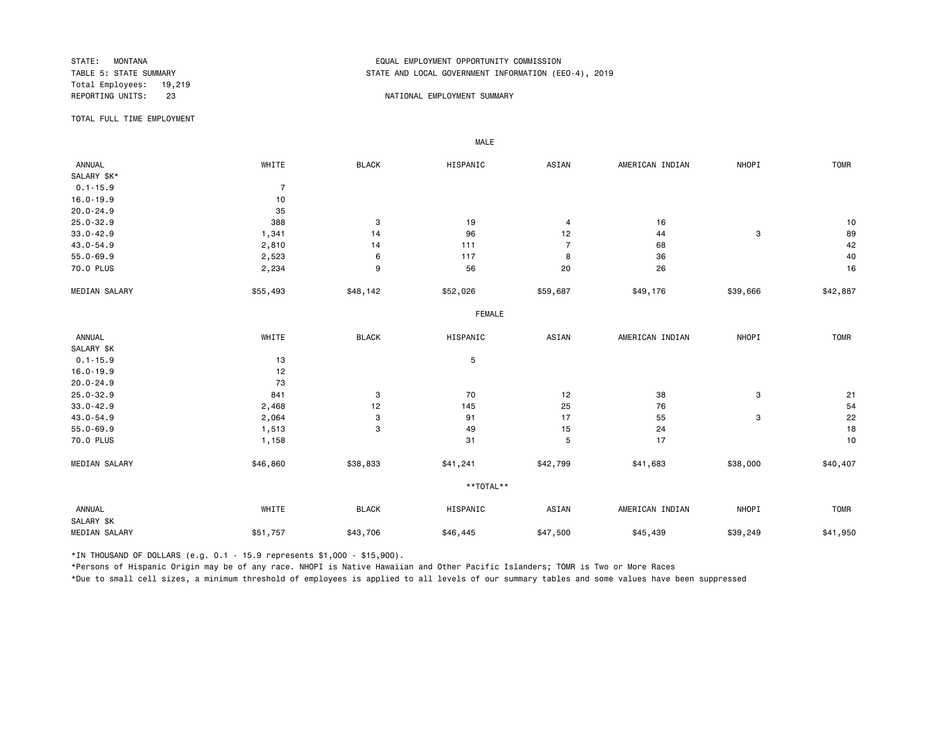Total Employees: 19,219

## STATE: MONTANA EQUAL EMPLOYMENT OPPORTUNITY COMMISSION STATE AND LOCAL GOVERNMENT INFORMATION (EEO-4), 2019

#### REPORTING UNITS: 23 23 NATIONAL EMPLOYMENT SUMMARY

TOTAL FULL TIME EMPLOYMENT

 ANNUAL WHITE BLACK HISPANIC ASIAN AMERICAN INDIAN NHOPI TOMR SALARY \$K\*  $0.1 - 15.9$  7<br>16.0-19.9 10 16.0-19.9 10<br>20.0-24.9 35  $20.0 - 24.9$ 25.0-32.9 388 3 19 4 16 10 33.0-42.9 1,341 14 96 12 44 3 89 43.0-54.9 2,810 14 111 7 68 42 55.0-69.9 2,523 6 117 8 36 40 70.0 PLUS 2,234 9 56 20 26 16 MEDIAN SALARY \$55,493 \$48,142 \$52,026 \$59,687 \$49,176 \$39,666 \$42,887 FEMALE **FRAME**  ANNUAL WHITE BLACK HISPANIC ASIAN AMERICAN INDIAN NHOPI TOMR SALARY \$K<br>0.1-15.9  $0.1 - 15.9$  5 16.0-19.9 12 20.0-24.9 73 25.0-32.9 8 201 20 20 20 20 20 20 21 22 38 3 21 21 22 38 3 3 21 33.0-42.9 2,468 12 145 25 76 54 43.0-54.9 2,064 3 91 17 55 3 22 55.0-69.9 1,513 3 49 15 24 18 70.0 PLUS 1,158 31 5 17 10 MEDIAN SALARY \$46,860 \$38,833 \$41,241 \$42,799 \$41,683 \$38,000 \$40,407 \*\*TOTAL\*\* ANNUAL WHITE BLACK HISPANIC ASIAN AMERICAN INDIAN NHOPI TOMR SALARY \$K MEDIAN SALARY \$51,757 \$43,706 \$46,445 \$47,500 \$45,439 \$39,249 \$41,950

\*IN THOUSAND OF DOLLARS (e.g. 0.1 - 15.9 represents \$1,000 - \$15,900).

MALE

\*Persons of Hispanic Origin may be of any race. NHOPI is Native Hawaiian and Other Pacific Islanders; TOMR is Two or More Races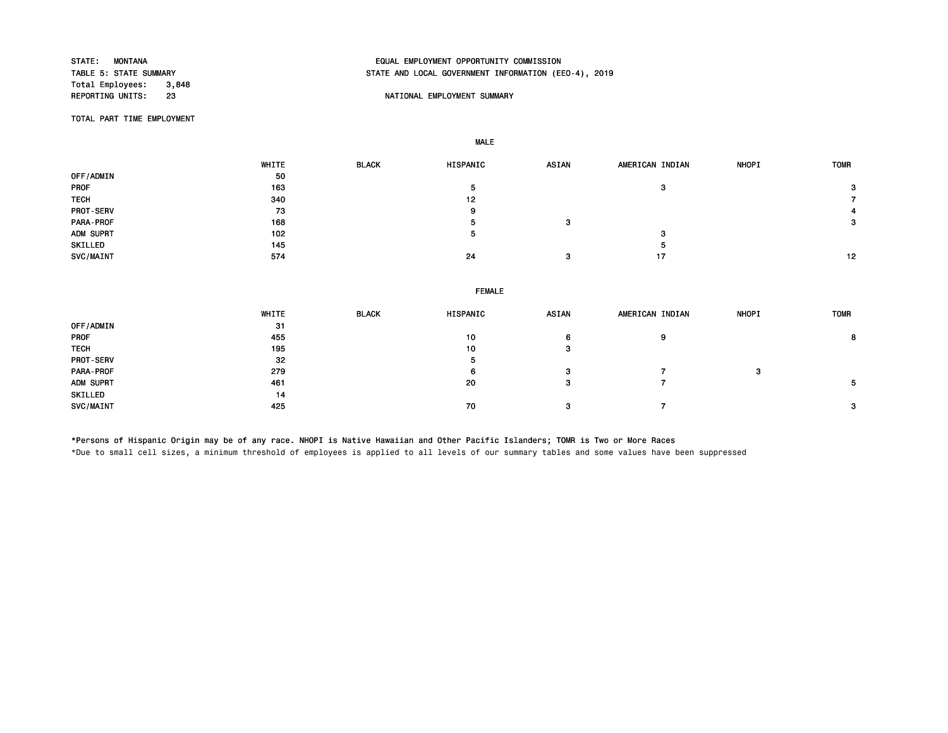Total Employees: 3,848<br>REPORTING UNITS: 23

# STATE: MONTANA EQUAL EMPLOYMENT OPPORTUNITY COMMISSION STATE AND LOCAL GOVERNMENT INFORMATION (EEO-4), 2019

### 23 NATIONAL EMPLOYMENT SUMMARY

TOTAL PART TIME EMPLOYMENT

MALE

|                  | WHITE | <b>BLACK</b> | HISPANIC | <b>ASIAN</b> | AMERICAN INDIAN | <b>NHOPI</b> | <b>TOMR</b> |
|------------------|-------|--------------|----------|--------------|-----------------|--------------|-------------|
| OFF/ADMIN        | 50    |              |          |              |                 |              |             |
| PROF             | 163   |              | э        |              | 3               |              | 3           |
| <b>TECH</b>      | 340   |              | 12       |              |                 |              |             |
| <b>PROT-SERV</b> | 73    |              | 9        |              |                 |              |             |
| PARA-PROF        | 168   |              | е        | 3            |                 |              | 3           |
| ADM SUPRT        | 102   |              | э        |              | 3               |              |             |
| SKILLED          | 145   |              |          |              | ÷               |              |             |
| SVC/MAINT        | 574   |              | 24       | 3            | 17              |              | 12          |
|                  |       |              |          |              |                 |              |             |

#### FEMALE

|                  | WHITE | <b>BLACK</b> | HISPANIC | <b>ASIAN</b> | AMERICAN INDIAN | <b>NHOPI</b> | <b>TOMR</b> |
|------------------|-------|--------------|----------|--------------|-----------------|--------------|-------------|
| OFF/ADMIN        | 31    |              |          |              |                 |              |             |
| <b>PROF</b>      | 455   |              | 10       | 6            | 9               |              | 8           |
| <b>TECH</b>      | 195   |              | 10       | -3           |                 |              |             |
| <b>PROT-SERV</b> | 32    |              | ৾৽       |              |                 |              |             |
| PARA-PROF        | 279   |              | 6        | 3            |                 | - 2<br>ø     |             |
| ADM SUPRT        | 461   |              | 20       | -3           |                 |              |             |
| SKILLED          | 14    |              |          |              |                 |              |             |
| SVC/MAINT        | 425   |              | 70       | -3           |                 |              |             |

\*Persons of Hispanic Origin may be of any race. NHOPI is Native Hawaiian and Other Pacific Islanders; TOMR is Two or More Races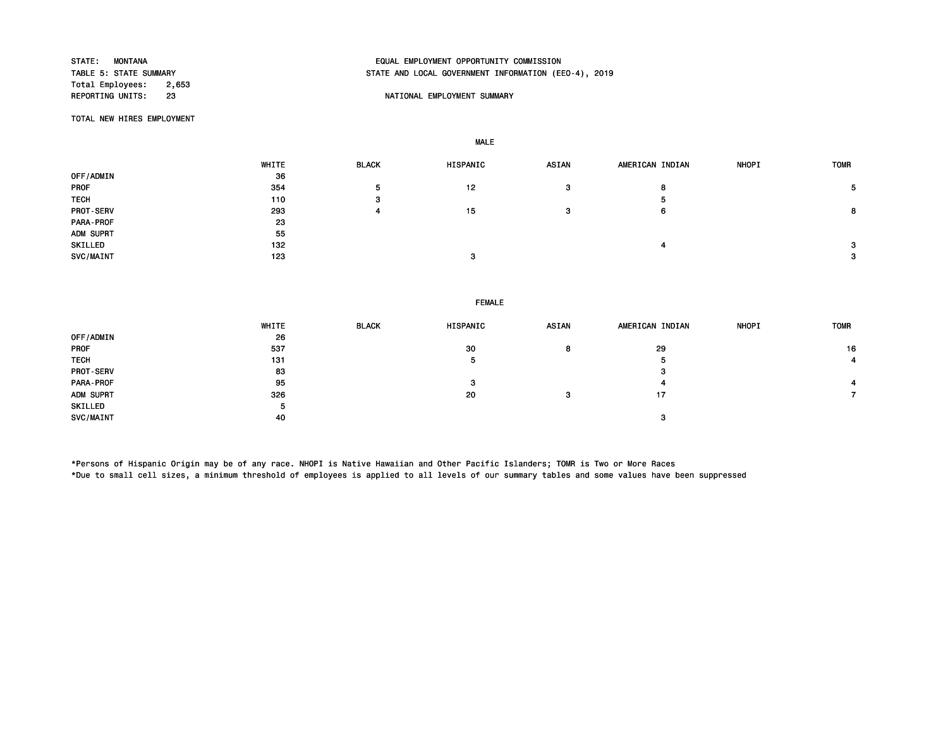Total Employees: 2,653<br>REPORTING UNITS: 23

# STATE: MONTANA EQUAL EMPLOYMENT OPPORTUNITY COMMISSION STATE AND LOCAL GOVERNMENT INFORMATION (EEO-4), 2019

### 23 NATIONAL EMPLOYMENT SUMMARY

TOTAL NEW HIRES EMPLOYMENT

MALE

|                  | WHITE | <b>BLACK</b> | HISPANIC | <b>ASIAN</b> | AMERICAN INDIAN | <b>NHOPI</b> | <b>TOMR</b> |
|------------------|-------|--------------|----------|--------------|-----------------|--------------|-------------|
| OFF/ADMIN        | 36    |              |          |              |                 |              |             |
| PROF             | 354   | 5            | 12       | 3            | 8               |              | 5.          |
| <b>TECH</b>      | 110   | з            |          |              | ь               |              |             |
| <b>PROT-SERV</b> | 293   |              | 15       | 3            | 6               |              | 8           |
| PARA-PROF        | 23    |              |          |              |                 |              |             |
| ADM SUPRT        | 55    |              |          |              |                 |              |             |
| SKILLED          | 132   |              |          |              |                 |              | 3           |
| SVC/MAINT        | 123   |              | 3        |              |                 |              | 3           |

#### FEMALE

|                  | WHITE | <b>BLACK</b> | HISPANIC | <b>ASIAN</b> | AMERICAN INDIAN | <b>NHOPI</b> | <b>TOMR</b> |
|------------------|-------|--------------|----------|--------------|-----------------|--------------|-------------|
| OFF/ADMIN        | 26    |              |          |              |                 |              |             |
| PROF             | 537   |              | 30       | 8            | 29              |              | 16          |
| <b>TECH</b>      | 131   |              | 5        |              | 5               |              |             |
| <b>PROT-SERV</b> | 83    |              |          |              | з               |              |             |
| PARA-PROF        | 95    |              | 3        |              |                 |              |             |
| ADM SUPRT        | 326   |              | 20       | з            | 17              |              |             |
| SKILLED          | 5     |              |          |              |                 |              |             |
| SVC/MAINT        | 40    |              |          |              | ິ<br>-3         |              |             |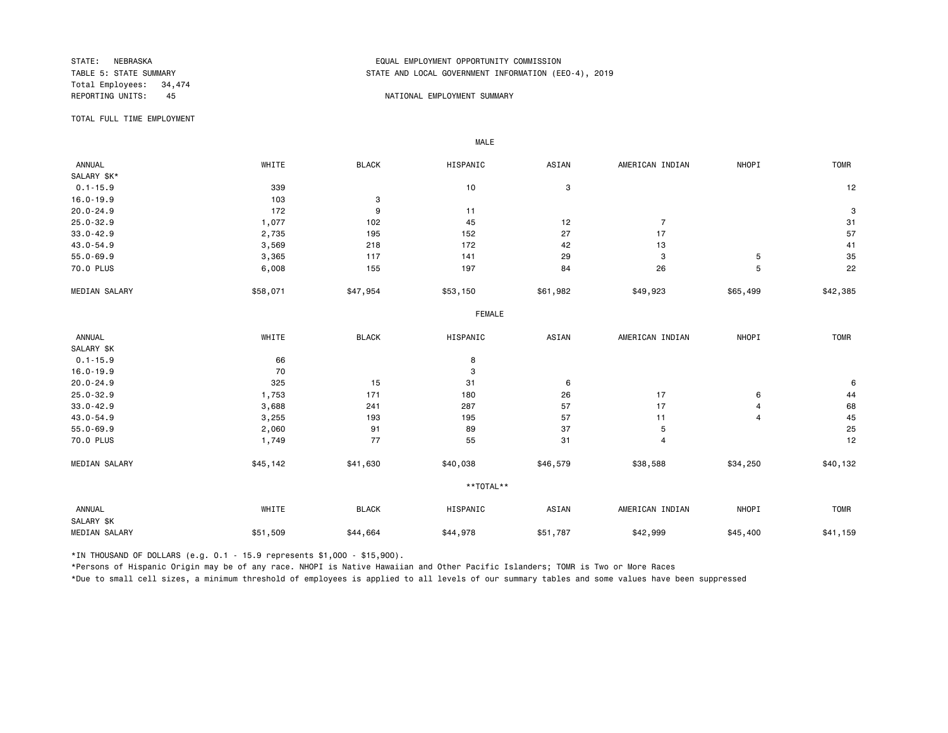Total Employees: 34,474

# STATE: NEBRASKA EQUAL EMPLOYMENT OPPORTUNITY COMMISSION STATE AND LOCAL GOVERNMENT INFORMATION (EEO-4), 2019

#### REPORTING UNITS: 45 And the state of the state of the state of the state of the state of the state of the state of the state of the state of the state of the state of the state of the state of the state of the state of the

TOTAL FULL TIME EMPLOYMENT

 ANNUAL WHITE BLACK HISPANIC ASIAN AMERICAN INDIAN NHOPI TOMR SALARY \$K\*<br>0.1-15.9  $0.1$ -15.9 339 339 339 339 300 3 16.0-19.9 103 3 20.0-24.9 172 9 11 3 25.0-32.9 1,077 102 45 12 7 31 33.0-42.9 2,735 195 152 27 17 57 43.0-54.9 3,569 218 172 42 13 41 55.0-69.9 3,365 117 141 29 3 5 35 70.0 PLUS 6,008 155 197 84 26 5 22 MEDIAN SALARY \$58,071 \$47,954 \$53,150 \$61,982 \$49,923 \$65,499 \$42,385 FEMALE **FRAME**  ANNUAL WHITE BLACK HISPANIC ASIAN AMERICAN INDIAN NHOPI TOMR SALARY \$K<br>0.1-15.9  $0.1 - 15.9$  8 16.0-19.9 3 20.0-24.9 325 15 31 6 6 25.0-32.9 1,753 171 180 26 17 6 44 33.0-42.9 3,688 241 287 57 17 4 68 43.0-54.9 3,255 193 195 57 11 4 45 55.0-69.9 2,060 91 89 37 5 25 70.0 PLUS 1,749 77 55 31 4 12 MEDIAN SALARY \$45,142 \$41,630 \$40,038 \$46,579 \$38,588 \$34,250 \$40,132 \*\*TOTAL\*\* ANNUAL WHITE BLACK HISPANIC ASIAN AMERICAN INDIAN NHOPI TOMR SALARY \$K 551,787 \$42,999 \$45,400 \$41,159 \$44,664 \$44,978 \$51,787 \$42,999 \$45,400 \$41,159 \$41,159

\*IN THOUSAND OF DOLLARS (e.g. 0.1 - 15.9 represents \$1,000 - \$15,900).

MALE

\*Persons of Hispanic Origin may be of any race. NHOPI is Native Hawaiian and Other Pacific Islanders; TOMR is Two or More Races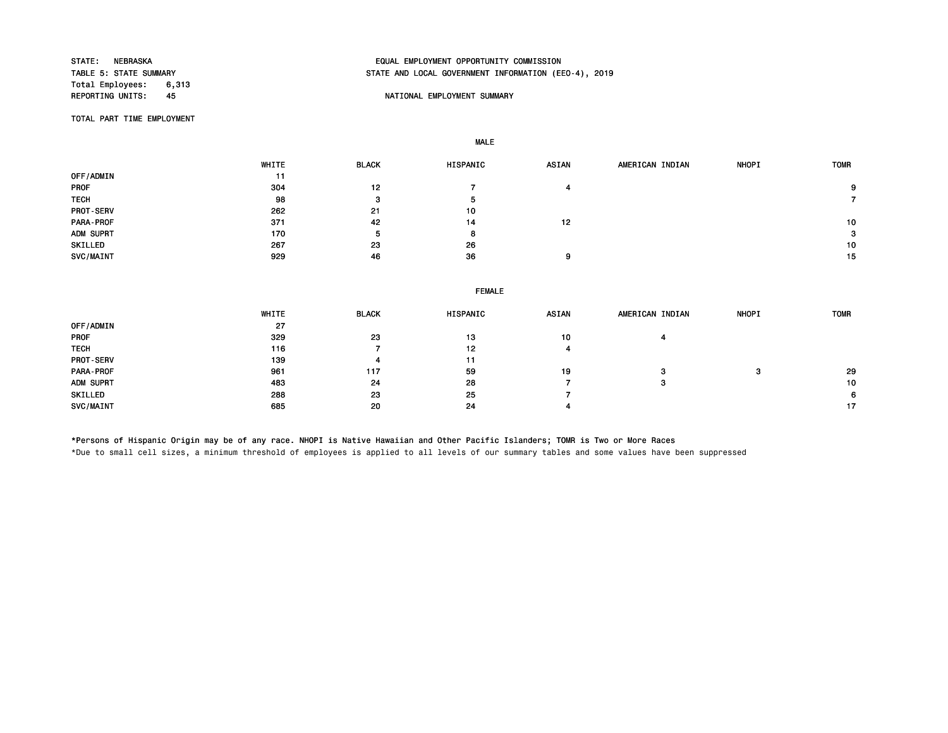Total Employees: 6,313<br>REPORTING UNITS: 45

# STATE: NEBRASKA EQUAL EMPLOYMENT OPPORTUNITY COMMISSION STATE AND LOCAL GOVERNMENT INFORMATION (EEO-4), 2019

### AS A REPORT OF THE PORTIONAL EMPLOYMENT SUMMARY

TOTAL PART TIME EMPLOYMENT

MALE

|                  | WHITE | <b>BLACK</b> | <b>HISPANIC</b> | <b>ASIAN</b> | AMERICAN INDIAN | <b>NHOPI</b> | <b>TOMR</b>     |
|------------------|-------|--------------|-----------------|--------------|-----------------|--------------|-----------------|
| <b>OFF/ADMIN</b> | 11    |              |                 |              |                 |              |                 |
| <b>PROF</b>      | 304   | 12           |                 |              |                 |              | 9               |
| <b>TECH</b>      | 98    | з            | Ð               |              |                 |              |                 |
| <b>PROT-SERV</b> | 262   | 21           | 10              |              |                 |              |                 |
| PARA-PROF        | 371   | 42           | 14              | 12           |                 |              | 10 <sup>1</sup> |
| ADM SUPRT        | 170   | ъ.           | 8               |              |                 |              | 3               |
| SKILLED          | 267   | 23           | 26              |              |                 |              | 10              |
| SVC/MAINT        | 929   | 46           | 36              | 9            |                 |              | 15              |

|                  |              |              | <b>FEMALE</b> |       |                 |              |             |
|------------------|--------------|--------------|---------------|-------|-----------------|--------------|-------------|
|                  | <b>WHITE</b> | <b>BLACK</b> | HISPANIC      | ASIAN | AMERICAN INDIAN | <b>NHOPI</b> | <b>TOMR</b> |
| OFF/ADMIN        | 27           |              |               |       |                 |              |             |
| PROF             | 329          | 23           | 13            | 10    |                 |              |             |
| <b>TECH</b>      | 116          |              | 12            |       |                 |              |             |
| <b>PROT-SERV</b> | 139          | 4            | 11            |       |                 |              |             |
| PARA-PROF        | 961          | 117          | 59            | 19    | 3               | -9           | 29          |
| ADM SUPRT        | 483          | 24           | 28            |       | -3              |              | 10          |
| SKILLED          | 288          | 23           | 25            |       |                 |              |             |
| SVC/MAINT        | 685          | 20           | 24            |       |                 |              |             |

\*Persons of Hispanic Origin may be of any race. NHOPI is Native Hawaiian and Other Pacific Islanders; TOMR is Two or More Races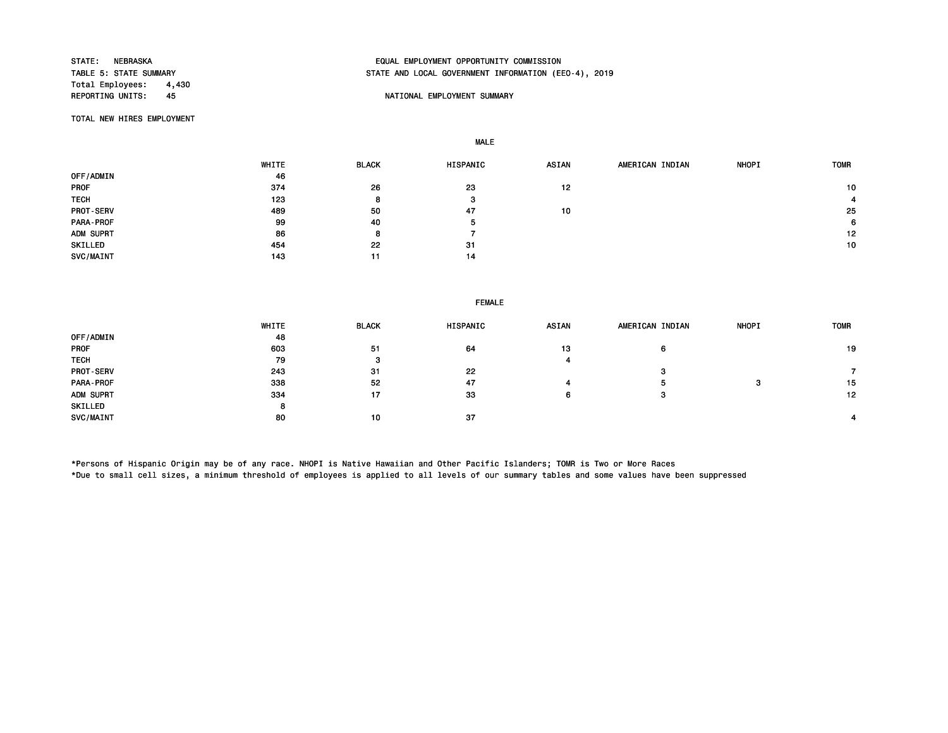Total Employees: 4,430<br>REPORTING UNITS: 45

# STATE: NEBRASKA EQUAL EMPLOYMENT OPPORTUNITY COMMISSION STATE AND LOCAL GOVERNMENT INFORMATION (EEO-4), 2019

### AS A REPORT OF THE PORTIONAL EMPLOYMENT SUMMARY

TOTAL NEW HIRES EMPLOYMENT

MALE

|                  | WHITE | <b>BLACK</b> | HISPANIC | ASIAN | AMERICAN INDIAN | <b>NHOPI</b> | <b>TOMR</b> |
|------------------|-------|--------------|----------|-------|-----------------|--------------|-------------|
| OFF/ADMIN        | 46    |              |          |       |                 |              |             |
| <b>PROF</b>      | 374   | 26           | 23       | 12    |                 |              | 10          |
| <b>TECH</b>      | 123   | 8            | з        |       |                 |              |             |
| <b>PROT-SERV</b> | 489   | 50           | 47       | 10    |                 |              | 25          |
| PARA-PROF        | 99    | 40           | 5        |       |                 |              | 6           |
| ADM SUPRT        | 86    | 8            |          |       |                 |              | 12          |
| SKILLED          | 454   | 22           | 31       |       |                 |              | 10          |
| SVC/MAINT        | 143   | 11           | 14       |       |                 |              |             |

#### FEMALE

|                  | WHITE | <b>BLACK</b> | HISPANIC | ASIAN | AMERICAN INDIAN | <b>NHOPI</b> | <b>TOMR</b> |
|------------------|-------|--------------|----------|-------|-----------------|--------------|-------------|
| OFF/ADMIN        | 48    |              |          |       |                 |              |             |
| <b>PROF</b>      | 603   | 51           | 64       | 13    | 6               |              | 19          |
| <b>TECH</b>      | 79    | з            |          |       |                 |              |             |
| <b>PROT-SERV</b> | 243   | 31           | 22       |       | з               |              |             |
| <b>PARA-PROF</b> | 338   | 52           | 47       |       | Ð               |              | 15          |
| ADM SUPRT        | 334   | 17           | 33       | 6     | з               |              | 12          |
| SKILLED          | 8     |              |          |       |                 |              |             |
| SVC/MAINT        | 80    | 10           | 37       |       |                 |              |             |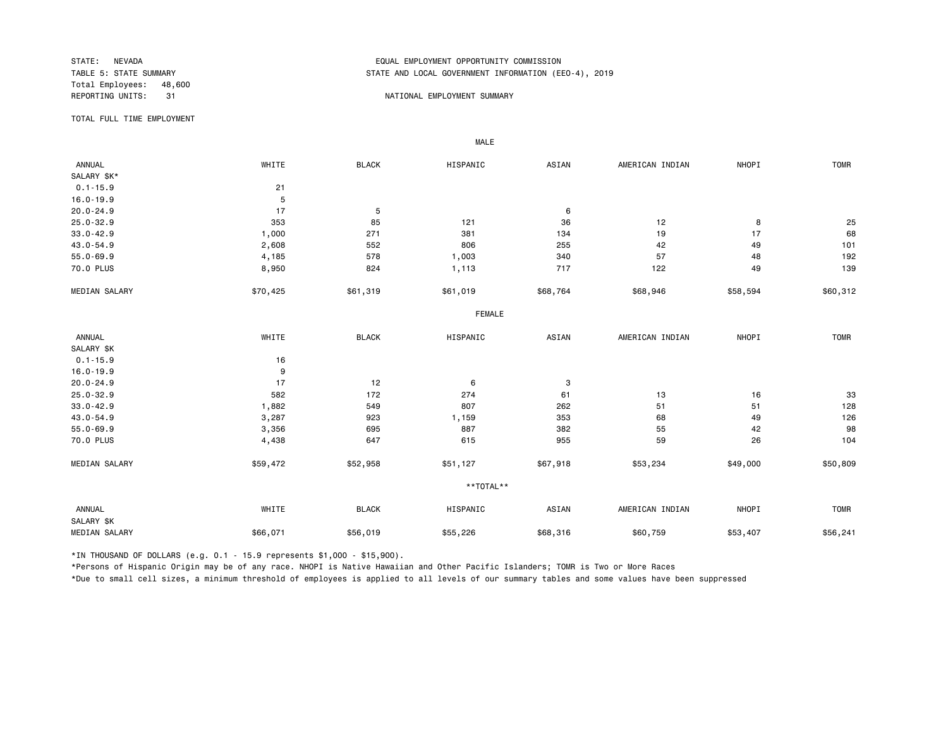Total Employees: 48,600

## STATE: NEVADA EQUAL EMPLOYMENT OPPORTUNITY COMMISSION STATE AND LOCAL GOVERNMENT INFORMATION (EEO-4), 2019

#### REPORTING UNITS: 31 31 NATIONAL EMPLOYMENT SUMMARY

TOTAL FULL TIME EMPLOYMENT

 ANNUAL WHITE BLACK HISPANIC ASIAN AMERICAN INDIAN NHOPI TOMR SALARY \$K\*  $0.1 - 15.9$ <br> $16.0 - 19.9$ <br>5 16.0-19.9 5<br>20.0-24.9 17 20.0-24.9 17 5 6 25.0-32.9 353 85 121 36 12 8 25 33.0-42.9 1,000 271 381 134 19 17 68 43.0-54.9 2,608 552 806 255 42 49 101 55.0-69.9 4,185 578 1,003 340 57 48 192 70.0 PLUS 8,950 824 1,113 717 122 49 139 MEDIAN SALARY \$50,425 \$61,319 \$61,019 \$68,764 \$68,946 \$58,594 \$60,312 FEMALE **FRAME**  ANNUAL WHITE BLACK HISPANIC ASIAN AMERICAN INDIAN NHOPI TOMR SALARY \$K 0.1-15.9 16 16.0-19.9 9<br>20.0-24.9 17 20.0-24.9 17 12 6 3 25.0-32.9 582 172 274 61 13 16 33 33.0-42.9 1,882 549 807 262 51 51 128 43.0-54.9 3,287 923 1,159 353 68 49 126 55.0-69.9 3,356 695 887 382 55 42 98 70.0 PLUS 4,438 647 615 955 59 26 104 MEDIAN SALARY \$59,472 \$52,958 \$51,127 \$67,918 \$53,234 \$49,000 \$50,809 \*\*TOTAL\*\* ANNUAL WHITE BLACK HISPANIC ASIAN AMERICAN INDIAN NHOPI TOMR SALARY \$K MEDIAN SALARY \$66,071 \$56,019 \$55,226 \$68,316 \$60,759 \$56,407 \$56,241

\*IN THOUSAND OF DOLLARS (e.g. 0.1 - 15.9 represents \$1,000 - \$15,900).

MALE

\*Persons of Hispanic Origin may be of any race. NHOPI is Native Hawaiian and Other Pacific Islanders; TOMR is Two or More Races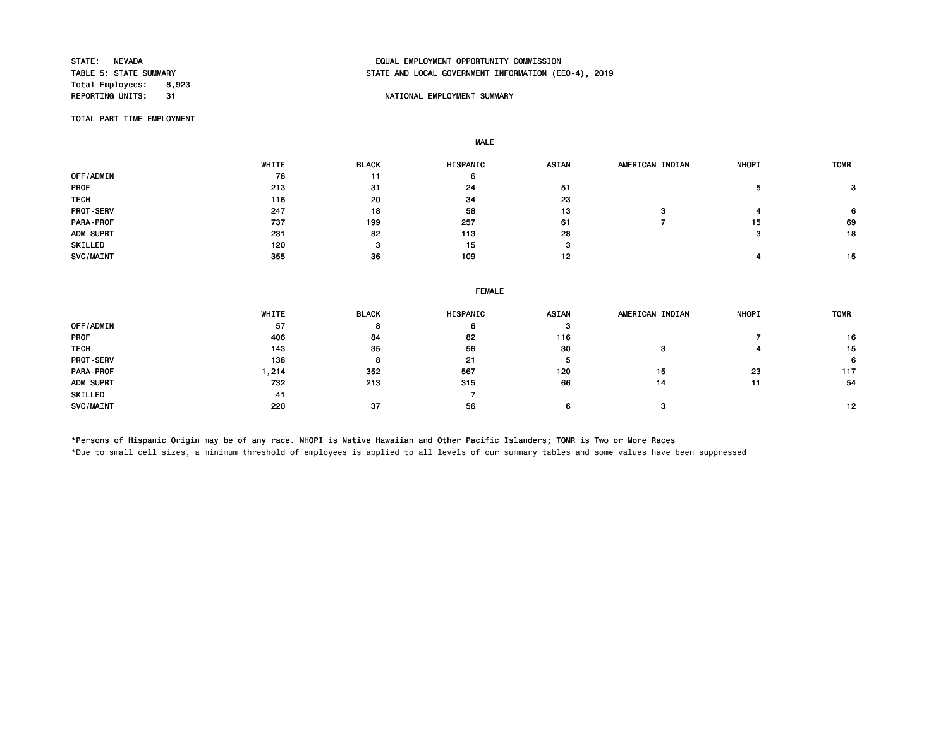Total Employees: 8,923<br>REPORTING UNITS: 31

# STATE: NEVADA EQUAL EMPLOYMENT OPPORTUNITY COMMISSION STATE AND LOCAL GOVERNMENT INFORMATION (EEO-4), 2019

#### **REPORT IN THE POST OF A SET OF A SET OF A SET OF A SUMMARY SUMMARY**

TOTAL PART TIME EMPLOYMENT

MALE

 WHITE BLACK HISPANIC ASIAN AMERICAN INDIAN NHOPI TOMR OFF/ADMIN 78 11 6 PROF 213 31 24 51 5 3 TECH 116 20 34 23 PROT-SERV 247 18 58 13 3 4 6 PARA-PROF 737 199 257 61 7 15 69 ADM SUPRT 231 82 113 28 3 18 SKILLED 120 3 15 3 SVC/MAINT 355 36 109 12 15

|                  | <b>FEMALE</b> |              |          |       |                 |              |             |  |  |
|------------------|---------------|--------------|----------|-------|-----------------|--------------|-------------|--|--|
|                  | WHITE         | <b>BLACK</b> | HISPANIC | ASIAN | AMERICAN INDIAN | <b>NHOPI</b> | <b>TOMR</b> |  |  |
| OFF/ADMIN        | 57            | 8            | 6        | -3    |                 |              |             |  |  |
| <b>PROF</b>      | 406           | 84           | 82       | 116   |                 |              | 16          |  |  |
| <b>TECH</b>      | 143           | 35           | 56       | 30    | з               |              | 15          |  |  |
| <b>PROT-SERV</b> | 138           | 8            | 21       | 5     |                 |              | 6           |  |  |
| PARA-PROF        | .214          | 352          | 567      | 120   | 15              | 23           | 117         |  |  |
| ADM SUPRT        | 732           | 213          | 315      | 66    | 14              | 11           | 54          |  |  |
| SKILLED          | 41            |              |          |       |                 |              |             |  |  |
| SVC/MAINT        | 220           | 37           | 56       | 6     |                 |              | 12          |  |  |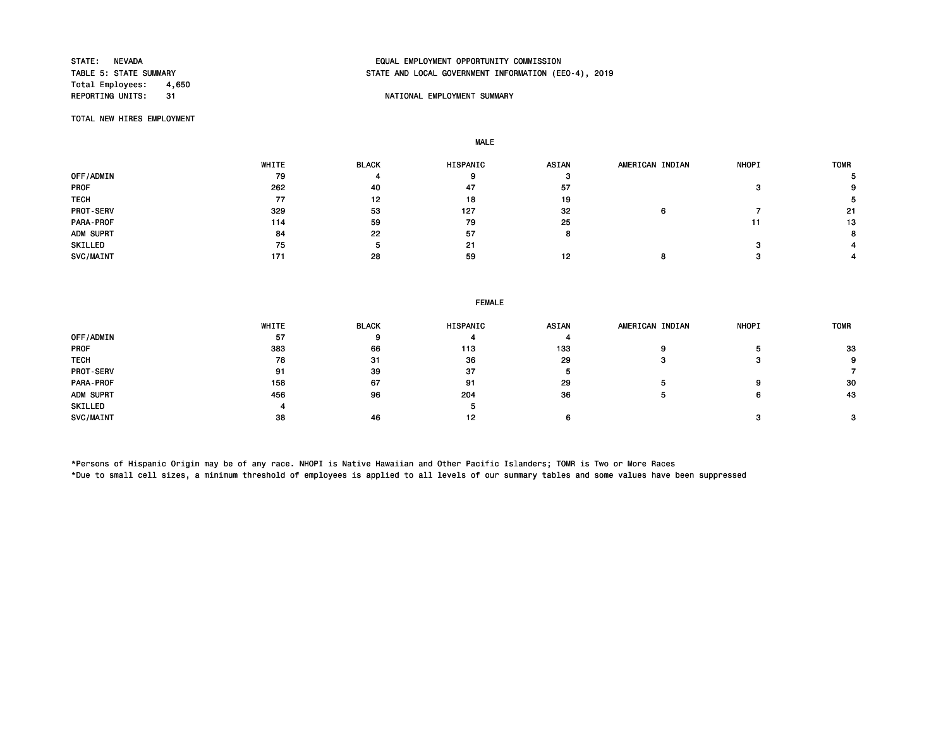Total Employees: 4,650<br>REPORTING UNITS: 31

# STATE: NEVADA EQUAL EMPLOYMENT OPPORTUNITY COMMISSION STATE AND LOCAL GOVERNMENT INFORMATION (EEO-4), 2019

### 31 NATIONAL EMPLOYMENT SUMMARY

TOTAL NEW HIRES EMPLOYMENT

MALE

|                  | WHITE | <b>BLACK</b> | <b>HISPANIC</b> | <b>ASIAN</b> | AMERICAN INDIAN | <b>NHOPI</b> | <b>TOMR</b> |
|------------------|-------|--------------|-----------------|--------------|-----------------|--------------|-------------|
| OFF/ADMIN        | 79    |              | 9               |              |                 |              |             |
| PROF             | 262   | 40           | 47              | 57           |                 |              |             |
| <b>TECH</b>      | 77    | 12           | 18              | 19           |                 |              |             |
| <b>PROT-SERV</b> | 329   | 53           | 127             | 32           |                 |              | 21          |
| <b>PARA-PROF</b> | 114   | 59           | 79              | 25           |                 |              | 13          |
| ADM SUPRT        | 84    | 22           | 57              |              |                 |              |             |
| SKILLED          | 75    |              | 21              |              |                 |              |             |
| SVC/MAINT        | 171   | 28           | 59              | 12           |                 |              |             |

| <b>FEMALE</b> |  |
|---------------|--|
|---------------|--|

|             | <b>WHITE</b> | <b>BLACK</b> | <b>HISPANIC</b> | <b>ASIAN</b> | AMERICAN INDIAN | <b>NHOPI</b> | <b>TOMR</b> |
|-------------|--------------|--------------|-----------------|--------------|-----------------|--------------|-------------|
| OFF/ADMIN   | 57           |              |                 |              |                 |              |             |
| PROF        | 383          | 66           | 113             | 133          |                 |              | 33          |
| <b>TECH</b> | 78           | -31          | 36              | 29           |                 |              | 9.          |
| PROT-SERV   | 91           | -39          | 37              |              |                 |              |             |
| PARA-PROF   | 158          | 67           | 91              | 29           |                 |              | 30          |
| ADM SUPRT   | 456          | 96           | 204             | 36           |                 |              | 43          |
| SKILLED     |              |              |                 |              |                 |              |             |
| SVC/MAINT   | 38           | 46           | 12              |              |                 |              |             |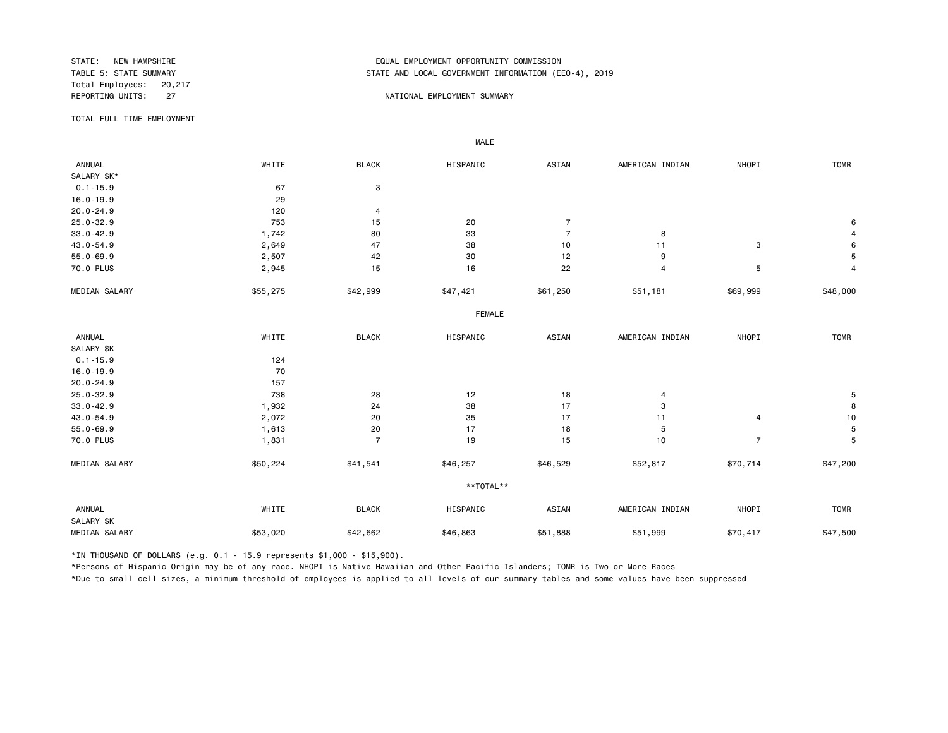Total Employees: 20,217

## STATE: NEW HAMPSHIRE EQUAL EMPLOYMENT OPPORTUNITY COMMISSION STATE AND LOCAL GOVERNMENT INFORMATION (EEO-4), 2019

#### REPORTING UNITS: 27 27 NATIONAL EMPLOYMENT SUMMARY

TOTAL FULL TIME EMPLOYMENT

 ANNUAL WHITE BLACK HISPANIC ASIAN AMERICAN INDIAN NHOPI TOMR SALARY \$K\*<br>0.1-15.9 0.1-15.9 67 3 16.0-19.9 29<br>20.0-24.9 120 20.0-24.9 120 4 25.0-32.9 753 15 20 7 6 33.0-42.9 1,742 80 33 7 8 4 43.0-54.9 2,649 47 38 10 11 3 6 55.0-69.9 2,507 42 30 12 9 5 70.0 PLUS 2,945 15 16 22 4 5 4 MEDIAN SALARY \$55,275 \$42,999 \$47,421 \$61,250 \$51,181 \$69,999 \$48,000 FEMALE **FRAME**  ANNUAL WHITE BLACK HISPANIC ASIAN AMERICAN INDIAN NHOPI TOMR SALARY \$K 0.1-15.9 124 16.0-19.9 70 20.0-24.9 157 25.0-32.9 738 28 12 18 4 5 33.0-42.9 1,932 24 38 17 3 8 43.0-54.9 2,072 20 17 11 4 10 55.0-69.9 1,613 20 17 18 5 5 70.0 PLUS 1,831 7 19 15 10 7 5 MEDIAN SALARY \$50,224 \$41,541 \$46,257 \$46,529 \$52,817 \$70,714 \$47,200 \*\*TOTAL\*\* ANNUAL WHITE BLACK HISPANIC ASIAN AMERICAN INDIAN NHOPI TOMR SALARY \$K MEDIAN SALARY \$53,020 \$42,662 \$46,863 \$51,888 \$51,999 \$70,417 \$47,500

\*IN THOUSAND OF DOLLARS (e.g. 0.1 - 15.9 represents \$1,000 - \$15,900).

MALE

\*Persons of Hispanic Origin may be of any race. NHOPI is Native Hawaiian and Other Pacific Islanders; TOMR is Two or More Races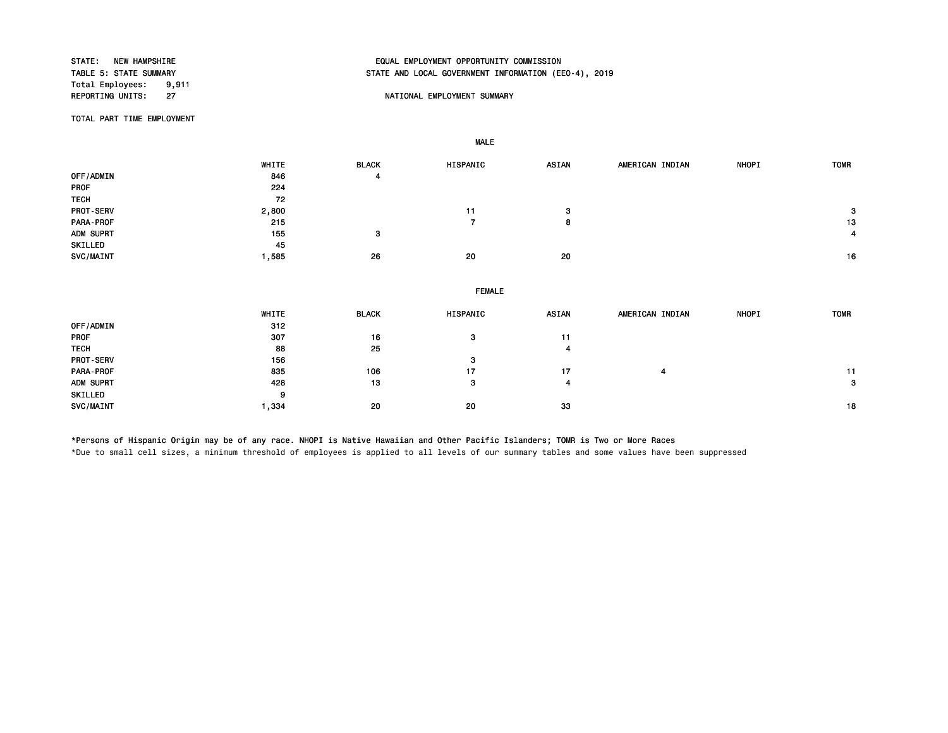Total Employees: 9,911<br>REPORTING UNITS: 27

# STATE: NEW HAMPSHIRE EQUAL EMPLOYMENT OPPORTUNITY COMMISSION STATE AND LOCAL GOVERNMENT INFORMATION (EEO-4), 2019

#### NATIONAL EMPLOYMENT SUMMARY

TOTAL PART TIME EMPLOYMENT

MALE

|             | WHITE | <b>BLACK</b> | HISPANIC       | <b>ASIAN</b>   | AMERICAN INDIAN | NHOPI | <b>TOMR</b> |
|-------------|-------|--------------|----------------|----------------|-----------------|-------|-------------|
| OFF/ADMIN   | 846   | 4            |                |                |                 |       |             |
| PROF        | 224   |              |                |                |                 |       |             |
| <b>TECH</b> | 72    |              |                |                |                 |       |             |
| PROT-SERV   | 2,800 |              | 11             | 3              |                 |       | 3           |
| PARA-PROF   | 215   |              | $\overline{7}$ | 8              |                 |       | 13          |
| ADM SUPRT   | 155   | 3            |                |                |                 |       | 4           |
| SKILLED     | 45    |              |                |                |                 |       |             |
| SVC/MAINT   | 1,585 | 26           | 20             | 20             |                 |       | 16          |
|             |       |              |                |                |                 |       |             |
|             |       |              | <b>FEMALE</b>  |                |                 |       |             |
|             | WHITE | <b>BLACK</b> | HISPANIC       | <b>ASIAN</b>   | AMERICAN INDIAN | NHOPI | <b>TOMR</b> |
| OFF/ADMIN   | 312   |              |                |                |                 |       |             |
| PROF        | 307   | 16           | 3              | 11             |                 |       |             |
| <b>TECH</b> | 88    | 25           |                | $\overline{4}$ |                 |       |             |
| PROT-SERV   | 156   |              | з              |                |                 |       |             |
| PARA-PROF   | 835   | 106          | 17             | 17             | 4               |       | 11          |
| ADM SUPRT   | 428   | 13           | 3              | $\overline{4}$ |                 |       | 3           |
| SKILLED     | 9     |              |                |                |                 |       |             |

\*Persons of Hispanic Origin may be of any race. NHOPI is Native Hawaiian and Other Pacific Islanders; TOMR is Two or More Races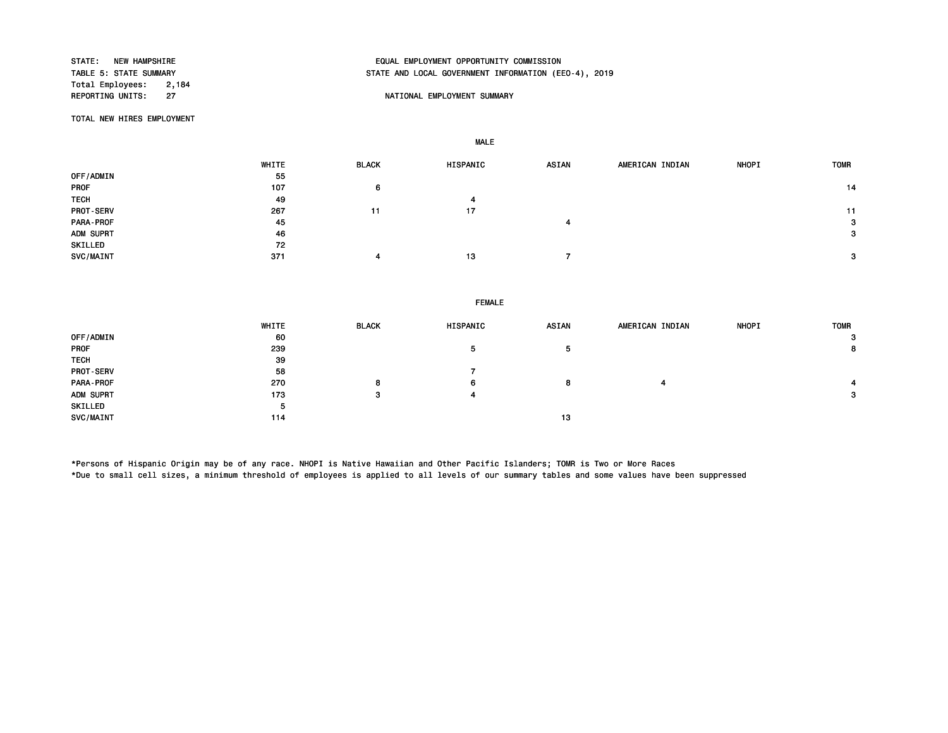Total Employees: 2,184<br>REPORTING UNITS: 27

# STATE: NEW HAMPSHIRE EQUAL EMPLOYMENT OPPORTUNITY COMMISSION STATE AND LOCAL GOVERNMENT INFORMATION (EEO-4), 2019

### NATIONAL EMPLOYMENT SUMMARY

TOTAL NEW HIRES EMPLOYMENT

MALE

|                  | WHITE | <b>BLACK</b> | HISPANIC | <b>ASIAN</b> | AMERICAN INDIAN | <b>NHOPI</b> | <b>TOMR</b>  |
|------------------|-------|--------------|----------|--------------|-----------------|--------------|--------------|
|                  |       |              |          |              |                 |              |              |
| OFF/ADMIN        | 55    |              |          |              |                 |              |              |
| PROF             | 107   | 6            |          |              |                 |              | 14           |
| <b>TECH</b>      | 49    |              |          |              |                 |              |              |
| <b>PROT-SERV</b> | 267   | 11           | 17       |              |                 |              | 11           |
| PARA-PROF        | 45    |              |          |              |                 |              | $\mathbf{3}$ |
| ADM SUPRT        | 46    |              |          |              |                 |              | 3            |
| SKILLED          | 72    |              |          |              |                 |              |              |
| SVC/MAINT        | 371   |              | 13       |              |                 |              | 3            |

FEMALE

|                  | WHITE | <b>BLACK</b> | HISPANIC | ASIAN | AMERICAN INDIAN | <b>NHOPI</b> | <b>TOMR</b>  |
|------------------|-------|--------------|----------|-------|-----------------|--------------|--------------|
| OFF/ADMIN        | 60    |              |          |       |                 |              | 3            |
| <b>PROF</b>      | 239   |              | 5        | Ð     |                 |              | 8            |
| <b>TECH</b>      | 39    |              |          |       |                 |              |              |
| <b>PROT-SERV</b> | 58    |              |          |       |                 |              |              |
| PARA-PROF        | 270   | 8            | 6        | 8     | 4               |              |              |
| ADM SUPRT        | 173   | з            | 4        |       |                 |              | $\mathbf{3}$ |
| SKILLED          | 5     |              |          |       |                 |              |              |
| SVC/MAINT        | 114   |              |          | 13    |                 |              |              |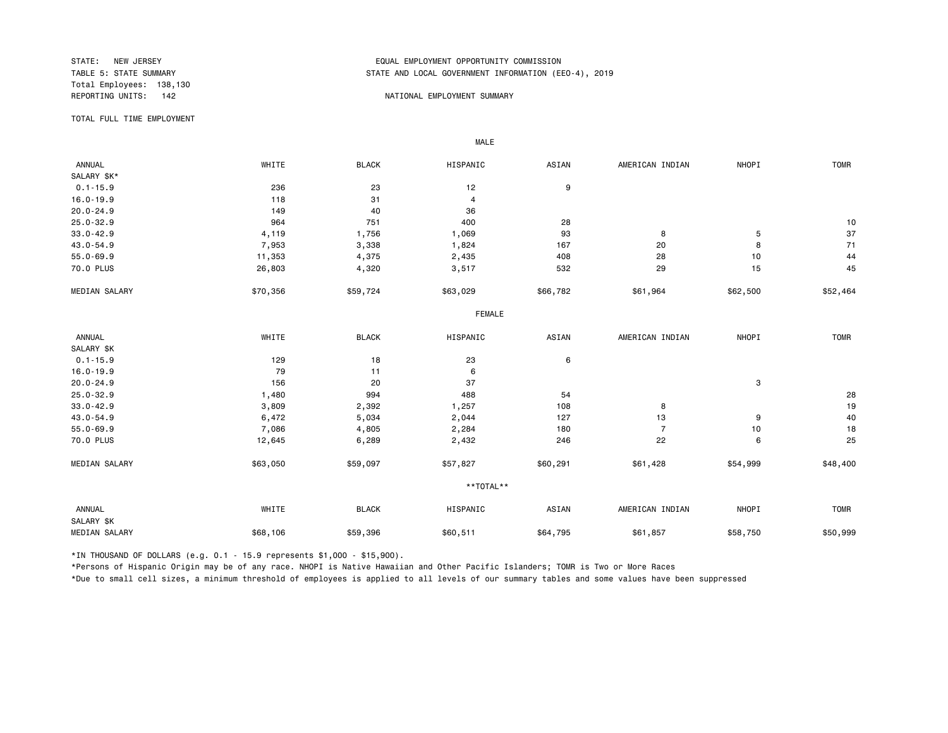Total Employees: 138,130

## STATE: NEW JERSEY EQUAL EMPLOYMENT OPPORTUNITY COMMISSION STATE AND LOCAL GOVERNMENT INFORMATION (EEO-4), 2019

#### REPORTING UNITS: 142 And the state of the state of the state of the state of the state of the state of the state of the state of the state of the state of the state of the state of the state of the state of the state of th

TOTAL FULL TIME EMPLOYMENT

 ANNUAL WHITE BLACK HISPANIC ASIAN AMERICAN INDIAN NHOPI TOMR SALARY \$K\*<br>0.1-15.9  $0.1-15.9$  236 236 23 12 9 16.0-19.9 118 31 4 20.0-24.9 149 40 36 25.0-32.9 964 751 400 28 10 33.0-42.9 4,119 1,756 1,069 93 8 5 37 43.0-54.9 7,953 3,338 1,824 167 20 8 71 55.0-69.9 11,353 4,375 2,435 408 28 10 44 70.0 PLUS 26,803 4,320 3,517 532 29 15 45 MEDIAN SALARY \$70,356 \$59,724 \$63,029 \$66,782 \$61,964 \$52,500 \$52,464 FEMALE **FRAME**  ANNUAL WHITE BLACK HISPANIC ASIAN AMERICAN INDIAN NHOPI TOMR SALARY \$K<br>0.1-15.9  $0.1-15.9$  129 18 23 6 16.0-19.9 79 11 6 20.0-24.9 156 20 37 3 25.0-32.9 1,480 994 488 54 28 33.0-42.9 3,809 2,392 1,257 108 8 19 19 43.0-54.9 6,472 5,034 2,044 127 13 9 40 55.0-69.9 7,086 4,805 2,284 180 7 10 18 70.0 PLUS 12,645 6,289 2,432 246 22 6 25 MEDIAN SALARY \$53,050 \$59,097 \$57,827 \$60,291 \$61,428 \$54,999 \$48,400 \*\*TOTAL\*\* ANNUAL WHITE BLACK HISPANIC ASIAN AMERICAN INDIAN NHOPI TOMR SALARY \$K MEDIAN SALARY \$68,106 \$59,396 \$60,511 \$61,795 \$58,750 \$58,750 \$50,999 \$50,999

\*IN THOUSAND OF DOLLARS (e.g. 0.1 - 15.9 represents \$1,000 - \$15,900).

MALE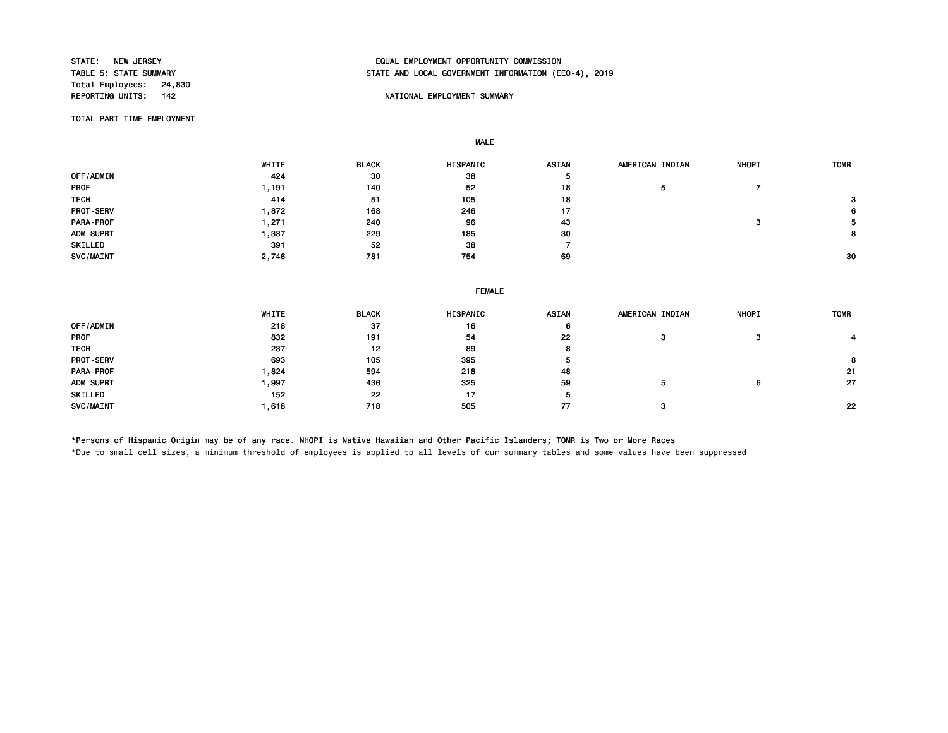Total Employees: 24,830<br>REPORTING UNITS: 142

# STATE: NEW JERSEY EQUAL EMPLOYMENT OPPORTUNITY COMMISSION STATE AND LOCAL GOVERNMENT INFORMATION (EEO-4), 2019

### NATIONAL EMPLOYMENT SUMMARY

TOTAL PART TIME EMPLOYMENT

MALE

 WHITE BLACK HISPANIC ASIAN AMERICAN INDIAN NHOPI TOMR OFF/ADMIN 424 30 38 5 PROF 1,191 140 52 18 5 7 TECH 414 51 105 18 3 PROT-SERV 1,872 168 246 17 6 PARA-PROF 1,271 240 96 43 3 5 ADM SUPRT 1,387 229 185 30 8 SKILLED 391 52 38 7 SVC/MAINT 2,746 781 754 69 30

|                  | <b>FEMALE</b> |              |          |       |                 |              |             |  |
|------------------|---------------|--------------|----------|-------|-----------------|--------------|-------------|--|
|                  | WHITE         | <b>BLACK</b> | HISPANIC | ASIAN | AMERICAN INDIAN | <b>NHOPI</b> | <b>TOMR</b> |  |
| OFF/ADMIN        | 218           | 37           | 16       | 6     |                 |              |             |  |
| <b>PROF</b>      | 832           | 191          | 54       | 22    | з               | -3           |             |  |
| <b>TECH</b>      | 237           | 12           | 89       | 8     |                 |              |             |  |
| <b>PROT-SERV</b> | 693           | 105          | 395      | Ð     |                 |              | 8           |  |
| PARA-PROF        | .824          | 594          | 218      | 48    |                 |              | -21         |  |
| ADM SUPRT        | .997          | 436          | 325      | 59    | ٥               | 6            | 27          |  |
| SKILLED          | 152           | 22           | 17       | Ð     |                 |              |             |  |
| SVC/MAINT        | 618 ا         | 718          | 505      | 77    | з               |              | 22          |  |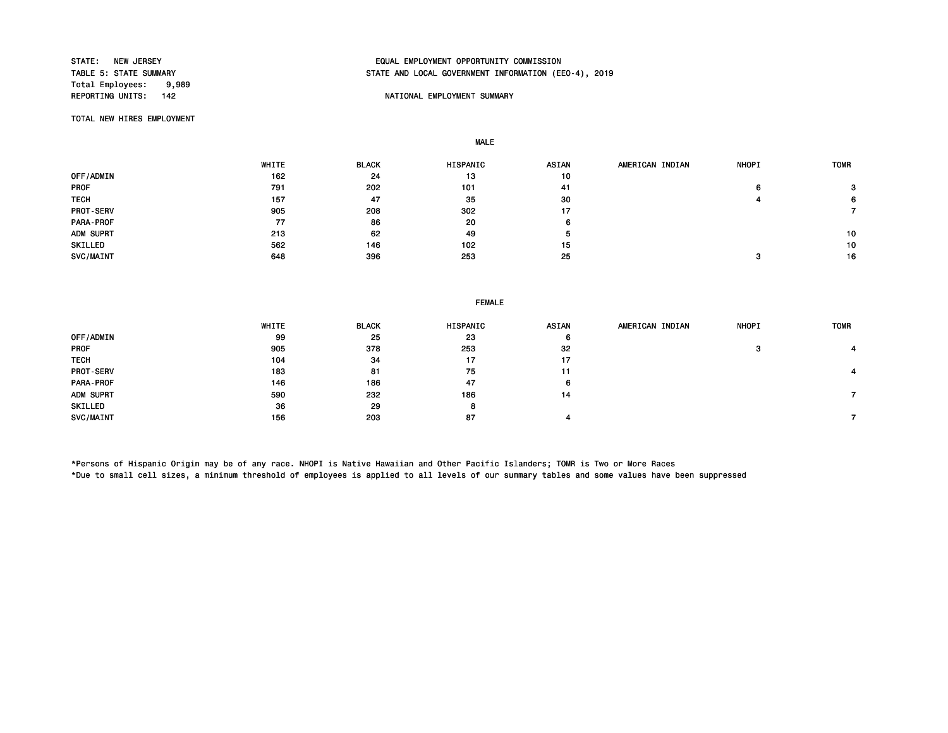Total Employees: 9,989<br>REPORTING UNITS: 142

# STATE: NEW JERSEY EQUAL EMPLOYMENT OPPORTUNITY COMMISSION STATE AND LOCAL GOVERNMENT INFORMATION (EEO-4), 2019

### NATIONAL EMPLOYMENT SUMMARY

TOTAL NEW HIRES EMPLOYMENT

MALE

|             | WHITE | <b>BLACK</b> | HISPANIC | ASIAN | AMERICAN INDIAN | <b>NHOPI</b> | <b>TOMR</b> |
|-------------|-------|--------------|----------|-------|-----------------|--------------|-------------|
| OFF/ADMIN   | 162   | 24           | 13       | 10    |                 |              |             |
| <b>PROF</b> | 791   | 202          | 101      | 41    |                 | 6            | 3           |
| <b>TECH</b> | 157   | 47           | 35       | 30    |                 |              | 6           |
| PROT-SERV   | 905   | 208          | 302      | 17    |                 |              |             |
| PARA-PROF   | 77    | 86           | 20       | 6     |                 |              |             |
| ADM SUPRT   | 213   | 62           | 49       | э     |                 |              | 10          |
| SKILLED     | 562   | 146          | 102      | 15    |                 |              | 10          |
| SVC/MAINT   | 648   | 396          | 253      | 25    |                 | ິ            | 16          |

FEMALE

|                  | WHITE | <b>BLACK</b> | HISPANIC | <b>ASIAN</b> | AMERICAN INDIAN | <b>NHOPI</b> | <b>TOMR</b> |
|------------------|-------|--------------|----------|--------------|-----------------|--------------|-------------|
| OFF/ADMIN        | 99    | 25           | 23       | 6            |                 |              |             |
| <b>PROF</b>      | 905   | 378          | 253      | 32           |                 | c            |             |
| <b>TECH</b>      | 104   | 34           | 17       | 17           |                 |              |             |
| <b>PROT-SERV</b> | 183   | 81           | 75       | 11           |                 |              |             |
| <b>PARA-PROF</b> | 146   | 186          | 47       | 6            |                 |              |             |
| ADM SUPRT        | 590   | 232          | 186      | 14           |                 |              |             |
| SKILLED          | 36    | 29           | 8        |              |                 |              |             |
| SVC/MAINT        | 156   | 203          | 87       |              |                 |              |             |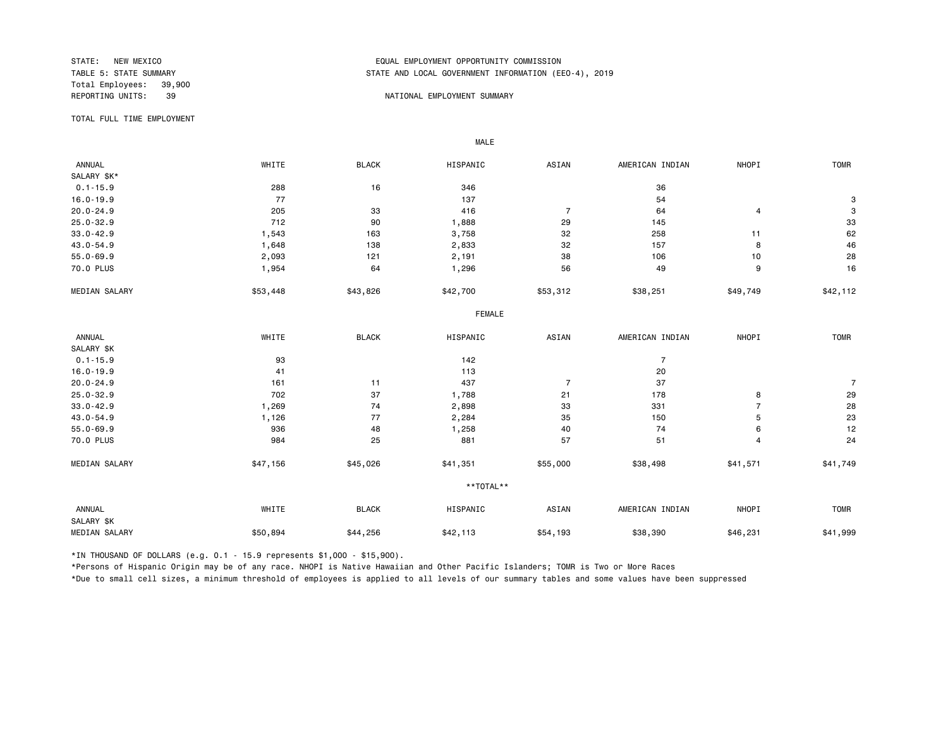Total Employees: 39,900

## STATE: NEW MEXICO EQUAL EMPLOYMENT OPPORTUNITY COMMISSION STATE AND LOCAL GOVERNMENT INFORMATION (EEO-4), 2019

#### REPORTING UNITS: 39 NATIONAL EMPLOYMENT SUMMARY

TOTAL FULL TIME EMPLOYMENT

 ANNUAL WHITE BLACK HISPANIC ASIAN AMERICAN INDIAN NHOPI TOMR SALARY \$K\*<br>0.1-15.9  $0.1-15.9$  288 16 346 36 36 16.0-19.9 77 137 54 3 20.0-24.9 205 33 416 7 64 4 3 25.0-32.9 712 90 1,888 29 145 33 33.0-42.9 1,543 163 3,758 258 11 62 43.0-54.9 1,648 138 2,833 32 157 8 46 55.0-69.9 2,093 121 2,191 38 106 10 28 70.0 PLUS 1,954 64 1,296 56 49 9 16 MEDIAN SALARY \$53,448 \$43,826 \$42,700 \$53,312 \$38,251 \$49,749 \$42,112 FEMALE **FRAME**  ANNUAL WHITE BLACK HISPANIC ASIAN AMERICAN INDIAN NHOPI TOMR SALARY \$K<br>0.1-15.9  $0.1-15.9$  and  $93$  and  $142$  and  $7$  $16.0-19.9$  20 20.0-24.9 161 11 437 7 37 7 25.0-32.9 702 37 1,788 21 178 8 29 33.0-42.9 1,269 74 2,898 33 331 7 28 43.0-54.9 1,126 77 2,284 35 150 5 23 55.0-69.9 936 48 1,258 40 74 6 12 70.0 PLUS 984 25 881 57 51 4 24 MEDIAN SALARY \$47,156 \$45,026 \$41,351 \$55,000 \$38,498 \$41,571 \$41,749 \*\*TOTAL\*\* ANNUAL WHITE BLACK HISPANIC ASIAN AMERICAN INDIAN NHOPI TOMR SALARY \$K 1,999 MEDIAN SALARY \$50,894 \$44,256 \$42,113 \$38,390 \$46,231 \$41,999 \$41,999

\*IN THOUSAND OF DOLLARS (e.g. 0.1 - 15.9 represents \$1,000 - \$15,900).

MALE

\*Persons of Hispanic Origin may be of any race. NHOPI is Native Hawaiian and Other Pacific Islanders; TOMR is Two or More Races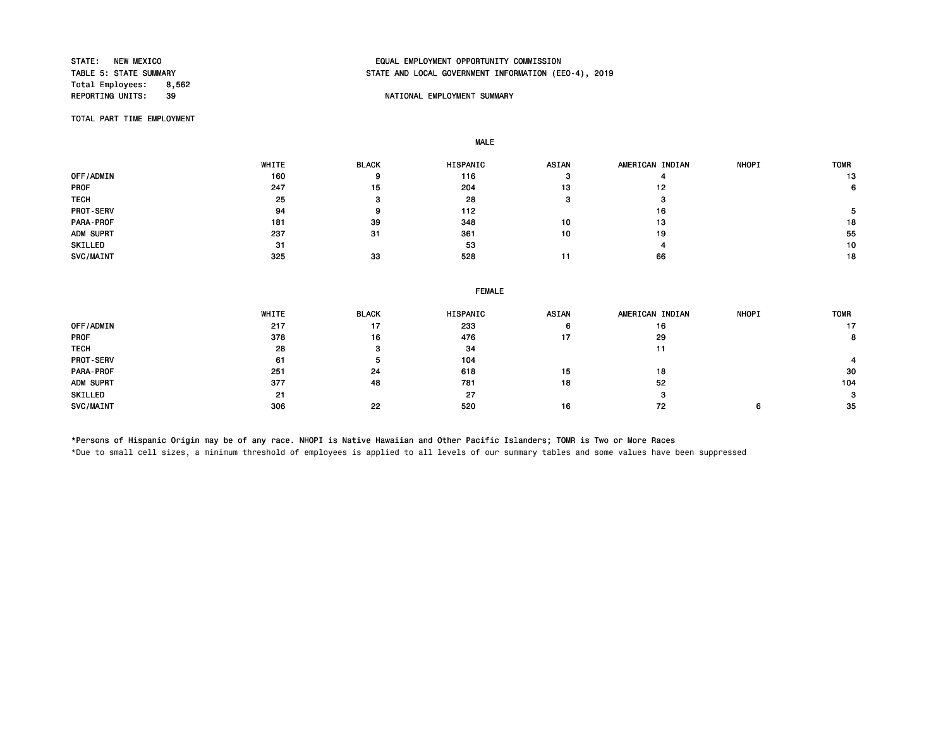Total Employees: 8,562<br>REPORTING UNITS: 39

# STATE: NEW MEXICO EQUAL EMPLOYMENT OPPORTUNITY COMMISSION STATE AND LOCAL GOVERNMENT INFORMATION (EEO-4), 2019

### **REPORT IN THE PORTIONAL EMPLOYMENT SUMMARY**

TOTAL PART TIME EMPLOYMENT

MALE

|                  | <b>WHITE</b> | <b>BLACK</b> | HISPANIC | <b>ASIAN</b> | AMERICAN INDIAN | <b>NHOPI</b> | <b>TOMR</b> |
|------------------|--------------|--------------|----------|--------------|-----------------|--------------|-------------|
| OFF/ADMIN        | 160          | 9            | 116      |              |                 |              | 13          |
| <b>PROF</b>      | 247          | 15           | 204      | 13           | 12              |              | 6.          |
| <b>TECH</b>      | 25           |              | 28       |              |                 |              |             |
| <b>PROT-SERV</b> | 94           |              | 112      |              | 16              |              |             |
| <b>PARA-PROF</b> | 181          | 39           | 348      | 10           | 13              |              | 18          |
| ADM SUPRT        | 237          | -31          | 361      | 10           | 19              |              | 55          |
| SKILLED          | 31           |              | 53       |              |                 |              | 10          |
| SVC/MAINT        | 325          | 33           | 528      |              | 66              |              | 18          |

|             | <b>FEMALE</b> |              |          |       |                 |              |             |  |  |
|-------------|---------------|--------------|----------|-------|-----------------|--------------|-------------|--|--|
|             | WHITE         | <b>BLACK</b> | HISPANIC | ASIAN | AMERICAN INDIAN | <b>NHOPI</b> | <b>TOMR</b> |  |  |
| OFF/ADMIN   | 217           | 17           | 233      | 6     | 16              |              | 17          |  |  |
| <b>PROF</b> | 378           | 16           | 476      | 17    | 29              |              | 8           |  |  |
| <b>TECH</b> | 28            |              | 34       |       | 11              |              |             |  |  |
| PROT-SERV   | 61            |              | 104      |       |                 |              |             |  |  |
| PARA-PROF   | 251           | 24           | 618      | 15    | 18              |              | 30          |  |  |
| ADM SUPRT   | 377           | 48           | 781      | 18    | 52              |              | 104         |  |  |
| SKILLED     | 21            |              | 27       |       | $\circ$         |              | 3           |  |  |
| SVC/MAINT   | 306           | 22           | 520      | 16    | 72              | 6            | -35         |  |  |

\*Persons of Hispanic Origin may be of any race. NHOPI is Native Hawaiian and Other Pacific Islanders; TOMR is Two or More Races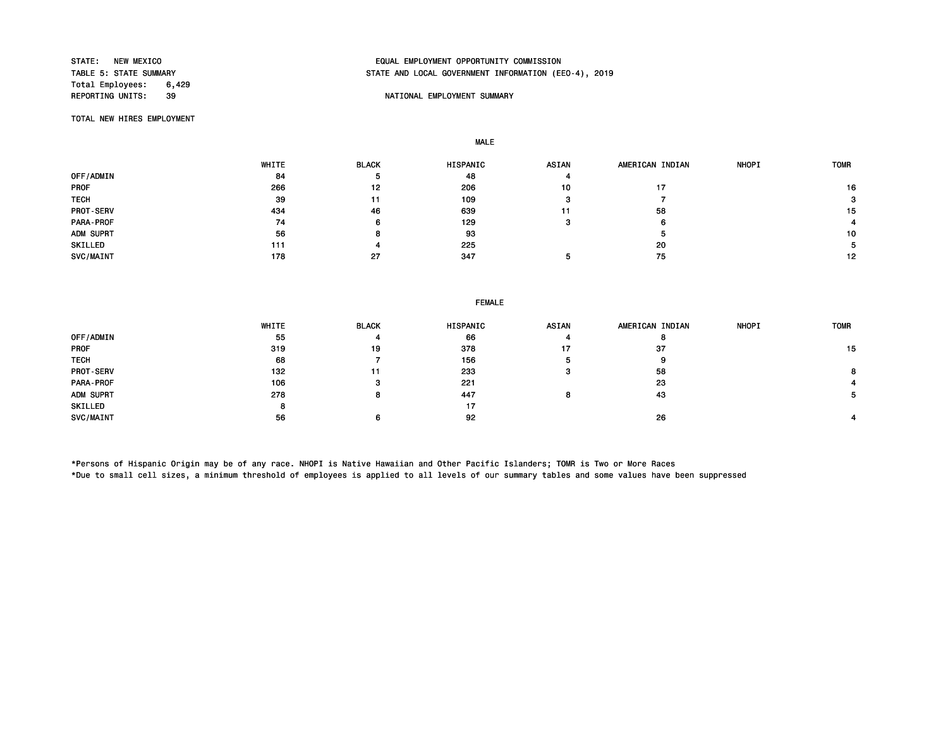Total Employees: 6,429<br>REPORTING UNITS: 39

# STATE: NEW MEXICO EQUAL EMPLOYMENT OPPORTUNITY COMMISSION STATE AND LOCAL GOVERNMENT INFORMATION (EEO-4), 2019

### **REPORT IN THE PORTIONAL EMPLOYMENT SUMMARY**

TOTAL NEW HIRES EMPLOYMENT

MALE

|                  | WHITE | <b>BLACK</b> | <b>HISPANIC</b> | <b>ASIAN</b> | AMERICAN INDIAN | <b>NHOPI</b> | <b>TOMR</b> |
|------------------|-------|--------------|-----------------|--------------|-----------------|--------------|-------------|
| OFF/ADMIN        | 84    |              | 48              |              |                 |              |             |
| <b>PROF</b>      | 266   | 12           | 206             | 10           |                 |              | 16          |
| <b>TECH</b>      | 39    | 11           | 109             |              |                 |              | з           |
| <b>PROT-SERV</b> | 434   | 46           | 639             | 11           | 58              |              | 15          |
| PARA-PROF        | 74    | 6            | 129             |              | 6               |              |             |
| ADM SUPRT        | 56    | 8            | 93              |              | ×.              |              | 10          |
| SKILLED          | 111   |              | 225             |              | 20              |              |             |
| SVC/MAINT        | 178   | 27           | 347             |              | 75              |              | 12          |

| <b>FEMALE</b> |  |
|---------------|--|
|---------------|--|

|                  | WHITE | <b>BLACK</b> | HISPANIC | ASIAN | AMERICAN INDIAN | <b>NHOPI</b> | <b>TOMR</b> |
|------------------|-------|--------------|----------|-------|-----------------|--------------|-------------|
| OFF/ADMIN        | 55    |              | 66       |       |                 |              |             |
| <b>PROF</b>      | 319   | 19           | 378      | 17    | 37              |              | 15          |
| <b>TECH</b>      | 68    |              | 156      |       | у               |              |             |
| <b>PROT-SERV</b> | 132   |              | 233      | -3    | 58              |              |             |
| PARA-PROF        | 106   |              | 221      |       | 23              |              |             |
| ADM SUPRT        | 278   |              | 447      | 8     | 43              |              |             |
| SKILLED          | 8     |              | 17       |       |                 |              |             |
| SVC/MAINT        | 56    |              | 92       |       | 26              |              |             |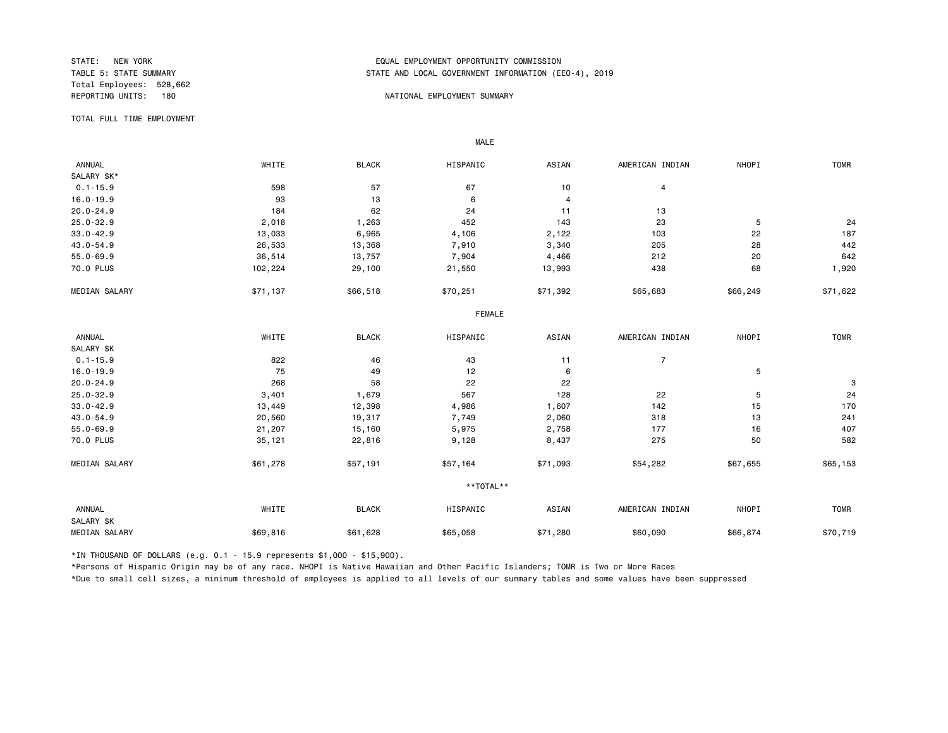Total Employees: 528,662

## STATE: NEW YORK EQUAL EMPLOYMENT OPPORTUNITY COMMISSION STATE AND LOCAL GOVERNMENT INFORMATION (EEO-4), 2019

#### REPORTING UNITS: 180 NATIONAL EMPLOYMENT SUMMARY

TOTAL FULL TIME EMPLOYMENT

 ANNUAL WHITE BLACK HISPANIC ASIAN AMERICAN INDIAN NHOPI TOMR SALARY \$K\*<br>0.1-15.9  $0.1-15.9$  598 597 67 67 10 4 16.0-19.9 93 13 6 4 20.0-24.9 184 62 24 11 13 25.0-32.9 2,018 1,263 452 143 23 5 24 33.0-42.9 13,033 6,965 4,106 2,122 103 22 187 43.0-54.9 26,533 13,368 7,910 3,340 205 28 442 55.0-69.9 36,514 13,757 7,904 4,466 212 20 642 70.0 PLUS 102,224 29,100 21,550 13,993 438 68 1,920 MEDIAN SALARY \$71,137 \$66,518 \$70,251 \$71,392 \$65,683 \$66,249 \$71,622 FEMALE **FRAME**  ANNUAL WHITE BLACK HISPANIC ASIAN AMERICAN INDIAN NHOPI TOMR SALARY \$K<br>0.1-15.9  $0.1-15.9$  822 46 43 11 7 16.0-19.9 75 49 12 6 5  $20.0-24.9$  3 25.0-32.9 3,401 1,679 567 128 22 5 24 33.0-42.9 13,449 12,398 4,986 1,607 142 15 170 43.0-54.9 20,560 19,317 7,749 2,060 318 13 241 55.0-69.9 21,207 15,160 5,975 2,758 177 16 407 70.0 PLUS 35,121 22,816 9,128 8,437 275 50 582 MEDIAN SALARY \$61,278 \$57,191 \$57,164 \$71,093 \$54,282 \$67,655 \$65,153 \*\*TOTAL\*\* ANNUAL WHITE BLACK HISPANIC ASIAN AMERICAN INDIAN NHOPI TOMR SALARY \$K 0 MEDIAN SALARY \$69,816 \$61,628 \$65,058 \$60,090 \$66,874 \$70,719

\*IN THOUSAND OF DOLLARS (e.g. 0.1 - 15.9 represents \$1,000 - \$15,900).

MALE

\*Persons of Hispanic Origin may be of any race. NHOPI is Native Hawaiian and Other Pacific Islanders; TOMR is Two or More Races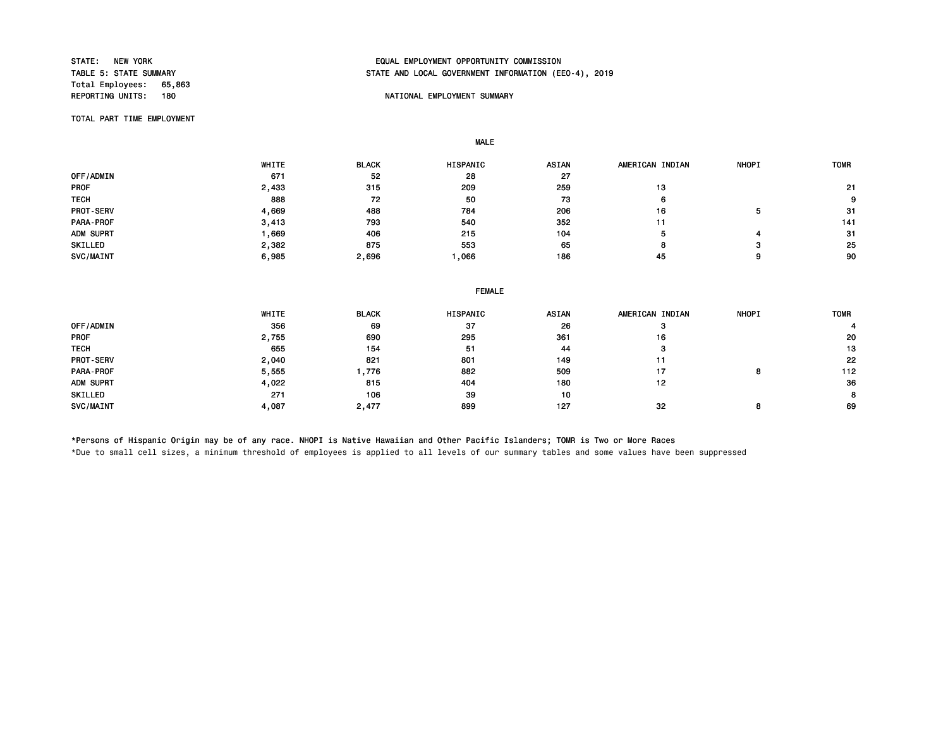Total Employees: 65,863<br>REPORTING UNITS: 180

# STATE: NEW YORK EQUAL EMPLOYMENT OPPORTUNITY COMMISSION STATE AND LOCAL GOVERNMENT INFORMATION (EEO-4), 2019

### NATIONAL EMPLOYMENT SUMMARY

TOTAL PART TIME EMPLOYMENT

MALE

|                  | WHITE | <b>BLACK</b> | HISPANIC | <b>ASIAN</b> | AMERICAN INDIAN | <b>NHOPI</b> | <b>TOMR</b> |
|------------------|-------|--------------|----------|--------------|-----------------|--------------|-------------|
| OFF/ADMIN        | 671   | 52           | 28       | 27           |                 |              |             |
| <b>PROF</b>      | 2,433 | 315          | 209      | 259          | 13              |              | 21          |
| <b>TECH</b>      | 888   | 72           | 50       | 73           | ь               |              | 9           |
| <b>PROT-SERV</b> | 4,669 | 488          | 784      | 206          | 16              |              | -31         |
| PARA-PROF        | 3,413 | 793          | 540      | 352          | 11              |              | 141         |
| ADM SUPRT        | .669  | 406          | 215      | 104          | э               |              | -31         |
| SKILLED          | 2,382 | 875          | 553      | 65           |                 | э            | 25          |
| SVC/MAINT        | 6,985 | 2,696        | ,066     | 186          | 45              | 9            | 90          |

|  | <b>FEMALE</b> |  |
|--|---------------|--|
|  |               |  |

|             | WHITE | <b>BLACK</b> | HISPANIC | ASIAN | AMERICAN INDIAN | <b>NHOPI</b> | <b>TOMR</b> |
|-------------|-------|--------------|----------|-------|-----------------|--------------|-------------|
| OFF/ADMIN   | 356   | 69           | 37       | 26    |                 |              |             |
| <b>PROF</b> | 2,755 | 690          | 295      | 361   | 16              |              | 20          |
| <b>TECH</b> | 655   | 154          | 51       | 44    | з               |              | 13          |
| PROT-SERV   | 2,040 | 821          | 801      | 149   | 11              |              | 22          |
| PARA-PROF   | 5,555 | 776. ا       | 882      | 509   | 17              | o            | 112         |
| ADM SUPRT   | 4,022 | 815          | 404      | 180   | 12              |              | 36          |
| SKILLED     | 271   | 106          | 39       | 10    |                 |              | 8           |
| SVC/MAINT   | 4,087 | 2,477        | 899      | 127   | 32              |              | 69          |

\*Persons of Hispanic Origin may be of any race. NHOPI is Native Hawaiian and Other Pacific Islanders; TOMR is Two or More Races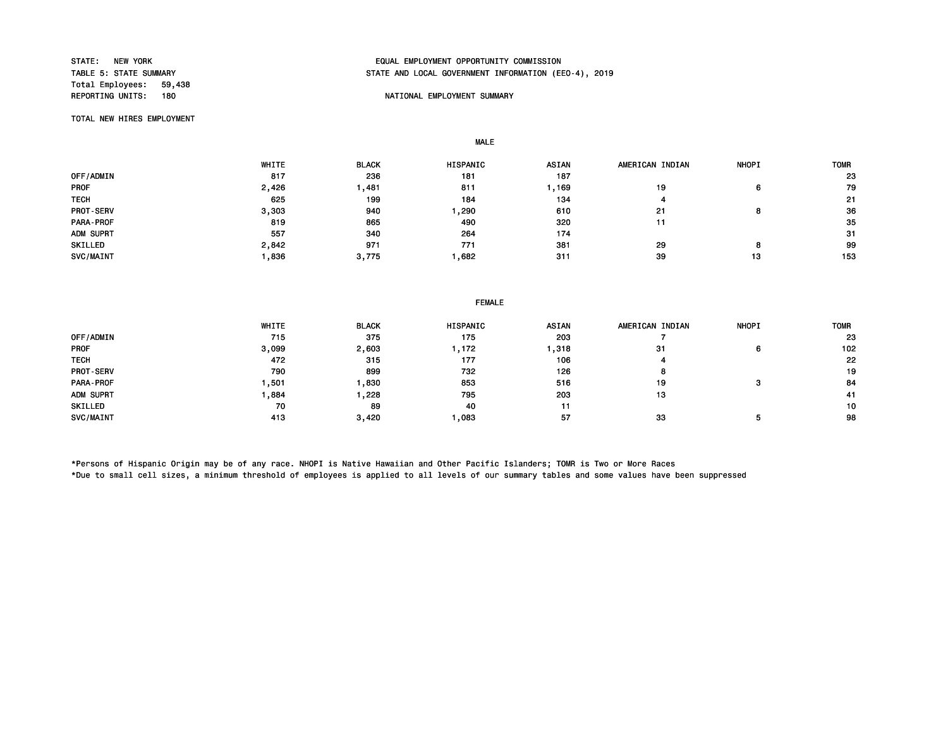Total Employees: 59,438<br>REPORTING UNITS: 180

# STATE: NEW YORK EQUAL EMPLOYMENT OPPORTUNITY COMMISSION STATE AND LOCAL GOVERNMENT INFORMATION (EEO-4), 2019

#### NATIONAL EMPLOYMENT SUMMARY

TOTAL NEW HIRES EMPLOYMENT

MALE

 WHITE BLACK HISPANIC ASIAN AMERICAN INDIAN NHOPI TOMR OFF/ADMIN 817 236 181 187 23 PROF 2,426 1,481 811 1,169 19 6 79 TECH 625 199 184 134 4 21 PROT-SERV 3,303 940 1,290 610 21 8 36 PARA-PROF 819 865 490 320 11 35 ADM SUPRT 557 340 264 174 31 SKILLED 2,842 971 771 381 29 8 99 SVC/MAINT 1,836 3,775 1,682 311 39 13 153

|                  | WHITE | <b>BLACK</b> | <b>HISPANIC</b> | <b>ASIAN</b> | AMERICAN INDIAN | <b>NHOPI</b> | <b>TOMR</b> |
|------------------|-------|--------------|-----------------|--------------|-----------------|--------------|-------------|
| OFF/ADMIN        | 715   | 375          | 175             | 203          |                 |              | 23          |
| <b>PROF</b>      | 3,099 | 2,603        | , 172           | ,318         | 31              | 6            | 102         |
| <b>TECH</b>      | 472   | 315          | 177             | 106          |                 |              | 22          |
| <b>PROT-SERV</b> | 790   | 899          | 732             | 126          | 8               |              | 19          |
| PARA-PROF        | ,501  | 830          | 853             | 516          | 19              |              | 84          |
| ADM SUPRT        | ,884  | ,228         | 795             | 203          | 13              |              | 41          |
| SKILLED          | 70    | 89           | 40              | 11           |                 |              | 10          |
| SVC/MAINT        | 413   | 3,420        | .083            | 57           | 33              |              | 98          |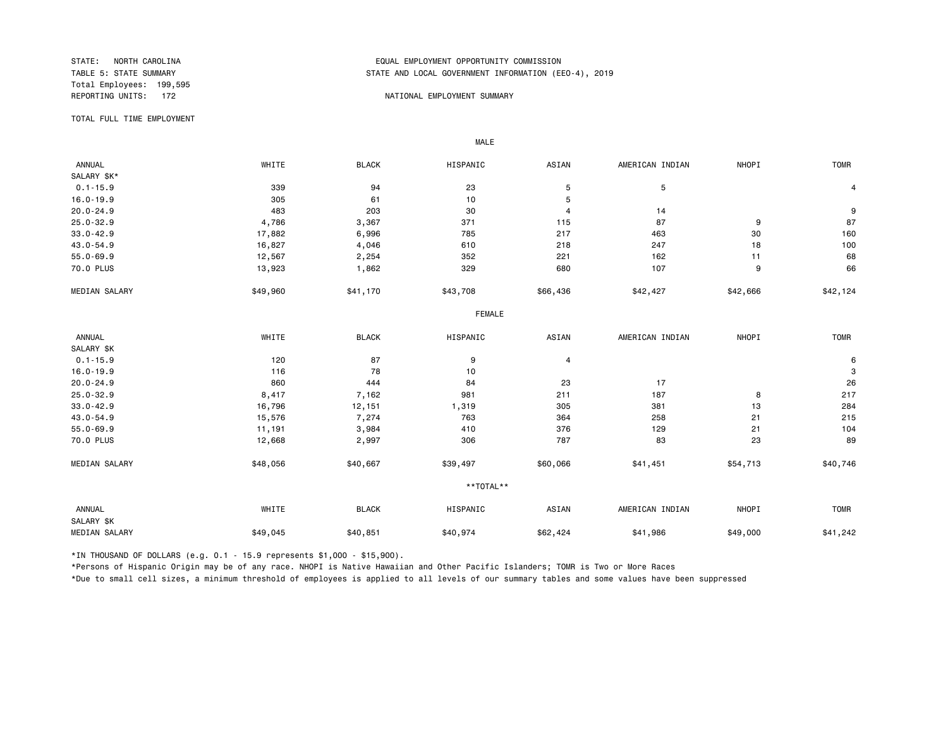Total Employees: 199,595

## STATE: NORTH CAROLINA EQUAL EMPLOYMENT OPPORTUNITY COMMISSION STATE AND LOCAL GOVERNMENT INFORMATION (EEO-4), 2019

#### REPORTING UNITS: 172 NATIONAL EMPLOYMENT SUMMARY

TOTAL FULL TIME EMPLOYMENT

 ANNUAL WHITE BLACK HISPANIC ASIAN AMERICAN INDIAN NHOPI TOMR SALARY \$K\*<br>0.1-15.9  $0.1$ -15.9 30 339 94 23 5 5 5 21.15.9 4 16.0-19.9 305 61 10 5 20.0-24.9 483 203 30 4 14 9 25.0-32.9 4,786 3,367 371 115 87 9 87 33.0-42.9 17,882 6,996 785 217 463 30 160 43.0-54.9 16,827 4,046 610 218 247 18 100 55.0-69.9 12,567 2,254 352 221 162 11 68 70.0 PLUS 13,923 1,862 329 680 107 9 66 MEDIAN SALARY \$49,960 \$41,170 \$43,708 \$66,436 \$42,427 \$42,666 \$42,124 FEMALE **FRAME**  ANNUAL WHITE BLACK HISPANIC ASIAN AMERICAN INDIAN NHOPI TOMR SALARY \$K<br>0.1-15.9 0.1-15.9 120 87 9 4 6 16.0-19.9 116 78 10 3 20.0-24.9 860 444 84 23 17 26 25.0-32.9 8.417 7,162 981 211 187 8 217 8 217 33.0-42.9 16,796 12,151 1,319 305 381 13 284 43.0-54.9 15,576 7,274 763 364 258 21 215 55.0-69.9 11,191 3,984 410 376 129 21 104 70.0 PLUS 12,668 2,997 306 787 83 23 89 MEDIAN SALARY \$48,056 \$40,667 \$39,497 \$60,066 \$41,451 \$54,713 \$40,746 \*\*TOTAL\*\* ANNUAL WHITE BLACK HISPANIC ASIAN AMERICAN INDIAN NHOPI TOMR SALARY \$K 129, MEDIAN SALARY \$49,045 \$40,851 \$62,424 \$41,986 \$49,000 \$41,242

\*IN THOUSAND OF DOLLARS (e.g. 0.1 - 15.9 represents \$1,000 - \$15,900).

MALE

\*Persons of Hispanic Origin may be of any race. NHOPI is Native Hawaiian and Other Pacific Islanders; TOMR is Two or More Races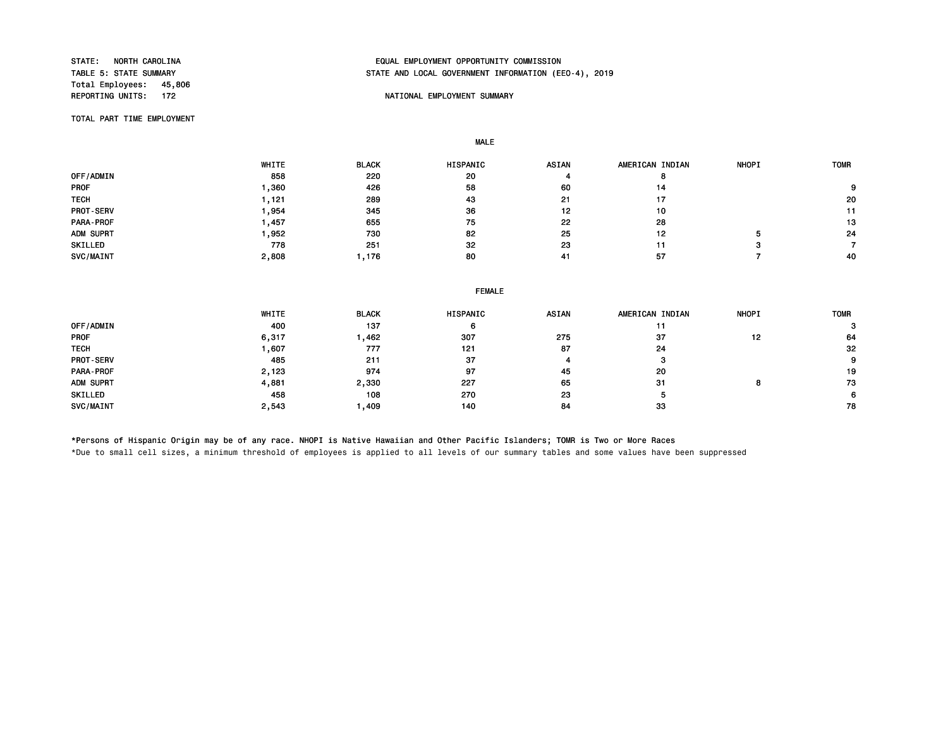Total Employees: 45,806<br>REPORTING UNITS: 172

## STATE: NORTH CAROLINA EQUAL EMPLOYMENT OPPORTUNITY COMMISSION STATE AND LOCAL GOVERNMENT INFORMATION (EEO-4), 2019

### NATIONAL EMPLOYMENT SUMMARY

TOTAL PART TIME EMPLOYMENT

MALE

|                  | WHITE  | <b>BLACK</b> | <b>HISPANIC</b> | <b>ASIAN</b> | AMERICAN INDIAN | <b>NHOPI</b> | <b>TOMR</b> |
|------------------|--------|--------------|-----------------|--------------|-----------------|--------------|-------------|
| OFF/ADMIN        | 858    | 220          | 20              |              | o               |              |             |
| <b>PROF</b>      | .360   | 426          | 58              | 60           | 14              |              |             |
| <b>TECH</b>      | $-121$ | 289          | 43              | 21           | 17              |              | 20          |
| <b>PROT-SERV</b> | .954   | 345          | 36              | 12           | 10              |              | 11          |
| <b>PARA-PROF</b> | ,457   | 655          | 75              | 22           | 28              |              | 13          |
| ADM SUPRT        | ,952   | 730          | 82              | 25           | 12              |              | 24          |
| SKILLED          | 778    | 251          | 32              | 23           | 11              |              |             |
| SVC/MAINT        | 2,808  | l 176        | 80              | 41           | 57              |              | 40          |

|                  | WHITE | <b>BLACK</b> | HISPANIC | <b>ASIAN</b> | AMERICAN INDIAN | <b>NHOPI</b> | <b>TOMR</b> |
|------------------|-------|--------------|----------|--------------|-----------------|--------------|-------------|
| OFF/ADMIN        | 400   | 137          | 6        |              |                 |              |             |
| <b>PROF</b>      | 6,317 | 1,462        | 307      | 275          | 37              | 12           | 64          |
| <b>TECH</b>      | .607  | 777          | 121      | 87           | 24              |              | 32          |
| <b>PROT-SERV</b> | 485   | 211          | 37       |              | з               |              | 9           |
| PARA-PROF        | 2,123 | 974          | 97       | 45           | 20              |              | 19          |
| ADM SUPRT        | 4,881 | 2,330        | 227      | 65           | 31              | Ω            | 73          |
| SKILLED          | 458   | 108          | 270      | 23           | ٥               |              |             |
| SVC/MAINT        | 2,543 | 409          | 140      | 84           | 33              |              | 78          |

\*Persons of Hispanic Origin may be of any race. NHOPI is Native Hawaiian and Other Pacific Islanders; TOMR is Two or More Races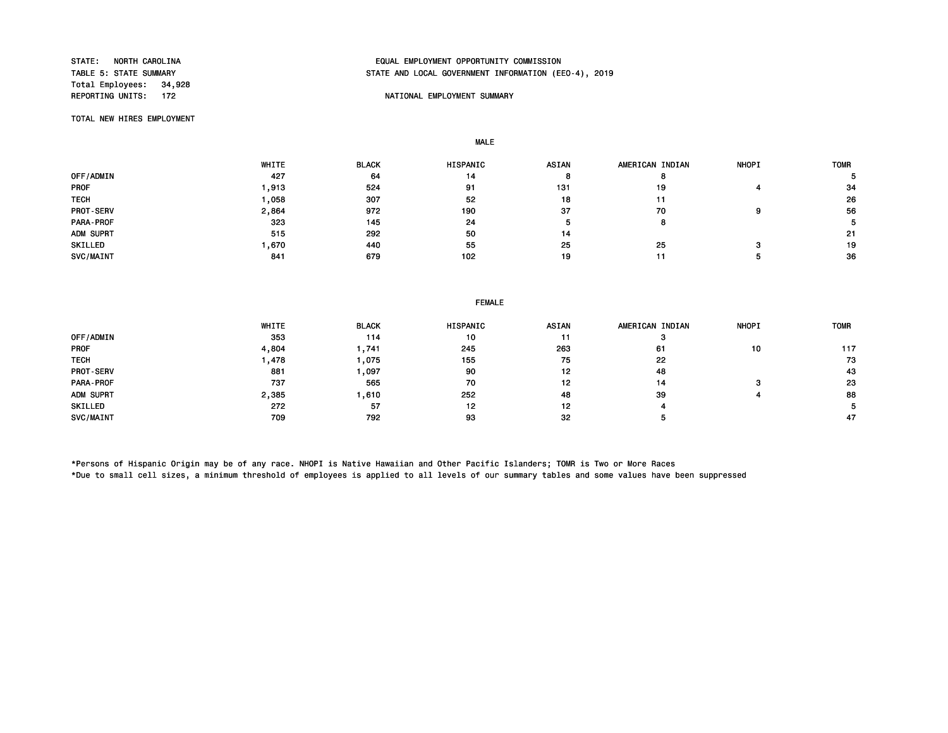Total Employees: 34,928<br>REPORTING UNITS: 172

## STATE: NORTH CAROLINA EQUAL EMPLOYMENT OPPORTUNITY COMMISSION STATE AND LOCAL GOVERNMENT INFORMATION (EEO-4), 2019

### NATIONAL EMPLOYMENT SUMMARY

TOTAL NEW HIRES EMPLOYMENT

MALE

|                  | WHITE | <b>BLACK</b> | <b>HISPANIC</b> | <b>ASIAN</b> | AMERICAN INDIAN | <b>NHOPI</b> | <b>TOMR</b> |
|------------------|-------|--------------|-----------------|--------------|-----------------|--------------|-------------|
| OFF/ADMIN        | 427   | 64           | 14              |              |                 |              |             |
| <b>PROF</b>      | ,913  | 524          | 91              | 131          | 19              |              | 34          |
| <b>TECH</b>      | ,058  | 307          | 52              | 18           | 11              |              | 26          |
| <b>PROT-SERV</b> | 2,864 | 972          | 190             | 37           | 70              | ο            | 56          |
| <b>PARA-PROF</b> | 323   | 145          | 24              |              |                 |              |             |
| ADM SUPRT        | 515   | 292          | 50              | 14           |                 |              | -21         |
| SKILLED          | .670  | 440          | 55              | 25           | 25              |              | 19          |
| SVC/MAINT        | 841   | 679          | 102             | 19           | 11              |              | 36          |

#### FEMALE

|                  | WHITE | <b>BLACK</b> | <b>HISPANIC</b> | <b>ASIAN</b> | AMERICAN INDIAN | <b>NHOPI</b> | <b>TOMR</b> |
|------------------|-------|--------------|-----------------|--------------|-----------------|--------------|-------------|
| OFF/ADMIN        | 353   | 114          | 10              | 11           |                 |              |             |
| <b>PROF</b>      | 4,804 | 741. ا       | 245             | 263          | 61              | 10           | 117         |
| <b>TECH</b>      | .478  | 075, ا       | 155             | 75           | 22              |              | 73          |
| <b>PROT-SERV</b> | 881   | , 097        | 90              | 12           | 48              |              | 43          |
| PARA-PROF        | 737   | 565          | 70              | 12           | 14              |              | 23          |
| ADM SUPRT        | 2,385 | 610, ا       | 252             | 48           | 39              |              | 88          |
| SKILLED          | 272   | 57           | 12              | 12           |                 |              |             |
| SVC/MAINT        | 709   | 792          | 93              | 32           |                 |              | 47          |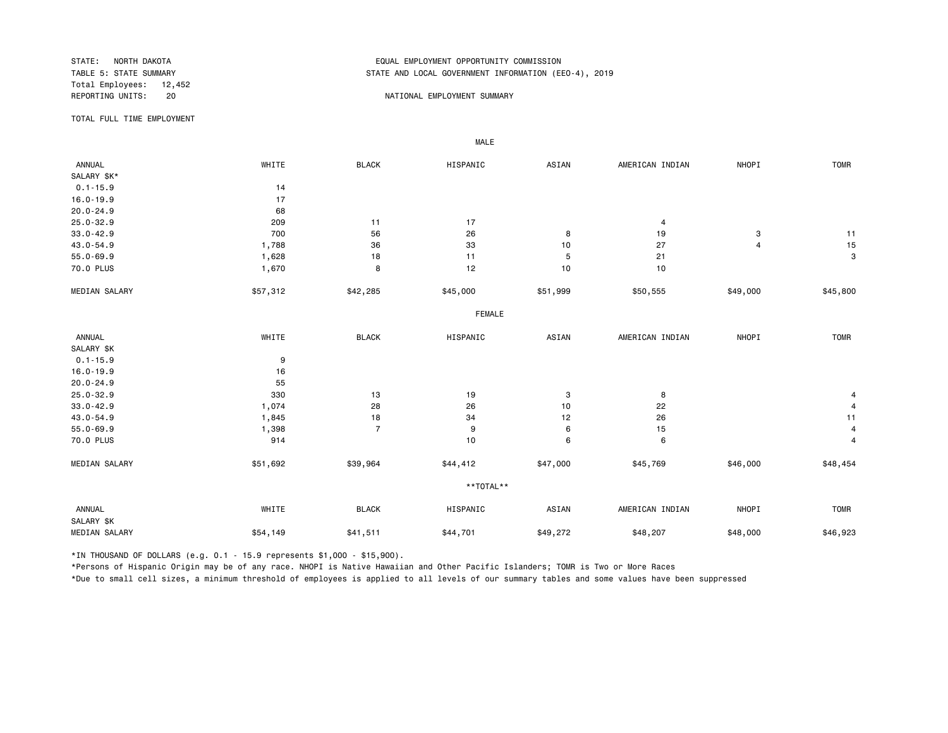Total Employees: 12,452

## STATE: NORTH DAKOTA EQUAL EMPLOYMENT OPPORTUNITY COMMISSION STATE AND LOCAL GOVERNMENT INFORMATION (EEO-4), 2019

#### REPORTING UNITS: 20 20 NATIONAL EMPLOYMENT SUMMARY

TOTAL FULL TIME EMPLOYMENT

 ANNUAL WHITE BLACK HISPANIC ASIAN AMERICAN INDIAN NHOPI TOMR SALARY \$K\* 0.1-15.9 14<br>16.0-19.9 17  $16.0 - 19.9$ 20.0-24.9 68 25.0-32.9 209 11 17 4 33.0-42.9 700 56 26 8 19 3 11 43.0-54.9 1,788 36 33 10 27 4 15 55.0-69.9 1,628 18 11 5 21 3 70.0 PLUS 1,670 8 12 10 10 MEDIAN SALARY \$57,312 \$42,285 \$45,000 \$51,999 \$50,555 \$49,000 \$45,800 FEMALE **FRAME**  ANNUAL WHITE BLACK HISPANIC ASIAN AMERICAN INDIAN NHOPI TOMR SALARY \$K  $0.1 - 15.9$  9 16.0-19.9 16 20.0-24.9 55 25.0-32.9 330 13 19 3 8 4 33.0-42.9 1,074 28 26 10 22 4 43.0-54.9 1,845 18 34 12 26 11 55.0-69.9 1,398 7 9 6 15 4 70.0 PLUS 914 10 6 6 4 MEDIAN SALARY \$51,692 \$39,964 \$44,412 \$47,000 \$45,769 \$46,000 \$48,454 \*\*TOTAL\*\* ANNUAL WHITE BLACK HISPANIC ASIAN AMERICAN INDIAN NHOPI TOMR SALARY \$K 1923,MEDIAN SALARY \$54,149 \$41,511 \$44,701 \$48,207 \$48,000 \$48,923

\*IN THOUSAND OF DOLLARS (e.g. 0.1 - 15.9 represents \$1,000 - \$15,900).

MALE

\*Persons of Hispanic Origin may be of any race. NHOPI is Native Hawaiian and Other Pacific Islanders; TOMR is Two or More Races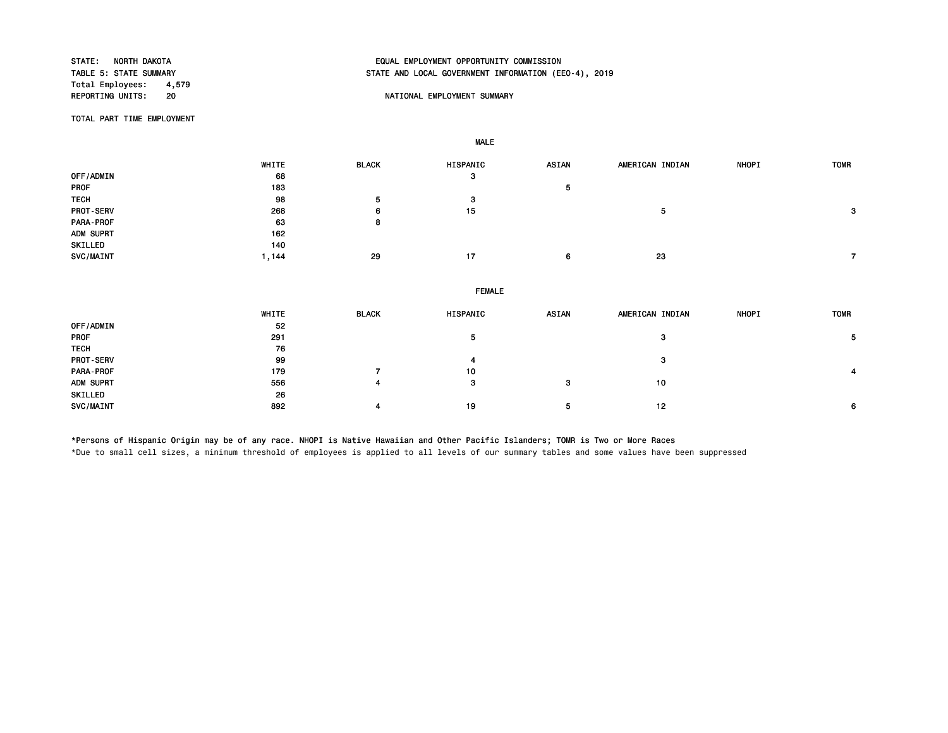Total Employees: 4,579<br>REPORTING UNITS: 20

# STATE: NORTH DAKOTA EQUAL EMPLOYMENT OPPORTUNITY COMMISSION STATE AND LOCAL GOVERNMENT INFORMATION (EEO-4), 2019

### 20 20 NATIONAL EMPLOYMENT SUMMARY

TOTAL PART TIME EMPLOYMENT

SKILLED 26

MALE

|             | WHITE | <b>BLACK</b> | HISPANIC      | <b>ASIAN</b> | AMERICAN INDIAN | <b>NHOPI</b> | <b>TOMR</b> |
|-------------|-------|--------------|---------------|--------------|-----------------|--------------|-------------|
| OFF/ADMIN   | 68    |              | 3             |              |                 |              |             |
| PROF        | 183   |              |               | 5            |                 |              |             |
| <b>TECH</b> | 98    | 5            | 3             |              |                 |              |             |
| PROT-SERV   | 268   | 6            | 15            |              | 5               |              | 3           |
| PARA-PROF   | 63    | 8            |               |              |                 |              |             |
| ADM SUPRT   | 162   |              |               |              |                 |              |             |
| SKILLED     | 140   |              |               |              |                 |              |             |
| SVC/MAINT   | 1,144 | 29           | 17            | 6            | 23              |              |             |
|             |       |              | <b>FEMALE</b> |              |                 |              |             |
|             |       |              |               |              |                 |              |             |
|             | WHITE | <b>BLACK</b> | HISPANIC      | <b>ASIAN</b> | AMERICAN INDIAN | NHOPI        | <b>TOMR</b> |
| OFF/ADMIN   | 52    |              |               |              |                 |              |             |
| PROF        | 291   |              | 5             |              | 3               |              | 5           |
| <b>TECH</b> | 76    |              |               |              |                 |              |             |
| PROT-SERV   | 99    |              | 4             |              | 3               |              |             |

PARA-PROF 179 7 10 4

SVC/MAINT 892 4 19 5 12 6

\*Persons of Hispanic Origin may be of any race. NHOPI is Native Hawaiian and Other Pacific Islanders; TOMR is Two or More Races \*Due to small cell sizes, a minimum threshold of employees is applied to all levels of our summary tables and some values have been suppressed

ADM SUPRT 556 4 3 3 10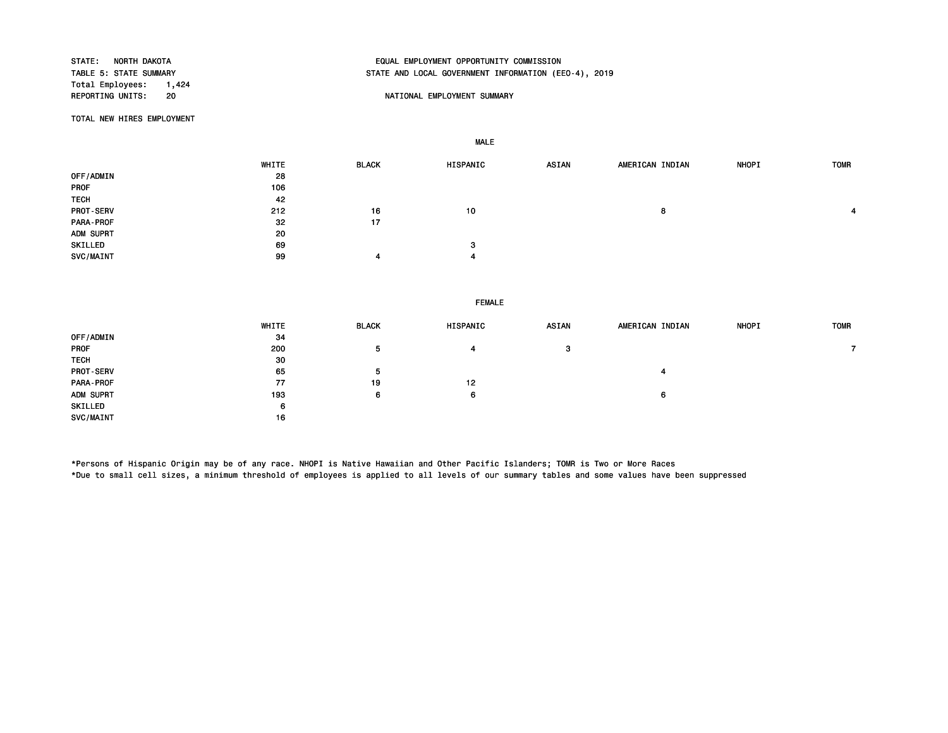Total Employees: 1,424<br>REPORTING UNITS: 20

# STATE: NORTH DAKOTA EQUAL EMPLOYMENT OPPORTUNITY COMMISSION STATE AND LOCAL GOVERNMENT INFORMATION (EEO-4), 2019

#### 20 **REPORTION STATES UNITS: 20** NATIONAL EMPLOYMENT SUMMARY

TOTAL NEW HIRES EMPLOYMENT

MALE

 WHITE BLACK HISPANIC ASIAN AMERICAN INDIAN NHOPI TOMR OFF/ADMIN 28<br>PROF 106 PROF 106 TECH 42 PROT-SERV 212 16 10 8 4 PARA-PROF 32 32 ADM SUPRT 20 SKILLED 3 3 SVC/MAINT 99 4 4

#### FEMALE

|                  | WHITE | <b>BLACK</b> | HISPANIC | <b>ASIAN</b> | AMERICAN INDIAN | <b>NHOPI</b> | <b>TOMR</b> |
|------------------|-------|--------------|----------|--------------|-----------------|--------------|-------------|
| OFF/ADMIN        | -34   |              |          |              |                 |              |             |
| PROF             | 200   | -5           |          | з            |                 |              |             |
| <b>TECH</b>      | 30    |              |          |              |                 |              |             |
| <b>PROT-SERV</b> | 65    | 5            |          |              |                 |              |             |
| PARA-PROF        | 77    | 19           | 12       |              |                 |              |             |
| ADM SUPRT        | 193   | 6            | 6        |              | 6               |              |             |
| SKILLED          | 6     |              |          |              |                 |              |             |
| <b>SVC/MAINT</b> | 16    |              |          |              |                 |              |             |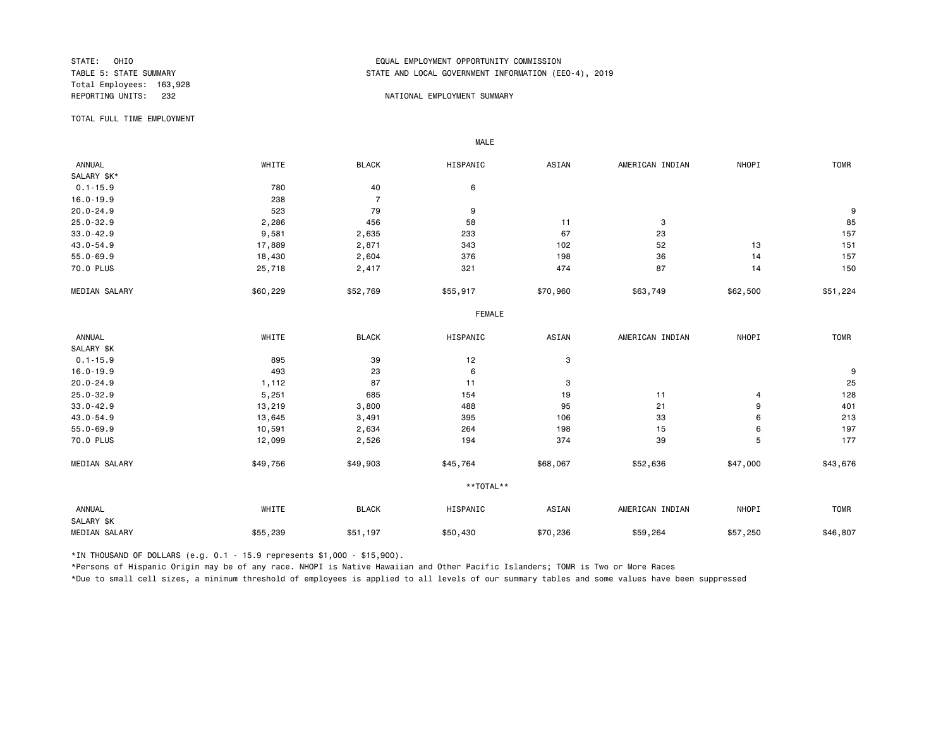Total Employees: 163,928

## STATE: OHIO EQUAL EMPLOYMENT OPPORTUNITY COMMISSION STATE AND LOCAL GOVERNMENT INFORMATION (EEO-4), 2019

#### REPORTING UNITS: 232 NATIONAL EMPLOYMENT SUMMARY

TOTAL FULL TIME EMPLOYMENT

 ANNUAL WHITE BLACK HISPANIC ASIAN AMERICAN INDIAN NHOPI TOMR SALARY \$K\*<br>0.1-15.9 0.1-15.9 780 40 6 16.0-19.9 238 7 20.0-24.9 523 79 9 9 25.0-32.9 2,286 456 58 11 3 85 33.0-42.9 9,581 2,635 233 67 23 157 43.0-54.9 17,889 2,871 343 102 52 13 151 55.0-69.9 18,430 2,604 376 198 36 14 157 70.0 PLUS 25,718 2,417 321 474 87 14 150 MEDIAN SALARY \$60,229 \$52,769 \$55,917 \$70,960 \$63,749 \$62,500 \$51,224 FEMALE **FRAME**  ANNUAL WHITE BLACK HISPANIC ASIAN AMERICAN INDIAN NHOPI TOMR SALARY \$K<br>0.1-15.9  $0.1-15.9$  895 39 12 3 16.0-19.9 493 23 6 9 20.0-24.9 1,112 87 11 3 25 25.0-32.9 5,251 685 154 19 11 4 128 33.0-42.9 13,219 3,800 488 95 21 9 401 43.0-54.9 13,645 3,491 395 106 33 6 213 55.0-69.9 10,591 2,634 264 198 15 6 197 70.0 PLUS 12,099 2,526 194 374 39 5 177 MEDIAN SALARY \$49,756 \$49,903 \$45,764 \$68,067 \$52,636 \$47,000 \$43,676 \*\*TOTAL\*\* ANNUAL WHITE BLACK HISPANIC ASIAN AMERICAN INDIAN NHOPI TOMR SALARY \$K MEDIAN SALARY \$55,239 \$51,197 \$50,430 \$59,264 \$57,250 \$46,807 \$46,807

\*IN THOUSAND OF DOLLARS (e.g. 0.1 - 15.9 represents \$1,000 - \$15,900).

MALE

\*Persons of Hispanic Origin may be of any race. NHOPI is Native Hawaiian and Other Pacific Islanders; TOMR is Two or More Races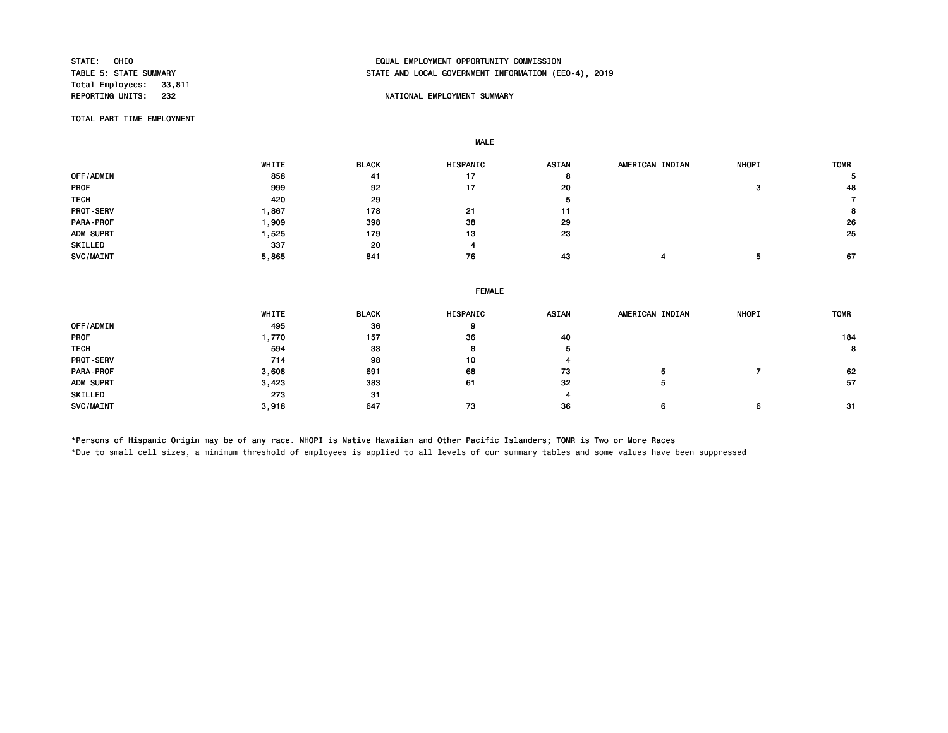Total Employees: 33,811<br>REPORTING UNITS: 232

# STATE: OHIO EQUAL EMPLOYMENT OPPORTUNITY COMMISSION STATE AND LOCAL GOVERNMENT INFORMATION (EEO-4), 2019

### NATIONAL EMPLOYMENT SUMMARY

TOTAL PART TIME EMPLOYMENT

MALE

|                  | WHITE | <b>BLACK</b> | <b>HISPANIC</b> | <b>ASIAN</b> | AMERICAN INDIAN | <b>NHOPI</b> | <b>TOMR</b> |
|------------------|-------|--------------|-----------------|--------------|-----------------|--------------|-------------|
| OFF/ADMIN        | 858   | 41           | 17              | o            |                 |              |             |
| <b>PROF</b>      | 999   | 92           | 17              | 20           |                 |              | 48          |
| <b>TECH</b>      | 420   | 29           |                 | л            |                 |              |             |
| <b>PROT-SERV</b> | .867  | 178          | 21              |              |                 |              | 8           |
| <b>PARA-PROF</b> | ,909  | 398          | 38              | 29           |                 |              | 26          |
| ADM SUPRT        | .525  | 179          | 13              | 23           |                 |              | 25          |
| SKILLED          | 337   | 20           | 4               |              |                 |              |             |
| SVC/MAINT        | 5,865 | 841          | 76              | 43           |                 |              | 67          |

|             | <b>FEMALE</b> |              |          |       |                 |              |             |  |  |  |  |
|-------------|---------------|--------------|----------|-------|-----------------|--------------|-------------|--|--|--|--|
|             | WHITE         | <b>BLACK</b> | HISPANIC | ASIAN | AMERICAN INDIAN | <b>NHOPI</b> | <b>TOMR</b> |  |  |  |  |
| OFF/ADMIN   | 495           | 36           | 9        |       |                 |              |             |  |  |  |  |
| PROF        | 1,770         | 157          | 36       | 40    |                 |              | 184         |  |  |  |  |
| <b>TECH</b> | 594           | 33           | 8        |       |                 |              | 8           |  |  |  |  |
| PROT-SERV   | 714           | 98           | 10       |       |                 |              |             |  |  |  |  |
| PARA-PROF   | 3,608         | 691          | 68       | 73    |                 |              | 62          |  |  |  |  |
| ADM SUPRT   | 3,423         | 383          | 61       | 32    |                 |              | -57         |  |  |  |  |
| SKILLED     | 273           | 31           |          |       |                 |              |             |  |  |  |  |
| SVC/MAINT   | 3,918         | 647          | 73       | 36    |                 | 6            | -31         |  |  |  |  |

\*Persons of Hispanic Origin may be of any race. NHOPI is Native Hawaiian and Other Pacific Islanders; TOMR is Two or More Races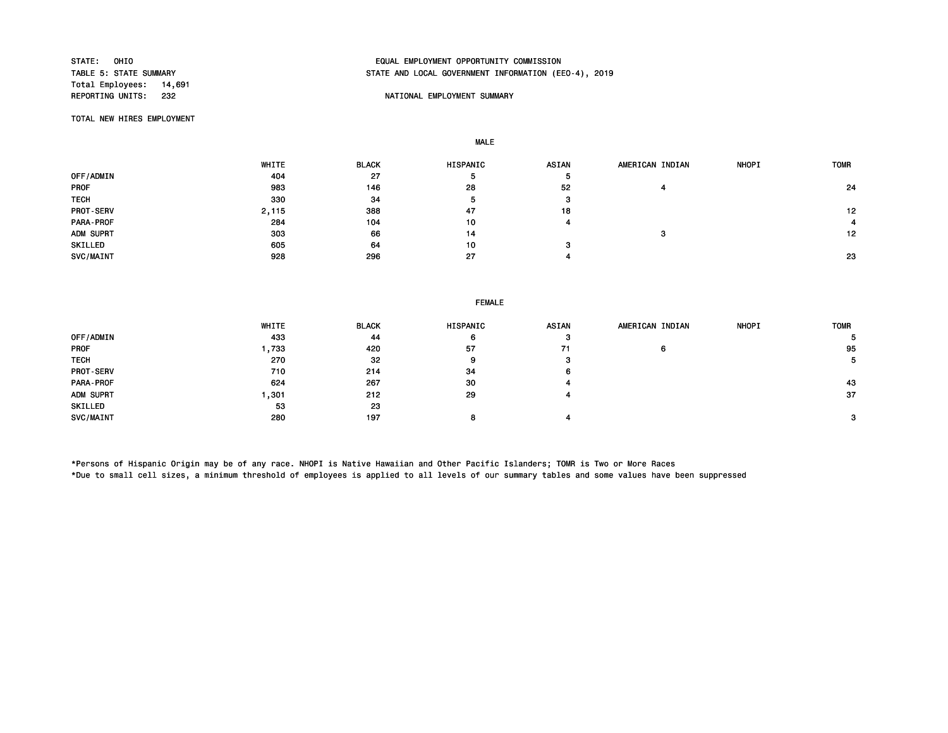Total Employees: 14,691

# STATE: OHIO EQUAL EMPLOYMENT OPPORTUNITY COMMISSION STATE AND LOCAL GOVERNMENT INFORMATION (EEO-4), 2019

### NATIONAL EMPLOYMENT SUMMARY

TOTAL NEW HIRES EMPLOYMENT

MALE

|                  | WHITE | <b>BLACK</b> | HISPANIC | ASIAN | AMERICAN INDIAN | <b>NHOPI</b> | <b>TOMR</b> |
|------------------|-------|--------------|----------|-------|-----------------|--------------|-------------|
| <b>OFF/ADMIN</b> | 404   | 27           |          | Ð     |                 |              |             |
| <b>PROF</b>      | 983   | 146          | 28       | 52    |                 |              | 24          |
| <b>TECH</b>      | 330   | 34           | $\circ$  | з     |                 |              |             |
| PROT-SERV        | 2,115 | 388          | 47       | 18    |                 |              | 12          |
| PARA-PROF        | 284   | 104          | 10       |       |                 |              |             |
| ADM SUPRT        | 303   | 66           | 14       |       | э               |              | 12          |
| SKILLED          | 605   | 64           | 10       | з     |                 |              |             |
| SVC/MAINT        | 928   | 296          | 27       |       |                 |              | 23          |

#### FEMALE

|                  | WHITE | <b>BLACK</b> | HISPANIC | <b>ASIAN</b> | AMERICAN INDIAN | <b>NHOPI</b> | <b>TOMR</b> |
|------------------|-------|--------------|----------|--------------|-----------------|--------------|-------------|
| OFF/ADMIN        | 433   | 44           | 6        | з            |                 |              |             |
| <b>PROF</b>      | ,733  | 420          | 57       | 71           | 6               |              | 95          |
| <b>TECH</b>      | 270   | 32           | 9        | з            |                 |              | 5.          |
| <b>PROT-SERV</b> | 710   | 214          | 34       | 6.           |                 |              |             |
| PARA-PROF        | 624   | 267          | 30       |              |                 |              | 43          |
| ADM SUPRT        | , 301 | 212          | 29       |              |                 |              | 37          |
| SKILLED          | 53    | 23           |          |              |                 |              |             |
| SVC/MAINT        | 280   | 197          |          |              |                 |              | 3           |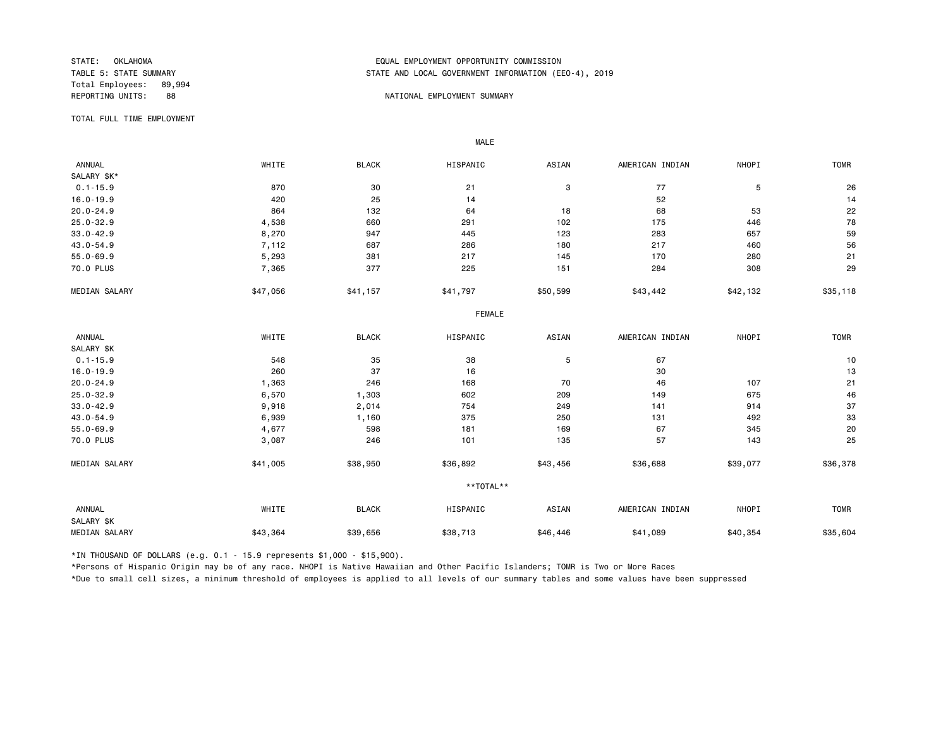Total Employees: 89,994

## STATE: OKLAHOMA EQUAL EMPLOYMENT OPPORTUNITY COMMISSION STATE AND LOCAL GOVERNMENT INFORMATION (EEO-4), 2019

#### REPORTING UNITS: 88 NATIONAL EMPLOYMENT SUMMARY

TOTAL FULL TIME EMPLOYMENT

 ANNUAL WHITE BLACK HISPANIC ASIAN AMERICAN INDIAN NHOPI TOMR SALARY \$K\*<br>0.1-15.9  $0.1-15.9$  870 870 30 21 3 77 5 26 26 16.0-19.9 420 25 14 52 14 20.0-24.9 864 132 64 18 68 53 22 25.0-32.9 4,538 660 291 102 175 446 78 33.0-42.9 8,270 947 445 123 283 657 59 43.0-54.9 7,112 687 286 180 217 460 56 55.0-69.9 5,293 381 217 145 170 280 21 70.0 PLUS 7<sub>,</sub>365 377 225 151 284 308 29 MEDIAN SALARY \$47,056 \$41,157 \$41,797 \$43,442 \$42,132 \$35,118 \$35,118 FEMALE **FRAME**  ANNUAL WHITE BLACK HISPANIC ASIAN AMERICAN INDIAN NHOPI TOMR SALARY \$K<br>0.1-15.9 0.1-15.9 548 35 38 5 67 10 16.0-19.9 260 37 16 30 13 20.0-24.9 1,363 246 168 70 46 107 21 25.0-32.9 6,570 1,303 602 209 149 675 46 33.0-42.9 9,918 2,014 754 249 141 914 37 43.0-54.9 6,939 1,160 375 250 131 492 33 55.0-69.9 4,677 598 181 169 67 345 20 70.0 PLUS 3,087 246 101 135 57 143 25 MEDIAN SALARY \$41,005 \$38,950 \$36,892 \$43,456 \$36,688 \$39,077 \$36,378 \*\*TOTAL\*\* ANNUAL WHITE BLACK HISPANIC ASIAN AMERICAN INDIAN NHOPI TOMR SALARY \$K MEDIAN SALARY \$43,364 \$39,656 \$38,713 \$41,089 \$40,354 \$40,354 \$35,604

\*IN THOUSAND OF DOLLARS (e.g. 0.1 - 15.9 represents \$1,000 - \$15,900).

MALE

\*Persons of Hispanic Origin may be of any race. NHOPI is Native Hawaiian and Other Pacific Islanders; TOMR is Two or More Races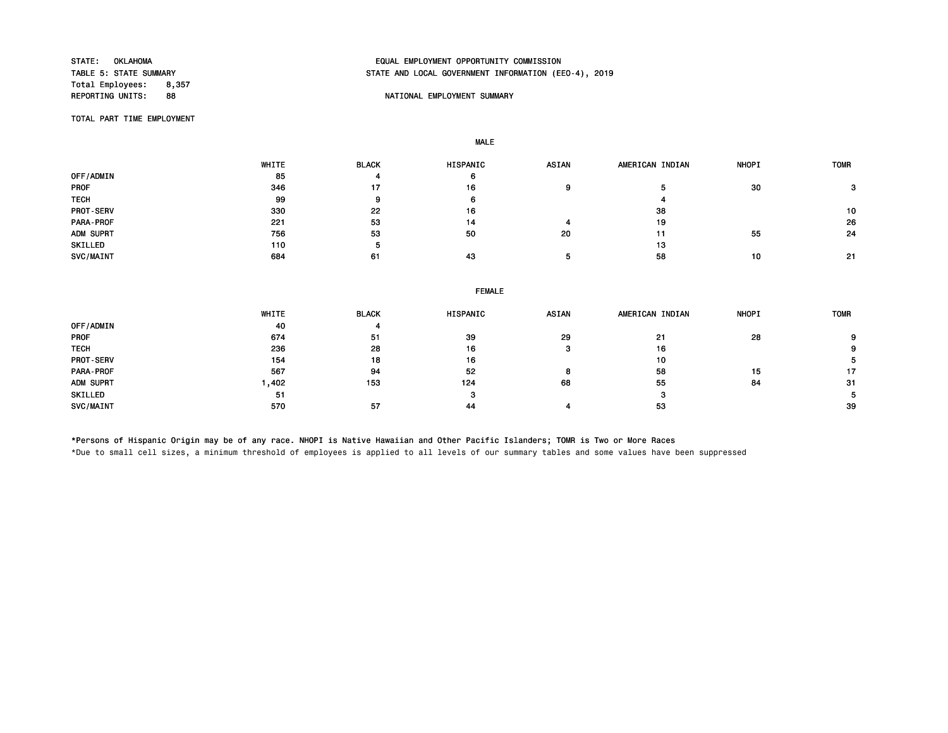Total Employees: 8,357<br>REPORTING UNITS: 88

# STATE: OKLAHOMA EQUAL EMPLOYMENT OPPORTUNITY COMMISSION STATE AND LOCAL GOVERNMENT INFORMATION (EEO-4), 2019

### REPORTING UNITS: SERVICE SERVICE SUMMARY WATERS OF THE SUMMARY SUMMARY SUMMARY

TOTAL PART TIME EMPLOYMENT

MALE

 WHITE BLACK HISPANIC ASIAN AMERICAN INDIAN NHOPI TOMR OFF/ADMIN 85 4 6 PROF 346 17 16 9 5 30 3 TECH 99 9 6 4 PROT-SERV 330 22 16 38 10 PARA-PROF 221 53 14 4 19 26 ADM SUPRT 756 53 50 20 11 55 24  $\text{SKILLED}$  110 5 13 SVC/MAINT 684 61 43 5 5 58 10 21

|                  | <b>FEMALE</b> |              |          |              |                 |              |             |  |  |  |  |
|------------------|---------------|--------------|----------|--------------|-----------------|--------------|-------------|--|--|--|--|
|                  | WHITE         | <b>BLACK</b> | HISPANIC | <b>ASIAN</b> | AMERICAN INDIAN | <b>NHOPI</b> | <b>TOMR</b> |  |  |  |  |
| OFF/ADMIN        | 40            |              |          |              |                 |              |             |  |  |  |  |
| <b>PROF</b>      | 674           | -51          | -39      | 29           | -21             | 28           | 9           |  |  |  |  |
| <b>TECH</b>      | 236           | 28           | 16       |              | 16              |              | 9           |  |  |  |  |
| <b>PROT-SERV</b> | 154           | 18           | 16       |              | 10              |              |             |  |  |  |  |
| PARA-PROF        | 567           | 94           | 52       | 8            | 58              | 15           | 17          |  |  |  |  |
| ADM SUPRT        | 1,402         | 153          | 124      | 68           | 55              | 84           | -31         |  |  |  |  |
| SKILLED          | -51           |              | з        |              | з               |              |             |  |  |  |  |
| SVC/MAINT        | 570           | -57          | 44       |              | 53              |              | -39         |  |  |  |  |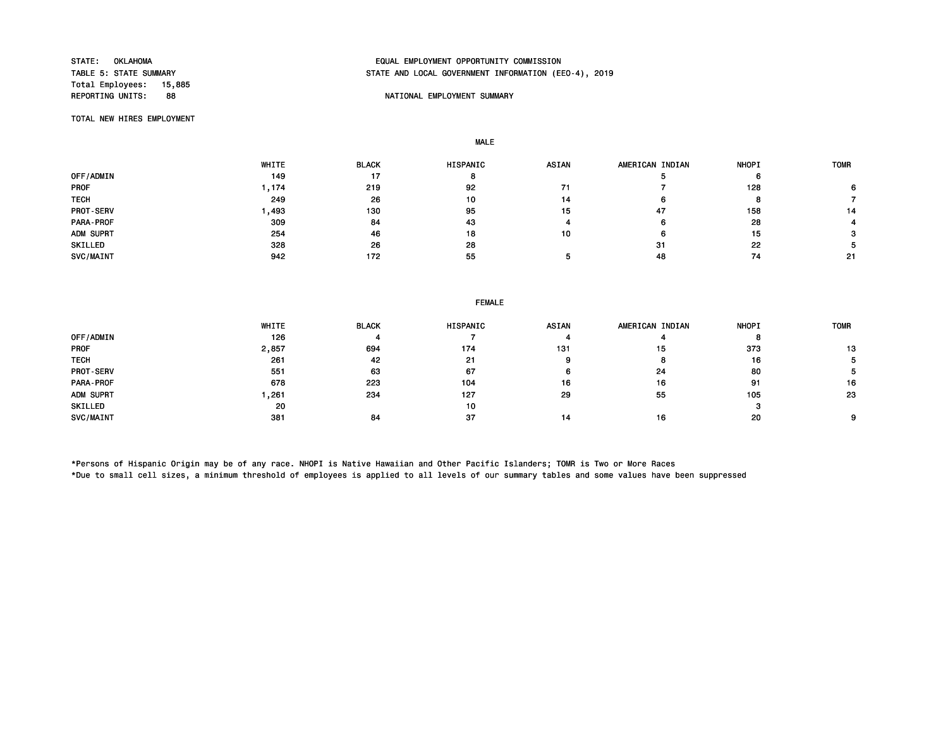Total Employees: 15,885

# STATE: OKLAHOMA EQUAL EMPLOYMENT OPPORTUNITY COMMISSION STATE AND LOCAL GOVERNMENT INFORMATION (EEO-4), 2019

### NATIONAL EMPLOYMENT SUMMARY

TOTAL NEW HIRES EMPLOYMENT

MALE

|                  | WHITE | <b>BLACK</b> | HISPANIC | <b>ASIAN</b> | AMERICAN INDIAN | <b>NHOPI</b> | <b>TOMR</b> |
|------------------|-------|--------------|----------|--------------|-----------------|--------------|-------------|
| OFF/ADMIN        | 149   | 17           |          |              |                 |              |             |
| <b>PROF</b>      | .174  | 219          | 92       |              |                 | 128          |             |
| <b>TECH</b>      | 249   | 26           | 10       | 14           |                 |              |             |
| PROT-SERV        | ,493  | 130          | 95       | 15           | 47              | 158          | 14          |
| <b>PARA-PROF</b> | 309   | 84           | 43       |              |                 | 28           |             |
| ADM SUPRT        | 254   | 46           | 18       | 10           |                 | 15           |             |
| SKILLED          | 328   | 26           | 28       |              | 31              | 22           |             |
| SVC/MAINT        | 942   | 172          | 55       |              | 48              | 74           | 21          |

#### FEMALE

|                  | WHITE | <b>BLACK</b> | <b>HISPANIC</b> | <b>ASIAN</b> | AMERICAN INDIAN | <b>NHOPI</b> | <b>TOMR</b> |
|------------------|-------|--------------|-----------------|--------------|-----------------|--------------|-------------|
| OFF/ADMIN        | 126   |              |                 |              |                 |              |             |
| <b>PROF</b>      | 2,857 | 694          | 174             | 131          | 15              | 373          | 13          |
| <b>TECH</b>      | 261   | 42           | 21              |              |                 | 16           |             |
| <b>PROT-SERV</b> | 551   | 63           | 67              |              | 24              | 80           |             |
| PARA-PROF        | 678   | 223          | 104             | 16           | 16              | 91           | 16          |
| ADM SUPRT        | ,261  | 234          | 127             | 29           | 55              | 105          | 23          |
| SKILLED          | 20    |              | 10              |              |                 |              |             |
| SVC/MAINT        | 381   | 84           | 37              | 14           | 16              | 20           | $\circ$     |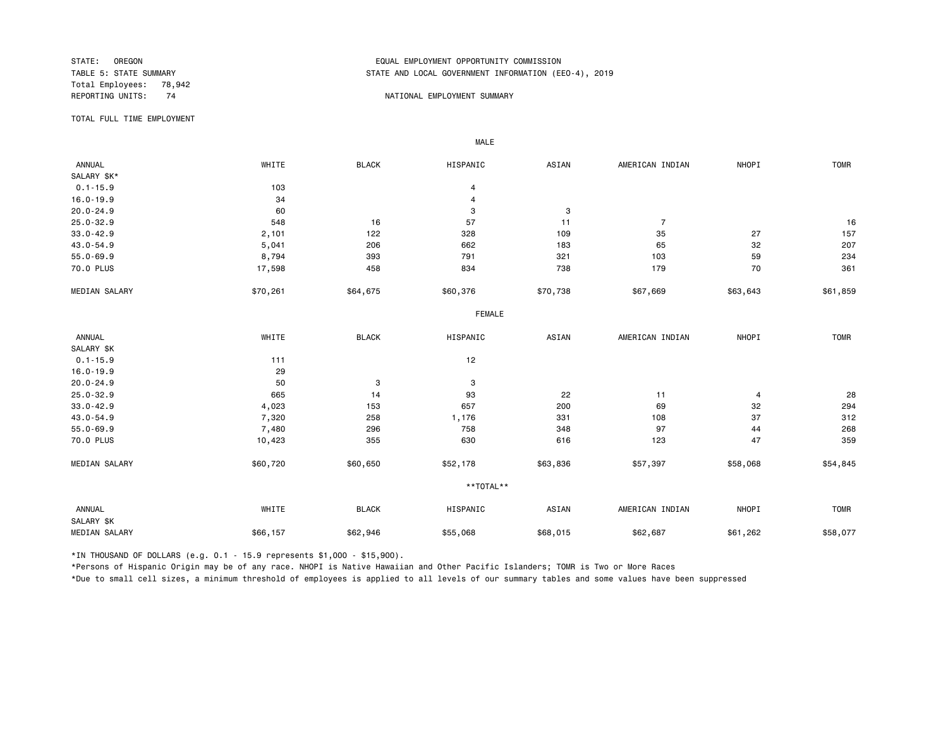Total Employees: 78,942

# STATE: OREGON EQUAL EMPLOYMENT OPPORTUNITY COMMISSION STATE AND LOCAL GOVERNMENT INFORMATION (EEO-4), 2019

#### REPORTING UNITS: 74 NATIONAL EMPLOYMENT SUMMARY

TOTAL FULL TIME EMPLOYMENT

 ANNUAL WHITE BLACK HISPANIC ASIAN AMERICAN INDIAN NHOPI TOMR SALARY \$K\*<br>0.1-15.9  $0.1 - 15.9$  103 4 16.0-19.9 4 AM 34 AM 34 AM 35 AM 36 AM 37 AM 37 AM 37 AM 37 AM 37 AM 37 AM 37 AM 37 AM 37 AM 37 AM 37 AM 37 AM 20.0-24.9 3 3 3 3 3 3 3 3 3 3 3 4 3 3 3 4 3 3 4 3 3 4 3 4 3 3 4 3 4 3 4 3 4 3 4 3 4 3 4 3 4  $\pm$ 25.0-32.9 548 16 57 11 7 16 33.0-42.9 2,101 122 328 109 35 27 157 43.0-54.9 5,041 206 662 183 65 32 207 55.0-69.9 8,794 393 791 321 103 59 234 70.0 PLUS 17,598 458 834 738 179 70 361 MEDIAN SALARY \$50,261 \$64,675 \$60,376 \$70,738 \$67,669 \$83,643 \$61,859 FEMALE **FRAME**  ANNUAL WHITE BLACK HISPANIC ASIAN AMERICAN INDIAN NHOPI TOMR SALARY \$K<br>0.1-15.9  $0.1 - 15.9$  111 12 16.0-19.9 29<br>20.0-24.9 50 20.0-24.9 50 3 3 25.0-32.9 665 14 93 22 11 4 28 33.0-42.9 4,023 153 657 200 69 32 294 43.0-54.9 7,320 258 1,176 331 108 37 312 55.0-69.9 7,480 296 758 348 97 44 268 70.0 PLUS 10,423 355 630 616 123 47 359 MEDIAN SALARY \$60,720 \$60,650 \$52,178 \$63,836 \$57,397 \$58,068 \$54,845 \*\*TOTAL\*\* ANNUAL WHITE BLACK HISPANIC ASIAN AMERICAN INDIAN NHOPI TOMR SALARY \$K MEDIAN SALARY \$66,157 \$62,946 \$55,068 \$68,015 \$62,687 \$61,262 \$58,077

\*IN THOUSAND OF DOLLARS (e.g. 0.1 - 15.9 represents \$1,000 - \$15,900).

MALE

\*Persons of Hispanic Origin may be of any race. NHOPI is Native Hawaiian and Other Pacific Islanders; TOMR is Two or More Races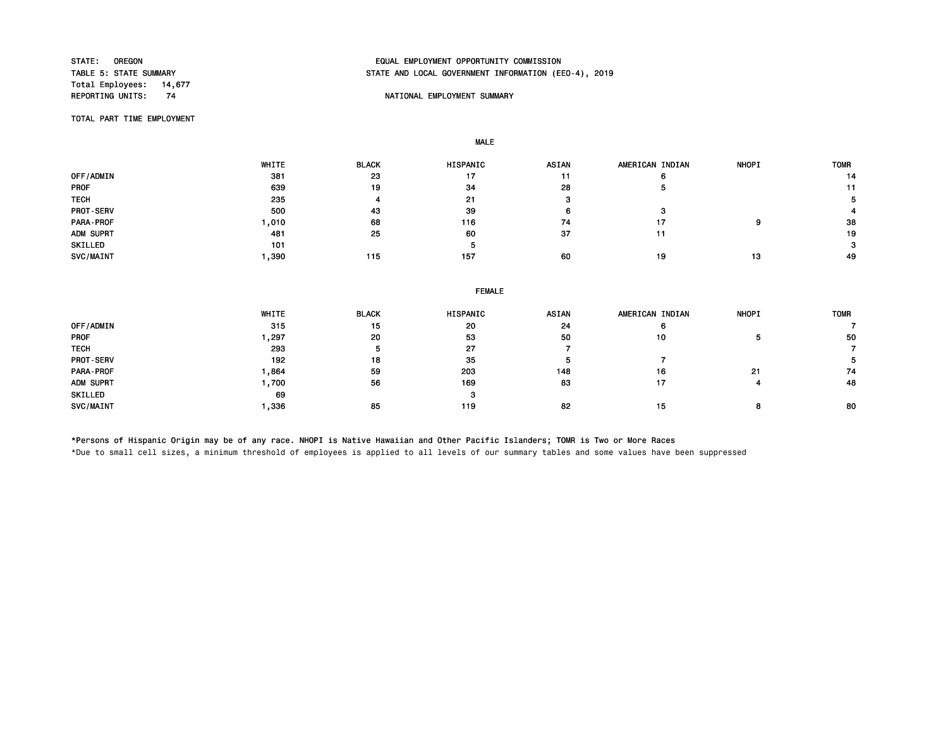Total Employees: 14,677<br>REPORTING UNITS: 74

# STATE: OREGON EQUAL EMPLOYMENT OPPORTUNITY COMMISSION STATE AND LOCAL GOVERNMENT INFORMATION (EEO-4), 2019

#### NATIONAL EMPLOYMENT SUMMARY

TOTAL PART TIME EMPLOYMENT

MALE

|                  | WHITE | <b>BLACK</b> | <b>HISPANIC</b> | <b>ASIAN</b> | AMERICAN INDIAN | <b>NHOPI</b> | <b>TOMR</b> |
|------------------|-------|--------------|-----------------|--------------|-----------------|--------------|-------------|
| OFF/ADMIN        | 381   | 23           | 17              | 11           | o               |              | 14          |
| <b>PROF</b>      | 639   | 19           | 34              | 28           | э               |              |             |
| <b>TECH</b>      | 235   | 4            | 21              |              |                 |              |             |
| <b>PROT-SERV</b> | 500   | 43           | 39              |              | я               |              |             |
| PARA-PROF        | ,010  | 68           | 116             | 74           | 17              | ο            | 38          |
| ADM SUPRT        | 481   | 25           | 60              | 37           | 11              |              | 19          |
| SKILLED          | 101   |              | 5               |              |                 |              | 3           |
| SVC/MAINT        | ,390  | 115          | 157             | 60           | 19              | 13           | 49          |

|             | <b>FEMALE</b> |              |          |       |                 |              |             |  |  |
|-------------|---------------|--------------|----------|-------|-----------------|--------------|-------------|--|--|
|             | WHITE         | <b>BLACK</b> | HISPANIC | ASIAN | AMERICAN INDIAN | <b>NHOPI</b> | <b>TOMR</b> |  |  |
| OFF/ADMIN   | 315           | 15           | 20       | 24    |                 |              |             |  |  |
| PROF        | 297, ،        | 20           | 53       | 50    | 10              |              | 50          |  |  |
| <b>TECH</b> | 293           | ь            | 27       |       |                 |              |             |  |  |
| PROT-SERV   | 192           | 18           | 35       |       |                 |              |             |  |  |
| PARA-PROF   | 864. ا        | 59           | 203      | 148   | 16              | 21           | 74          |  |  |
| ADM SUPRT   | 1,700         | 56           | 169      | 83    | 17              |              | 48          |  |  |
| SKILLED     | 69            |              | з        |       |                 |              |             |  |  |
| SVC/MAINT   | 1.336         | 85           | 119      | 82    | 15              |              | 80          |  |  |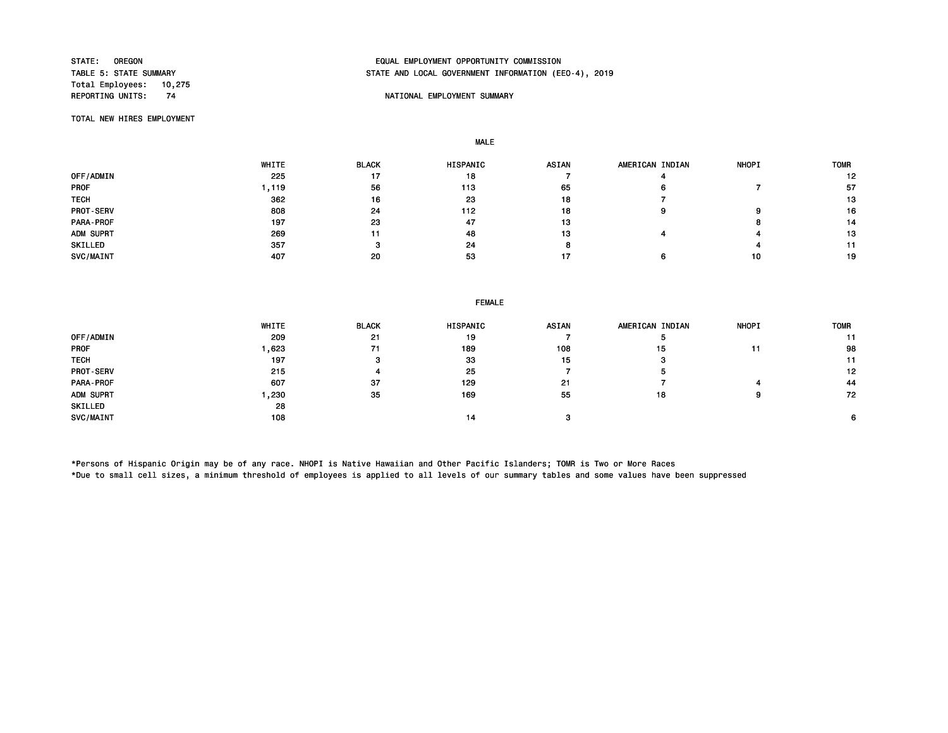Total Employees: 10,275

# STATE: OREGON EQUAL EMPLOYMENT OPPORTUNITY COMMISSION STATE AND LOCAL GOVERNMENT INFORMATION (EEO-4), 2019

## NATIONAL EMPLOYMENT SUMMARY

TOTAL NEW HIRES EMPLOYMENT

MALE

|                  | WHITE | <b>BLACK</b> | <b>HISPANIC</b> | <b>ASIAN</b> | AMERICAN INDIAN | <b>NHOPI</b> | <b>TOMR</b> |
|------------------|-------|--------------|-----------------|--------------|-----------------|--------------|-------------|
| OFF/ADMIN        | 225   | 17           | 18              |              |                 |              | 12          |
| <b>PROF</b>      | , 119 | 56           | 113             | 65           |                 |              | 57          |
| <b>TECH</b>      | 362   | 16           | 23              | 18           |                 |              | 13          |
| <b>PROT-SERV</b> | 808   | 24           | 112             | 18           |                 |              | 16          |
| PARA-PROF        | 197   | 23           | 47              | 13           |                 |              | 14          |
| ADM SUPRT        | 269   |              | 48              | 13           |                 |              | 13          |
| SKILLED          | 357   |              | 24              |              |                 |              |             |
| SVC/MAINT        | 407   | 20           | 53              | 17           |                 | 10           | 19          |

|                  | WHITE | <b>BLACK</b> | HISPANIC | <b>ASIAN</b> | AMERICAN INDIAN | <b>NHOPI</b> | <b>TOMR</b> |
|------------------|-------|--------------|----------|--------------|-----------------|--------------|-------------|
| <b>OFF/ADMIN</b> | 209   | 21           | 19       |              |                 |              |             |
| PROF             | 1,623 | 71           | 189      | 108          | 15              |              | 98          |
| TECH             | 197   |              | 33       | 15           | з               |              | 11          |
| <b>PROT-SERV</b> | 215   |              | 25       |              |                 |              | 12          |
| PARA - PROF      | 607   | 37           | 129      | 21           |                 |              | 44          |
| ADM SUPRT        | 1,230 | 35           | 169      | 55           | 18              |              | 72          |
| SKILLED          | 28    |              |          |              |                 |              |             |
| <b>SVC/MAINT</b> | 108   |              | 14       | $\sim$       |                 |              | 6.          |
|                  |       |              |          |              |                 |              |             |

\*Persons of Hispanic Origin may be of any race. NHOPI is Native Hawaiian and Other Pacific Islanders; TOMR is Two or More Races \*Due to small cell sizes, a minimum threshold of employees is applied to all levels of our summary tables and some values have been suppressed

FEMALE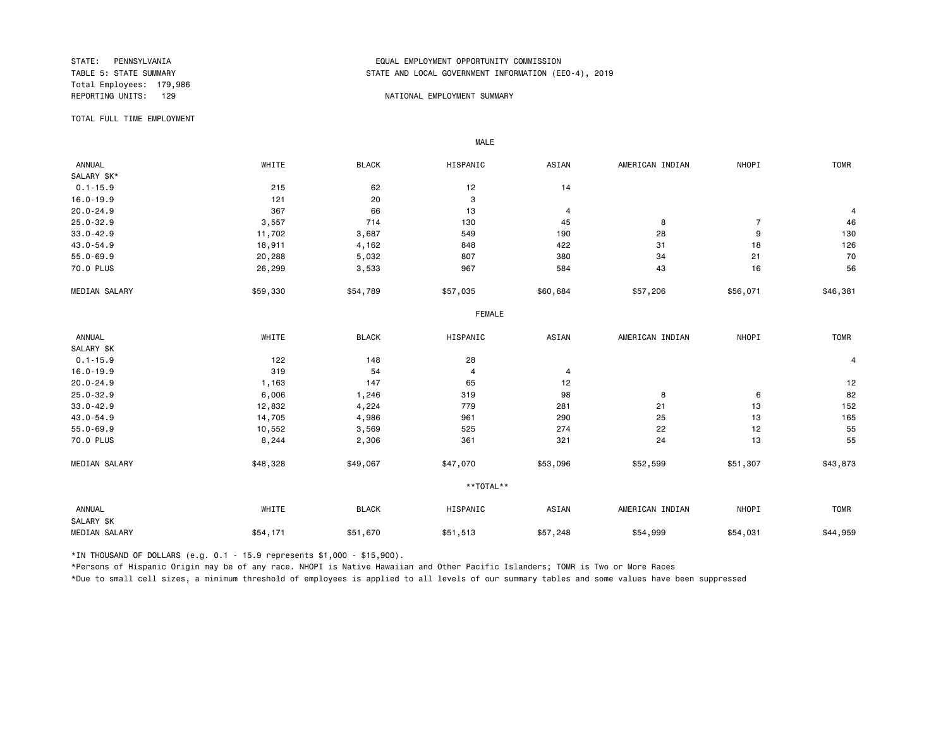Total Employees: 179,986

# STATE: PENNSYLVANIA EQUAL EMPLOYMENT OPPORTUNITY COMMISSION STATE AND LOCAL GOVERNMENT INFORMATION (EEO-4), 2019

#### REPORTING UNITS: 129 NATIONAL EMPLOYMENT SUMMARY

TOTAL FULL TIME EMPLOYMENT

 ANNUAL WHITE BLACK HISPANIC ASIAN AMERICAN INDIAN NHOPI TOMR SALARY \$K\*<br>0.1-15.9  $0.1-15.9$  215 62 12 14 16.0-19.9 121 20 3  $20.0-24.9$  367 66 13 4  $4$ 25.0-32.9 3,557 714 130 45 8 7 46 33.0-42.9 11,702 3,687 549 190 28 9 130 43.0-54.9 18,911 4,162 848 422 31 18 126 55.0-69.9 20,288 5,032 807 380 34 21 70 70.0 PLUS 26,299 3,533 967 584 43 16 56 MEDIAN SALARY \$59,330 \$54,789 \$57,035 \$60,684 \$57,206 \$56,071 \$46,381 FEMALE **FRAME**  ANNUAL WHITE BLACK HISPANIC ASIAN AMERICAN INDIAN NHOPI TOMR SALARY \$K<br>0.1-15.9  $0.1-15.9$  122 148 28 4 16.0-19.9 319 54 4 4 20.0-24.9 1,163 147 65 12 12 25.0-32.9 6,006 1,246 319 98 8 6 82 33.0-42.9 12,832 4,224 779 281 21 13 152 43.0-54.9 14,705 4,986 961 290 25 13 165 55.0-69.9 10,552 3,569 525 274 22 12 55 70.0 PLUS 8,244 2,306 361 321 24 13 55 MEDIAN SALARY \$48,328 \$49,067 \$47,070 \$53,096 \$52,599 \$51,307 \$43,873 \*\*TOTAL\*\* ANNUAL WHITE BLACK HISPANIC ASIAN AMERICAN INDIAN NHOPI TOMR SALARY \$K MEDIAN SALARY \$54,171 \$51,670 \$51,513 \$57,248 \$54,999 \$54,031 \$44,959

\*IN THOUSAND OF DOLLARS (e.g. 0.1 - 15.9 represents \$1,000 - \$15,900).

MALE

\*Persons of Hispanic Origin may be of any race. NHOPI is Native Hawaiian and Other Pacific Islanders; TOMR is Two or More Races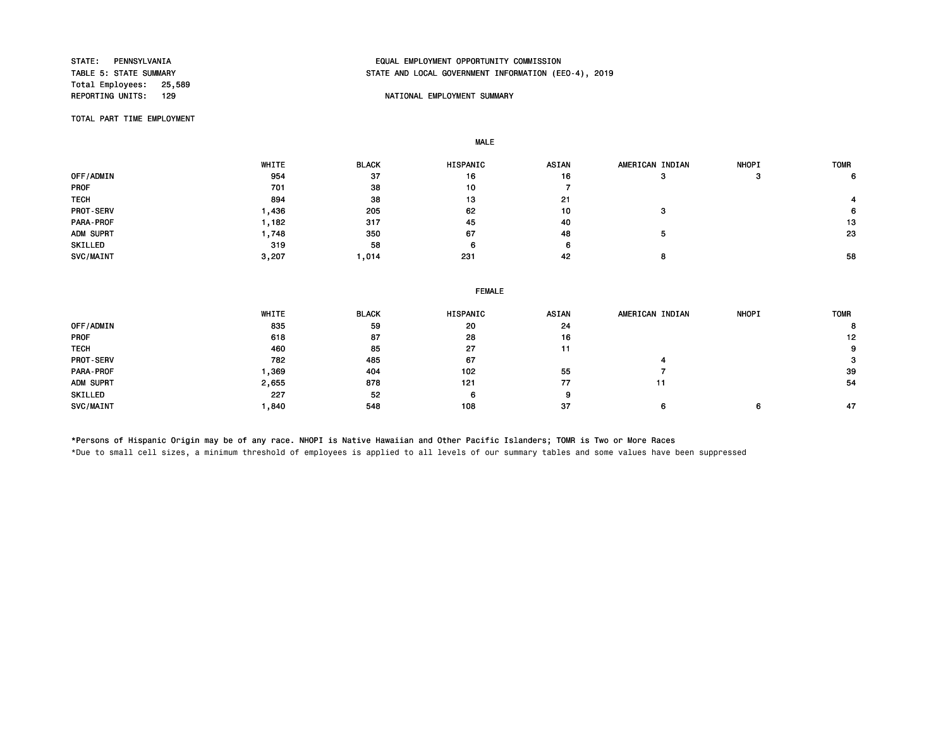Total Employees: 25,589<br>REPORTING UNITS: 129

# STATE: PENNSYLVANIA EQUAL EMPLOYMENT OPPORTUNITY COMMISSION STATE AND LOCAL GOVERNMENT INFORMATION (EEO-4), 2019

#### NATIONAL EMPLOYMENT SUMMARY

TOTAL PART TIME EMPLOYMENT

MALE

|                  | WHITE | <b>BLACK</b> | <b>HISPANIC</b> | <b>ASIAN</b> | AMERICAN INDIAN | <b>NHOPI</b> | <b>TOMR</b> |
|------------------|-------|--------------|-----------------|--------------|-----------------|--------------|-------------|
| OFF/ADMIN        | 954   | 37           | 16              | 16           |                 |              | 6           |
| <b>PROF</b>      | 701   | 38           | 10              |              |                 |              |             |
| <b>TECH</b>      | 894   | 38           | 13              | 21           |                 |              |             |
| <b>PROT-SERV</b> | ,436  | 205          | 62              | 10           |                 |              | 6.          |
| <b>PARA-PROF</b> | , 182 | 317          | 45              | 40           |                 |              | 13          |
| ADM SUPRT        | ,748  | 350          | 67              | -48          |                 |              | 23          |
| SKILLED          | 319   | 58           | 6               |              |                 |              |             |
| SVC/MAINT        | 3,207 | ,014         | 231             | 42           |                 |              | 58          |

|             | <b>FEMALE</b> |              |          |              |                 |              |             |  |  |
|-------------|---------------|--------------|----------|--------------|-----------------|--------------|-------------|--|--|
|             | WHITE         | <b>BLACK</b> | HISPANIC | <b>ASIAN</b> | AMERICAN INDIAN | <b>NHOPI</b> | <b>TOMR</b> |  |  |
| OFF/ADMIN   | 835           | 59           | 20       | 24           |                 |              | 8           |  |  |
| <b>PROF</b> | 618           | 87           | 28       | 16           |                 |              | 12          |  |  |
| <b>TECH</b> | 460           | 85           | 27       | 11           |                 |              | 9           |  |  |
| PROT-SERV   | 782           | 485          | 67       |              |                 |              |             |  |  |
| PARA-PROF   | 369,          | 404          | 102      | 55           |                 |              | 39          |  |  |
| ADM SUPRT   | 2,655         | 878          | 121      | 77           | 11              |              | 54          |  |  |
| SKILLED     | 227           | 52           | 6        | 9            |                 |              |             |  |  |
| SVC/MAINT   | 840. ا        | 548          | 108      | 37           | 6               | 6            | 47          |  |  |

\*Persons of Hispanic Origin may be of any race. NHOPI is Native Hawaiian and Other Pacific Islanders; TOMR is Two or More Races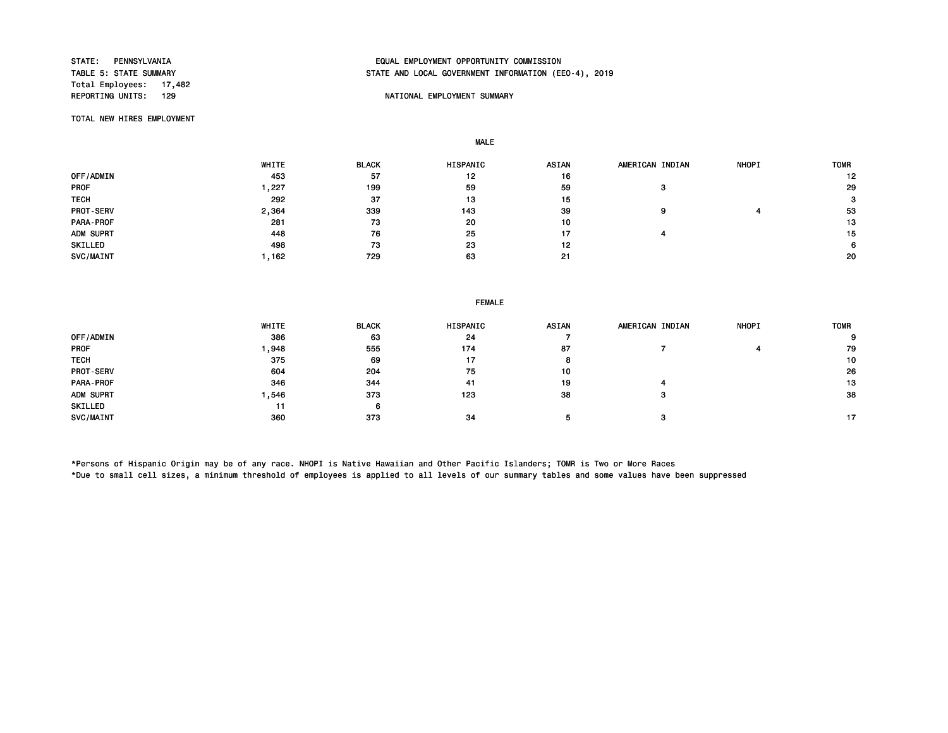Total Employees: 17,482<br>REPORTING UNITS: 129

# STATE: PENNSYLVANIA EQUAL EMPLOYMENT OPPORTUNITY COMMISSION STATE AND LOCAL GOVERNMENT INFORMATION (EEO-4), 2019

## NATIONAL EMPLOYMENT SUMMARY

TOTAL NEW HIRES EMPLOYMENT

MALE

|                  | WHITE | <b>BLACK</b> | HISPANIC | ASIAN | AMERICAN INDIAN | <b>NHOPI</b> | <b>TOMR</b> |
|------------------|-------|--------------|----------|-------|-----------------|--------------|-------------|
| OFF/ADMIN        | 453   | 57           | 12       | 16    |                 |              | 12          |
| <b>PROF</b>      | .227  | 199          | 59       | 59    | з               |              | 29          |
| <b>TECH</b>      | 292   | 37           | 13       | 15    |                 |              | 3           |
| <b>PROT-SERV</b> | 2,364 | 339          | 143      | 39    | 9               |              | 53          |
| PARA-PROF        | 281   | 73           | 20       | 10    |                 |              | 13          |
| ADM SUPRT        | 448   | 76           | 25       | 17    |                 |              | 15          |
| SKILLED          | 498   | 73           | 23       | 12    |                 |              | 6           |
| SVC/MAINT        | ,162  | 729          | 63       | 21    |                 |              | 20          |

#### FEMALE

|                  | WHITE | <b>BLACK</b> | <b>HISPANIC</b> | <b>ASIAN</b> | AMERICAN INDIAN | <b>NHOPI</b> | <b>TOMR</b> |
|------------------|-------|--------------|-----------------|--------------|-----------------|--------------|-------------|
| OFF/ADMIN        | 386   | 63           | 24              |              |                 |              | 9           |
| <b>PROF</b>      | ,948  | 555          | 174             | 87           |                 |              | 79          |
| <b>TECH</b>      | 375   | 69           | 17              |              |                 |              | 10          |
| <b>PROT-SERV</b> | 604   | 204          | 75              | 10           |                 |              | 26          |
| PARA-PROF        | 346   | 344          | 41              | 19           |                 |              | 13          |
| ADM SUPRT        | ,546  | 373          | 123             | 38           |                 |              | 38          |
| SKILLED          | 11    | ь            |                 |              |                 |              |             |
| SVC/MAINT        | 360   | 373          | 34              |              |                 |              | 17          |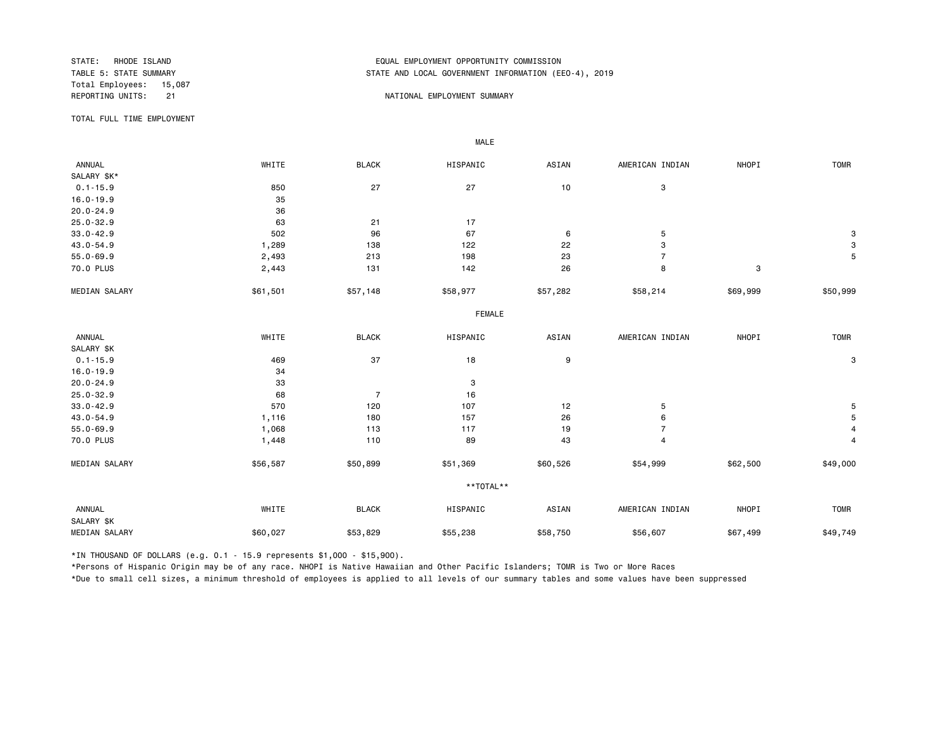Total Employees: 15,087<br>REPORTING UNITS: 21

# STATE: RHODE ISLAND EQUAL EMPLOYMENT OPPORTUNITY COMMISSION STATE AND LOCAL GOVERNMENT INFORMATION (EEO-4), 2019

#### NATIONAL EMPLOYMENT SUMMARY

TOTAL FULL TIME EMPLOYMENT

| ANNUAL               | WHITE    | <b>BLACK</b>   | HISPANIC      | ASIAN    | AMERICAN INDIAN           | NHOPI                     | <b>TOMR</b> |
|----------------------|----------|----------------|---------------|----------|---------------------------|---------------------------|-------------|
| SALARY \$K*          |          |                |               |          |                           |                           |             |
| $0.1 - 15.9$         | 850      | 27             | 27            | 10       | 3                         |                           |             |
| $16.0 - 19.9$        | 35       |                |               |          |                           |                           |             |
| $20.0 - 24.9$        |          |                |               |          |                           |                           |             |
|                      | 36       |                |               |          |                           |                           |             |
| $25.0 - 32.9$        | 63       | 21             | 17            |          |                           |                           |             |
| $33.0 - 42.9$        | 502      | 96             | 67            | $\,6$    | 5                         |                           | 3           |
| $43.0 - 54.9$        | 1,289    | 138            | 122           | 22       | $\ensuremath{\mathsf{3}}$ |                           | $\mathbf 3$ |
| $55.0 - 69.9$        | 2,493    | 213            | 198           | 23       | $\overline{7}$            |                           | 5           |
| 70.0 PLUS            | 2,443    | 131            | 142           | 26       | 8                         | $\ensuremath{\mathsf{3}}$ |             |
| MEDIAN SALARY        | \$61,501 | \$57,148       | \$58,977      | \$57,282 | \$58,214                  | \$69,999                  | \$50,999    |
|                      |          |                | <b>FEMALE</b> |          |                           |                           |             |
| ANNUAL               | WHITE    | <b>BLACK</b>   | HISPANIC      | ASIAN    | AMERICAN INDIAN           | NHOPI                     | <b>TOMR</b> |
| SALARY \$K           |          |                |               |          |                           |                           |             |
| $0.1 - 15.9$         | 469      | 37             | 18            | 9        |                           |                           | 3           |
| $16.0 - 19.9$        | 34       |                |               |          |                           |                           |             |
| $20.0 - 24.9$        | 33       |                | 3             |          |                           |                           |             |
| $25.0 - 32.9$        | 68       | $\overline{7}$ | 16            |          |                           |                           |             |
| $33.0 - 42.9$        | 570      | 120            | 107           | 12       | $\mathbf 5$               |                           | 5           |
| $43.0 - 54.9$        | 1,116    | 180            | 157           | 26       | 6                         |                           | 5           |
| $55.0 - 69.9$        | 1,068    | 113            | 117           | 19       | $\overline{7}$            |                           | 4           |
| 70.0 PLUS            | 1,448    | 110            | 89            | 43       | $\overline{4}$            |                           | 4           |
| MEDIAN SALARY        | \$56,587 | \$50,899       | \$51,369      | \$60,526 | \$54,999                  | \$62,500                  | \$49,000    |
|                      |          |                | **TOTAL**     |          |                           |                           |             |
| ANNUAL<br>SALARY \$K | WHITE    | <b>BLACK</b>   | HISPANIC      | ASIAN    | AMERICAN INDIAN           | NHOPI                     | <b>TOMR</b> |
| MEDIAN SALARY        | \$60,027 | \$53,829       | \$55,238      | \$58,750 | \$56,607                  | \$67,499                  | \$49,749    |

\*IN THOUSAND OF DOLLARS (e.g. 0.1 - 15.9 represents \$1,000 - \$15,900).

MALE

\*Persons of Hispanic Origin may be of any race. NHOPI is Native Hawaiian and Other Pacific Islanders; TOMR is Two or More Races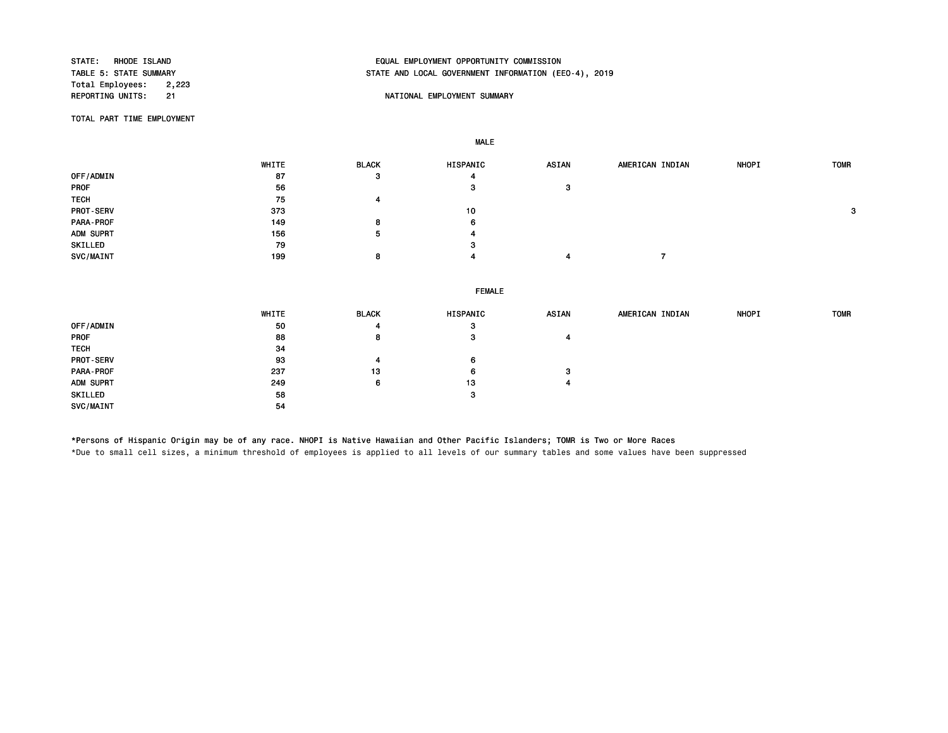Total Employees: 2,223<br>REPORTING UNITS: 21

# STATE: RHODE ISLAND EQUAL EMPLOYMENT OPPORTUNITY COMMISSION STATE AND LOCAL GOVERNMENT INFORMATION (EEO-4), 2019

## NATIONAL EMPLOYMENT SUMMARY

TOTAL PART TIME EMPLOYMENT

MALE

|                  | WHITE | <b>BLACK</b> | HISPANIC | <b>ASIAN</b> | AMERICAN INDIAN | <b>NHOPI</b> | <b>TOMR</b> |
|------------------|-------|--------------|----------|--------------|-----------------|--------------|-------------|
| OFF/ADMIN        | 87    | 3            | 4        |              |                 |              |             |
| PROF             | 56    |              | 3        | 3            |                 |              |             |
| <b>TECH</b>      | 75    |              |          |              |                 |              |             |
| <b>PROT-SERV</b> | 373   |              | 10       |              |                 |              | 3           |
| PARA-PROF        | 149   | 8            | 6        |              |                 |              |             |
| ADM SUPRT        | 156   |              | 4        |              |                 |              |             |
| SKILLED          | 79    |              | 3        |              |                 |              |             |
| SVC/MAINT        | 199   | 8            |          |              |                 |              |             |
|                  |       |              |          |              |                 |              |             |

FEMALE

|                  | WHITE | <b>BLACK</b> | HISPANIC | <b>ASIAN</b> | AMERICAN INDIAN | <b>NHOPI</b> | <b>TOMR</b> |
|------------------|-------|--------------|----------|--------------|-----------------|--------------|-------------|
| OFF/ADMIN        | 50    |              | з        |              |                 |              |             |
| PROF             | 88    | 8            | з        | 4            |                 |              |             |
| <b>TECH</b>      | 34    |              |          |              |                 |              |             |
| <b>PROT-SERV</b> | 93    |              | 6        |              |                 |              |             |
| PARA-PROF        | 237   | 13           | 6        | з            |                 |              |             |
| ADM SUPRT        | 249   | 6            | 13       | 4            |                 |              |             |
| SKILLED          | 58    |              | 3        |              |                 |              |             |
| SVC/MAINT        | 54    |              |          |              |                 |              |             |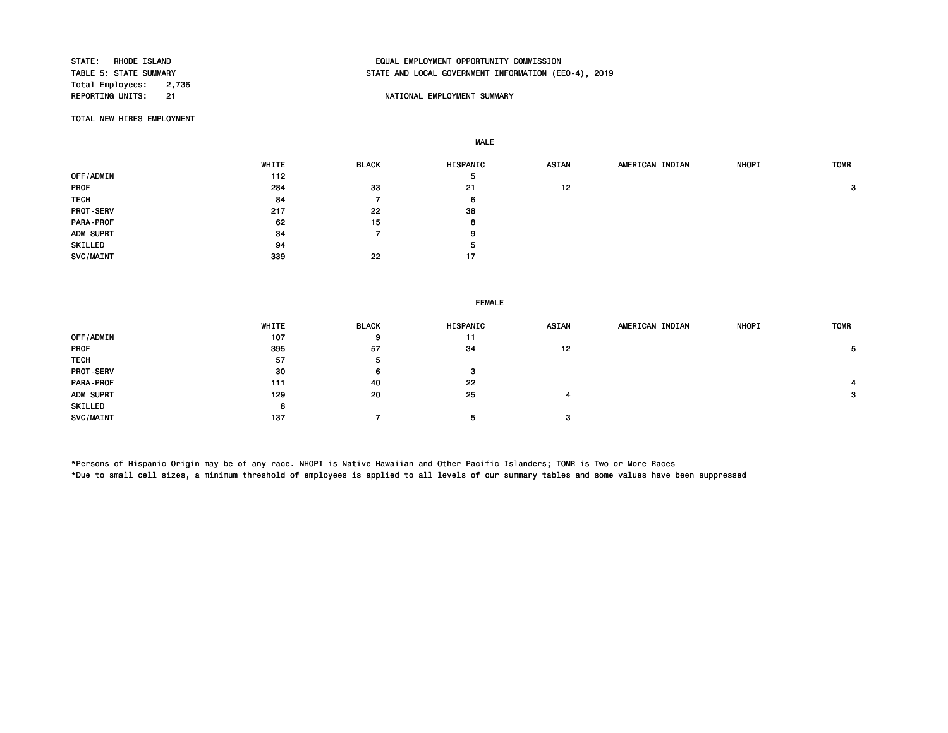Total Employees: 2,736<br>REPORTING UNITS: 21

# STATE: RHODE ISLAND EQUAL EMPLOYMENT OPPORTUNITY COMMISSION STATE AND LOCAL GOVERNMENT INFORMATION (EEO-4), 2019

## 21 **External Summary Struck Control Control Control Control Control Control Control Control Control Control Control Control Control Control Control Control Control Control Control Control Control Control Control Control Co**

TOTAL NEW HIRES EMPLOYMENT

MALE

 WHITE BLACK HISPANIC ASIAN AMERICAN INDIAN NHOPI TOMR OFF/ADMIN 5 PROF 284 33 21 12 3 TECH 6 6 PROT-SERV 38 and 217 22 22 38 PARA-PROF 62 15 8 ADM SUPRT 9 9 SKILLED 5 SVC/MAINT 339 22 17

#### FEMALE

|                  | WHITE | <b>BLACK</b> | HISPANIC | <b>ASIAN</b> | AMERICAN INDIAN | <b>NHOPI</b> | <b>TOMR</b> |
|------------------|-------|--------------|----------|--------------|-----------------|--------------|-------------|
| OFF/ADMIN        | 107   | 9            | 11       |              |                 |              |             |
| <b>PROF</b>      | 395   | 57           | 34       | 12           |                 |              | 5.          |
| <b>TECH</b>      | 57    | ь            |          |              |                 |              |             |
| <b>PROT-SERV</b> | 30    | 6            | 3        |              |                 |              |             |
| PARA-PROF        | 111   | 40           | 22       |              |                 |              |             |
| ADM SUPRT        | 129   | 20           | 25       | 4            |                 |              | 3           |
| SKILLED          | 8     |              |          |              |                 |              |             |
| <b>SVC/MAINT</b> | 137   |              | 5        | з            |                 |              |             |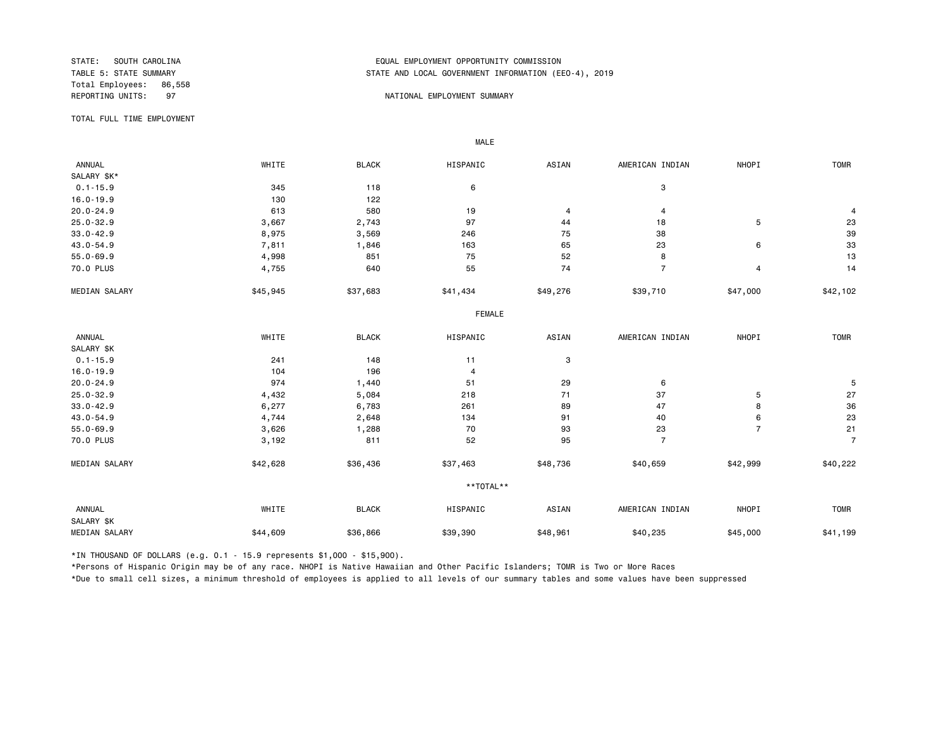Total Employees: 86,558

# STATE: SOUTH CAROLINA EQUAL EMPLOYMENT OPPORTUNITY COMMISSION STATE AND LOCAL GOVERNMENT INFORMATION (EEO-4), 2019

#### REPORTING UNITS: 97 NATIONAL EMPLOYMENT SUMMARY

TOTAL FULL TIME EMPLOYMENT

 ANNUAL WHITE BLACK HISPANIC ASIAN AMERICAN INDIAN NHOPI TOMR SALARY \$K\*<br>0.1-15.9  $0.1-15.9$  345 345 118 6 3 16.0-19.9 130 122 20.0-24.9 613 580 19 4 4 4 25.0-32.9 3,667 2,743 97 44 18 5 23 33.0-42.9 8,975 3,569 246 75 38 39 43.0-54.9 7,811 1,846 163 65 23 6 33 55.0-69.9 4,998 851 75 52 8 13 70.0 PLUS 4,755 640 55 74 7 4 14 MEDIAN SALARY \$45,945 \$37,683 \$41,434 \$39,710 \$47,000 \$42,102 FEMALE **FRAME**  ANNUAL WHITE BLACK HISPANIC ASIAN AMERICAN INDIAN NHOPI TOMR SALARY \$K<br>0.1-15.9  $0.1-15.9$  241 148 11 3 16.0-19.9 104 196 4 20.0-24.9 974 1,440 51 29 6 5 25.0-32.9 4,432 5,084 218 71 37 5 27 33.0-42.9 6,277 6,783 261 89 47 8 36 43.0-54.9 4,744 2,648 134 91 40 6 23 55.0-69.9 3,626 1,288 70 93 23 7 21 70.0 PLUS 3,192 811 52 95 7 7 MEDIAN SALARY \$42,628 \$36,436 \$37,463 \$48,736 \$40,659 \$42,999 \$40,222 \*\*TOTAL\*\* ANNUAL WHITE BLACK HISPANIC ASIAN AMERICAN INDIAN NHOPI TOMR SALARY \$K MEDIAN SALARY \$44,609 \$36,866 \$39,390 \$40,961 \$40,235 \$45,000 \$41,199 \$41,199

\*IN THOUSAND OF DOLLARS (e.g. 0.1 - 15.9 represents \$1,000 - \$15,900).

MALE

\*Persons of Hispanic Origin may be of any race. NHOPI is Native Hawaiian and Other Pacific Islanders; TOMR is Two or More Races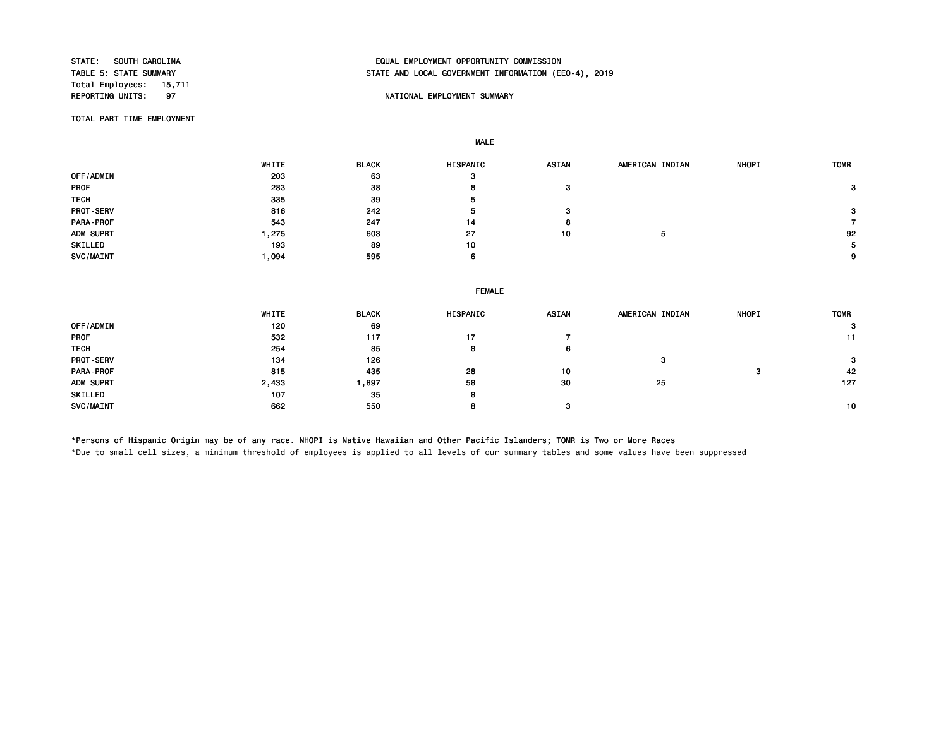Total Employees: 15,711

# STATE: SOUTH CAROLINA EQUAL EMPLOYMENT OPPORTUNITY COMMISSION STATE AND LOCAL GOVERNMENT INFORMATION (EEO-4), 2019

## 97 NATIONAL EMPLOYMENT SUMMARY

TOTAL PART TIME EMPLOYMENT

MALE

 WHITE BLACK HISPANIC ASIAN AMERICAN INDIAN NHOPI TOMR OFF/ADMIN 203 63 3 PROF 283 38 8 3 3 TECH 335 39 5 PROT-SERV 816 242 5 3 3 PARA-PROF 543 247 14 8 7 ADM SUPRT 1,275 603 27 10 5 92 SKILLED 193 89 10 5 SVC/MAINT 1,094 595 6 9

|                  | <b>FEMALE</b> |              |          |       |                 |              |             |  |  |
|------------------|---------------|--------------|----------|-------|-----------------|--------------|-------------|--|--|
|                  | WHITE         | <b>BLACK</b> | HISPANIC | ASIAN | AMERICAN INDIAN | <b>NHOPI</b> | <b>TOMR</b> |  |  |
| OFF/ADMIN        | 120           | 69           |          |       |                 |              | 3           |  |  |
| <b>PROF</b>      | 532           | 117          | 17       |       |                 |              | 11          |  |  |
| <b>TECH</b>      | 254           | 85           | 8        | 6     |                 |              |             |  |  |
| <b>PROT-SERV</b> | 134           | 126          |          |       | 3               |              | 3           |  |  |
| <b>PARA-PROF</b> | 815           | 435          | 28       | 10    |                 | -3           | 42          |  |  |
| ADM SUPRT        | 2,433         | 897 ، ا      | 58       | 30    | 25              |              | 127         |  |  |
| SKILLED          | 107           | 35           | 8        |       |                 |              |             |  |  |
| SVC/MAINT        | 662           | 550          | 8        | -3    |                 |              | 10          |  |  |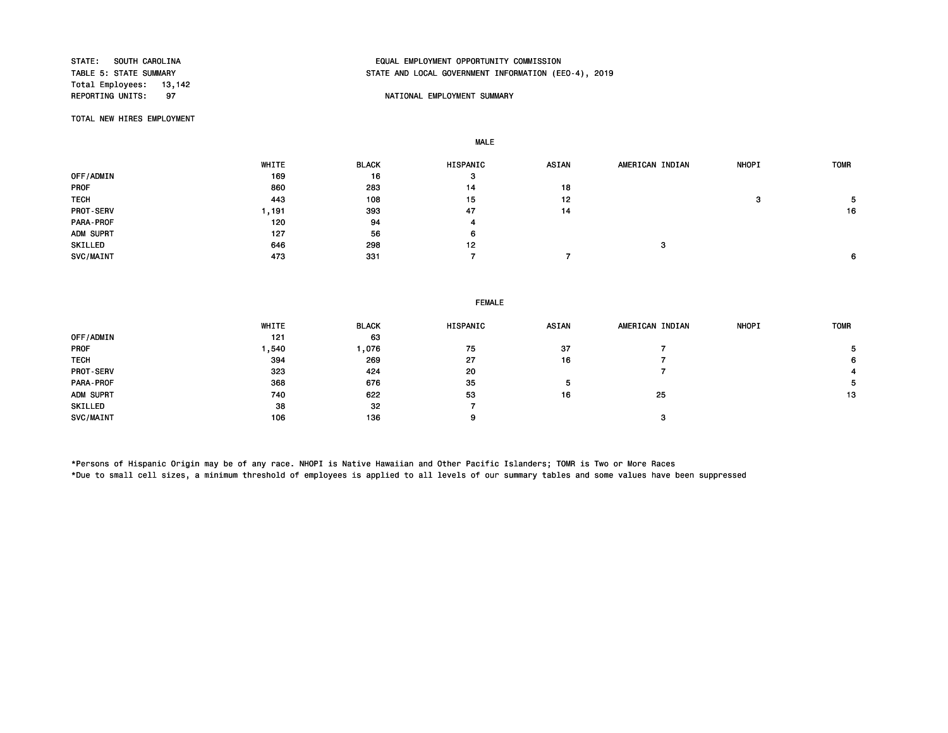Total Employees: 13,142<br>REPORTING UNITS: 97

# STATE: SOUTH CAROLINA EQUAL EMPLOYMENT OPPORTUNITY COMMISSION STATE AND LOCAL GOVERNMENT INFORMATION (EEO-4), 2019

#### 97 NATIONAL EMPLOYMENT SUMMARY

TOTAL NEW HIRES EMPLOYMENT

MALE

 WHITE BLACK HISPANIC ASIAN AMERICAN INDIAN NHOPI TOMR OFF/ADMIN 169 16 3 PROF 860 283 14 18 TECH 443 108 15 12 3 5 PROT-SERV 1,191 393 47 14 16 PARA-PROF 120 94 4 ADM SUPRT 127 56 6 SKILLED 646 298 12 3  $SVC/MAINT$  6  $473$   $473$   $331$   $7$   $7$ 

#### FEMALE

|                  | WHITE | <b>BLACK</b> | <b>HISPANIC</b> | <b>ASIAN</b> | AMERICAN INDIAN | <b>NHOPI</b> | <b>TOMR</b> |
|------------------|-------|--------------|-----------------|--------------|-----------------|--------------|-------------|
| OFF/ADMIN        | 121   | 63           |                 |              |                 |              |             |
| <b>PROF</b>      | ,540  | 076, ا       | 75              | 37           |                 |              | 5.          |
| <b>TECH</b>      | 394   | 269          | 27              | 16           |                 |              | 6           |
| <b>PROT-SERV</b> | 323   | 424          | 20              |              |                 |              |             |
| PARA-PROF        | 368   | 676          | 35              | ۰            |                 |              | 5.          |
| ADM SUPRT        | 740   | 622          | 53              | 16           | 25              |              | 13          |
| SKILLED          | 38    | 32           |                 |              |                 |              |             |
| SVC/MAINT        | 106   | 136          |                 |              | з               |              |             |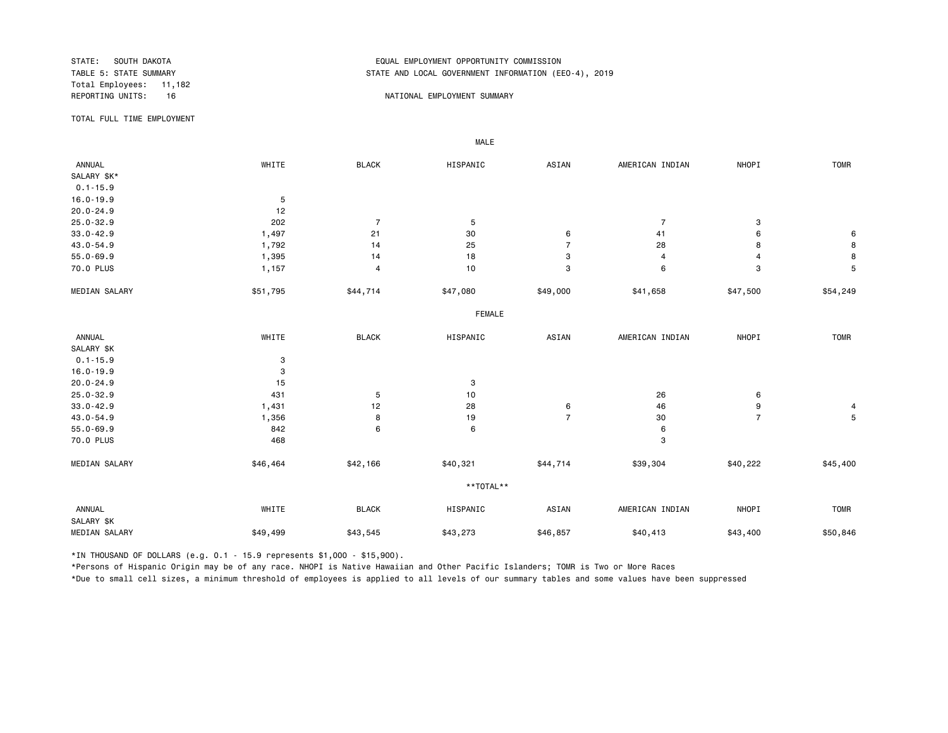Total Employees: 11,182

# STATE: SOUTH DAKOTA EQUAL EMPLOYMENT OPPORTUNITY COMMISSION STATE AND LOCAL GOVERNMENT INFORMATION (EEO-4), 2019

#### REPORTING UNITS: 16 16 NATIONAL EMPLOYMENT SUMMARY

TOTAL FULL TIME EMPLOYMENT

 ANNUAL WHITE BLACK HISPANIC ASIAN AMERICAN INDIAN NHOPI TOMR SALARY \$K\* 0.1-15.9 16.0-19.9 5<br>20.0-24.9 12  $20.0 - 24.9$ 25.0-32.9 202 7 5 7 3 33.0-42.9 1,497 21 30 6 41 6 6 43.0-54.9 1,792 14 25 7 28 8 8 8 55.0-69.9 1,395 14 18 3 4 8 70.0 PLUS 1,157 4 10 3 6 3 5 MEDIAN SALARY \$51,795 \$44,714 \$47,080 \$49,000 \$41,658 \$54,79500 \$54,249 FEMALE **FRAME**  ANNUAL WHITE BLACK HISPANIC ASIAN AMERICAN INDIAN NHOPI TOMR SALARY \$K  $0.1 - 15.9$  3 16.0-19.9 3<br>20.0-24.9 15 20.0-24.9 3 25.0-32.9 431 5 10 26 6 33.0-42.9 1,431 12 28 6 46 9 4 43.0-54.9 1,356 8 19 7 30 7 5 55.0-69.9 842 6 6 6 70.0 PLUS 3 MEDIAN SALARY \$46,464 \$42,166 \$40,321 \$44,714 \$39,304 \$40,222 \$45,400 \*\*TOTAL\*\* ANNUAL WHITE BLACK HISPANIC ASIAN AMERICAN INDIAN NHOPI TOMR SALARY \$K MEDIAN SALARY \$49,499 \$43,545 \$43,273 \$40,857 \$40,413 \$50,846 \$50,846

\*IN THOUSAND OF DOLLARS (e.g. 0.1 - 15.9 represents \$1,000 - \$15,900).

MALE

\*Persons of Hispanic Origin may be of any race. NHOPI is Native Hawaiian and Other Pacific Islanders; TOMR is Two or More Races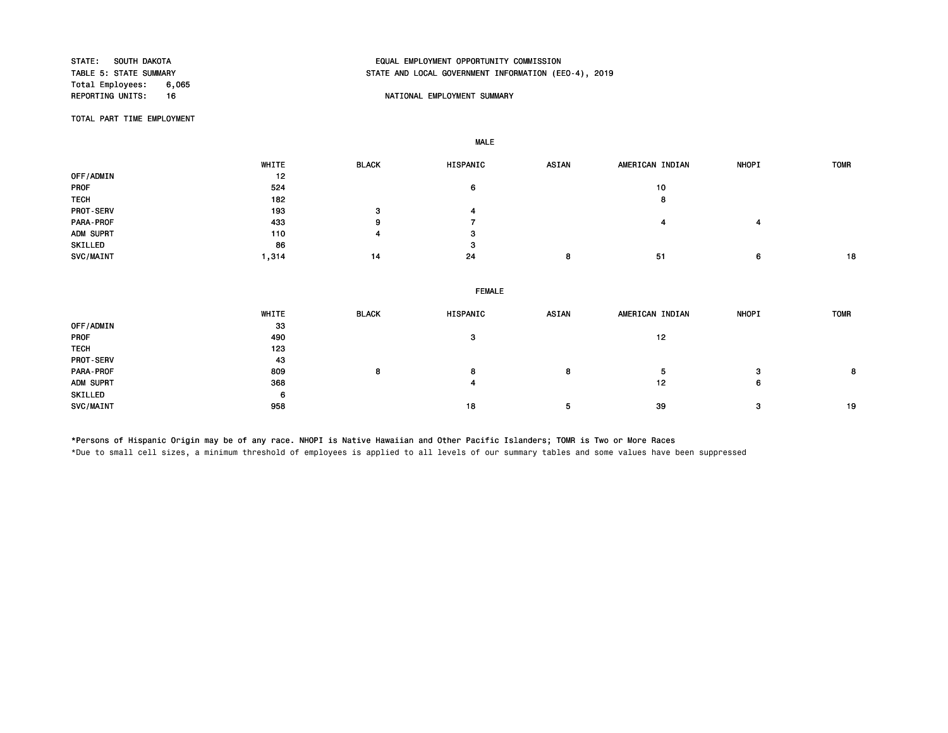Total Employees: 6,065<br>REPORTING UNITS: 16

# STATE: SOUTH DAKOTA EQUAL EMPLOYMENT OPPORTUNITY COMMISSION STATE AND LOCAL GOVERNMENT INFORMATION (EEO-4), 2019

## 16 NATIONAL EMPLOYMENT SUMMARY

TOTAL PART TIME EMPLOYMENT

MALE

 WHITE BLACK HISPANIC ASIAN AMERICAN INDIAN NHOPI TOMR OFF/ADMIN 12<br>PROF 524 PROF 524 6 10 TECH 182 8 PROT-SERV 193 3 4 PARA-PROF 433 9 7 4 4 ADM SUPRT 3 3 SKILLED 86 3 SVC/MAINT 1,314 14 24 8 51 6 18

| WHITE | <b>BLACK</b> | HISPANIC | <b>ASIAN</b>  | AMERICAN INDIAN | <b>NHOPI</b> | <b>TOMR</b> |  |  |  |
|-------|--------------|----------|---------------|-----------------|--------------|-------------|--|--|--|
| 33    |              |          |               |                 |              |             |  |  |  |
| 490   |              | з        |               | 12              |              |             |  |  |  |
| 123   |              |          |               |                 |              |             |  |  |  |
| 43    |              |          |               |                 |              |             |  |  |  |
| 809   | 8            | 8        | 8             | 5               | з            | 8           |  |  |  |
| 368   |              | 4        |               | 12              | 6            |             |  |  |  |
| 6     |              |          |               |                 |              |             |  |  |  |
| 958   |              | 18       | 5             | 39              | 3            | 19          |  |  |  |
|       |              |          | <b>FEMALE</b> |                 |              |             |  |  |  |

\*Persons of Hispanic Origin may be of any race. NHOPI is Native Hawaiian and Other Pacific Islanders; TOMR is Two or More Races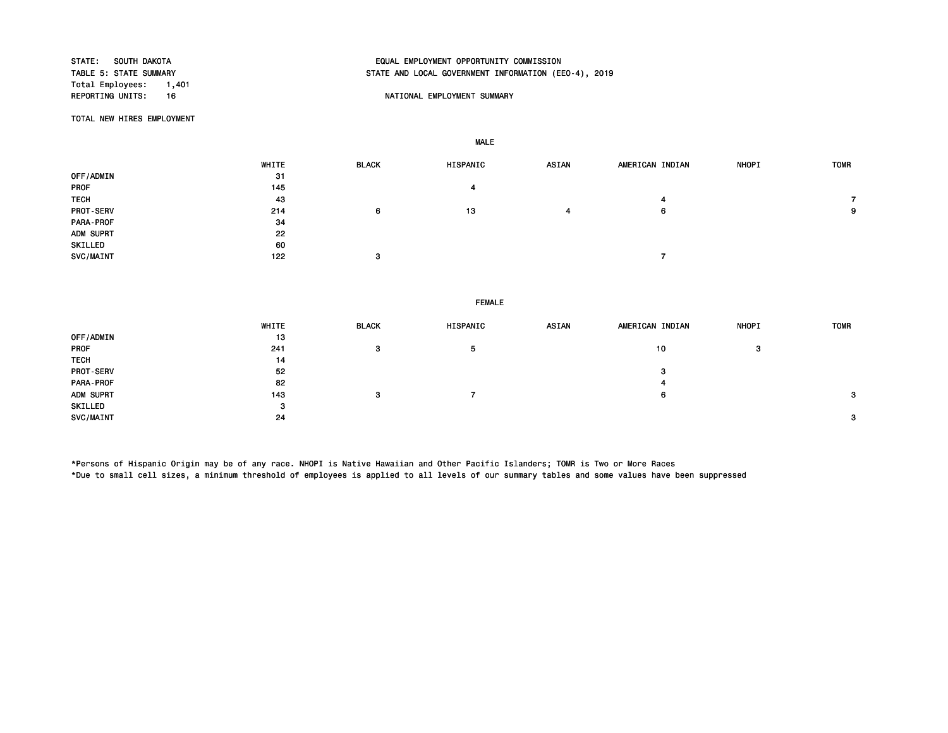Total Employees: 1,401<br>REPORTING UNITS: 16

# STATE: SOUTH DAKOTA EQUAL EMPLOYMENT OPPORTUNITY COMMISSION STATE AND LOCAL GOVERNMENT INFORMATION (EEO-4), 2019

## NATIONAL EMPLOYMENT SUMMARY

TOTAL NEW HIRES EMPLOYMENT

MALE

|             | WHITE | <b>BLACK</b> | HISPANIC | <b>ASIAN</b> | AMERICAN INDIAN | <b>NHOPI</b> | <b>TOMR</b> |
|-------------|-------|--------------|----------|--------------|-----------------|--------------|-------------|
| OFF/ADMIN   | 31    |              |          |              |                 |              |             |
| PROF        | 145   |              | 4        |              |                 |              |             |
| <b>TECH</b> | 43    |              |          |              |                 |              |             |
| PROT-SERV   | 214   | 6            | 13       | 4            | 6               |              | 9           |
| PARA-PROF   | 34    |              |          |              |                 |              |             |
| ADM SUPRT   | 22    |              |          |              |                 |              |             |
| SKILLED     | 60    |              |          |              |                 |              |             |
| SVC/MAINT   | 122   | 3            |          |              |                 |              |             |

FEMALE

|                  | WHITE | <b>BLACK</b> | HISPANIC     | <b>ASIAN</b> | AMERICAN INDIAN | <b>NHOPI</b> | <b>TOMR</b> |
|------------------|-------|--------------|--------------|--------------|-----------------|--------------|-------------|
| OFF/ADMIN        | 13    |              |              |              |                 |              |             |
| <b>PROF</b>      | 241   | з            | $\mathbf{p}$ |              | 10              | 3            |             |
| <b>TECH</b>      | 14    |              |              |              |                 |              |             |
| <b>PROT-SERV</b> | 52    |              |              |              | 3               |              |             |
| PARA-PROF        | 82    |              |              |              |                 |              |             |
| ADM SUPRT        | 143   | -3           |              |              | 6               |              | з           |
| SKILLED          | з     |              |              |              |                 |              |             |
| SVC/MAINT        | 24    |              |              |              |                 |              | 3           |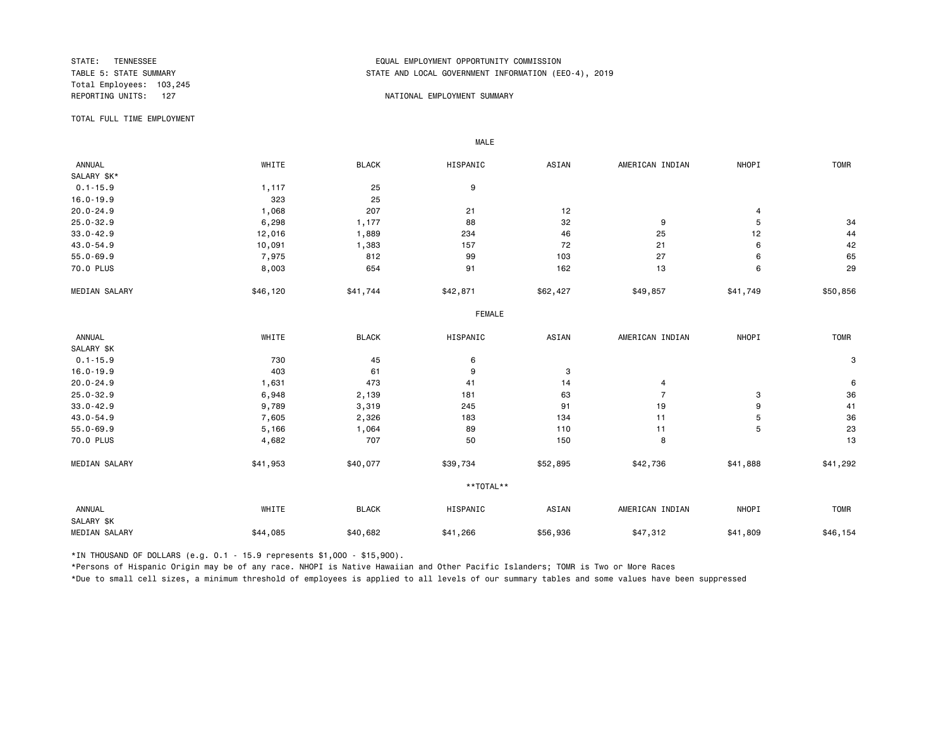Total Employees: 103,245

# STATE: TENNESSEE EQUAL EMPLOYMENT OPPORTUNITY COMMISSION STATE AND LOCAL GOVERNMENT INFORMATION (EEO-4), 2019

#### REPORTING UNITS: 127 NATIONAL EMPLOYMENT SUMMARY

TOTAL FULL TIME EMPLOYMENT

 ANNUAL WHITE BLACK HISPANIC ASIAN AMERICAN INDIAN NHOPI TOMR SALARY \$K\*<br>0.1-15.9  $0.1-15.9$   $1,117$   $25$   $9$ 16.0-19.9 25 20.0-24.9 1,068 207 21 12 4 25.0-32.9 6,298 1,177 88 32 9 5 34 33.0-42.9 12,016 1,889 234 46 25 12 44 43.0-54.9 10,091 1,383 157 72 21 6 42 55.0-69.9 7,975 812 99 103 27 6 65 70.0 PLUS 8,003 654 91 162 13 6 29 MEDIAN SALARY \$46,120 \$41,744 \$42,871 \$62,427 \$49,857 \$41,749 \$50,856 FEMALE **FRAME**  ANNUAL WHITE BLACK HISPANIC ASIAN AMERICAN INDIAN NHOPI TOMR SALARY \$K<br>0.1-15.9  $0.1-15.9$  3 16.0-19.9 403 61 9 3 20.0-24.9 1,631 473 41 14 4 6 25.0-32.9 6,948 2,139 181 63 7 3 36 33.0-42.9 9,789 3,319 245 91 19 9 41 43.0-54.9 7,605 2,326 183 134 11 5 36 55.0-69.9 5,166 1,064 89 110 11 5 23 70.0 PLUS 4,682 707 50 150 8 13 MEDIAN SALARY \$41,953 \$40,077 \$39,734 \$52,895 \$42,736 \$41,888 \$41,292 \*\*TOTAL\*\* ANNUAL WHITE BLACK HISPANIC ASIAN AMERICAN INDIAN NHOPI TOMR SALARY \$K MEDIAN SALARY \$44,085 \$40,682 \$41,266 \$47,312 \$41,809 \$46,154

\*IN THOUSAND OF DOLLARS (e.g. 0.1 - 15.9 represents \$1,000 - \$15,900).

MALE

\*Persons of Hispanic Origin may be of any race. NHOPI is Native Hawaiian and Other Pacific Islanders; TOMR is Two or More Races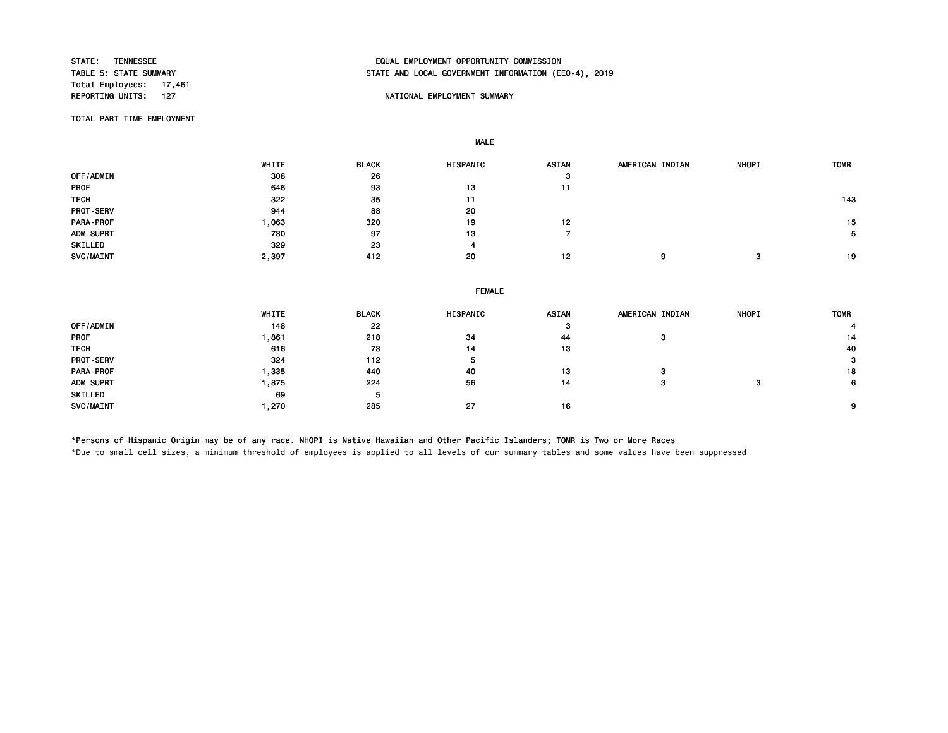Total Employees: 17,461<br>REPORTING UNITS: 127

# STATE: TENNESSEE EQUAL EMPLOYMENT OPPORTUNITY COMMISSION STATE AND LOCAL GOVERNMENT INFORMATION (EEO-4), 2019

## NATIONAL EMPLOYMENT SUMMARY

TOTAL PART TIME EMPLOYMENT

MALE

 WHITE BLACK HISPANIC ASIAN AMERICAN INDIAN NHOPI TOMR 0FF/ADMIN 308 398 26 3 3 PROF 646 93 13 11 TECH 322 35 11 143 PROT-SERV 20 20 PARA-PROF 1,063 320 19 12 15 ADM SUPRT 730 97 13 7 5 SKILLED 329 23 4 SVC/MAINT 2,397 412 20 12 9 3 19

|             | <b>FEMALE</b> |              |          |       |                 |       |             |  |
|-------------|---------------|--------------|----------|-------|-----------------|-------|-------------|--|
|             | WHITE         | <b>BLACK</b> | HISPANIC | ASIAN | AMERICAN INDIAN | NHOPI | <b>TOMR</b> |  |
| OFF/ADMIN   | 148           | 22           |          | ø     |                 |       |             |  |
| <b>PROF</b> | ,861          | 218          | -34      | 44    | -3              |       | 14          |  |
| <b>TECH</b> | 616           | 73           | 14       | 13    |                 |       | 40          |  |
| PROT-SERV   | 324           | 112          | 5        |       |                 |       | 3           |  |
| PARA-PROF   | ,335          | 440          | 40       | 13    | з               |       | 18          |  |
| ADM SUPRT   | ,875          | 224          | 56       | 14    | з               | з     | 6           |  |
| SKILLED     | 69            | 5            |          |       |                 |       |             |  |
| SVC/MAINT   | ,270          | 285          | 27       | 16    |                 |       | 9           |  |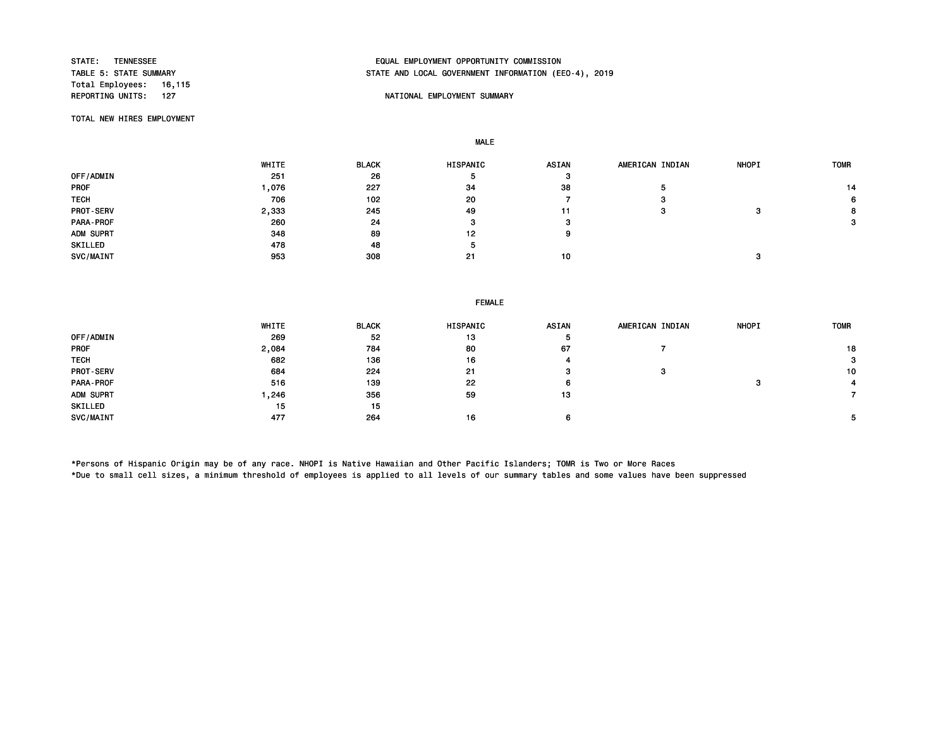Total Employees: 16,115

# STATE: TENNESSEE EQUAL EMPLOYMENT OPPORTUNITY COMMISSION STATE AND LOCAL GOVERNMENT INFORMATION (EEO-4), 2019

## NATIONAL EMPLOYMENT SUMMARY

TOTAL NEW HIRES EMPLOYMENT

MALE

|                  | WHITE | <b>BLACK</b> | <b>HISPANIC</b> | <b>ASIAN</b> | AMERICAN INDIAN | <b>NHOPI</b> | <b>TOMR</b> |
|------------------|-------|--------------|-----------------|--------------|-----------------|--------------|-------------|
| OFF/ADMIN        | 251   | 26           | э               | з            |                 |              |             |
| <b>PROF</b>      | ,076  | 227          | 34              | 38           |                 |              | 14          |
| <b>TECH</b>      | 706   | 102          | 20              |              | з               |              | 6           |
| <b>PROT-SERV</b> | 2,333 | 245          | 49              | 11           | з               | 3            | 8           |
| PARA-PROF        | 260   | 24           |                 |              |                 |              | 3           |
| ADM SUPRT        | 348   | 89           | 12              | ο            |                 |              |             |
| SKILLED          | 478   | 48           | 5               |              |                 |              |             |
| SVC/MAINT        | 953   | 308          | 21              | 10           |                 |              |             |

#### FEMALE

|                  | WHITE | <b>BLACK</b> | HISPANIC | <b>ASIAN</b> | AMERICAN INDIAN | <b>NHOPI</b> | <b>TOMR</b>  |
|------------------|-------|--------------|----------|--------------|-----------------|--------------|--------------|
| OFF/ADMIN        | 269   | 52           | 13       | Ð            |                 |              |              |
| <b>PROF</b>      | 2,084 | 784          | 80       | 67           |                 |              | 18           |
| <b>TECH</b>      | 682   | 136          | 16       |              |                 |              | $\mathbf{3}$ |
| <b>PROT-SERV</b> | 684   | 224          | 21       | з            | з               |              | 10           |
| PARA-PROF        | 516   | 139          | 22       | 6.           |                 |              |              |
| ADM SUPRT        | ,246  | 356          | 59       | 13           |                 |              |              |
| SKILLED          | 15    | 15           |          |              |                 |              |              |
| SVC/MAINT        | 477   | 264          | 16       |              |                 |              | 5            |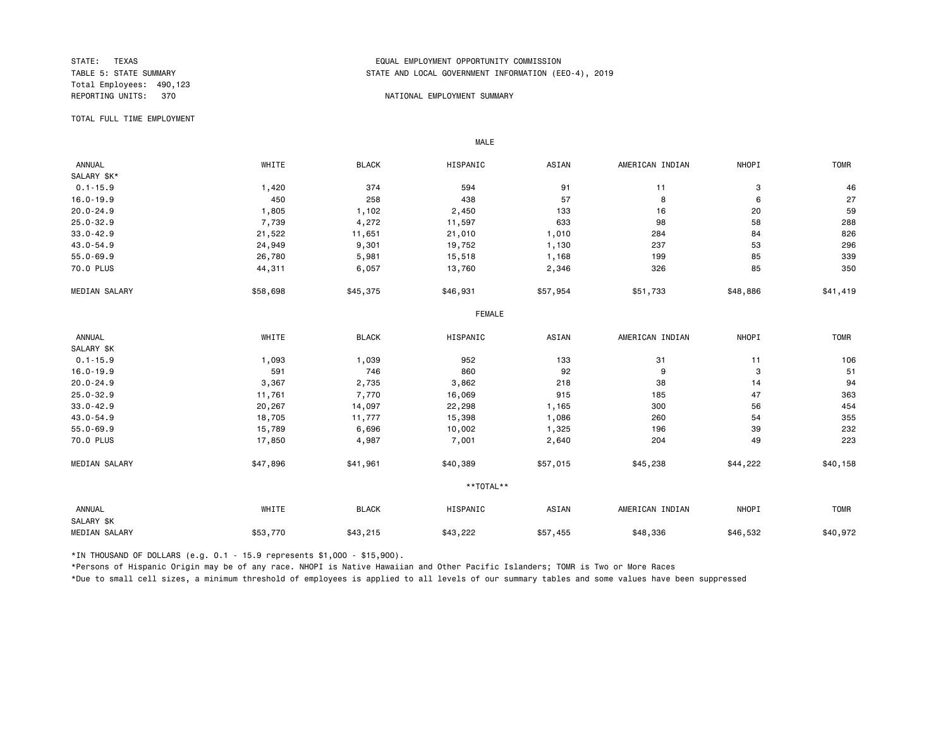Total Employees: 490,123

## STATE: TEXAS EQUAL EMPLOYMENT OPPORTUNITY COMMISSION STATE AND LOCAL GOVERNMENT INFORMATION (EEO-4), 2019

#### REPORTING UNITS: 370 NATIONAL EMPLOYMENT SUMMARY

TOTAL FULL TIME EMPLOYMENT

 ANNUAL WHITE BLACK HISPANIC ASIAN AMERICAN INDIAN NHOPI TOMR SALARY \$K\*<br>0.1-15.9 0.1-15.9 1,420 374 594 91 11 3 46 16.0-19.9 450 258 438 57 8 6 27 20.0-24.9 1,805 1,102 2,450 133 16 20 59 25.0-32.9 7,739 4,272 11,597 633 98 58 288 33.0-42.9 21,522 11,651 21,010 284 84 826 43.0-54.9 24,949 9,301 19,752 1,130 237 53 296 55.0-69.9 26,780 5,981 15,518 1,168 199 85 339 70.0 PLUS 44,311 6,057 13,760 2,346 326 85 350 MEDIAN SALARY \$58,698 \$45,375 \$46,931 \$57,954 \$51,733 \$48,886 \$41,419 FEMALE **FRAME**  ANNUAL WHITE BLACK HISPANIC ASIAN AMERICAN INDIAN NHOPI TOMR SALARY \$K<br>0.1-15.9 0.1-15.9 1,093 1,039 952 133 31 11 106 16.0-19.9 591 746 860 92 9 3 51 20.0-24.9 3,367 2,735 3,862 218 38 14 94 25.0-32.9 11,761 7,770 16,069 915 185 47 363 33.0-42.9 20,267 14,097 22,298 1,165 300 56 454 43.0-54.9 18,705 11,777 15,398 1,086 260 54 355 55.0-69.9 15,789 6,696 10,002 1,325 196 39 232 70.0 PLUS 17,850 4,987 7,001 2,640 204 223 MEDIAN SALARY \$47,896 \$41,961 \$40,389 \$57,015 \$45,238 \$44,222 \$40,158 \*\*TOTAL\*\* ANNUAL WHITE BLACK HISPANIC ASIAN AMERICAN INDIAN NHOPI TOMR SALARY \$K MEDIAN SALARY \$53,770 \$43,215 \$43,222 \$48,336 \$46,532 \$40,972

\*IN THOUSAND OF DOLLARS (e.g. 0.1 - 15.9 represents \$1,000 - \$15,900).

MALE

\*Persons of Hispanic Origin may be of any race. NHOPI is Native Hawaiian and Other Pacific Islanders; TOMR is Two or More Races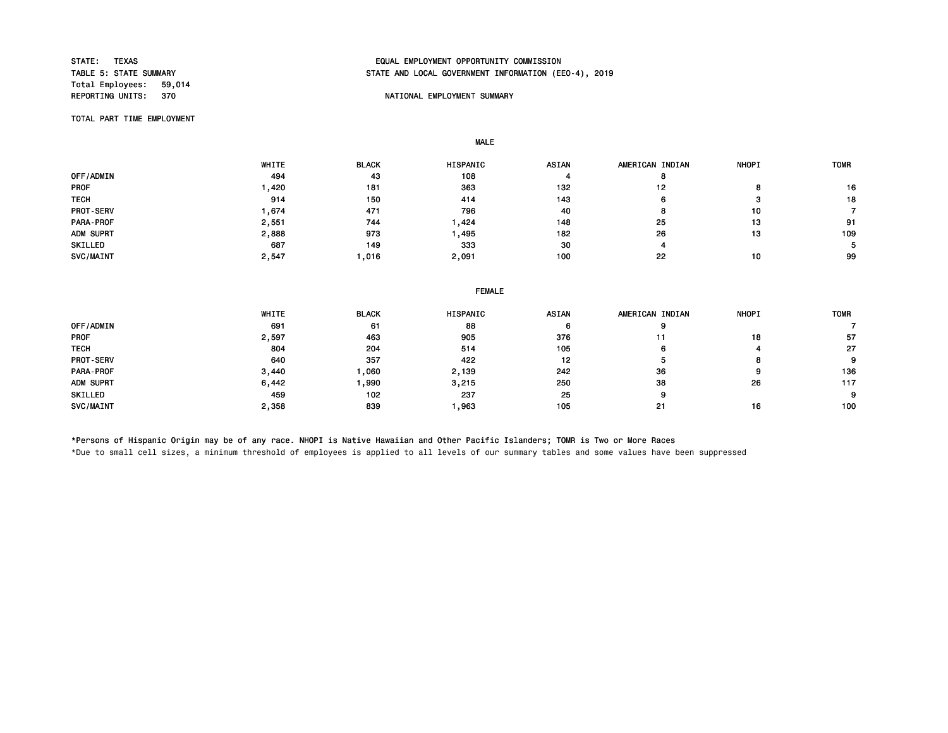Total Employees: 59,014<br>REPORTING UNITS: 370

# STATE: TEXAS EQUAL EMPLOYMENT OPPORTUNITY COMMISSION STATE AND LOCAL GOVERNMENT INFORMATION (EEO-4), 2019

#### NATIONAL EMPLOYMENT SUMMARY

TOTAL PART TIME EMPLOYMENT

MALE

|                  | WHITE | <b>BLACK</b> | <b>HISPANIC</b> | <b>ASIAN</b> | AMERICAN INDIAN | <b>NHOPI</b> | <b>TOMR</b> |
|------------------|-------|--------------|-----------------|--------------|-----------------|--------------|-------------|
| OFF/ADMIN        | 494   | 43           | 108             |              |                 |              |             |
| <b>PROF</b>      | ,420  | 181          | 363             | 132          | 12              | o            | 16          |
| <b>TECH</b>      | 914   | 150          | 414             | 143          | n               |              | 18          |
| <b>PROT-SERV</b> | .674  | 471          | 796             | 40           |                 | 10           |             |
| <b>PARA-PROF</b> | 2,551 | 744          | ,424            | 148          | 25              | 13           | 91          |
| ADM SUPRT        | 2,888 | 973          | , 495           | 182          | 26              | 13           | 109         |
| SKILLED          | 687   | 149          | 333             | 30           |                 |              |             |
| SVC/MAINT        | 2,547 | ,016         | 2,091           | 100          | 22              | 10           | 99          |

| <b>FEMALE</b> |
|---------------|
|               |

|             | WHITE | <b>BLACK</b> | HISPANIC | <b>ASIAN</b> | AMERICAN INDIAN | <b>NHOPI</b> | <b>TOMR</b> |
|-------------|-------|--------------|----------|--------------|-----------------|--------------|-------------|
| OFF/ADMIN   | 691   | 61           | 88       | ∽            |                 |              |             |
| <b>PROF</b> | 2,597 | 463          | 905      | 376          | 11              | 18           | 57          |
| <b>TECH</b> | 804   | 204          | 514      | 105          | 6               |              | 27          |
| PROT-SERV   | 640   | 357          | 422      | 12           |                 |              | 9           |
| PARA-PROF   | 3,440 | ,060         | 2,139    | 242          | 36              | 9            | 136         |
| ADM SUPRT   | 6,442 | ,990         | 3,215    | 250          | 38              | 26           | 117         |
| SKILLED     | 459   | 102          | 237      | 25           | 9               |              | 9           |
| SVC/MAINT   | 2,358 | 839          | ,963     | 105          | 21              | 16           | 100         |

\*Persons of Hispanic Origin may be of any race. NHOPI is Native Hawaiian and Other Pacific Islanders; TOMR is Two or More Races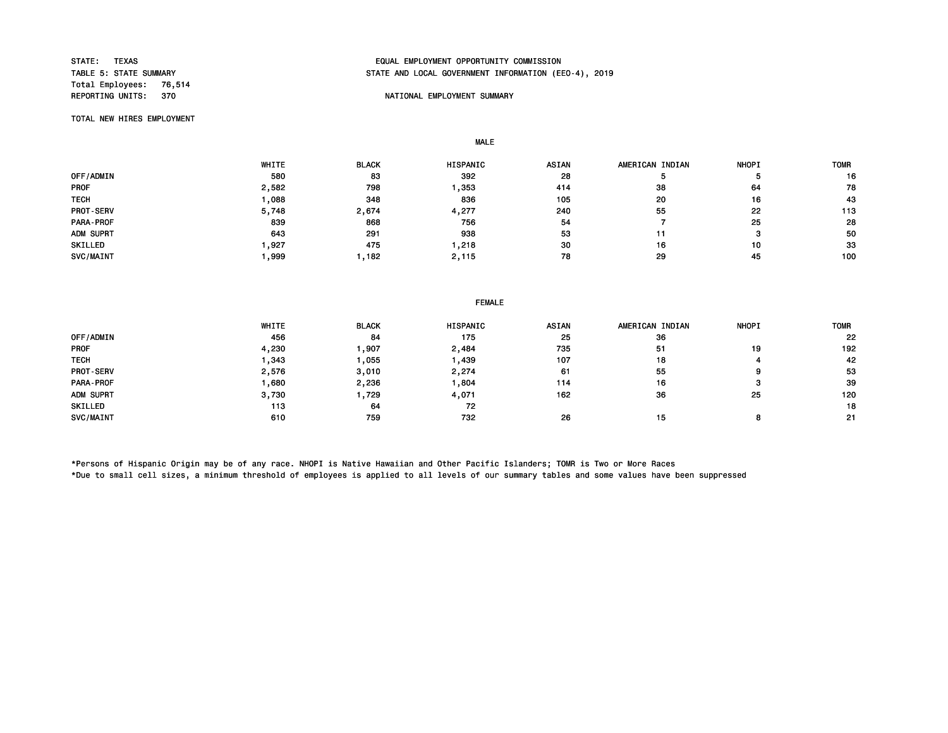Total Employees: 76,514<br>REPORTING UNITS: 370

# STATE: TEXAS EQUAL EMPLOYMENT OPPORTUNITY COMMISSION STATE AND LOCAL GOVERNMENT INFORMATION (EEO-4), 2019

## NATIONAL EMPLOYMENT SUMMARY

TOTAL NEW HIRES EMPLOYMENT

MALE

|             | WHITE | <b>BLACK</b> | <b>HISPANIC</b> | <b>ASIAN</b> | AMERICAN INDIAN | <b>NHOPI</b> | <b>TOMR</b> |
|-------------|-------|--------------|-----------------|--------------|-----------------|--------------|-------------|
| OFF/ADMIN   | 580   | 83           | 392             | 28           |                 |              | 16          |
| <b>PROF</b> | 2,582 | 798          | ,353            | 414          | 38              | 64           | 78          |
| <b>TECH</b> | ,088  | 348          | 836             | 105          | 20              | 16           | 43          |
| PROT-SERV   | 5,748 | 2,674        | 4,277           | 240          | 55              | 22           | 113         |
| PARA-PROF   | 839   | 868          | 756             | 54           |                 | 25           | 28          |
| ADM SUPRT   | 643   | 291          | 938             | 53           | 11              | з            | 50          |
| SKILLED     | .927  | 475          | ,218            | 30           | 16              | 10           | 33          |
| SVC/MAINT   | ,999  | .182         | 2,115           | 78           | 29              | 45           | 100         |

| <b>FEMALE</b> |  |
|---------------|--|
|---------------|--|

|             | WHITE | <b>BLACK</b> | <b>HISPANIC</b> | <b>ASIAN</b> | AMERICAN INDIAN | <b>NHOPI</b> | <b>TOMR</b> |
|-------------|-------|--------------|-----------------|--------------|-----------------|--------------|-------------|
| OFF/ADMIN   | 456   | 84           | 175             | 25           | 36              |              | 22          |
| <b>PROF</b> | 4,230 | ,907         | 2,484           | 735          | 51              | 19           | 192         |
| <b>TECH</b> | 343   | 1,055        | ,439            | 107          | 18              |              | 42          |
| PROT-SERV   | 2,576 | 3,010        | 2,274           | 61           | 55              | 9            | 53          |
| PARA-PROF   | ,680  | 2,236        | ,804            | 114          | 16              |              | 39          |
| ADM SUPRT   | 3,730 | 1,729        | 4,071           | 162          | 36              | 25           | 120         |
| SKILLED     | 113   | 64           | 72              |              |                 |              | 18          |
| SVC/MAINT   | 610   | 759          | 732             | 26           | 15              |              | 21          |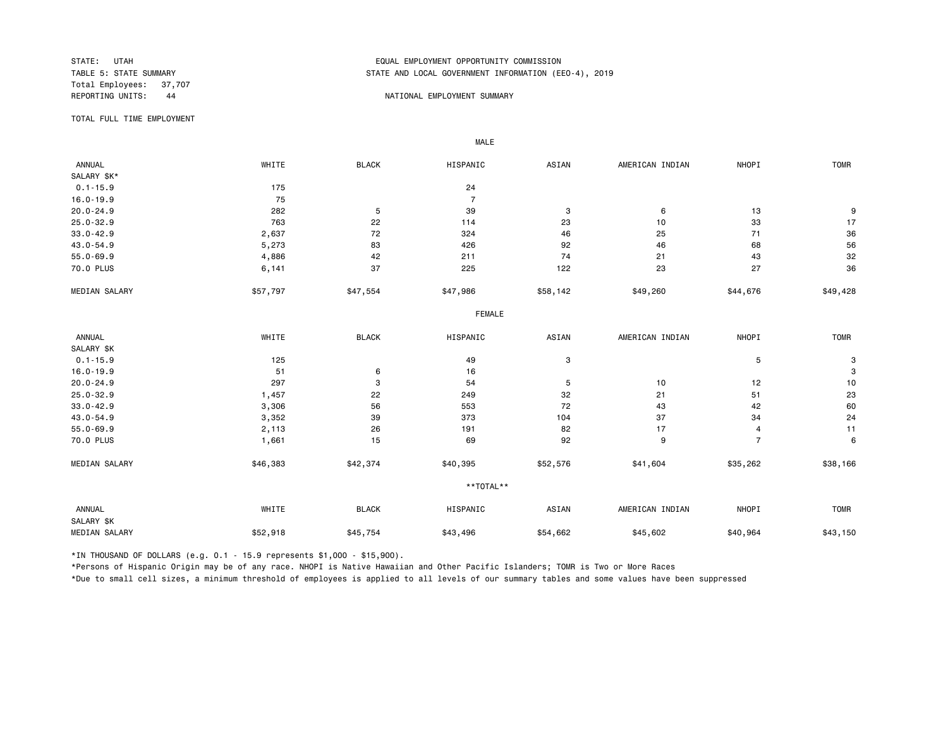Total Employees: 37,707<br>REPORTING UNITS: 44

# STATE: UTAH EQUAL EMPLOYMENT OPPORTUNITY COMMISSION STATE AND LOCAL GOVERNMENT INFORMATION (EEO-4), 2019

#### A A SAN ON THE PORTIONAL EMPLOYMENT SUMMARY

TOTAL FULL TIME EMPLOYMENT

 ANNUAL WHITE BLACK HISPANIC ASIAN AMERICAN INDIAN NHOPI TOMR SALARY \$K\*<br>0.1-15.9 0.1-15.9 24 16.0-19.9 75 7 20.0-24.9 282 5 39 3 6 13 9 25.0-32.9 763 22 114 23 10 33 17 33.0-42.9 2,637 72 324 46 25 71 36 43.0-54.9 5,273 83 426 92 46 68 56 55.0-69.9 4,886 42 211 74 21 43 32 70.0 PLUS 6,141 37 225 122 23 27 36 MEDIAN SALARY \$57,797 \$47,554 \$47,986 \$58,142 \$49,260 \$44,676 \$49,428 FEMALE **FRAME**  ANNUAL WHITE BLACK HISPANIC ASIAN AMERICAN INDIAN NHOPI TOMR SALARY \$K<br>0.1-15.9  $0.1$ -15.9 5 3 3  $16.0-19.9$  3 20.0-24.9 297 3 54 5 10 12 10 25.0-32.9 1,457 22 249 32 21 51 23 33.0-42.9 3,306 56 553 72 43 42 60 43.0-54.9 3,352 39 373 104 37 34 24 55.0-69.9 2,113 26 191 82 17 4 11 70.0 PLUS 1,661 15 69 92 9 7 6 MEDIAN SALARY \$46,383 \$42,374 \$40,395 \$52,576 \$41,604 \$35,262 \$38,166 \*\*TOTAL\*\* ANNUAL WHITE BLACK HISPANIC ASIAN AMERICAN INDIAN NHOPI TOMR SALARY \$K MEDIAN SALARY \$52,918 \$45,754 \$43,496 \$45,602 \$40,964 \$43,150 \$43,150

\*IN THOUSAND OF DOLLARS (e.g. 0.1 - 15.9 represents \$1,000 - \$15,900).

MALE

\*Persons of Hispanic Origin may be of any race. NHOPI is Native Hawaiian and Other Pacific Islanders; TOMR is Two or More Races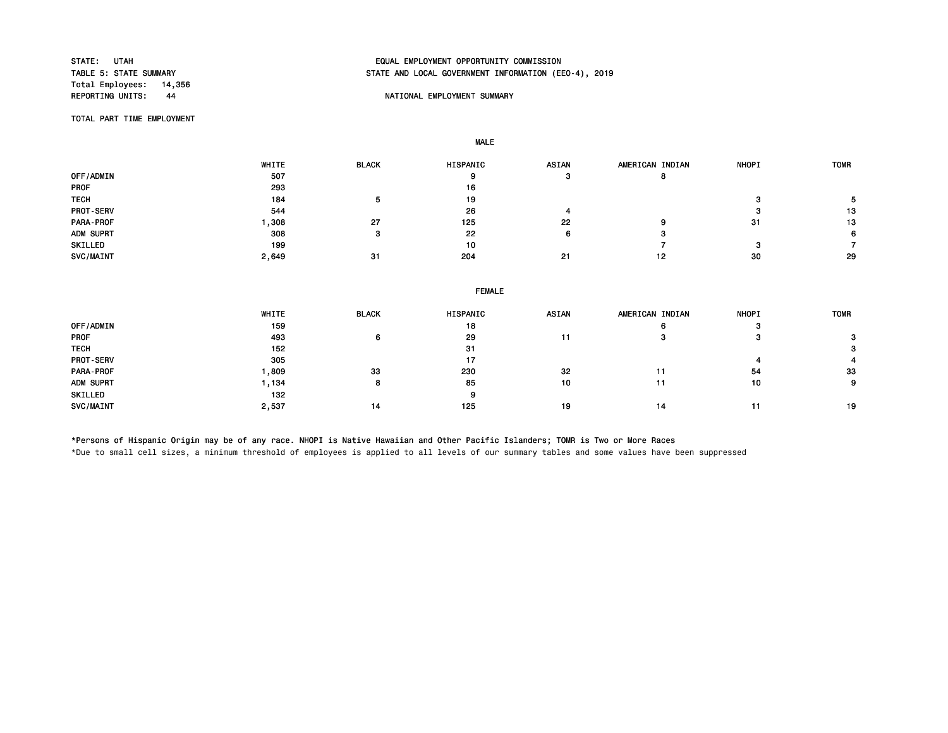Total Employees: 14,356<br>REPORTING UNITS: 44

# STATE: UTAH EQUAL EMPLOYMENT OPPORTUNITY COMMISSION STATE AND LOCAL GOVERNMENT INFORMATION (EEO-4), 2019

## NATIONAL EMPLOYMENT SUMMARY

TOTAL PART TIME EMPLOYMENT

MALE

|                  | WHITE | <b>BLACK</b> | <b>HISPANIC</b> | <b>ASIAN</b> | AMERICAN INDIAN | <b>NHOPI</b> | <b>TOMR</b> |
|------------------|-------|--------------|-----------------|--------------|-----------------|--------------|-------------|
| OFF/ADMIN        | 507   |              | 9               | э            | o               |              |             |
| <b>PROF</b>      | 293   |              | 16              |              |                 |              |             |
| <b>TECH</b>      | 184   |              | 19              |              |                 |              |             |
| <b>PROT-SERV</b> | 544   |              | 26              |              |                 |              | 13          |
| PARA-PROF        | ,308  | 27           | 125             | 22           | 9               | -31          | 13          |
| ADM SUPRT        | 308   |              | 22              | n            | э               |              | 6           |
| SKILLED          | 199   |              | 10              |              |                 |              |             |
| SVC/MAINT        | 2,649 | -31          | 204             | 21           | 12              | 30           | 29          |

|  | <b>FEMALE</b> |  |
|--|---------------|--|
|  |               |  |

|                  | <b>WHITE</b> | <b>BLACK</b> | <b>HISPANIC</b> | <b>ASIAN</b> | AMERICAN INDIAN | <b>NHOPI</b> | <b>TOMR</b> |
|------------------|--------------|--------------|-----------------|--------------|-----------------|--------------|-------------|
| OFF/ADMIN        | 159          |              | 18              |              | o               | ິ<br>- 12    |             |
| <b>PROF</b>      | 493          |              | 29              | 11           | э               | ິ            |             |
| <b>TECH</b>      | 152          |              | 31              |              |                 |              |             |
| <b>PROT-SERV</b> | 305          |              | 17              |              |                 |              |             |
| PARA-PROF        | ,809         | 33           | 230             | 32           |                 | 54           | 33          |
| ADM SUPRT        | .134         |              | 85              | 10           | 11              | 10           | $\Omega$    |
| SKILLED          | 132          |              | 9               |              |                 |              |             |
| SVC/MAINT        | 2,537        | 14           | 125             | 19           | 14              |              | 19          |

\*Persons of Hispanic Origin may be of any race. NHOPI is Native Hawaiian and Other Pacific Islanders; TOMR is Two or More Races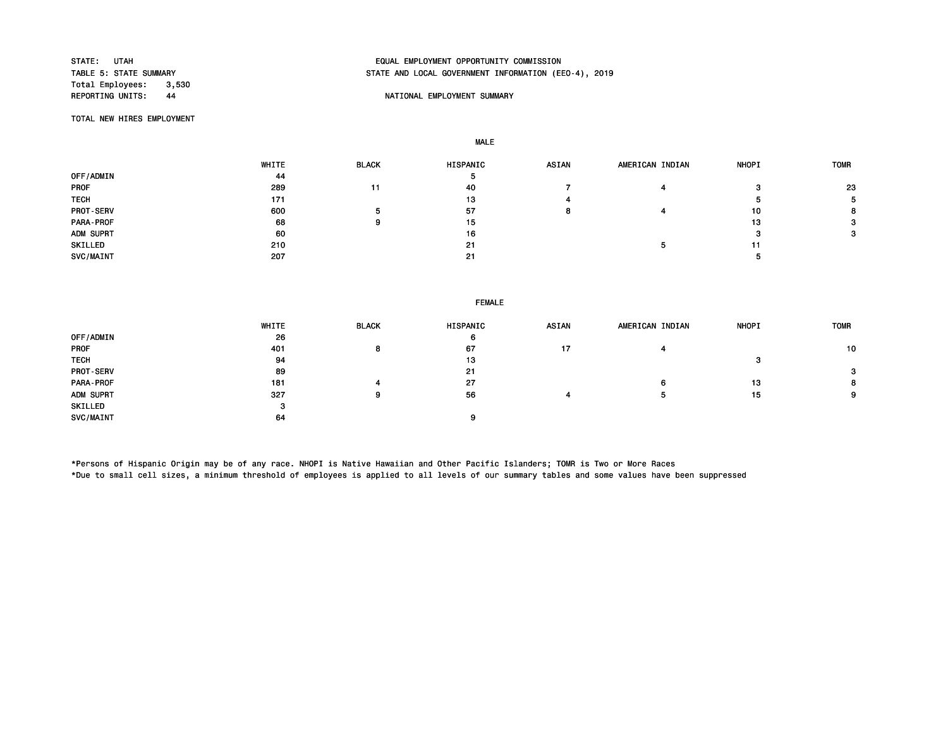Total Employees: 3,530<br>REPORTING UNITS: 44

# STATE: UTAH EQUAL EMPLOYMENT OPPORTUNITY COMMISSION STATE AND LOCAL GOVERNMENT INFORMATION (EEO-4), 2019

## A REPORT OF THE PORTIONAL EMPLOYMENT SUMMARY

TOTAL NEW HIRES EMPLOYMENT

MALE

|                  | WHITE | <b>BLACK</b> | HISPANIC | <b>ASIAN</b> | AMERICAN INDIAN | <b>NHOPI</b> | <b>TOMR</b> |
|------------------|-------|--------------|----------|--------------|-----------------|--------------|-------------|
| OFF/ADMIN        | 44    |              | ь        |              |                 |              |             |
| <b>PROF</b>      | 289   | 11           | 40       |              |                 | っ            | 23          |
| <b>TECH</b>      | 171   |              | 13       |              |                 |              |             |
| <b>PROT-SERV</b> | 600   | э            | 57       |              |                 | 10           | 8           |
| PARA-PROF        | 68    |              | 15       |              |                 | 13           |             |
| ADM SUPRT        | 60    |              | 16       |              |                 |              |             |
| SKILLED          | 210   |              | 21       |              |                 |              |             |
| SVC/MAINT        | 207   |              | 21       |              |                 |              |             |

| <b>FEMALE</b> |  |
|---------------|--|
|---------------|--|

|                  | WHITE   | <b>BLACK</b> | HISPANIC | <b>ASIAN</b> | AMERICAN INDIAN | <b>NHOPI</b> | <b>TOMR</b>  |
|------------------|---------|--------------|----------|--------------|-----------------|--------------|--------------|
| OFF/ADMIN        | 26      |              | 6        |              |                 |              |              |
| <b>PROF</b>      | 401     |              | 67       | 17           |                 |              | 10           |
| <b>TECH</b>      | 94      |              | 13       |              |                 | 57           |              |
| <b>PROT-SERV</b> | 89      |              | 21       |              |                 |              | $\mathbf{3}$ |
| PARA-PROF        | 181     |              | 27       |              | O               | 13           | 8            |
| ADM SUPRT        | 327     |              | 56       |              |                 | 15           | 9            |
| SKILLED          | -<br>۰J |              |          |              |                 |              |              |
| SVC/MAINT        | 64      |              |          |              |                 |              |              |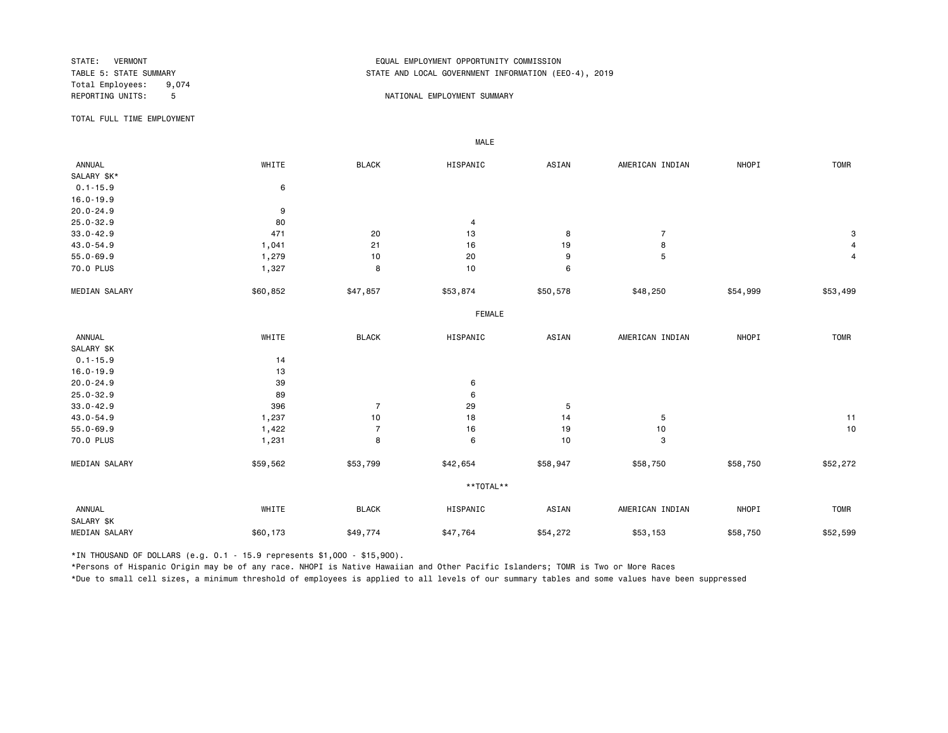Total Employees: 9,074<br>REPORTING UNITS: 5

# STATE: VERMONT EQUAL EMPLOYMENT OPPORTUNITY COMMISSION STATE AND LOCAL GOVERNMENT INFORMATION (EEO-4), 2019

#### 5 NATIONAL EMPLOYMENT SUMMARY

TOTAL FULL TIME EMPLOYMENT

 ANNUAL WHITE BLACK HISPANIC ASIAN AMERICAN INDIAN NHOPI TOMR SALARY \$K\* 0.1-15.9 6 16.0-19.9 20.0-24.9 9 25.0-32.9 80 4 33.0-42.9 471 20 13 8 7 3 43.0-54.9 1,041 21 16 19 8 4 55.0-69.9 1,279 10 20 9 5 4 70.0 PLUS 1,327 8 10 6 MEDIAN SALARY \$60,852 \$47,857 \$53,874 \$50,578 \$48,250 \$54,999 \$53,499 FEMALE **FRAME**  ANNUAL WHITE BLACK HISPANIC ASIAN AMERICAN INDIAN NHOPI TOMR SALARY \$K 0.1-15.9 14 16.0-19.9 13<br>
20.0-24.9 39 20.0-24.9 39 6 25.0-32.9 89 6 33.0-42.9 396 7 29 5 43.0-54.9 1,237 10 18 14 5 11 55.0-69.9 1,422 7 16 19 10 10 70.0 PLUS 1,231 8 6 10 3 MEDIAN SALARY \$59,562 \$53,799 \$42,654 \$58,947 \$58,750 \$58,750 \$52,272 \*\*TOTAL\*\* ANNUAL WHITE BLACK HISPANIC ASIAN AMERICAN INDIAN NHOPI TOMR SALARY \$K MEDIAN SALARY \$60,173 \$49,774 \$47,764 \$54,272 \$53,153 \$58,750 \$52,599

\*IN THOUSAND OF DOLLARS (e.g. 0.1 - 15.9 represents \$1,000 - \$15,900).

MALE

\*Persons of Hispanic Origin may be of any race. NHOPI is Native Hawaiian and Other Pacific Islanders; TOMR is Two or More Races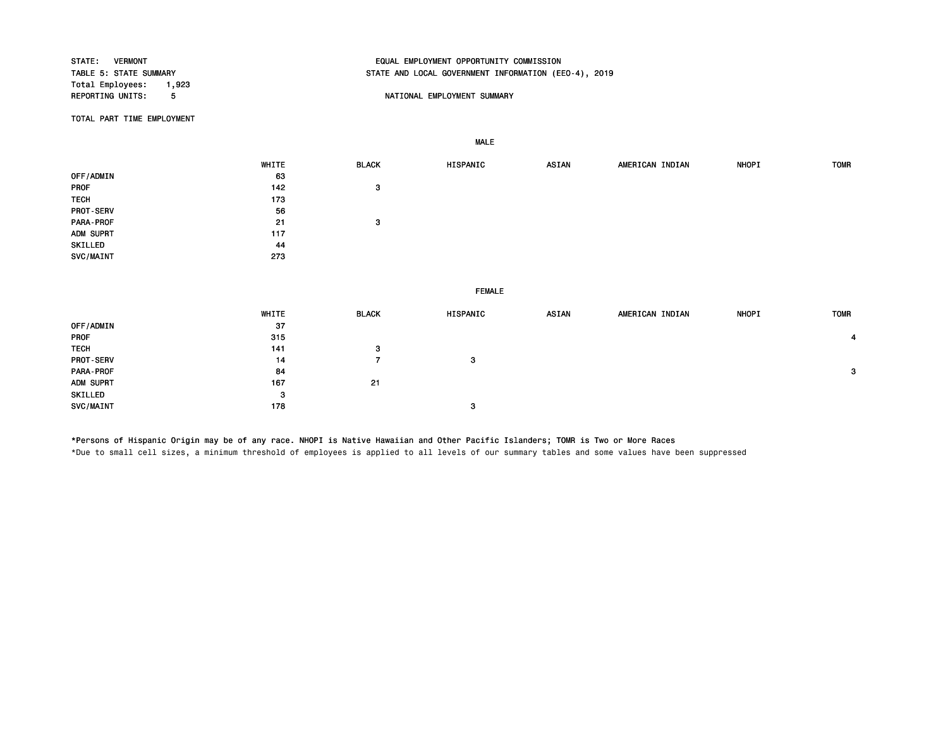| STATE:<br><b>VERMONT</b><br>TABLE 5: STATE SUMMARY<br>Total Employees:<br>1,923 |       |                | EQUAL EMPLOYMENT OPPORTUNITY COMMISSION<br>STATE AND LOCAL GOVERNMENT INFORMATION (EEO-4), 2019 |              |                 |       |             |
|---------------------------------------------------------------------------------|-------|----------------|-------------------------------------------------------------------------------------------------|--------------|-----------------|-------|-------------|
| REPORTING UNITS:<br>5                                                           |       |                | NATIONAL EMPLOYMENT SUMMARY                                                                     |              |                 |       |             |
| TOTAL PART TIME EMPLOYMENT                                                      |       |                |                                                                                                 |              |                 |       |             |
|                                                                                 |       |                | <b>MALE</b>                                                                                     |              |                 |       |             |
|                                                                                 | WHITE | <b>BLACK</b>   | HISPANIC                                                                                        | <b>ASIAN</b> | AMERICAN INDIAN | NHOPI | <b>TOMR</b> |
| OFF/ADMIN                                                                       | 63    |                |                                                                                                 |              |                 |       |             |
| PROF                                                                            | 142   | 3              |                                                                                                 |              |                 |       |             |
| <b>TECH</b>                                                                     | 173   |                |                                                                                                 |              |                 |       |             |
| PROT-SERV                                                                       | 56    |                |                                                                                                 |              |                 |       |             |
| PARA-PROF                                                                       | 21    | 3              |                                                                                                 |              |                 |       |             |
| ADM SUPRT                                                                       | 117   |                |                                                                                                 |              |                 |       |             |
| SKILLED                                                                         | 44    |                |                                                                                                 |              |                 |       |             |
| SVC/MAINT                                                                       | 273   |                |                                                                                                 |              |                 |       |             |
|                                                                                 |       |                | <b>FEMALE</b>                                                                                   |              |                 |       |             |
|                                                                                 | WHITE | <b>BLACK</b>   | HISPANIC                                                                                        | <b>ASIAN</b> | AMERICAN INDIAN | NHOPI | <b>TOMR</b> |
| OFF/ADMIN                                                                       | 37    |                |                                                                                                 |              |                 |       |             |
| PROF                                                                            | 315   |                |                                                                                                 |              |                 |       | 4           |
| <b>TECH</b>                                                                     | 141   | 3              |                                                                                                 |              |                 |       |             |
| PROT-SERV                                                                       | 14    | $\overline{7}$ | 3                                                                                               |              |                 |       |             |
| PARA-PROF                                                                       | 84    |                |                                                                                                 |              |                 |       | 3           |
| ADM SUPRT                                                                       | 167   | 21             |                                                                                                 |              |                 |       |             |
| SKILLED                                                                         | 3     |                |                                                                                                 |              |                 |       |             |
| SVC/MAINT                                                                       | 178   |                | з                                                                                               |              |                 |       |             |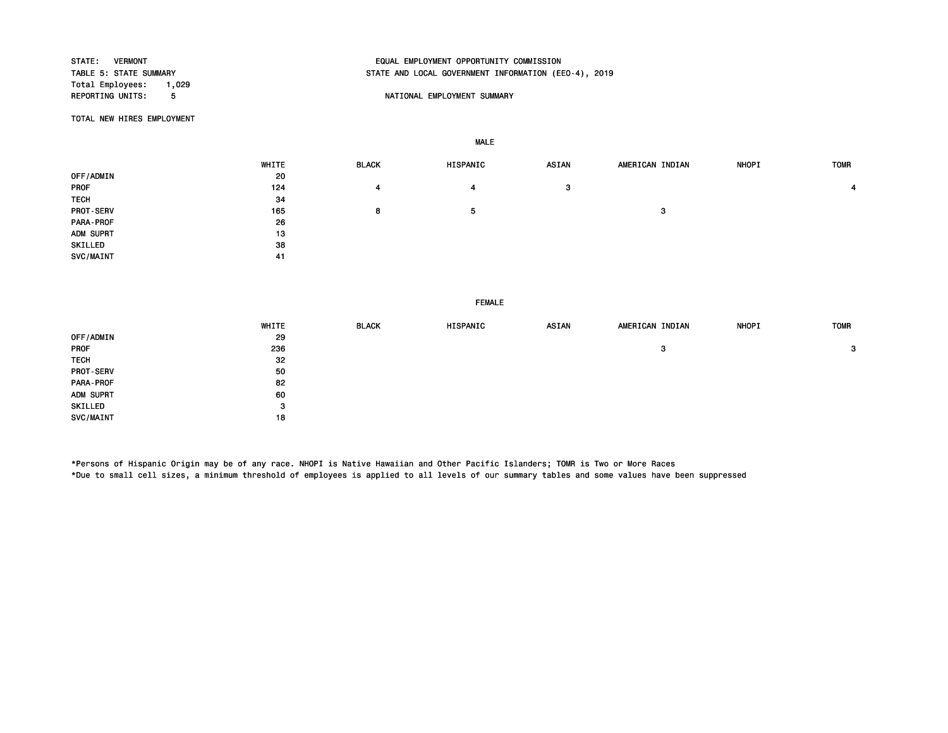| <b>STATE: VERMONT</b>         | EQUAL EMPLOYMENT OPPORTUNITY COMMISSION              |
|-------------------------------|------------------------------------------------------|
| TABLE 5: STATE SUMMARY        | STATE AND LOCAL GOVERNMENT INFORMATION (EEO-4), 2019 |
| Total Employees:<br>1,029     |                                                      |
| <b>REPORTING UNITS:</b><br>-5 | NATIONAL EMPLOYMENT SUMMARY                          |
|                               |                                                      |

TOTAL NEW HIRES EMPLOYMENT

MALE

|                  | WHITE | <b>BLACK</b> | HISPANIC | <b>ASIAN</b> | AMERICAN INDIAN | <b>NHOPI</b> | <b>TOMR</b> |
|------------------|-------|--------------|----------|--------------|-----------------|--------------|-------------|
| OFF/ADMIN        | 20    |              |          |              |                 |              |             |
| PROF             | 124   | 4            | 4        | 3            |                 |              | 4           |
| <b>TECH</b>      | 34    |              |          |              |                 |              |             |
| <b>PROT-SERV</b> | 165   | 8            | ь        |              | 3               |              |             |
| PARA-PROF        | 26    |              |          |              |                 |              |             |
| ADM SUPRT        | 13    |              |          |              |                 |              |             |
| SKILLED          | 38    |              |          |              |                 |              |             |
| SVC/MAINT        | 41    |              |          |              |                 |              |             |

FEMALE

|                  | WHITE | <b>BLACK</b> | HISPANIC | <b>ASIAN</b> | AMERICAN INDIAN | <b>NHOPI</b> | <b>TOMR</b> |
|------------------|-------|--------------|----------|--------------|-----------------|--------------|-------------|
| OFF/ADMIN        | 29    |              |          |              |                 |              |             |
| <b>PROF</b>      | 236   |              |          |              | 3               |              | 3           |
| <b>TECH</b>      | 32    |              |          |              |                 |              |             |
| <b>PROT-SERV</b> | 50    |              |          |              |                 |              |             |
| PARA-PROF        | 82    |              |          |              |                 |              |             |
| ADM SUPRT        | 60    |              |          |              |                 |              |             |
| SKILLED          | 3     |              |          |              |                 |              |             |
| SVC/MAINT        | 18    |              |          |              |                 |              |             |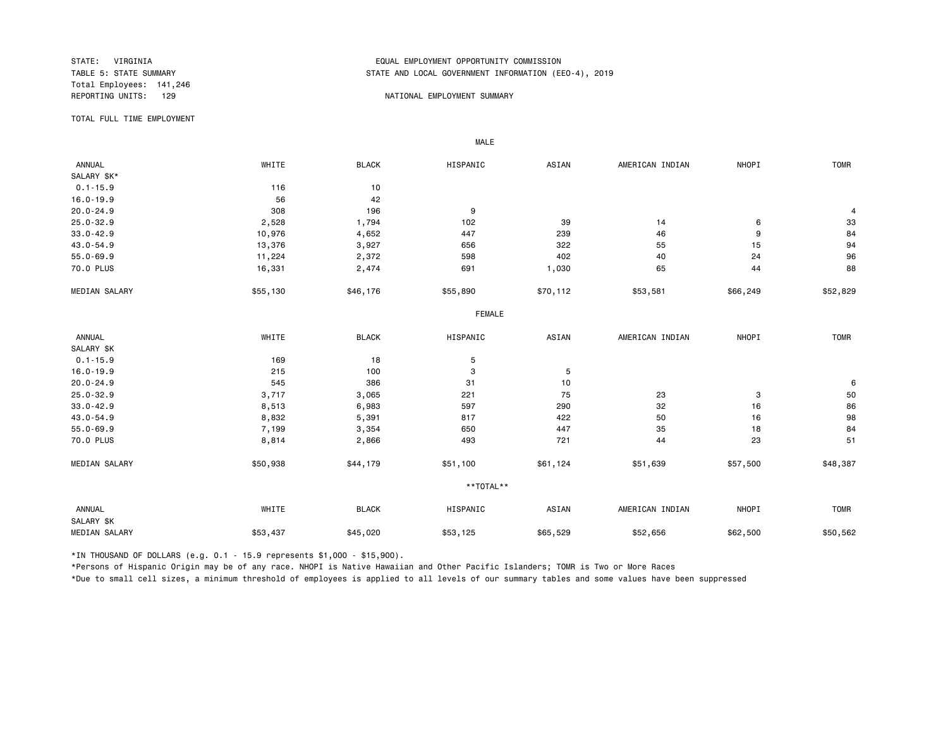Total Employees: 141,246

## STATE: VIRGINIA EQUAL EMPLOYMENT OPPORTUNITY COMMISSION STATE AND LOCAL GOVERNMENT INFORMATION (EEO-4), 2019

#### REPORTING UNITS: 129 NATIONAL EMPLOYMENT SUMMARY

TOTAL FULL TIME EMPLOYMENT

 ANNUAL WHITE BLACK HISPANIC ASIAN AMERICAN INDIAN NHOPI TOMR SALARY \$K\*<br>0.1-15.9 0.1-15.9 116 10 16.0-19.9 56 42 20.0-24.9 308 196 9 4 25.0-32.9 2,528 1,794 102 39 14 6 33 33.0-42.9 10,976 4,652 447 239 46 9 84 43.0-54.9 13,376 3,927 656 322 55 15 94 55.0-69.9 11,224 2,372 598 402 40 24 96 70.0 PLUS 16,331 2,474 691 1,030 65 44 88 MEDIAN SALARY \$55,130 \$46,176 \$55,890 \$57,112 \$53,581 \$66,249 \$52,829 FEMALE **FRAME**  ANNUAL WHITE BLACK HISPANIC ASIAN AMERICAN INDIAN NHOPI TOMR SALARY \$K<br>0.1-15.9  $0.1-15.9$  5 16.0-19.9 215 100 3 5 20.0-24.9 545 386 31 10 6 25.0-32.9 3,717 3,065 221 75 23 3 50 33.0-42.9 8,513 6,983 597 290 32 16 86 43.0-54.9 8,832 5,391 817 422 50 16 98 55.0-69.9 7,199 3,354 650 447 35 18 84 70.0 PLUS 8,814 2,866 493 721 44 23 51 MEDIAN SALARY \$50,938 \$44,179 \$51,100 \$61,124 \$51,639 \$57,500 \$48,387 \*\*TOTAL\*\* ANNUAL WHITE BLACK HISPANIC ASIAN AMERICAN INDIAN NHOPI TOMR SALARY \$K MEDIAN SALARY \$53,437 \$45,020 \$53,125 \$65,529 \$52,656 \$62,500 \$50,562

\*IN THOUSAND OF DOLLARS (e.g. 0.1 - 15.9 represents \$1,000 - \$15,900).

MALE

\*Persons of Hispanic Origin may be of any race. NHOPI is Native Hawaiian and Other Pacific Islanders; TOMR is Two or More Races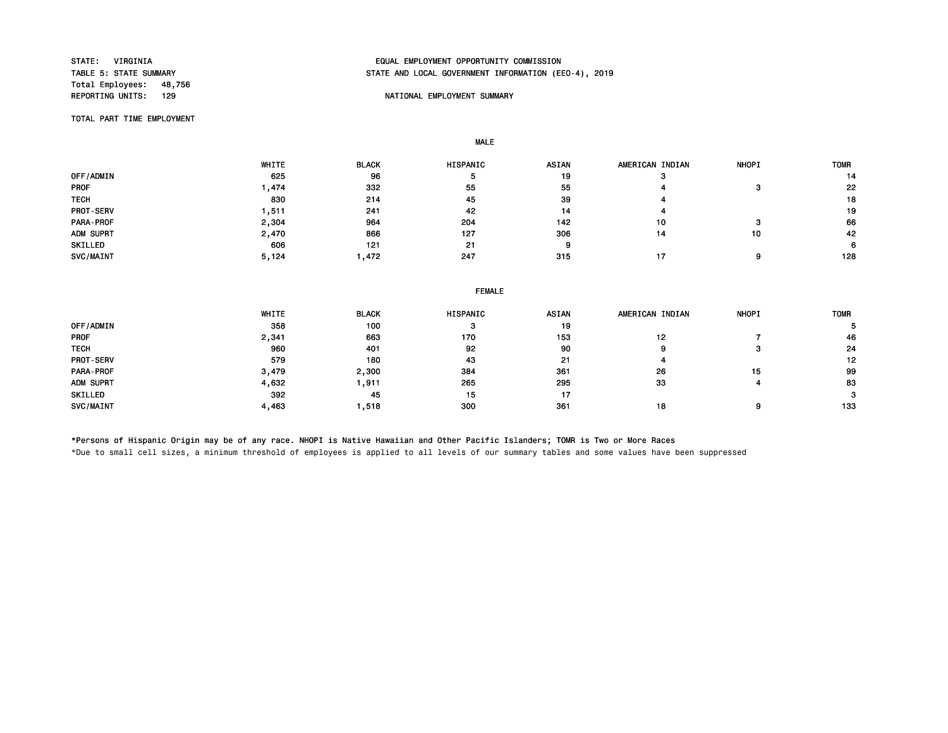Total Employees: 48,756<br>REPORTING UNITS: 129

# STATE: VIRGINIA EQUAL EMPLOYMENT OPPORTUNITY COMMISSION STATE AND LOCAL GOVERNMENT INFORMATION (EEO-4), 2019

## NATIONAL EMPLOYMENT SUMMARY

TOTAL PART TIME EMPLOYMENT

MALE

|                  | WHITE | <b>BLACK</b> | <b>HISPANIC</b> | <b>ASIAN</b> | AMERICAN INDIAN | <b>NHOPI</b> | <b>TOMR</b> |
|------------------|-------|--------------|-----------------|--------------|-----------------|--------------|-------------|
| OFF/ADMIN        | 625   | 96           | - 5             | 19           | œ               |              | 14          |
| <b>PROF</b>      | .474  | 332          | 55              | 55           |                 |              | 22          |
| <b>TECH</b>      | 830   | 214          | 45              | 39           |                 |              | 18          |
| <b>PROT-SERV</b> | .511  | 241          | 42              | 14           |                 |              | 19          |
| <b>PARA-PROF</b> | 2,304 | 964          | 204             | 142          | 10              |              | 66          |
| ADM SUPRT        | 2,470 | 866          | 127             | 306          | 14              | 10           | 42          |
| SKILLED          | 606   | 121          | 21              |              |                 |              | 6           |
| SVC/MAINT        | 5,124 | .472         | 247             | 315          |                 |              | 128         |

| ASIAN<br><b>NHOPI</b><br>HISPANIC<br>AMERICAN INDIAN<br><b>TOMR</b> |
|---------------------------------------------------------------------|
| 19<br>з                                                             |
| 153<br>170<br>46<br>12                                              |
| 90<br>92<br>24<br>9                                                 |
| 43<br>21<br>12<br>4                                                 |
| 384<br>361<br>99<br>26<br>15                                        |
| 265<br>295<br>33<br>83                                              |
| 15<br>-17<br>3                                                      |
| 361<br>300<br>133<br>18                                             |
|                                                                     |

\*Persons of Hispanic Origin may be of any race. NHOPI is Native Hawaiian and Other Pacific Islanders; TOMR is Two or More Races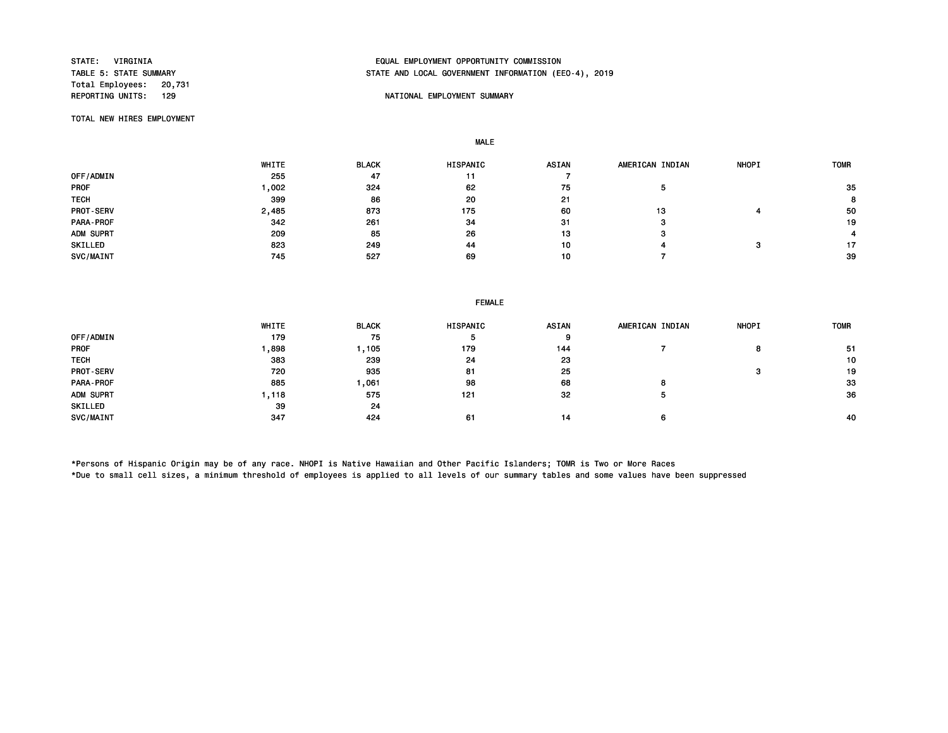Total Employees: 20,731

# STATE: VIRGINIA EQUAL EMPLOYMENT OPPORTUNITY COMMISSION STATE AND LOCAL GOVERNMENT INFORMATION (EEO-4), 2019

#### NATIONAL EMPLOYMENT SUMMARY

TOTAL NEW HIRES EMPLOYMENT

MALE

|                  | WHITE | <b>BLACK</b> | <b>HISPANIC</b> | <b>ASIAN</b> | AMERICAN INDIAN | <b>NHOPI</b> | <b>TOMR</b> |
|------------------|-------|--------------|-----------------|--------------|-----------------|--------------|-------------|
| OFF/ADMIN        | 255   | 47           | 11              |              |                 |              |             |
| <b>PROF</b>      | ,002  | 324          | 62              | 75           |                 |              | 35          |
| <b>TECH</b>      | 399   | 86           | 20              | 21           |                 |              | 8           |
| <b>PROT-SERV</b> | 2,485 | 873          | 175             | 60           | 13              |              | 50          |
| <b>PARA-PROF</b> | 342   | 261          | 34              | 31           | з               |              | 19          |
| ADM SUPRT        | 209   | 85           | 26              | 13           | з               |              |             |
| SKILLED          | 823   | 249          | 44              | 10           |                 |              | 17          |
| SVC/MAINT        | 745   | 527          | 69              | 10           |                 |              | -39         |

| <b>FEMALE</b> |  |
|---------------|--|
|---------------|--|

|             | WHITE | <b>BLACK</b> | <b>HISPANIC</b> | <b>ASIAN</b> | AMERICAN INDIAN | <b>NHOPI</b> | <b>TOMR</b> |
|-------------|-------|--------------|-----------------|--------------|-----------------|--------------|-------------|
| OFF/ADMIN   | 179   | 75           |                 | 9            |                 |              |             |
| <b>PROF</b> | ,898  | ,105         | 179             | 144          |                 |              | -51         |
| <b>TECH</b> | 383   | 239          | 24              | 23           |                 |              | 10          |
| PROT-SERV   | 720   | 935          | 81              | 25           |                 | э            | 19          |
| PARA-PROF   | 885   | 061, ا       | 98              | 68           |                 |              | 33          |
| ADM SUPRT   | .118  | 575          | 121             | 32           |                 |              | 36          |
| SKILLED     | 39    | 24           |                 |              |                 |              |             |
| SVC/MAINT   | 347   | 424          | 61              | 14           |                 |              | 40          |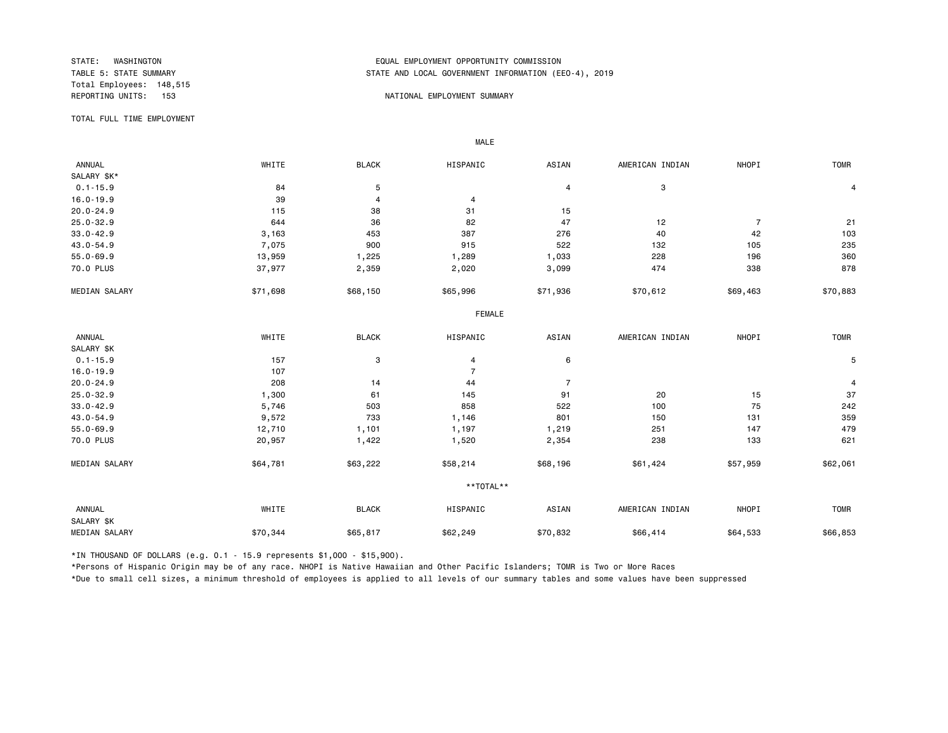Total Employees: 148,515

## STATE: WASHINGTON EQUAL EMPLOYMENT OPPORTUNITY COMMISSION STATE AND LOCAL GOVERNMENT INFORMATION (EEO-4), 2019

#### NATIONAL EMPLOYMENT SUMMARY

TOTAL FULL TIME EMPLOYMENT

MALE

| ANNUAL               | WHITE    | <b>BLACK</b> | HISPANIC       | ASIAN          | AMERICAN INDIAN | NHOPI          | <b>TOMR</b> |
|----------------------|----------|--------------|----------------|----------------|-----------------|----------------|-------------|
| SALARY \$K*          |          |              |                |                |                 |                |             |
| $0.1 - 15.9$         | 84       | 5            |                | $\overline{4}$ | 3               |                | 4           |
| $16.0 - 19.9$        | 39       | 4            | 4              |                |                 |                |             |
| $20.0 - 24.9$        | 115      | 38           | 31             | 15             |                 |                |             |
| $25.0 - 32.9$        | 644      | 36           | 82             | 47             | 12              | $\overline{7}$ | 21          |
| $33.0 - 42.9$        | 3,163    | 453          | 387            | 276            | 40              | 42             | 103         |
| 43.0-54.9            | 7,075    | 900          | 915            | 522            | 132             | 105            | 235         |
| $55.0 - 69.9$        | 13,959   | 1,225        | 1,289          | 1,033          | 228             | 196            | 360         |
| 70.0 PLUS            | 37,977   | 2,359        | 2,020          | 3,099          | 474             | 338            | 878         |
| MEDIAN SALARY        | \$71,698 | \$68,150     | \$65,996       | \$71,936       | \$70,612        | \$69,463       | \$70,883    |
|                      |          |              | <b>FEMALE</b>  |                |                 |                |             |
| ANNUAL               | WHITE    | <b>BLACK</b> | HISPANIC       | ASIAN          | AMERICAN INDIAN | NHOPI          | <b>TOMR</b> |
| SALARY \$K           |          |              |                |                |                 |                |             |
| $0.1 - 15.9$         | 157      | 3            | 4              | 6              |                 |                | 5           |
| $16.0 - 19.9$        | 107      |              | $\overline{7}$ |                |                 |                |             |
| $20.0 - 24.9$        | 208      | 14           | 44             | $\overline{7}$ |                 |                | 4           |
| $25.0 - 32.9$        | 1,300    | 61           | 145            | 91             | 20              | 15             | 37          |
| $33.0 - 42.9$        | 5,746    | 503          | 858            | 522            | 100             | 75             | 242         |
| $43.0 - 54.9$        | 9,572    | 733          | 1,146          | 801            | 150             | 131            | 359         |
| $55.0 - 69.9$        | 12,710   | 1,101        | 1,197          | 1,219          | 251             | 147            | 479         |
| 70.0 PLUS            | 20,957   | 1,422        | 1,520          | 2,354          | 238             | 133            | 621         |
| MEDIAN SALARY        | \$64,781 | \$63,222     | \$58,214       | \$68,196       | \$61,424        | \$57,959       | \$62,061    |
|                      |          |              | **TOTAL**      |                |                 |                |             |
| ANNUAL<br>SALARY \$K | WHITE    | <b>BLACK</b> | HISPANIC       | ASIAN          | AMERICAN INDIAN | NHOPI          | <b>TOMR</b> |
| MEDIAN SALARY        | \$70,344 | \$65,817     | \$62,249       | \$70,832       | \$66,414        | \$64,533       | \$66,853    |

\*IN THOUSAND OF DOLLARS (e.g. 0.1 - 15.9 represents \$1,000 - \$15,900).

\*Persons of Hispanic Origin may be of any race. NHOPI is Native Hawaiian and Other Pacific Islanders; TOMR is Two or More Races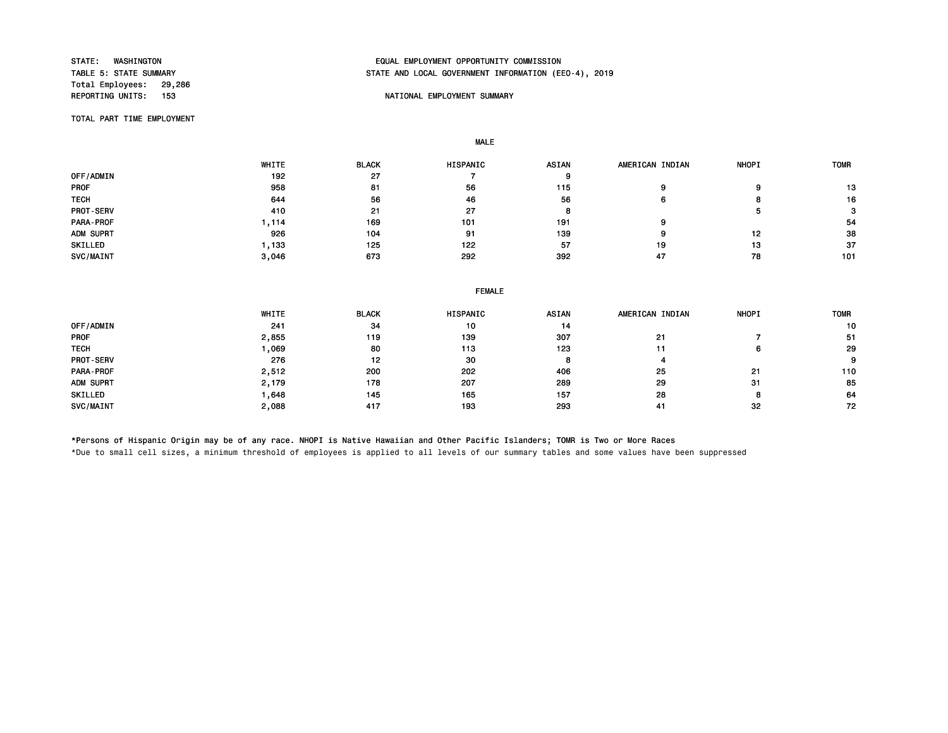Total Employees: 29,286<br>REPORTING UNITS: 153

# STATE: WASHINGTON EQUAL EMPLOYMENT OPPORTUNITY COMMISSION STATE AND LOCAL GOVERNMENT INFORMATION (EEO-4), 2019

#### NATIONAL EMPLOYMENT SUMMARY

TOTAL PART TIME EMPLOYMENT

MALE

|                  | WHITE | <b>BLACK</b> | <b>HISPANIC</b> | <b>ASIAN</b> | AMERICAN INDIAN | <b>NHOPI</b> | <b>TOMR</b> |
|------------------|-------|--------------|-----------------|--------------|-----------------|--------------|-------------|
| OFF/ADMIN        | 192   | 27           |                 |              |                 |              |             |
| <b>PROF</b>      | 958   | 81           | 56              | 115          |                 |              | 13          |
| <b>TECH</b>      | 644   | 56           | 46              | 56           |                 | o            | 16          |
| <b>PROT-SERV</b> | 410   | 21           | 27              |              |                 |              | 3           |
| PARA-PROF        | .114  | 169          | 101             | 191          | 9               |              | -54         |
| ADM SUPRT        | 926   | 104          | 91              | 139          | g               | 12           | 38          |
| SKILLED          | .133  | 125          | 122             | 57           | 19              | 13           | 37          |
| SVC/MAINT        | 3,046 | 673          | 292             | 392          | 47              | 78           | 101         |

|             | <b>FEMALE</b> |              |          |              |                 |              |      |  |  |  |
|-------------|---------------|--------------|----------|--------------|-----------------|--------------|------|--|--|--|
|             | WHITE         | <b>BLACK</b> | HISPANIC | <b>ASIAN</b> | AMERICAN INDIAN | <b>NHOPI</b> | TOMR |  |  |  |
| OFF/ADMIN   | 241           | 34           | 10       | 14           |                 |              | 10   |  |  |  |
| <b>PROF</b> | 2,855         | 119          | 139      | 307          | 21              |              | -51  |  |  |  |
| <b>TECH</b> | ,069          | 80           | 113      | 123          | 11              | 6            | 29   |  |  |  |
| PROT-SERV   | 276           | 12           | 30       |              |                 |              | 9    |  |  |  |
| PARA-PROF   | 2,512         | 200          | 202      | 406          | 25              | 21           | 110  |  |  |  |
| ADM SUPRT   | 2,179         | 178          | 207      | 289          | 29              | -31          | 85   |  |  |  |
| SKILLED     | 648. ا        | 145          | 165      | 157          | 28              | 8            | 64   |  |  |  |
| SVC/MAINT   | 2,088         | 417          | 193      | 293          | 41              | 32           | 72   |  |  |  |

\*Persons of Hispanic Origin may be of any race. NHOPI is Native Hawaiian and Other Pacific Islanders; TOMR is Two or More Races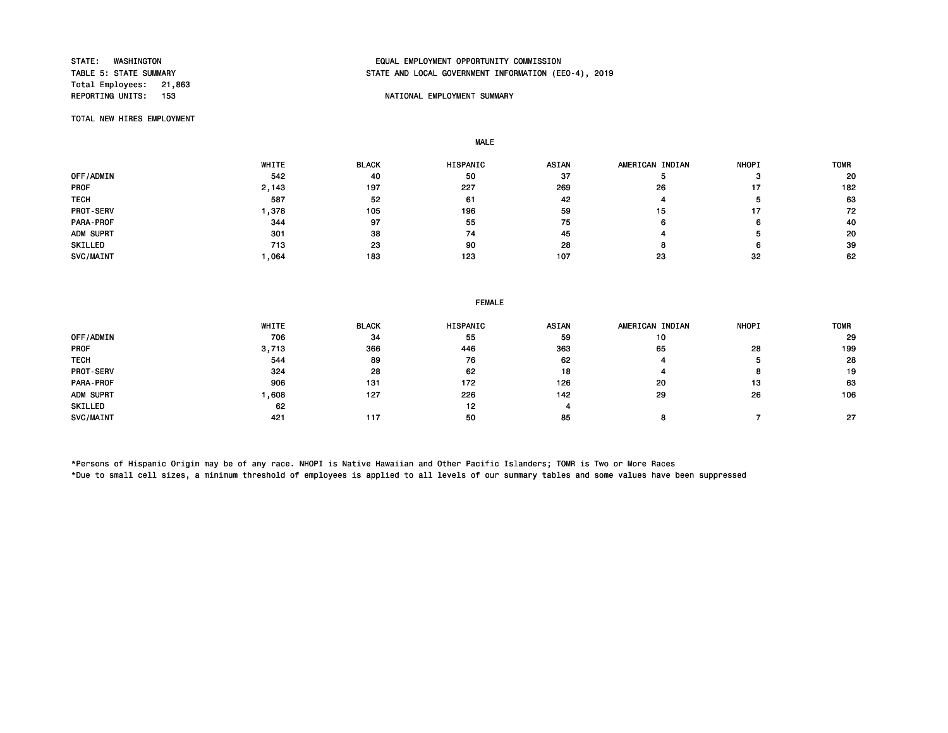Total Employees: 21,863

# STATE: WASHINGTON EQUAL EMPLOYMENT OPPORTUNITY COMMISSION STATE AND LOCAL GOVERNMENT INFORMATION (EEO-4), 2019

## NATIONAL EMPLOYMENT SUMMARY

TOTAL NEW HIRES EMPLOYMENT

MALE

|             | WHITE | <b>BLACK</b> | <b>HISPANIC</b> | <b>ASIAN</b> | AMERICAN INDIAN | <b>NHOPI</b> | <b>TOMR</b> |
|-------------|-------|--------------|-----------------|--------------|-----------------|--------------|-------------|
| OFF/ADMIN   | 542   | 40           | 50              | 37           |                 |              | 20          |
| <b>PROF</b> | 2,143 | 197          | 227             | 269          | 26              |              | 182         |
| <b>TECH</b> | 587   | 52           | 61              | 42           |                 |              | 63          |
| PROT-SERV   | .378  | 105          | 196             | 59           | 15              |              | 72          |
| PARA-PROF   | 344   | 97           | 55              | 75           |                 | 6            | 40          |
| ADM SUPRT   | 301   | 38           | 74              | 45           |                 |              | 20          |
| SKILLED     | 713   | 23           | 90              | 28           |                 | ค            | 39          |
| SVC/MAINT   | ,064  | 183          | 123             | 107          | 23              | 32           | 62          |

|             | WHITE | <b>BLACK</b> | <b>HISPANIC</b> | <b>ASIAN</b> | AMERICAN INDIAN | <b>NHOPI</b> | <b>TOMR</b> |
|-------------|-------|--------------|-----------------|--------------|-----------------|--------------|-------------|
| OFF/ADMIN   | 706   | 34           | 55              | 59           | 10              |              | 29          |
| <b>PROF</b> | 3,713 | 366          | 446             | 363          | 65              | 28           | 199         |
| <b>TECH</b> | 544   | 89           | 76              | 62           |                 |              | 28          |
| PROT-SERV   | 324   | 28           | 62              | 18           |                 |              | 19          |
| PARA-PROF   | 906   | 131          | 172             | 126          | 20              | 13           | 63          |
| ADM SUPRT   | .608  | 127          | 226             | 142          | 29              | 26           | 106         |
| SKILLED     | 62    |              | 12              |              |                 |              |             |
| SVC/MAINT   | 421   | 117          | 50              | 85           |                 |              | 27          |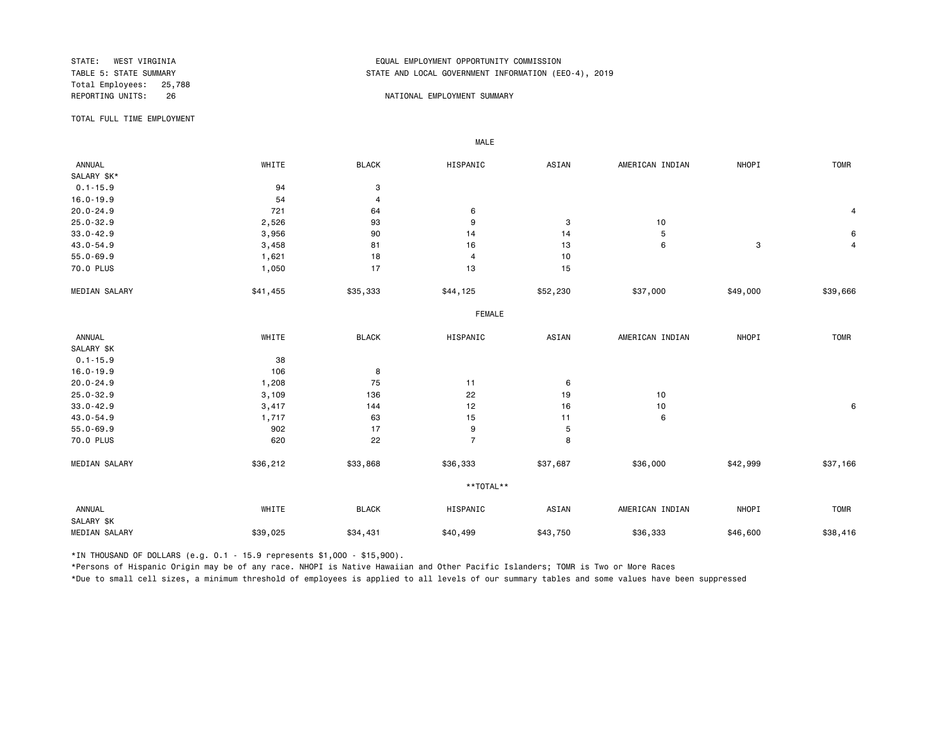Total Employees: 25,788

# STATE: WEST VIRGINIA EQUAL EMPLOYMENT OPPORTUNITY COMMISSION STATE AND LOCAL GOVERNMENT INFORMATION (EEO-4), 2019

#### REPORTING UNITS: 26 26 NATIONAL EMPLOYMENT SUMMARY

TOTAL FULL TIME EMPLOYMENT

 ANNUAL WHITE BLACK HISPANIC ASIAN AMERICAN INDIAN NHOPI TOMR SALARY \$K\*<br>0.1-15.9  $0.1-15.9$  94 3 16.0-19.9 54 4 20.0-24.9 721 64 6 4 25.0-32.9 2,526 93 9 3 10 33.0-42.9 3,956 90 14 14 5 6 43.0-54.9 3,458 81 16 13 6 3 4 55.0-69.9 1,621 18 4 10 70.0 PLUS 15 1,050 17 17 13 15 MEDIAN SALARY \$41,455 \$35,333 \$44,125 \$52,230 \$37,000 \$49,000 \$39,666 FEMALE **FRAME**  ANNUAL WHITE BLACK HISPANIC ASIAN AMERICAN INDIAN NHOPI TOMR SALARY \$K 0.1-15.9 38 16.0-19.9 106 8 20.0-24.9 1,208 75 11 6 25.0-32.9 3,109 136 22 19 10 33.0-42.9 3,417 144 12 16 10 6 43.0-54.9 1,717 63 15 11 6 55.0-69.9 902 17 9 5 70.0 PLUS 620 22 22 7 22 8 MEDIAN SALARY \$36,212 \$33,868 \$36,333 \$37,687 \$36,000 \$42,999 \$37,166 \*\*TOTAL\*\* ANNUAL WHITE BLACK HISPANIC ASIAN AMERICAN INDIAN NHOPI TOMR SALARY \$K MEDIAN SALARY \$39,025 \$34,431 \$40,499 \$36,333 \$46,600 \$38,416

\*IN THOUSAND OF DOLLARS (e.g. 0.1 - 15.9 represents \$1,000 - \$15,900).

MALE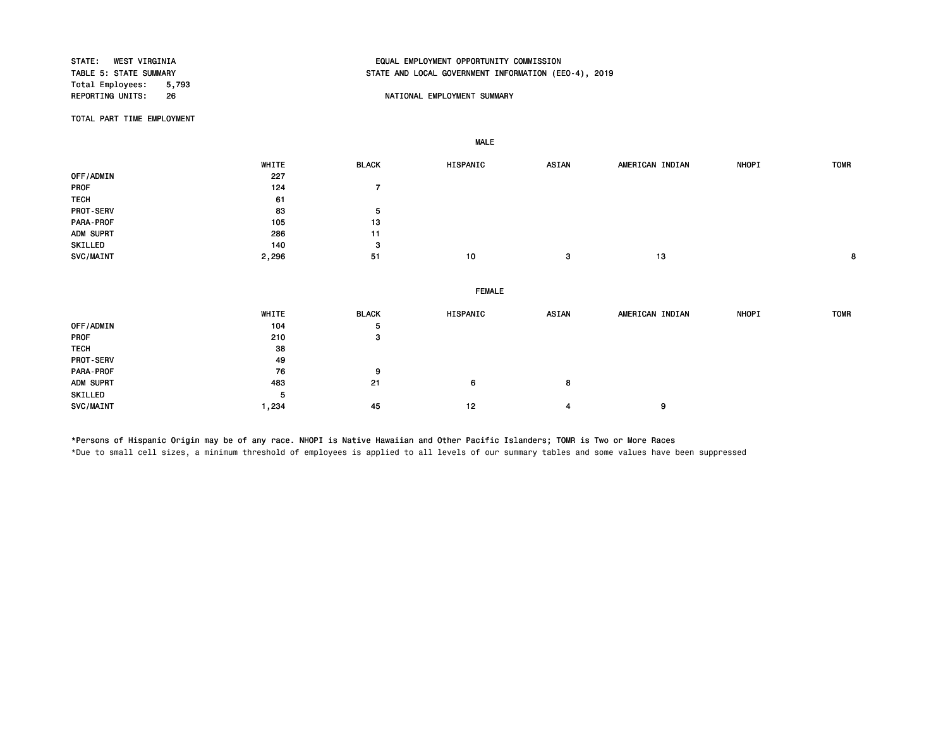STATE: WEST VIRGINIA EQUAL EMPLOYMENT OPPORTUNITY COMMISSION STATE AND LOCAL GOVERNMENT INFORMATION (EEO-4), 2019 Total Employees: 5,793<br>REPORTING UNITS: 26 26 NATIONAL EMPLOYMENT SUMMARY TOTAL PART TIME EMPLOYMENT MALE WHITE BLACK HISPANIC ASIAN AMERICAN INDIAN NHOPI TOMR OFF/ADMIN 227<br>PROF 124 PROF 124 7

PROT-SERV 5 PARA-PROF 2001 105 13 ADM SUPRT 286 11 SKILLED 3 SVC/MAINT 2,296 51 10 3 13 8 FEMALE WHITE BLACK HISPANIC ASIAN AMERICAN INDIAN NHOPI TOMR OFF/ADMIN 5 PROF 210 3 TECH 38 PROT-SERV 49<br>PARA-PROF 76 76 PARA-PROF 76 9 ADM SUPRT 483 21 6 8 SKILLED 5 SVC/MAINT 1,234 45 12 4 9

\*Persons of Hispanic Origin may be of any race. NHOPI is Native Hawaiian and Other Pacific Islanders; TOMR is Two or More Races \*Due to small cell sizes, a minimum threshold of employees is applied to all levels of our summary tables and some values have been suppressed

TECH 61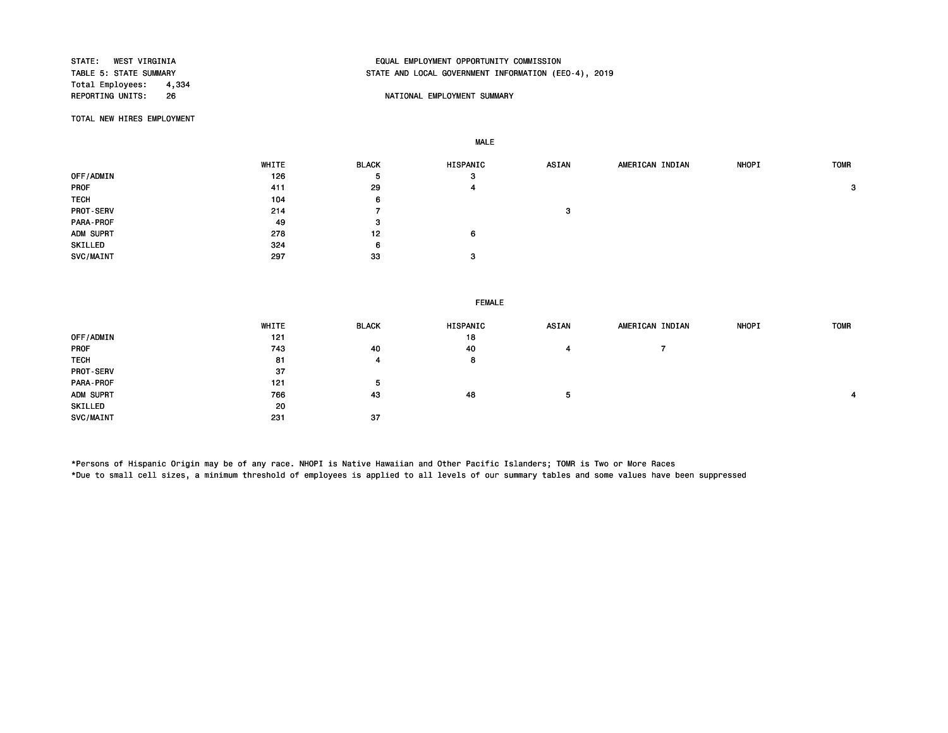Total Employees: 4,334<br>REPORTING UNITS: 26

# STATE: WEST VIRGINIA EQUAL EMPLOYMENT OPPORTUNITY COMMISSION STATE AND LOCAL GOVERNMENT INFORMATION (EEO-4), 2019

## NATIONAL EMPLOYMENT SUMMARY

TOTAL NEW HIRES EMPLOYMENT

MALE

|                  | WHITE | <b>BLACK</b> | HISPANIC | <b>ASIAN</b> | AMERICAN INDIAN | <b>NHOPI</b> | <b>TOMR</b> |
|------------------|-------|--------------|----------|--------------|-----------------|--------------|-------------|
| OFF/ADMIN        | 126   | ৾৽           | -3       |              |                 |              |             |
| <b>PROF</b>      | 411   | 29           | 4        |              |                 |              | 3           |
| <b>TECH</b>      | 104   | 6            |          |              |                 |              |             |
| <b>PROT-SERV</b> | 214   |              |          | -3           |                 |              |             |
| PARA-PROF        | 49    | 3            |          |              |                 |              |             |
| ADM SUPRT        | 278   | 12           | 6        |              |                 |              |             |
| SKILLED          | 324   | 6            |          |              |                 |              |             |
| SVC/MAINT        | 297   | -33          | -3       |              |                 |              |             |

|                  | <b>FEMALE</b> |              |          |       |                 |              |             |
|------------------|---------------|--------------|----------|-------|-----------------|--------------|-------------|
|                  | WHITE         | <b>BLACK</b> | HISPANIC | ASIAN | AMERICAN INDIAN | <b>NHOPI</b> | <b>TOMR</b> |
| OFF/ADMIN        | 121           |              | 18       |       |                 |              |             |
| <b>PROF</b>      | 743           | 40           | 40       | 4     |                 |              |             |
| <b>TECH</b>      | 81            | 4            | 8        |       |                 |              |             |
| <b>PROT-SERV</b> | 37            |              |          |       |                 |              |             |
| PARA-PROF        | 121           | 5            |          |       |                 |              |             |
| ADM SUPRT        | 766           | 43           | 48       | 5     |                 |              |             |
| SKILLED          | 20            |              |          |       |                 |              |             |
| SVC/MAINT        | 231           | 37           |          |       |                 |              |             |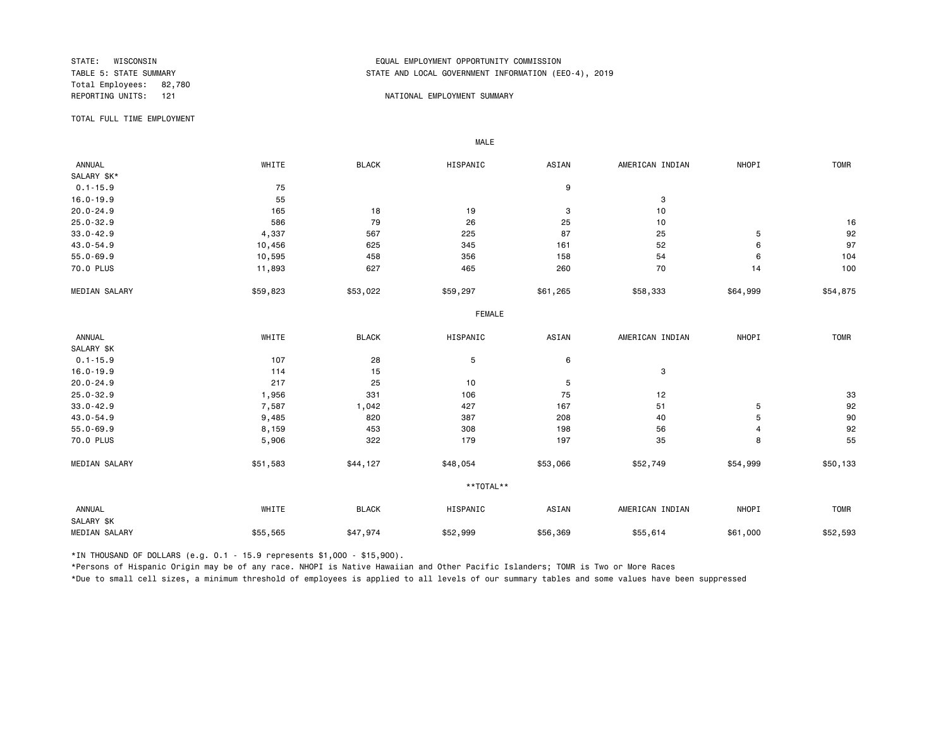Total Employees: 82,780<br>REPORTING UNITS: 121

## STATE: WISCONSIN EQUAL EMPLOYMENT OPPORTUNITY COMMISSION STATE AND LOCAL GOVERNMENT INFORMATION (EEO-4), 2019

### 121 **REPORTING UNITS: 121 NATIONAL EMPLOYMENT SUMMARY**

TOTAL FULL TIME EMPLOYMENT

 ANNUAL WHITE BLACK HISPANIC ASIAN AMERICAN INDIAN NHOPI TOMR SALARY \$K\*<br>0.1-15.9  $0.1-15.9$  9  $16.0-19.9$  3 20.0-24.9 165 18 19 3 10 25.0-32.9 586 79 26 25 10 16 33.0-42.9 4,337 567 225 87 25 5 92 43.0-54.9 10,456 625 345 161 52 6 97 55.0-69.9 10,595 458 356 158 54 6 104 70.0 PLUS 11,893 627 465 260 70 14 100 MEDIAN SALARY \$59,823 \$53,022 \$59,297 \$61,265 \$58,333 \$64,999 \$54,875 FEMALE **FRAME**  ANNUAL WHITE BLACK HISPANIC ASIAN AMERICAN INDIAN NHOPI TOMR SALARY \$K<br>0.1-15.9  $0.1-15.9$  6  $16.0-19.9$  3 20.0-24.9 217 25 10 5 25.0-32.9 1,956 331 106 75 12 33 33.0-42.9 7,587 1,042 427 167 51 5 92 43.0-54.9 9,485 820 387 208 40 5 90 55.0-69.9 8,159 453 308 198 56 4 92 70.0 PLUS 5,906 322 179 35 8 55 MEDIAN SALARY \$51,583 \$44,127 \$48,054 \$53,066 \$52,749 \$54,999 \$50,133 \*\*TOTAL\*\* ANNUAL WHITE BLACK HISPANIC ASIAN AMERICAN INDIAN NHOPI TOMR SALARY \$K MEDIAN SALARY \$55,565 \$47,974 \$52,999 \$56,369 \$55,614 \$61,000 \$52,593

\*IN THOUSAND OF DOLLARS (e.g. 0.1 - 15.9 represents \$1,000 - \$15,900).

MALE

\*Persons of Hispanic Origin may be of any race. NHOPI is Native Hawaiian and Other Pacific Islanders; TOMR is Two or More Races

\*Due to small cell sizes, a minimum threshold of employees is applied to all levels of our summary tables and some values have been suppressed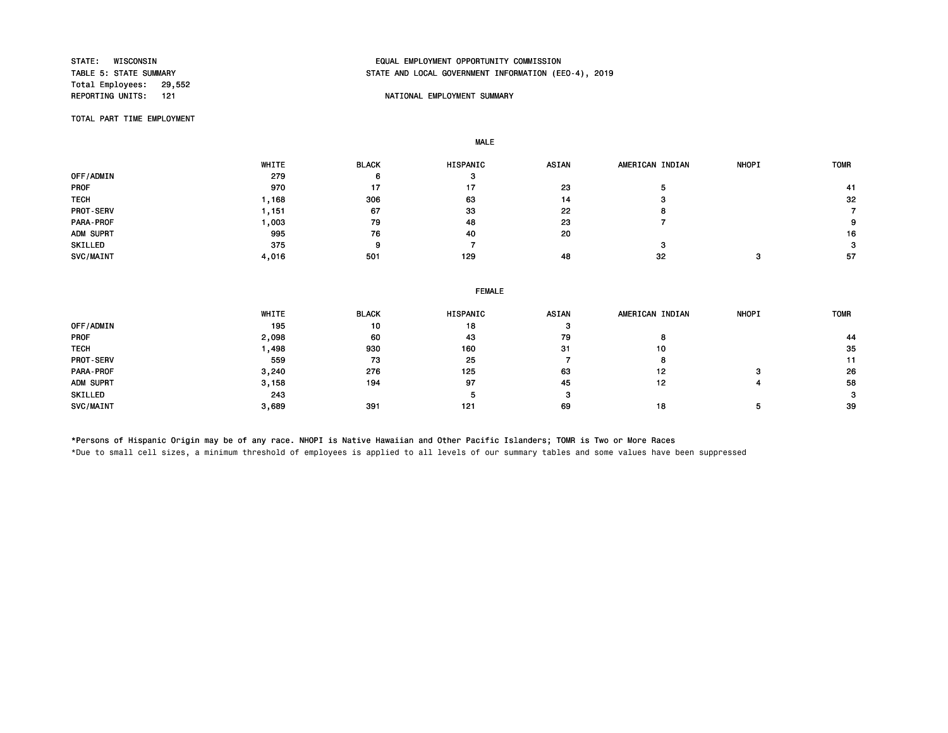Total Employees: 29,552<br>REPORTING UNITS: 121

# STATE: WISCONSIN EQUAL EMPLOYMENT OPPORTUNITY COMMISSION STATE AND LOCAL GOVERNMENT INFORMATION (EEO-4), 2019

## NATIONAL EMPLOYMENT SUMMARY

TOTAL PART TIME EMPLOYMENT

MALE

 WHITE BLACK HISPANIC ASIAN AMERICAN INDIAN NHOPI TOMR OFF/ADMIN 279 6 3 PROF 970 17 17 23 5 41 TECH 1,168 306 63 14 3 32 PROT-SERV 1,151 67 33 22 8 7 PARA-PROF 1,003 79 48 23 7 9 ADM SUPRT 995 76 40 20 16 SKILLED 375 9 7 3 3 SVC/MAINT 4,016 501 129 48 32 3 57

|                  | <b>FEMALE</b> |              |          |              |                 |              |             |  |  |
|------------------|---------------|--------------|----------|--------------|-----------------|--------------|-------------|--|--|
|                  | WHITE         | <b>BLACK</b> | HISPANIC | <b>ASIAN</b> | AMERICAN INDIAN | <b>NHOPI</b> | <b>TOMR</b> |  |  |
| OFF/ADMIN        | 195           | 10           | 18       | з            |                 |              |             |  |  |
| <b>PROF</b>      | 2,098         | 60           | 43       | 79           | 8               |              | 44          |  |  |
| <b>TECH</b>      | 1,498         | 930          | 160      | 31           | 10              |              | 35          |  |  |
| <b>PROT-SERV</b> | 559           | 73           | 25       |              | 8               |              | 11          |  |  |
| PARA-PROF        | 3,240         | 276          | 125      | 63           | 12              | з            | 26          |  |  |
| ADM SUPRT        | 3,158         | 194          | 97       | 45           | 12              |              | 58          |  |  |
| SKILLED          | 243           |              |          | з            |                 |              | 3           |  |  |
| SVC/MAINT        | 3,689         | 391          | 121      | 69           | 18              |              | -39         |  |  |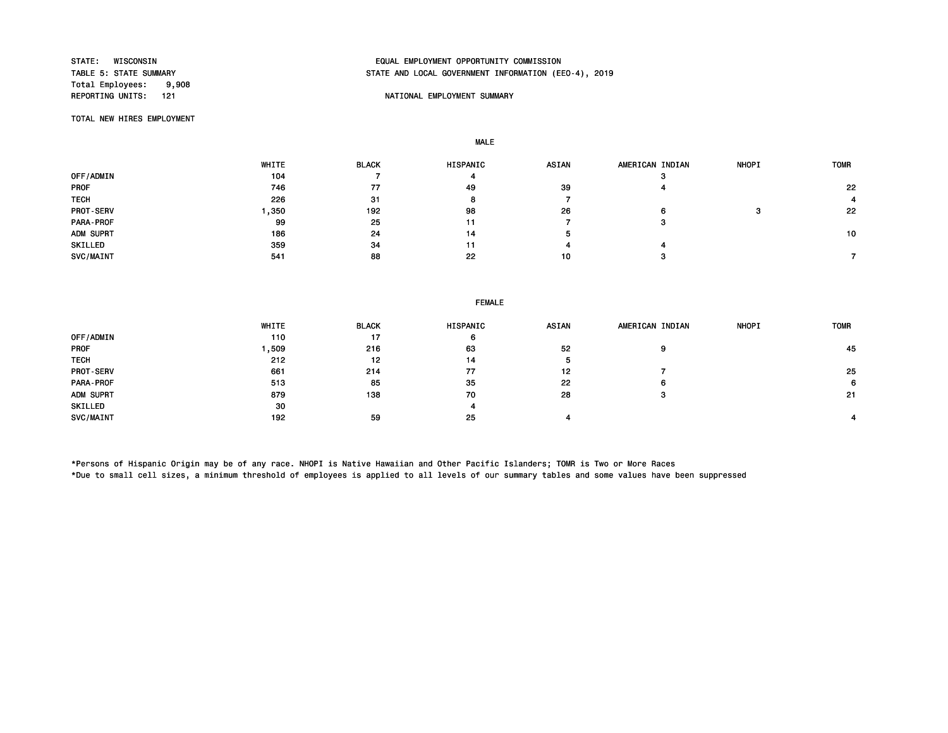Total Employees: 9,908<br>REPORTING UNITS: 121

# STATE: WISCONSIN EQUAL EMPLOYMENT OPPORTUNITY COMMISSION STATE AND LOCAL GOVERNMENT INFORMATION (EEO-4), 2019

## NATIONAL EMPLOYMENT SUMMARY

TOTAL NEW HIRES EMPLOYMENT

MALE

|                  | WHITE | <b>BLACK</b> | <b>HISPANIC</b> | <b>ASIAN</b> | AMERICAN INDIAN | <b>NHOPI</b> | <b>TOMR</b> |
|------------------|-------|--------------|-----------------|--------------|-----------------|--------------|-------------|
| OFF/ADMIN        | 104   |              | 4               |              | -3              |              |             |
| <b>PROF</b>      | 746   | 77           | 49              | 39           |                 |              | 22          |
| <b>TECH</b>      | 226   | 31           | $\bullet$       |              |                 |              |             |
| <b>PROT-SERV</b> | ,350  | 192          | 98              | 26           | n               |              | 22          |
| PARA-PROF        | 99    | 25           | 11              |              | з               |              |             |
| ADM SUPRT        | 186   | 24           | 14              | э            |                 |              | 10          |
| SKILLED          | 359   | 34           | 11              |              |                 |              |             |
| SVC/MAINT        | 541   | 88           | 22              | 10           |                 |              |             |

### FEMALE

|                  | WHITE | <b>BLACK</b> | <b>HISPANIC</b> | <b>ASIAN</b> | AMERICAN INDIAN | <b>NHOPI</b> | <b>TOMR</b> |
|------------------|-------|--------------|-----------------|--------------|-----------------|--------------|-------------|
| OFF/ADMIN        | 110   | 17           | 6               |              |                 |              |             |
| <b>PROF</b>      | ,509  | 216          | 63              | 52           | 9               |              | 45          |
| <b>TECH</b>      | 212   | 12           | 14              | л            |                 |              |             |
| <b>PROT-SERV</b> | 661   | 214          | 77              | 12           |                 |              | 25          |
| PARA-PROF        | 513   | 85           | 35              | 22           | 6               |              | 6           |
| ADM SUPRT        | 879   | 138          | 70              | 28           | з               |              | -21         |
| SKILLED          | 30    |              | 4               |              |                 |              |             |
| SVC/MAINT        | 192   | 59           | 25              |              |                 |              |             |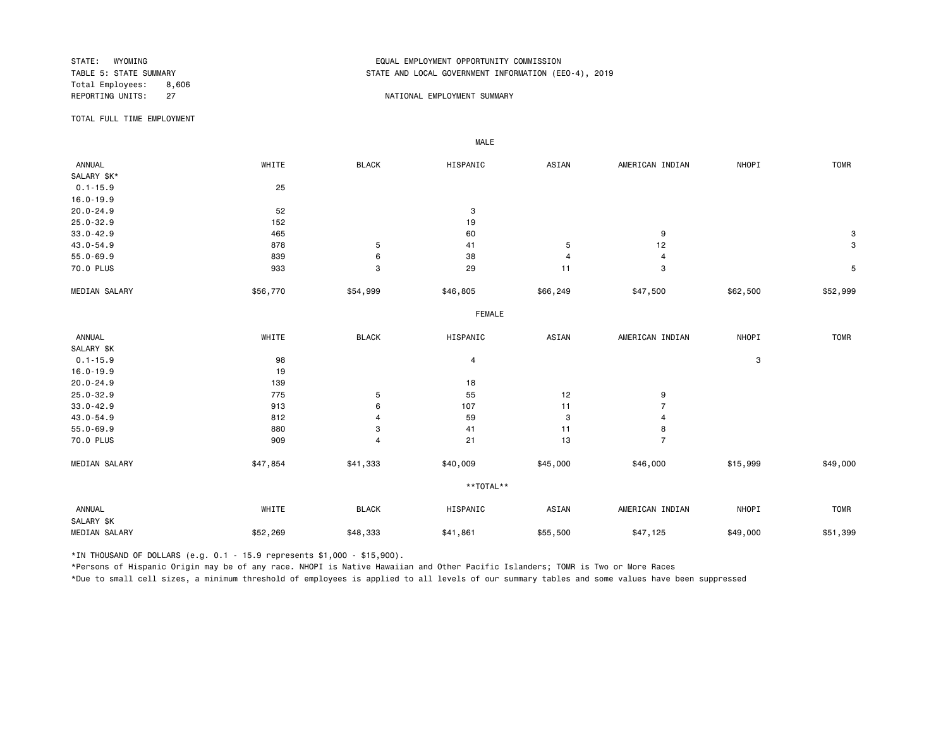Total Employees: 8,606 REPORTING UNITS: 27 27 NATIONAL EMPLOYMENT SUMMARY

# STATE: WYOMING EQUAL EMPLOYMENT OPPORTUNITY COMMISSION STATE AND LOCAL GOVERNMENT INFORMATION (EEO-4), 2019

TOTAL FULL TIME EMPLOYMENT

 ANNUAL WHITE BLACK HISPANIC ASIAN AMERICAN INDIAN NHOPI TOMR SALARY \$K\* 0.1-15.9 25 16.0-19.9<br>20.0-24.9 20.0-24.9 3 25.0-32.9 152 19  $33.0-42.9$  30.0-42.9 43.0-54.9 878 5 41 5 12 3 55.0-69.9 839 6 38 4 4 70.0 PLUS 933 3 29 11 3 5 MEDIAN SALARY \$56,770 \$54,999 \$46,805 \$66,249 \$47,500 \$62,500 \$52,999 FEMALE **FRAME**  ANNUAL WHITE BLACK HISPANIC ASIAN AMERICAN INDIAN NHOPI TOMR SALARY \$K<br>0.1-15.9  $0.1-15.9$  3 16.0-19.9 19<br>
20.0-24.9 139 20.0-24.9 139 18 25.0-32.9 775 5 55 12 9 33.0-42.9 913 6 107 11 7 43.0-54.9 812 4 59 3 4 55.0-69.9 880 3 41 11 8 70.0 PLUS 909 4 21 13 7 MEDIAN SALARY \$47,854 \$41,333 \$45,000 \$465,000 \$15,999 \$49,000 \*\*TOTAL\*\* ANNUAL WHITE BLACK HISPANIC ASIAN AMERICAN INDIAN NHOPI TOMR SALARY \$K MEDIAN SALARY \$52,269 \$48,333 \$41,861 \$47,125 \$49,000 \$51,399 \$51,399

\*IN THOUSAND OF DOLLARS (e.g. 0.1 - 15.9 represents \$1,000 - \$15,900).

MALE

\*Persons of Hispanic Origin may be of any race. NHOPI is Native Hawaiian and Other Pacific Islanders; TOMR is Two or More Races

\*Due to small cell sizes, a minimum threshold of employees is applied to all levels of our summary tables and some values have been suppressed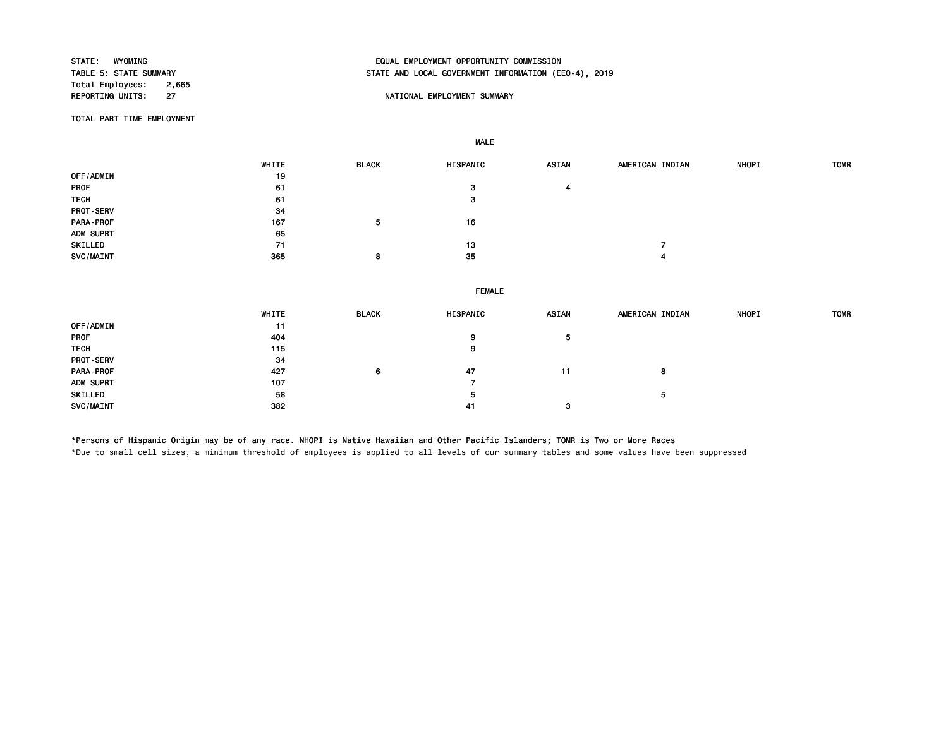Total Employees: 2,665<br>REPORTING UNITS: 27

# STATE: WYOMING EQUAL EMPLOYMENT OPPORTUNITY COMMISSION STATE AND LOCAL GOVERNMENT INFORMATION (EEO-4), 2019

## NATIONAL EMPLOYMENT SUMMARY

TOTAL PART TIME EMPLOYMENT

MALE

|             | WHITE | <b>BLACK</b> | HISPANIC | ASIAN | AMERICAN INDIAN | <b>NHOPI</b> | <b>TOMR</b> |
|-------------|-------|--------------|----------|-------|-----------------|--------------|-------------|
| OFF/ADMIN   | 19    |              |          |       |                 |              |             |
| PROF        | 61    |              | з        |       |                 |              |             |
| <b>TECH</b> | 61    |              | 3        |       |                 |              |             |
| PROT-SERV   | -34   |              |          |       |                 |              |             |
| PARA-PROF   | 167   | 5            | 16       |       |                 |              |             |
| ADM SUPRT   | 65    |              |          |       |                 |              |             |
| SKILLED     | 71    |              | 13       |       |                 |              |             |
| SVC/MAINT   | 365   | 8            | 35       |       |                 |              |             |

### FEMALE

|                  | WHITE | <b>BLACK</b> | HISPANIC | <b>ASIAN</b> | AMERICAN INDIAN | <b>NHOPI</b> | <b>TOMR</b> |
|------------------|-------|--------------|----------|--------------|-----------------|--------------|-------------|
| OFF/ADMIN        | 11    |              |          |              |                 |              |             |
| PROF             | 404   |              | 9        |              |                 |              |             |
| <b>TECH</b>      | 115   |              | 9        |              |                 |              |             |
| <b>PROT-SERV</b> | 34    |              |          |              |                 |              |             |
| <b>PARA-PROF</b> | 427   | 6            | 47       | 11           |                 |              |             |
| ADM SUPRT        | 107   |              |          |              |                 |              |             |
| SKILLED          | 58    |              | 5        |              |                 |              |             |
| SVC/MAINT        | 382   |              | 41       |              |                 |              |             |